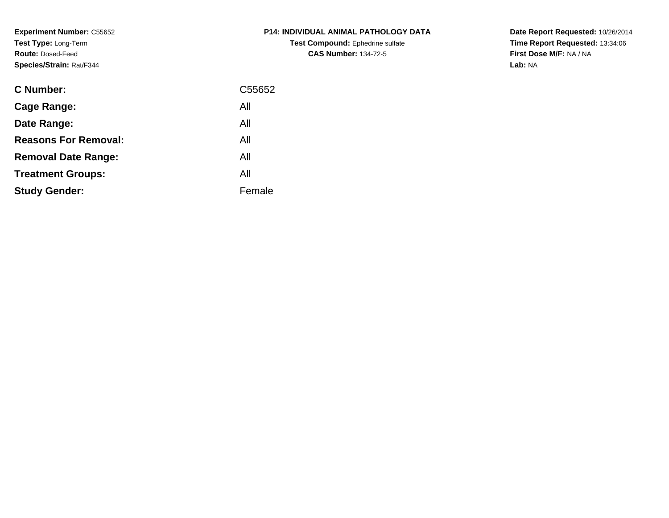**Experiment Number:** C55652**Test Type:** Long-Term**Route:** Dosed-Feed**Species/Strain:** Rat/F344

| <b>P14: INDIVIDUAL ANIMAL PATHOLOGY DATA</b> |
|----------------------------------------------|
| <b>Test Compound:</b> Ephedrine sulfate      |
| <b>CAS Number: 134-72-5</b>                  |

| <b>C</b> Number:            | C55652 |
|-----------------------------|--------|
| Cage Range:                 | All    |
| Date Range:                 | All    |
| <b>Reasons For Removal:</b> | All    |
| <b>Removal Date Range:</b>  | All    |
| <b>Treatment Groups:</b>    | All    |
| <b>Study Gender:</b>        | Female |
|                             |        |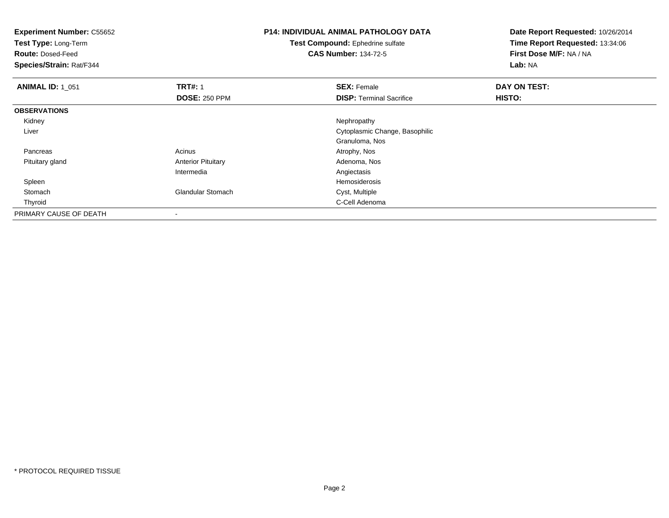| <b>Experiment Number: C55652</b><br>Test Type: Long-Term<br><b>Route: Dosed-Feed</b><br>Species/Strain: Rat/F344 |                           | <b>P14: INDIVIDUAL ANIMAL PATHOLOGY DATA</b><br>Test Compound: Ephedrine sulfate<br><b>CAS Number: 134-72-5</b> | Date Report Requested: 10/26/2014<br>Time Report Requested: 13:34:06<br>First Dose M/F: NA / NA<br>Lab: NA |
|------------------------------------------------------------------------------------------------------------------|---------------------------|-----------------------------------------------------------------------------------------------------------------|------------------------------------------------------------------------------------------------------------|
| <b>ANIMAL ID: 1_051</b>                                                                                          | <b>TRT#: 1</b>            | <b>SEX: Female</b>                                                                                              | DAY ON TEST:                                                                                               |
|                                                                                                                  | <b>DOSE: 250 PPM</b>      | <b>DISP: Terminal Sacrifice</b>                                                                                 | HISTO:                                                                                                     |
| <b>OBSERVATIONS</b>                                                                                              |                           |                                                                                                                 |                                                                                                            |
| Kidney                                                                                                           |                           | Nephropathy                                                                                                     |                                                                                                            |
| Liver                                                                                                            |                           | Cytoplasmic Change, Basophilic                                                                                  |                                                                                                            |
|                                                                                                                  |                           | Granuloma, Nos                                                                                                  |                                                                                                            |
| Pancreas                                                                                                         | Acinus                    | Atrophy, Nos                                                                                                    |                                                                                                            |
| Pituitary gland                                                                                                  | <b>Anterior Pituitary</b> | Adenoma, Nos                                                                                                    |                                                                                                            |
|                                                                                                                  | Intermedia                | Angiectasis                                                                                                     |                                                                                                            |
| Spleen                                                                                                           |                           | Hemosiderosis                                                                                                   |                                                                                                            |
| Stomach                                                                                                          | <b>Glandular Stomach</b>  | Cyst, Multiple                                                                                                  |                                                                                                            |
| Thyroid                                                                                                          |                           | C-Cell Adenoma                                                                                                  |                                                                                                            |
| PRIMARY CAUSE OF DEATH                                                                                           |                           |                                                                                                                 |                                                                                                            |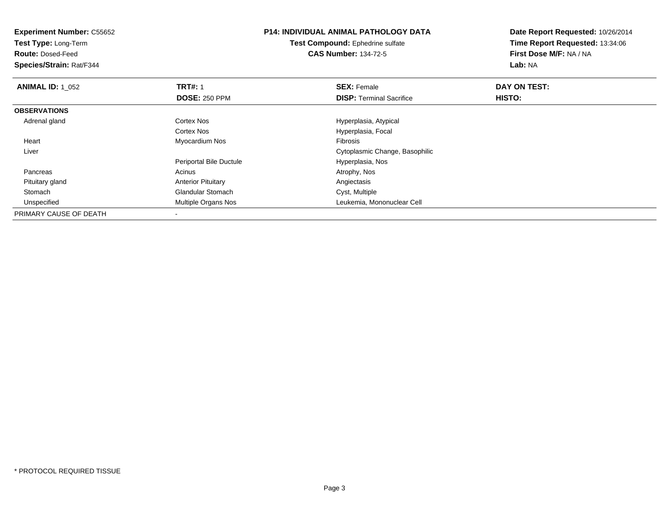| <b>Experiment Number: C55652</b><br>Test Type: Long-Term |                           | <b>P14: INDIVIDUAL ANIMAL PATHOLOGY DATA</b> | Date Report Requested: 10/26/2014<br>Time Report Requested: 13:34:06 |
|----------------------------------------------------------|---------------------------|----------------------------------------------|----------------------------------------------------------------------|
|                                                          |                           | <b>Test Compound: Ephedrine sulfate</b>      |                                                                      |
| <b>Route: Dosed-Feed</b>                                 |                           | <b>CAS Number: 134-72-5</b>                  | First Dose M/F: NA / NA                                              |
| Species/Strain: Rat/F344                                 |                           |                                              | Lab: NA                                                              |
| <b>ANIMAL ID: 1 052</b>                                  | <b>TRT#: 1</b>            | <b>SEX: Female</b>                           | DAY ON TEST:                                                         |
|                                                          | <b>DOSE: 250 PPM</b>      | <b>DISP:</b> Terminal Sacrifice              | HISTO:                                                               |
| <b>OBSERVATIONS</b>                                      |                           |                                              |                                                                      |
| Adrenal gland                                            | Cortex Nos                | Hyperplasia, Atypical                        |                                                                      |
|                                                          | Cortex Nos                | Hyperplasia, Focal                           |                                                                      |
| Heart                                                    | Myocardium Nos            | Fibrosis                                     |                                                                      |
| Liver                                                    |                           | Cytoplasmic Change, Basophilic               |                                                                      |
|                                                          | Periportal Bile Ductule   | Hyperplasia, Nos                             |                                                                      |
| Pancreas                                                 | Acinus                    | Atrophy, Nos                                 |                                                                      |
| Pituitary gland                                          | <b>Anterior Pituitary</b> | Angiectasis                                  |                                                                      |
| Stomach                                                  | <b>Glandular Stomach</b>  | Cyst, Multiple                               |                                                                      |
| Unspecified                                              | Multiple Organs Nos       | Leukemia, Mononuclear Cell                   |                                                                      |
| PRIMARY CAUSE OF DEATH                                   |                           |                                              |                                                                      |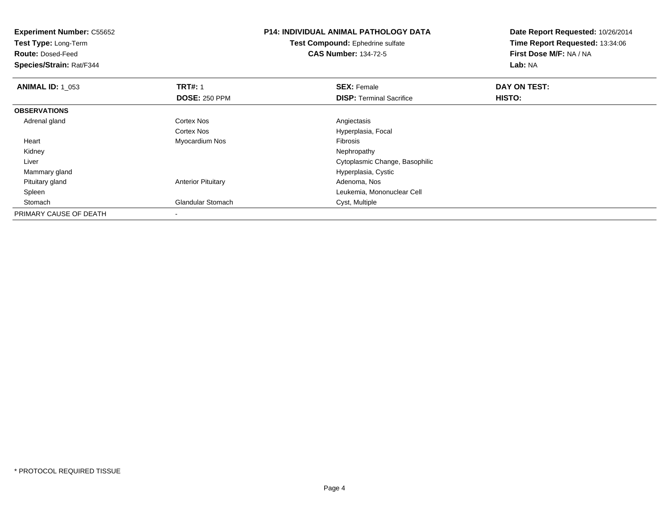| <b>Experiment Number: C55652</b><br>Test Type: Long-Term<br><b>Route: Dosed-Feed</b><br>Species/Strain: Rat/F344 |                           | <b>P14: INDIVIDUAL ANIMAL PATHOLOGY DATA</b><br><b>Test Compound:</b> Ephedrine sulfate<br><b>CAS Number: 134-72-5</b> | Date Report Requested: 10/26/2014<br>Time Report Requested: 13:34:06<br>First Dose M/F: NA / NA<br>Lab: NA |
|------------------------------------------------------------------------------------------------------------------|---------------------------|------------------------------------------------------------------------------------------------------------------------|------------------------------------------------------------------------------------------------------------|
| <b>ANIMAL ID: 1_053</b>                                                                                          | <b>TRT#: 1</b>            | <b>SEX: Female</b>                                                                                                     | DAY ON TEST:                                                                                               |
|                                                                                                                  | <b>DOSE: 250 PPM</b>      | <b>DISP:</b> Terminal Sacrifice                                                                                        | <b>HISTO:</b>                                                                                              |
| <b>OBSERVATIONS</b>                                                                                              |                           |                                                                                                                        |                                                                                                            |
| Adrenal gland                                                                                                    | Cortex Nos                | Angiectasis                                                                                                            |                                                                                                            |
|                                                                                                                  | Cortex Nos                | Hyperplasia, Focal                                                                                                     |                                                                                                            |
| Heart                                                                                                            | Myocardium Nos            | <b>Fibrosis</b>                                                                                                        |                                                                                                            |
| Kidney                                                                                                           |                           | Nephropathy                                                                                                            |                                                                                                            |
| Liver                                                                                                            |                           | Cytoplasmic Change, Basophilic                                                                                         |                                                                                                            |
| Mammary gland                                                                                                    |                           | Hyperplasia, Cystic                                                                                                    |                                                                                                            |
| Pituitary gland                                                                                                  | <b>Anterior Pituitary</b> | Adenoma, Nos                                                                                                           |                                                                                                            |
| Spleen                                                                                                           |                           | Leukemia, Mononuclear Cell                                                                                             |                                                                                                            |
| Stomach                                                                                                          | Glandular Stomach         | Cyst, Multiple                                                                                                         |                                                                                                            |
| PRIMARY CAUSE OF DEATH                                                                                           |                           |                                                                                                                        |                                                                                                            |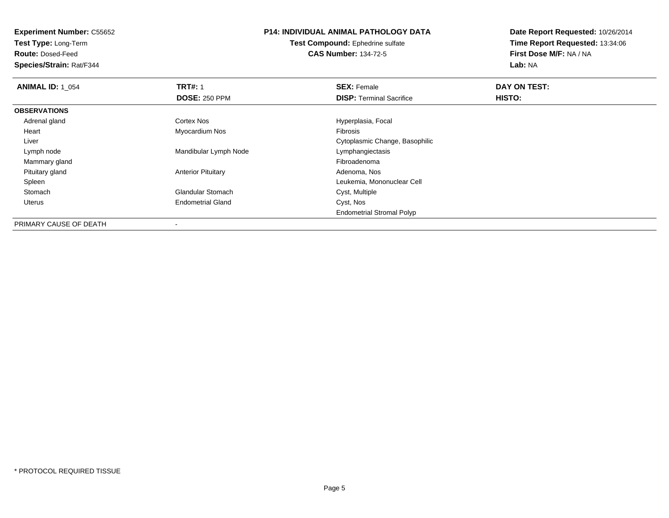**Test Type:** Long-Term

**Route:** Dosed-Feed

**Species/Strain:** Rat/F344

# **P14: INDIVIDUAL ANIMAL PATHOLOGY DATA**

**Test Compound:** Ephedrine sulfate**CAS Number:** 134-72-5

| <b>ANIMAL ID: 1 054</b> | <b>TRT#: 1</b>            | <b>SEX: Female</b>               | DAY ON TEST: |  |
|-------------------------|---------------------------|----------------------------------|--------------|--|
|                         | <b>DOSE: 250 PPM</b>      | <b>DISP: Terminal Sacrifice</b>  | HISTO:       |  |
| <b>OBSERVATIONS</b>     |                           |                                  |              |  |
| Adrenal gland           | Cortex Nos                | Hyperplasia, Focal               |              |  |
| Heart                   | Myocardium Nos            | <b>Fibrosis</b>                  |              |  |
| Liver                   |                           | Cytoplasmic Change, Basophilic   |              |  |
| Lymph node              | Mandibular Lymph Node     | Lymphangiectasis                 |              |  |
| Mammary gland           |                           | Fibroadenoma                     |              |  |
| Pituitary gland         | <b>Anterior Pituitary</b> | Adenoma, Nos                     |              |  |
| Spleen                  |                           | Leukemia, Mononuclear Cell       |              |  |
| Stomach                 | <b>Glandular Stomach</b>  | Cyst, Multiple                   |              |  |
| Uterus                  | <b>Endometrial Gland</b>  | Cyst, Nos                        |              |  |
|                         |                           | <b>Endometrial Stromal Polyp</b> |              |  |
| PRIMARY CAUSE OF DEATH  |                           |                                  |              |  |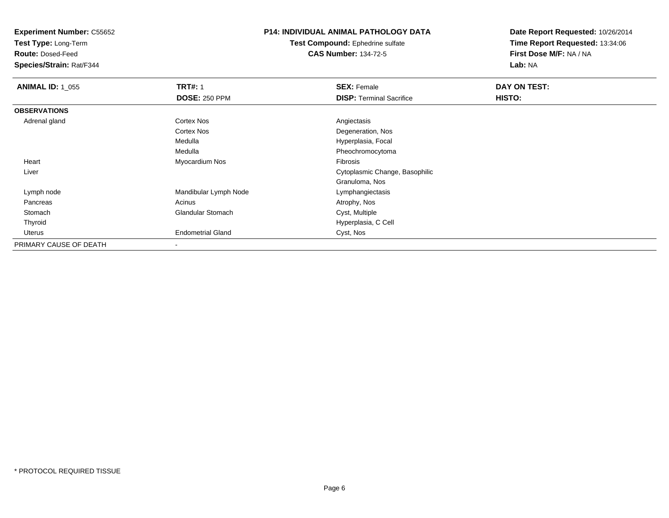**Test Type:** Long-Term

**Route:** Dosed-Feed

**Species/Strain:** Rat/F344

## **P14: INDIVIDUAL ANIMAL PATHOLOGY DATA**

**Test Compound:** Ephedrine sulfate**CAS Number:** 134-72-5

| <b>ANIMAL ID: 1_055</b> | <b>TRT#: 1</b>           | <b>SEX: Female</b>              | DAY ON TEST: |  |
|-------------------------|--------------------------|---------------------------------|--------------|--|
|                         | <b>DOSE: 250 PPM</b>     | <b>DISP: Terminal Sacrifice</b> | HISTO:       |  |
| <b>OBSERVATIONS</b>     |                          |                                 |              |  |
| Adrenal gland           | <b>Cortex Nos</b>        | Angiectasis                     |              |  |
|                         | Cortex Nos               | Degeneration, Nos               |              |  |
|                         | Medulla                  | Hyperplasia, Focal              |              |  |
|                         | Medulla                  | Pheochromocytoma                |              |  |
| Heart                   | Myocardium Nos           | Fibrosis                        |              |  |
| Liver                   |                          | Cytoplasmic Change, Basophilic  |              |  |
|                         |                          | Granuloma, Nos                  |              |  |
| Lymph node              | Mandibular Lymph Node    | Lymphangiectasis                |              |  |
| Pancreas                | Acinus                   | Atrophy, Nos                    |              |  |
| Stomach                 | <b>Glandular Stomach</b> | Cyst, Multiple                  |              |  |
| Thyroid                 |                          | Hyperplasia, C Cell             |              |  |
| Uterus                  | <b>Endometrial Gland</b> | Cyst, Nos                       |              |  |
| PRIMARY CAUSE OF DEATH  | $\blacksquare$           |                                 |              |  |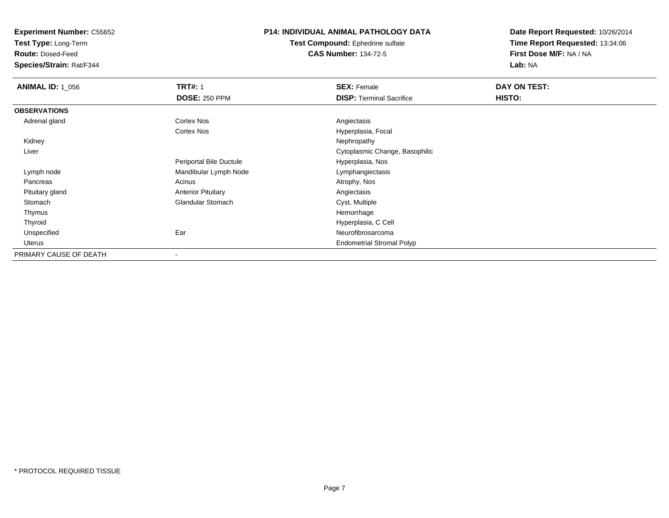**Test Type:** Long-Term

**Route:** Dosed-Feed

**Species/Strain:** Rat/F344

### **P14: INDIVIDUAL ANIMAL PATHOLOGY DATA**

**Test Compound:** Ephedrine sulfate**CAS Number:** 134-72-5

| <b>ANIMAL ID: 1_056</b> | <b>TRT#: 1</b>            | <b>SEX: Female</b>               | DAY ON TEST: |
|-------------------------|---------------------------|----------------------------------|--------------|
|                         | <b>DOSE: 250 PPM</b>      | <b>DISP:</b> Terminal Sacrifice  | HISTO:       |
| <b>OBSERVATIONS</b>     |                           |                                  |              |
| Adrenal gland           | <b>Cortex Nos</b>         | Angiectasis                      |              |
|                         | <b>Cortex Nos</b>         | Hyperplasia, Focal               |              |
| Kidney                  |                           | Nephropathy                      |              |
| Liver                   |                           | Cytoplasmic Change, Basophilic   |              |
|                         | Periportal Bile Ductule   | Hyperplasia, Nos                 |              |
| Lymph node              | Mandibular Lymph Node     | Lymphangiectasis                 |              |
| Pancreas                | Acinus                    | Atrophy, Nos                     |              |
| Pituitary gland         | <b>Anterior Pituitary</b> | Angiectasis                      |              |
| Stomach                 | <b>Glandular Stomach</b>  | Cyst, Multiple                   |              |
| Thymus                  |                           | Hemorrhage                       |              |
| Thyroid                 |                           | Hyperplasia, C Cell              |              |
| Unspecified             | Ear                       | Neurofibrosarcoma                |              |
| Uterus                  |                           | <b>Endometrial Stromal Polyp</b> |              |
| PRIMARY CAUSE OF DEATH  |                           |                                  |              |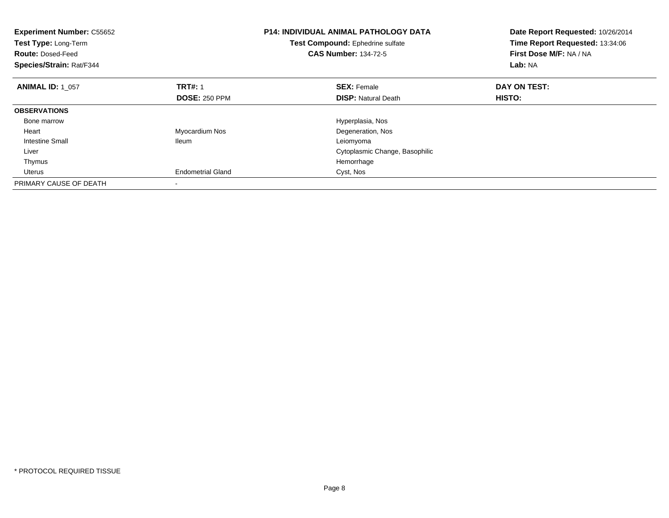| <b>Experiment Number: C55652</b><br>Test Type: Long-Term<br><b>Route: Dosed-Feed</b><br>Species/Strain: Rat/F344 |                          | <b>P14: INDIVIDUAL ANIMAL PATHOLOGY DATA</b><br>Date Report Requested: 10/26/2014<br>Time Report Requested: 13:34:06<br>Test Compound: Ephedrine sulfate<br><b>CAS Number: 134-72-5</b><br>First Dose M/F: NA / NA<br>Lab: NA |              |
|------------------------------------------------------------------------------------------------------------------|--------------------------|-------------------------------------------------------------------------------------------------------------------------------------------------------------------------------------------------------------------------------|--------------|
| <b>ANIMAL ID: 1 057</b>                                                                                          | <b>TRT#: 1</b>           | <b>SEX: Female</b>                                                                                                                                                                                                            | DAY ON TEST: |
|                                                                                                                  | <b>DOSE: 250 PPM</b>     | <b>DISP:</b> Natural Death                                                                                                                                                                                                    | HISTO:       |
| <b>OBSERVATIONS</b>                                                                                              |                          |                                                                                                                                                                                                                               |              |
| Bone marrow                                                                                                      |                          | Hyperplasia, Nos                                                                                                                                                                                                              |              |
| Heart                                                                                                            | Myocardium Nos           | Degeneration, Nos                                                                                                                                                                                                             |              |
| <b>Intestine Small</b>                                                                                           | <b>Ileum</b>             | Leiomyoma                                                                                                                                                                                                                     |              |
| Liver                                                                                                            |                          | Cytoplasmic Change, Basophilic                                                                                                                                                                                                |              |
| Thymus                                                                                                           |                          | Hemorrhage                                                                                                                                                                                                                    |              |
| Uterus                                                                                                           | <b>Endometrial Gland</b> | Cyst, Nos                                                                                                                                                                                                                     |              |
| PRIMARY CAUSE OF DEATH                                                                                           |                          |                                                                                                                                                                                                                               |              |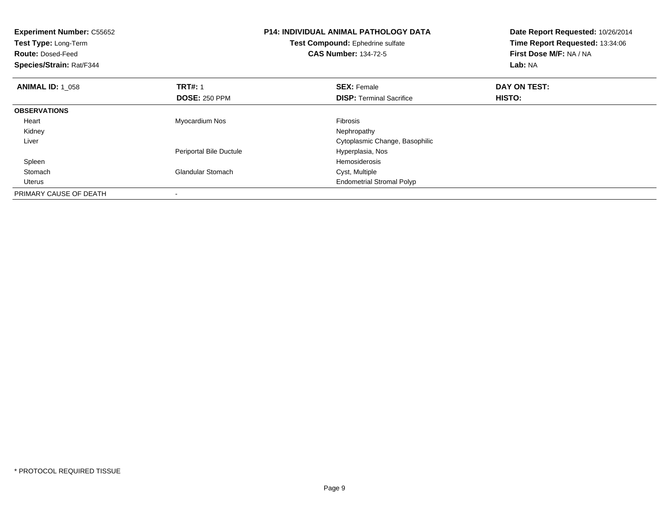| <b>Experiment Number: C55652</b><br>Test Type: Long-Term<br><b>Route: Dosed-Feed</b><br>Species/Strain: Rat/F344 |                          | <b>P14: INDIVIDUAL ANIMAL PATHOLOGY DATA</b><br>Test Compound: Ephedrine sulfate<br><b>CAS Number: 134-72-5</b> | Date Report Requested: 10/26/2014<br>Time Report Requested: 13:34:06<br>First Dose M/F: NA / NA<br>Lab: NA |
|------------------------------------------------------------------------------------------------------------------|--------------------------|-----------------------------------------------------------------------------------------------------------------|------------------------------------------------------------------------------------------------------------|
| <b>ANIMAL ID: 1 058</b>                                                                                          | <b>TRT#: 1</b>           | <b>SEX: Female</b>                                                                                              | DAY ON TEST:                                                                                               |
|                                                                                                                  | <b>DOSE: 250 PPM</b>     | <b>DISP:</b> Terminal Sacrifice                                                                                 | <b>HISTO:</b>                                                                                              |
| <b>OBSERVATIONS</b>                                                                                              |                          |                                                                                                                 |                                                                                                            |
| Heart                                                                                                            | Myocardium Nos           | <b>Fibrosis</b>                                                                                                 |                                                                                                            |
| Kidney                                                                                                           |                          | Nephropathy                                                                                                     |                                                                                                            |
| Liver                                                                                                            |                          | Cytoplasmic Change, Basophilic                                                                                  |                                                                                                            |
|                                                                                                                  | Periportal Bile Ductule  | Hyperplasia, Nos                                                                                                |                                                                                                            |
| Spleen                                                                                                           |                          | Hemosiderosis                                                                                                   |                                                                                                            |
| Stomach                                                                                                          | <b>Glandular Stomach</b> | Cyst, Multiple                                                                                                  |                                                                                                            |
| <b>Uterus</b>                                                                                                    |                          | <b>Endometrial Stromal Polyp</b>                                                                                |                                                                                                            |
| PRIMARY CAUSE OF DEATH                                                                                           |                          |                                                                                                                 |                                                                                                            |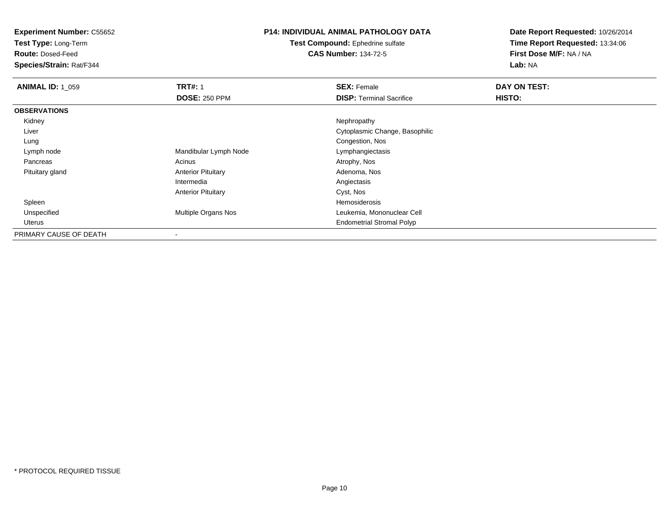**Test Type:** Long-Term

**Route:** Dosed-Feed

**Species/Strain:** Rat/F344

## **P14: INDIVIDUAL ANIMAL PATHOLOGY DATA**

**Test Compound:** Ephedrine sulfate**CAS Number:** 134-72-5

| <b>ANIMAL ID: 1_059</b> | <b>TRT#: 1</b>             | <b>SEX: Female</b>               | DAY ON TEST: |
|-------------------------|----------------------------|----------------------------------|--------------|
|                         | <b>DOSE: 250 PPM</b>       | <b>DISP: Terminal Sacrifice</b>  | HISTO:       |
| <b>OBSERVATIONS</b>     |                            |                                  |              |
| Kidney                  |                            | Nephropathy                      |              |
| Liver                   |                            | Cytoplasmic Change, Basophilic   |              |
| Lung                    |                            | Congestion, Nos                  |              |
| Lymph node              | Mandibular Lymph Node      | Lymphangiectasis                 |              |
| Pancreas                | Acinus                     | Atrophy, Nos                     |              |
| Pituitary gland         | <b>Anterior Pituitary</b>  | Adenoma, Nos                     |              |
|                         | Intermedia                 | Angiectasis                      |              |
|                         | <b>Anterior Pituitary</b>  | Cyst, Nos                        |              |
| Spleen                  |                            | Hemosiderosis                    |              |
| Unspecified             | <b>Multiple Organs Nos</b> | Leukemia, Mononuclear Cell       |              |
| Uterus                  |                            | <b>Endometrial Stromal Polyp</b> |              |
| PRIMARY CAUSE OF DEATH  |                            |                                  |              |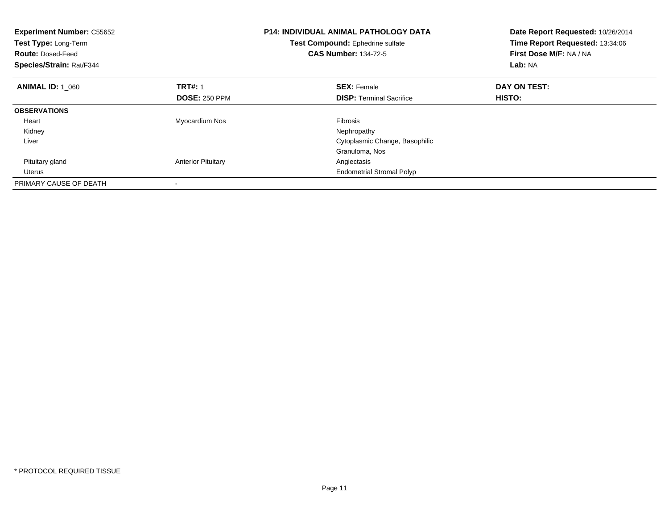| <b>Experiment Number: C55652</b><br>Test Type: Long-Term<br><b>Route: Dosed-Feed</b><br>Species/Strain: Rat/F344 |                           | <b>P14: INDIVIDUAL ANIMAL PATHOLOGY DATA</b><br>Date Report Requested: 10/26/2014<br>Time Report Requested: 13:34:06<br>Test Compound: Ephedrine sulfate<br>First Dose M/F: NA / NA<br><b>CAS Number: 134-72-5</b><br>Lab: NA |              |
|------------------------------------------------------------------------------------------------------------------|---------------------------|-------------------------------------------------------------------------------------------------------------------------------------------------------------------------------------------------------------------------------|--------------|
| <b>ANIMAL ID: 1_060</b>                                                                                          | <b>TRT#: 1</b>            | <b>SEX: Female</b>                                                                                                                                                                                                            | DAY ON TEST: |
|                                                                                                                  | <b>DOSE: 250 PPM</b>      | <b>DISP:</b> Terminal Sacrifice                                                                                                                                                                                               | HISTO:       |
| <b>OBSERVATIONS</b>                                                                                              |                           |                                                                                                                                                                                                                               |              |
| Heart                                                                                                            | Myocardium Nos            | <b>Fibrosis</b>                                                                                                                                                                                                               |              |
| Kidney                                                                                                           |                           | Nephropathy                                                                                                                                                                                                                   |              |
| Liver                                                                                                            |                           | Cytoplasmic Change, Basophilic                                                                                                                                                                                                |              |
|                                                                                                                  |                           | Granuloma, Nos                                                                                                                                                                                                                |              |
| Pituitary gland                                                                                                  | <b>Anterior Pituitary</b> | Angiectasis                                                                                                                                                                                                                   |              |
| Uterus                                                                                                           |                           | <b>Endometrial Stromal Polyp</b>                                                                                                                                                                                              |              |
| PRIMARY CAUSE OF DEATH                                                                                           |                           |                                                                                                                                                                                                                               |              |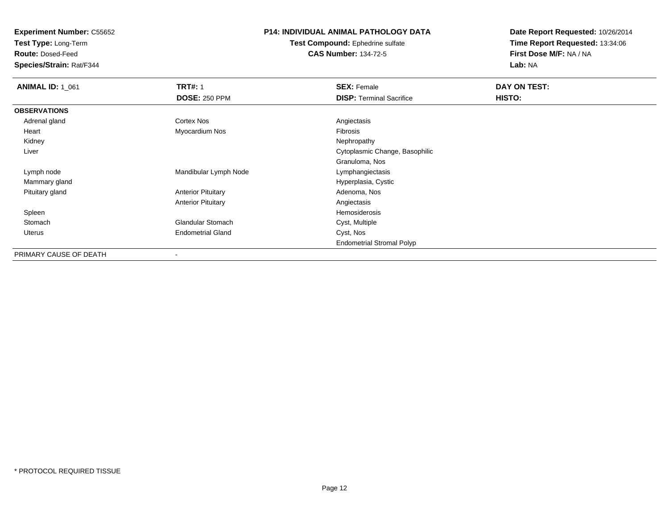**Test Type:** Long-Term

**Route:** Dosed-Feed

**Species/Strain:** Rat/F344

### **P14: INDIVIDUAL ANIMAL PATHOLOGY DATA**

**Test Compound:** Ephedrine sulfate**CAS Number:** 134-72-5

| <b>ANIMAL ID: 1_061</b> | <b>TRT#: 1</b>            | <b>SEX: Female</b>               | DAY ON TEST: |  |
|-------------------------|---------------------------|----------------------------------|--------------|--|
|                         | <b>DOSE: 250 PPM</b>      | <b>DISP: Terminal Sacrifice</b>  | HISTO:       |  |
| <b>OBSERVATIONS</b>     |                           |                                  |              |  |
| Adrenal gland           | Cortex Nos                | Angiectasis                      |              |  |
| Heart                   | Myocardium Nos            | <b>Fibrosis</b>                  |              |  |
| Kidney                  |                           | Nephropathy                      |              |  |
| Liver                   |                           | Cytoplasmic Change, Basophilic   |              |  |
|                         |                           | Granuloma, Nos                   |              |  |
| Lymph node              | Mandibular Lymph Node     | Lymphangiectasis                 |              |  |
| Mammary gland           |                           | Hyperplasia, Cystic              |              |  |
| Pituitary gland         | <b>Anterior Pituitary</b> | Adenoma, Nos                     |              |  |
|                         | <b>Anterior Pituitary</b> | Angiectasis                      |              |  |
| Spleen                  |                           | Hemosiderosis                    |              |  |
| Stomach                 | <b>Glandular Stomach</b>  | Cyst, Multiple                   |              |  |
| <b>Uterus</b>           | <b>Endometrial Gland</b>  | Cyst, Nos                        |              |  |
|                         |                           | <b>Endometrial Stromal Polyp</b> |              |  |
| PRIMARY CAUSE OF DEATH  |                           |                                  |              |  |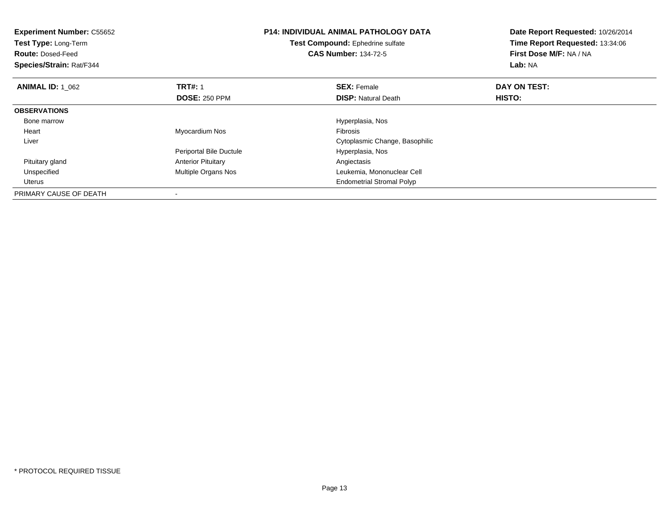| <b>Experiment Number: C55652</b><br><b>Test Type: Long-Term</b><br><b>Route: Dosed-Feed</b><br>Species/Strain: Rat/F344 | <b>P14: INDIVIDUAL ANIMAL PATHOLOGY DATA</b><br>Test Compound: Ephedrine sulfate<br><b>CAS Number: 134-72-5</b> |                                  | Date Report Requested: 10/26/2014<br>Time Report Requested: 13:34:06<br>First Dose M/F: NA / NA<br>Lab: NA |
|-------------------------------------------------------------------------------------------------------------------------|-----------------------------------------------------------------------------------------------------------------|----------------------------------|------------------------------------------------------------------------------------------------------------|
| <b>ANIMAL ID: 1 062</b>                                                                                                 | <b>TRT#: 1</b>                                                                                                  | <b>SEX: Female</b>               | DAY ON TEST:                                                                                               |
|                                                                                                                         | <b>DOSE: 250 PPM</b>                                                                                            | <b>DISP: Natural Death</b>       | HISTO:                                                                                                     |
| <b>OBSERVATIONS</b>                                                                                                     |                                                                                                                 |                                  |                                                                                                            |
| Bone marrow                                                                                                             |                                                                                                                 | Hyperplasia, Nos                 |                                                                                                            |
| Heart                                                                                                                   | Myocardium Nos                                                                                                  | <b>Fibrosis</b>                  |                                                                                                            |
| Liver                                                                                                                   |                                                                                                                 | Cytoplasmic Change, Basophilic   |                                                                                                            |
|                                                                                                                         | Periportal Bile Ductule                                                                                         | Hyperplasia, Nos                 |                                                                                                            |
| Pituitary gland                                                                                                         | <b>Anterior Pituitary</b>                                                                                       | Angiectasis                      |                                                                                                            |
| Unspecified                                                                                                             | <b>Multiple Organs Nos</b>                                                                                      | Leukemia, Mononuclear Cell       |                                                                                                            |
| <b>Uterus</b>                                                                                                           |                                                                                                                 | <b>Endometrial Stromal Polyp</b> |                                                                                                            |
| PRIMARY CAUSE OF DEATH                                                                                                  |                                                                                                                 |                                  |                                                                                                            |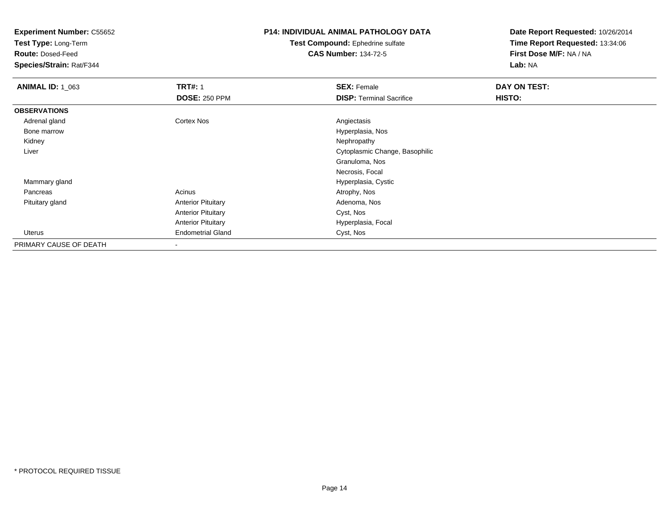**Test Type:** Long-Term

**Route:** Dosed-Feed

**Species/Strain:** Rat/F344

## **P14: INDIVIDUAL ANIMAL PATHOLOGY DATA**

**Test Compound:** Ephedrine sulfate**CAS Number:** 134-72-5

| <b>ANIMAL ID: 1 063</b> | <b>TRT#: 1</b>            | <b>SEX: Female</b>              | DAY ON TEST: |  |
|-------------------------|---------------------------|---------------------------------|--------------|--|
|                         | <b>DOSE: 250 PPM</b>      | <b>DISP: Terminal Sacrifice</b> | HISTO:       |  |
| <b>OBSERVATIONS</b>     |                           |                                 |              |  |
| Adrenal gland           | <b>Cortex Nos</b>         | Angiectasis                     |              |  |
| Bone marrow             |                           | Hyperplasia, Nos                |              |  |
| Kidney                  |                           | Nephropathy                     |              |  |
| Liver                   |                           | Cytoplasmic Change, Basophilic  |              |  |
|                         |                           | Granuloma, Nos                  |              |  |
|                         |                           | Necrosis, Focal                 |              |  |
| Mammary gland           |                           | Hyperplasia, Cystic             |              |  |
| Pancreas                | Acinus                    | Atrophy, Nos                    |              |  |
| Pituitary gland         | <b>Anterior Pituitary</b> | Adenoma, Nos                    |              |  |
|                         | <b>Anterior Pituitary</b> | Cyst, Nos                       |              |  |
|                         | <b>Anterior Pituitary</b> | Hyperplasia, Focal              |              |  |
| Uterus                  | <b>Endometrial Gland</b>  | Cyst, Nos                       |              |  |
| PRIMARY CAUSE OF DEATH  | $\,$                      |                                 |              |  |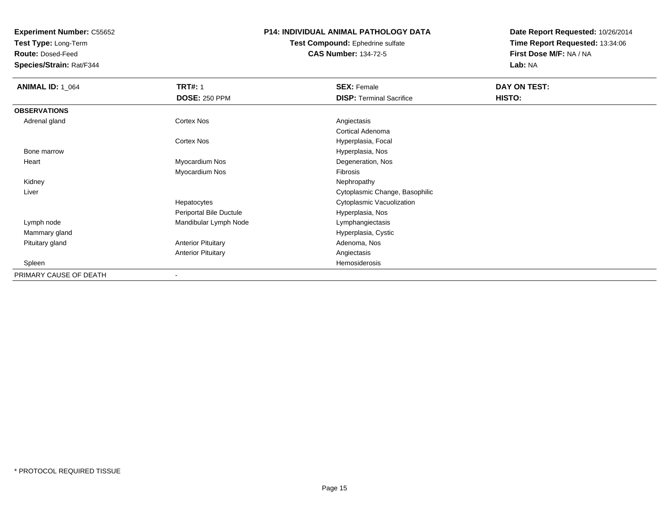**Test Type:** Long-Term

**Route:** Dosed-Feed

**Species/Strain:** Rat/F344

### **P14: INDIVIDUAL ANIMAL PATHOLOGY DATA**

#### **Test Compound:** Ephedrine sulfate**CAS Number:** 134-72-5

| <b>ANIMAL ID: 1_064</b> | <b>TRT#: 1</b>            | <b>SEX: Female</b>              | DAY ON TEST:  |  |
|-------------------------|---------------------------|---------------------------------|---------------|--|
|                         | <b>DOSE: 250 PPM</b>      | <b>DISP: Terminal Sacrifice</b> | <b>HISTO:</b> |  |
| <b>OBSERVATIONS</b>     |                           |                                 |               |  |
| Adrenal gland           | <b>Cortex Nos</b>         | Angiectasis                     |               |  |
|                         |                           | Cortical Adenoma                |               |  |
|                         | Cortex Nos                | Hyperplasia, Focal              |               |  |
| Bone marrow             |                           | Hyperplasia, Nos                |               |  |
| Heart                   | Myocardium Nos            | Degeneration, Nos               |               |  |
|                         | Myocardium Nos            | Fibrosis                        |               |  |
| Kidney                  |                           | Nephropathy                     |               |  |
| Liver                   |                           | Cytoplasmic Change, Basophilic  |               |  |
|                         | Hepatocytes               | Cytoplasmic Vacuolization       |               |  |
|                         | Periportal Bile Ductule   | Hyperplasia, Nos                |               |  |
| Lymph node              | Mandibular Lymph Node     | Lymphangiectasis                |               |  |
| Mammary gland           |                           | Hyperplasia, Cystic             |               |  |
| Pituitary gland         | <b>Anterior Pituitary</b> | Adenoma, Nos                    |               |  |
|                         | <b>Anterior Pituitary</b> | Angiectasis                     |               |  |
| Spleen                  |                           | Hemosiderosis                   |               |  |
| PRIMARY CAUSE OF DEATH  |                           |                                 |               |  |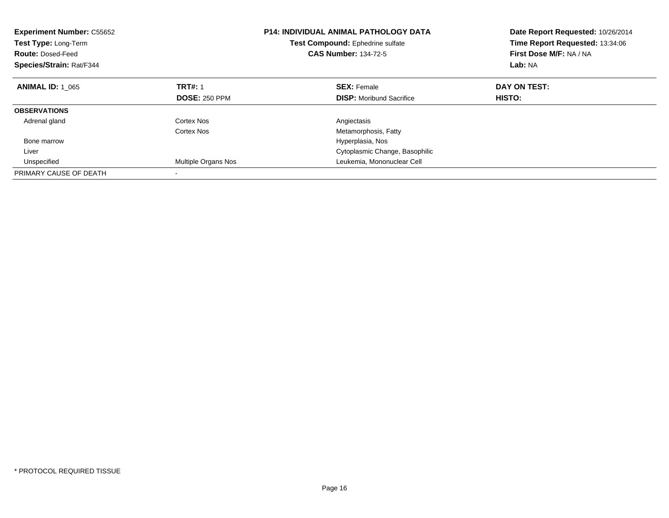| <b>Experiment Number: C55652</b><br>Test Type: Long-Term<br><b>Route: Dosed-Feed</b><br>Species/Strain: Rat/F344 | <b>P14: INDIVIDUAL ANIMAL PATHOLOGY DATA</b><br>Test Compound: Ephedrine sulfate<br><b>CAS Number: 134-72-5</b> |                                 | Date Report Requested: 10/26/2014<br>Time Report Requested: 13:34:06<br>First Dose M/F: NA / NA<br>Lab: NA |
|------------------------------------------------------------------------------------------------------------------|-----------------------------------------------------------------------------------------------------------------|---------------------------------|------------------------------------------------------------------------------------------------------------|
| <b>ANIMAL ID: 1 065</b>                                                                                          | <b>TRT#: 1</b>                                                                                                  | <b>SEX: Female</b>              | DAY ON TEST:                                                                                               |
|                                                                                                                  | <b>DOSE: 250 PPM</b>                                                                                            | <b>DISP:</b> Moribund Sacrifice | HISTO:                                                                                                     |
| <b>OBSERVATIONS</b>                                                                                              |                                                                                                                 |                                 |                                                                                                            |
| Adrenal gland                                                                                                    | Cortex Nos                                                                                                      | Angiectasis                     |                                                                                                            |
|                                                                                                                  | Cortex Nos                                                                                                      | Metamorphosis, Fatty            |                                                                                                            |
| Bone marrow                                                                                                      |                                                                                                                 | Hyperplasia, Nos                |                                                                                                            |
| Liver                                                                                                            |                                                                                                                 | Cytoplasmic Change, Basophilic  |                                                                                                            |
| Unspecified                                                                                                      | Multiple Organs Nos                                                                                             | Leukemia, Mononuclear Cell      |                                                                                                            |
| PRIMARY CAUSE OF DEATH                                                                                           |                                                                                                                 |                                 |                                                                                                            |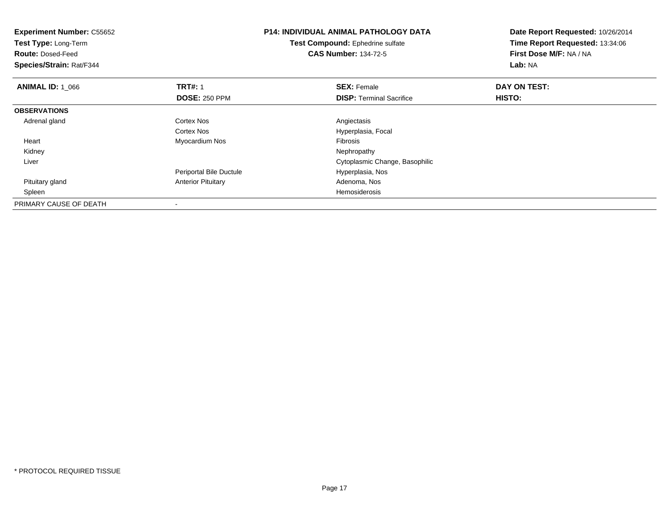| <b>Experiment Number: C55652</b><br>Test Type: Long-Term<br><b>Route: Dosed-Feed</b><br>Species/Strain: Rat/F344 |                           | <b>P14: INDIVIDUAL ANIMAL PATHOLOGY DATA</b><br>Test Compound: Ephedrine sulfate<br><b>CAS Number: 134-72-5</b> | Date Report Requested: 10/26/2014<br>Time Report Requested: 13:34:06<br>First Dose M/F: NA / NA<br>Lab: NA |
|------------------------------------------------------------------------------------------------------------------|---------------------------|-----------------------------------------------------------------------------------------------------------------|------------------------------------------------------------------------------------------------------------|
| <b>ANIMAL ID: 1 066</b>                                                                                          | <b>TRT#: 1</b>            | <b>SEX: Female</b>                                                                                              | DAY ON TEST:                                                                                               |
|                                                                                                                  | <b>DOSE: 250 PPM</b>      | <b>DISP:</b> Terminal Sacrifice                                                                                 | <b>HISTO:</b>                                                                                              |
| <b>OBSERVATIONS</b>                                                                                              |                           |                                                                                                                 |                                                                                                            |
| Adrenal gland                                                                                                    | <b>Cortex Nos</b>         | Angiectasis                                                                                                     |                                                                                                            |
|                                                                                                                  | Cortex Nos                | Hyperplasia, Focal                                                                                              |                                                                                                            |
| Heart                                                                                                            | Myocardium Nos            | Fibrosis                                                                                                        |                                                                                                            |
| Kidney                                                                                                           |                           | Nephropathy                                                                                                     |                                                                                                            |
| Liver                                                                                                            |                           | Cytoplasmic Change, Basophilic                                                                                  |                                                                                                            |
|                                                                                                                  | Periportal Bile Ductule   | Hyperplasia, Nos                                                                                                |                                                                                                            |
| Pituitary gland                                                                                                  | <b>Anterior Pituitary</b> | Adenoma, Nos                                                                                                    |                                                                                                            |
| Spleen                                                                                                           |                           | Hemosiderosis                                                                                                   |                                                                                                            |
| PRIMARY CAUSE OF DEATH                                                                                           |                           |                                                                                                                 |                                                                                                            |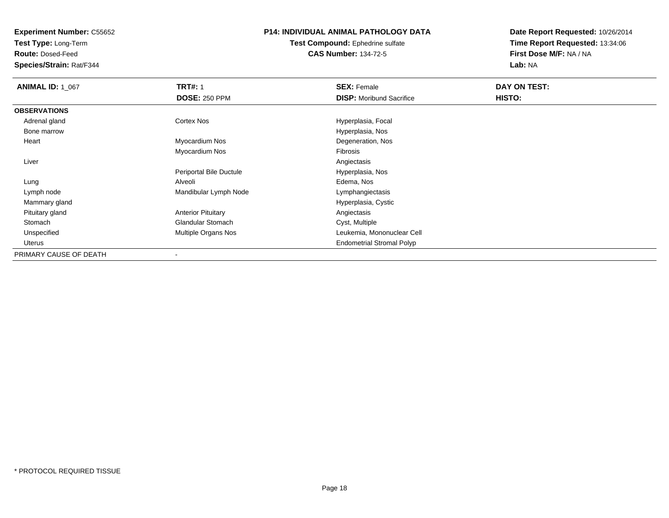**Test Type:** Long-Term

**Route:** Dosed-Feed

**Species/Strain:** Rat/F344

### **P14: INDIVIDUAL ANIMAL PATHOLOGY DATA**

**Test Compound:** Ephedrine sulfate**CAS Number:** 134-72-5

| <b>ANIMAL ID: 1_067</b> | <b>TRT#: 1</b>            | <b>SEX: Female</b>               | DAY ON TEST: |  |
|-------------------------|---------------------------|----------------------------------|--------------|--|
|                         | <b>DOSE: 250 PPM</b>      | <b>DISP:</b> Moribund Sacrifice  | HISTO:       |  |
| <b>OBSERVATIONS</b>     |                           |                                  |              |  |
| Adrenal gland           | <b>Cortex Nos</b>         | Hyperplasia, Focal               |              |  |
| Bone marrow             |                           | Hyperplasia, Nos                 |              |  |
| Heart                   | Myocardium Nos            | Degeneration, Nos                |              |  |
|                         | Myocardium Nos            | Fibrosis                         |              |  |
| Liver                   |                           | Angiectasis                      |              |  |
|                         | Periportal Bile Ductule   | Hyperplasia, Nos                 |              |  |
| Lung                    | Alveoli                   | Edema, Nos                       |              |  |
| Lymph node              | Mandibular Lymph Node     | Lymphangiectasis                 |              |  |
| Mammary gland           |                           | Hyperplasia, Cystic              |              |  |
| Pituitary gland         | <b>Anterior Pituitary</b> | Angiectasis                      |              |  |
| Stomach                 | Glandular Stomach         | Cyst, Multiple                   |              |  |
| Unspecified             | Multiple Organs Nos       | Leukemia, Mononuclear Cell       |              |  |
| Uterus                  |                           | <b>Endometrial Stromal Polyp</b> |              |  |
| PRIMARY CAUSE OF DEATH  |                           |                                  |              |  |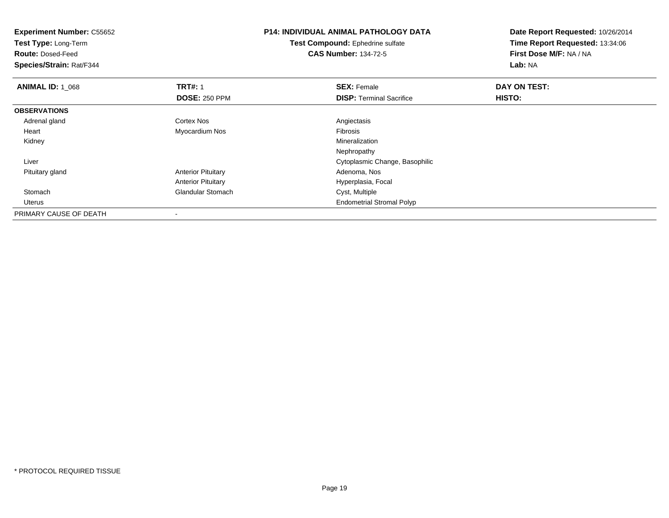| <b>Experiment Number: C55652</b><br>Test Type: Long-Term<br><b>Route: Dosed-Feed</b><br>Species/Strain: Rat/F344 |                           | <b>P14: INDIVIDUAL ANIMAL PATHOLOGY DATA</b><br>Test Compound: Ephedrine sulfate<br><b>CAS Number: 134-72-5</b> | Date Report Requested: 10/26/2014<br>Time Report Requested: 13:34:06<br>First Dose M/F: NA / NA<br>Lab: NA |  |
|------------------------------------------------------------------------------------------------------------------|---------------------------|-----------------------------------------------------------------------------------------------------------------|------------------------------------------------------------------------------------------------------------|--|
| <b>ANIMAL ID: 1_068</b>                                                                                          | <b>TRT#: 1</b>            | <b>SEX: Female</b>                                                                                              | DAY ON TEST:                                                                                               |  |
|                                                                                                                  | <b>DOSE: 250 PPM</b>      | <b>DISP:</b> Terminal Sacrifice                                                                                 | HISTO:                                                                                                     |  |
| <b>OBSERVATIONS</b>                                                                                              |                           |                                                                                                                 |                                                                                                            |  |
| Adrenal gland                                                                                                    | Cortex Nos                | Angiectasis                                                                                                     |                                                                                                            |  |
| Heart                                                                                                            | Myocardium Nos            | Fibrosis                                                                                                        |                                                                                                            |  |
| Kidney                                                                                                           |                           | Mineralization                                                                                                  |                                                                                                            |  |
|                                                                                                                  |                           | Nephropathy                                                                                                     |                                                                                                            |  |
| Liver                                                                                                            |                           | Cytoplasmic Change, Basophilic                                                                                  |                                                                                                            |  |
| Pituitary gland                                                                                                  | <b>Anterior Pituitary</b> | Adenoma, Nos                                                                                                    |                                                                                                            |  |
|                                                                                                                  | <b>Anterior Pituitary</b> | Hyperplasia, Focal                                                                                              |                                                                                                            |  |
| Stomach                                                                                                          | <b>Glandular Stomach</b>  | Cyst, Multiple                                                                                                  |                                                                                                            |  |
| Uterus                                                                                                           |                           | <b>Endometrial Stromal Polyp</b>                                                                                |                                                                                                            |  |
| PRIMARY CAUSE OF DEATH                                                                                           |                           |                                                                                                                 |                                                                                                            |  |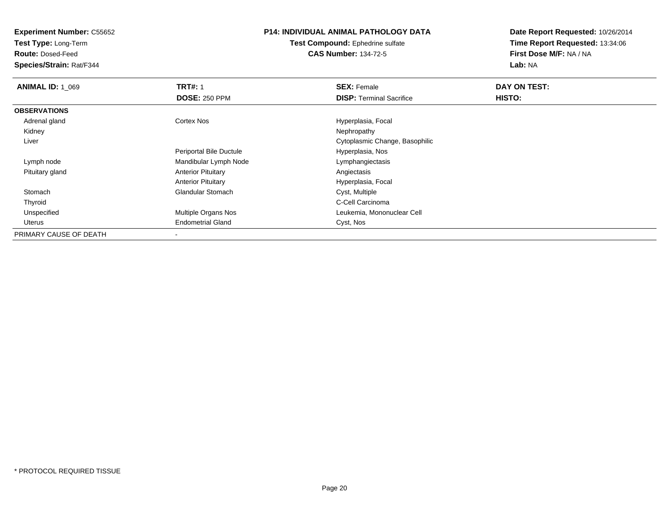**Test Type:** Long-Term

**Route:** Dosed-Feed

**Species/Strain:** Rat/F344

## **P14: INDIVIDUAL ANIMAL PATHOLOGY DATA**

**Test Compound:** Ephedrine sulfate**CAS Number:** 134-72-5

| <b>ANIMAL ID: 1 069</b> | <b>TRT#: 1</b>             | <b>SEX: Female</b>              | DAY ON TEST: |
|-------------------------|----------------------------|---------------------------------|--------------|
|                         | <b>DOSE: 250 PPM</b>       | <b>DISP: Terminal Sacrifice</b> | HISTO:       |
| <b>OBSERVATIONS</b>     |                            |                                 |              |
| Adrenal gland           | Cortex Nos                 | Hyperplasia, Focal              |              |
| Kidney                  |                            | Nephropathy                     |              |
| Liver                   |                            | Cytoplasmic Change, Basophilic  |              |
|                         | Periportal Bile Ductule    | Hyperplasia, Nos                |              |
| Lymph node              | Mandibular Lymph Node      | Lymphangiectasis                |              |
| Pituitary gland         | <b>Anterior Pituitary</b>  | Angiectasis                     |              |
|                         | <b>Anterior Pituitary</b>  | Hyperplasia, Focal              |              |
| Stomach                 | <b>Glandular Stomach</b>   | Cyst, Multiple                  |              |
| Thyroid                 |                            | C-Cell Carcinoma                |              |
| Unspecified             | <b>Multiple Organs Nos</b> | Leukemia, Mononuclear Cell      |              |
| Uterus                  | <b>Endometrial Gland</b>   | Cyst, Nos                       |              |
| PRIMARY CAUSE OF DEATH  | $\,$ $\,$                  |                                 |              |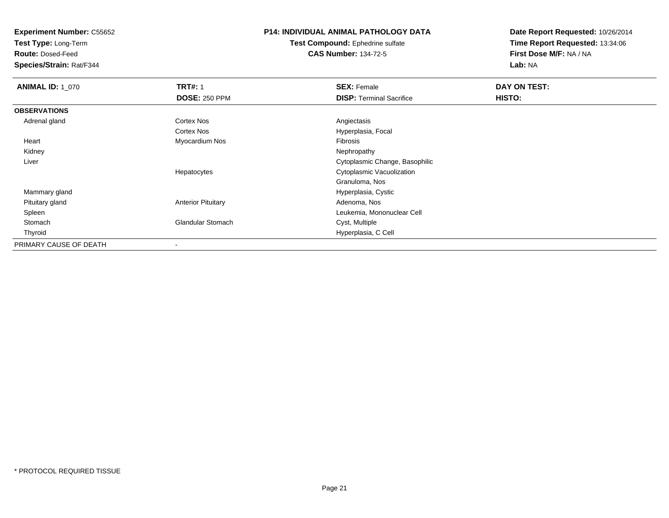**Test Type:** Long-Term

**Route:** Dosed-Feed

**Species/Strain:** Rat/F344

## **P14: INDIVIDUAL ANIMAL PATHOLOGY DATA**

**Test Compound:** Ephedrine sulfate**CAS Number:** 134-72-5

| <b>ANIMAL ID: 1_070</b> | <b>TRT#: 1</b>            | <b>SEX: Female</b>              | DAY ON TEST: |  |
|-------------------------|---------------------------|---------------------------------|--------------|--|
|                         | <b>DOSE: 250 PPM</b>      | <b>DISP: Terminal Sacrifice</b> | HISTO:       |  |
| <b>OBSERVATIONS</b>     |                           |                                 |              |  |
| Adrenal gland           | <b>Cortex Nos</b>         | Angiectasis                     |              |  |
|                         | <b>Cortex Nos</b>         | Hyperplasia, Focal              |              |  |
| Heart                   | Myocardium Nos            | Fibrosis                        |              |  |
| Kidney                  |                           | Nephropathy                     |              |  |
| Liver                   |                           | Cytoplasmic Change, Basophilic  |              |  |
|                         | Hepatocytes               | Cytoplasmic Vacuolization       |              |  |
|                         |                           | Granuloma, Nos                  |              |  |
| Mammary gland           |                           | Hyperplasia, Cystic             |              |  |
| Pituitary gland         | <b>Anterior Pituitary</b> | Adenoma, Nos                    |              |  |
| Spleen                  |                           | Leukemia, Mononuclear Cell      |              |  |
| Stomach                 | <b>Glandular Stomach</b>  | Cyst, Multiple                  |              |  |
| Thyroid                 |                           | Hyperplasia, C Cell             |              |  |
| PRIMARY CAUSE OF DEATH  |                           |                                 |              |  |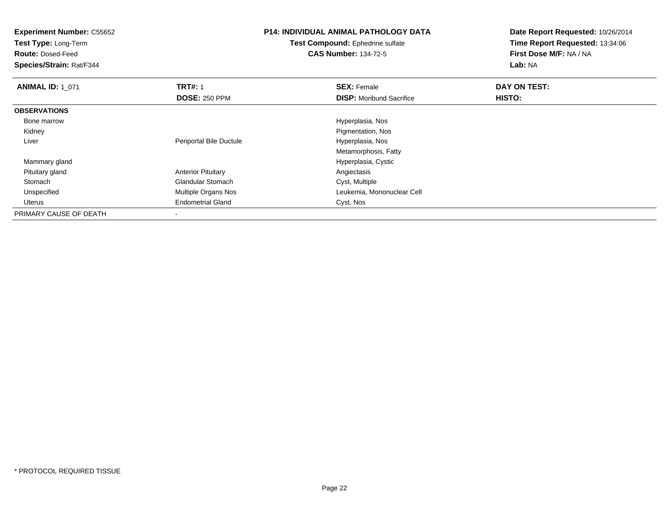**Experiment Number:** C55652**Test Type:** Long-Term**Route:** Dosed-Feed **Species/Strain:** Rat/F344**P14: INDIVIDUAL ANIMAL PATHOLOGY DATATest Compound:** Ephedrine sulfate**CAS Number:** 134-72-5**Date Report Requested:** 10/26/2014**Time Report Requested:** 13:34:06**First Dose M/F:** NA / NA**Lab:** NA**ANIMAL ID:** 1\_071**TRT#:** 1 **SEX:** Female **DAY ON TEST: DOSE:** 250 PPM**DISP:** Moribund Sacrifice **HISTO: OBSERVATIONS** Bone marrow Hyperplasia, Nos Kidney Pigmentation, Nos Liver Periportal Bile Ductule Hyperplasia, Nos Metamorphosis, Fatty Mammary gland Hyperplasia, Cystic Pituitary glandAnterior Pituitary **Angiectasis**<br>
Glandular Stomach **Angiectasis**<br>
Cyst, Multiple StomachGlandular Stomach<br>Multiple Organs Nos UnspecifiedLeukemia, Mononuclear Cell Uterus Endometrial Gland Cyst, Nos PRIMARY CAUSE OF DEATH-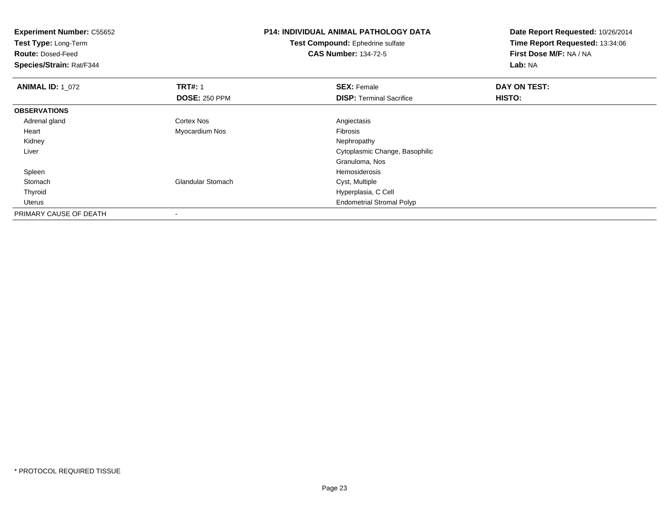| <b>Experiment Number: C55652</b><br>Test Type: Long-Term<br><b>Route: Dosed-Feed</b><br>Species/Strain: Rat/F344 |                          | <b>P14: INDIVIDUAL ANIMAL PATHOLOGY DATA</b><br><b>Test Compound: Ephedrine sulfate</b><br><b>CAS Number: 134-72-5</b> | Date Report Requested: 10/26/2014<br>Time Report Requested: 13:34:06<br>First Dose M/F: NA / NA<br>Lab: NA |  |
|------------------------------------------------------------------------------------------------------------------|--------------------------|------------------------------------------------------------------------------------------------------------------------|------------------------------------------------------------------------------------------------------------|--|
| <b>ANIMAL ID: 1_072</b>                                                                                          | <b>TRT#: 1</b>           | <b>SEX: Female</b>                                                                                                     | DAY ON TEST:                                                                                               |  |
|                                                                                                                  | <b>DOSE: 250 PPM</b>     | <b>DISP: Terminal Sacrifice</b>                                                                                        | <b>HISTO:</b>                                                                                              |  |
| <b>OBSERVATIONS</b>                                                                                              |                          |                                                                                                                        |                                                                                                            |  |
| Adrenal gland                                                                                                    | <b>Cortex Nos</b>        | Angiectasis                                                                                                            |                                                                                                            |  |
| Heart                                                                                                            | Myocardium Nos           | Fibrosis                                                                                                               |                                                                                                            |  |
| Kidney                                                                                                           |                          | Nephropathy                                                                                                            |                                                                                                            |  |
| Liver                                                                                                            |                          | Cytoplasmic Change, Basophilic                                                                                         |                                                                                                            |  |
|                                                                                                                  |                          | Granuloma, Nos                                                                                                         |                                                                                                            |  |
| Spleen                                                                                                           |                          | <b>Hemosiderosis</b>                                                                                                   |                                                                                                            |  |
| Stomach                                                                                                          | <b>Glandular Stomach</b> | Cyst, Multiple                                                                                                         |                                                                                                            |  |
| Thyroid                                                                                                          |                          | Hyperplasia, C Cell                                                                                                    |                                                                                                            |  |
| Uterus                                                                                                           |                          | <b>Endometrial Stromal Polyp</b>                                                                                       |                                                                                                            |  |
| PRIMARY CAUSE OF DEATH                                                                                           |                          |                                                                                                                        |                                                                                                            |  |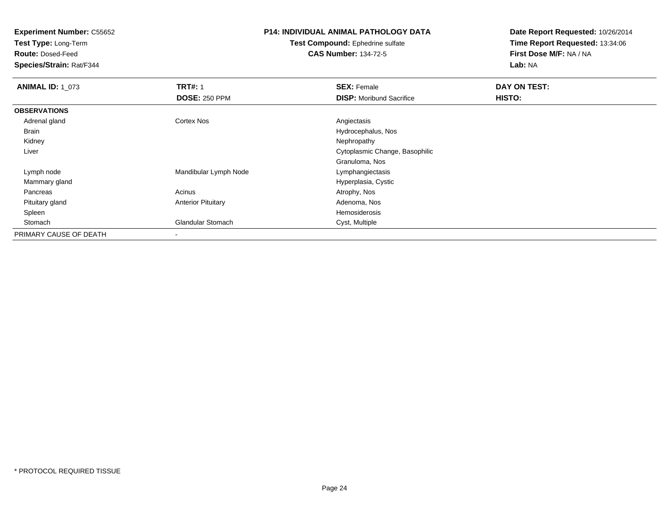**Test Type:** Long-Term

**Route:** Dosed-Feed

**Species/Strain:** Rat/F344

## **P14: INDIVIDUAL ANIMAL PATHOLOGY DATA**

#### **Test Compound:** Ephedrine sulfate**CAS Number:** 134-72-5

| <b>ANIMAL ID: 1_073</b> | <b>TRT#: 1</b>            | <b>SEX: Female</b>              | DAY ON TEST: |  |
|-------------------------|---------------------------|---------------------------------|--------------|--|
|                         | <b>DOSE: 250 PPM</b>      | <b>DISP:</b> Moribund Sacrifice | HISTO:       |  |
| <b>OBSERVATIONS</b>     |                           |                                 |              |  |
| Adrenal gland           | Cortex Nos                | Angiectasis                     |              |  |
| Brain                   |                           | Hydrocephalus, Nos              |              |  |
| Kidney                  |                           | Nephropathy                     |              |  |
| Liver                   |                           | Cytoplasmic Change, Basophilic  |              |  |
|                         |                           | Granuloma, Nos                  |              |  |
| Lymph node              | Mandibular Lymph Node     | Lymphangiectasis                |              |  |
| Mammary gland           |                           | Hyperplasia, Cystic             |              |  |
| Pancreas                | Acinus                    | Atrophy, Nos                    |              |  |
| Pituitary gland         | <b>Anterior Pituitary</b> | Adenoma, Nos                    |              |  |
| Spleen                  |                           | Hemosiderosis                   |              |  |
| Stomach                 | <b>Glandular Stomach</b>  | Cyst, Multiple                  |              |  |
| PRIMARY CAUSE OF DEATH  | $\overline{\phantom{a}}$  |                                 |              |  |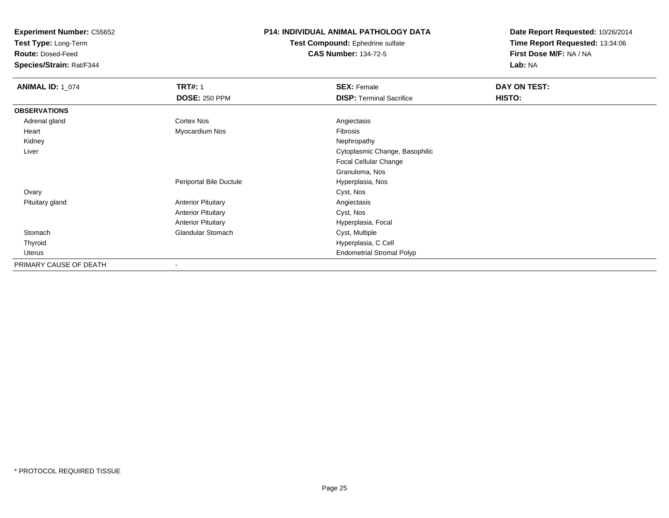**Test Type:** Long-Term

**Route:** Dosed-Feed

**Species/Strain:** Rat/F344

### **P14: INDIVIDUAL ANIMAL PATHOLOGY DATA**

**Test Compound:** Ephedrine sulfate**CAS Number:** 134-72-5

| <b>ANIMAL ID: 1_074</b> | <b>TRT#: 1</b>            | <b>SEX: Female</b>               | DAY ON TEST: |
|-------------------------|---------------------------|----------------------------------|--------------|
|                         | <b>DOSE: 250 PPM</b>      | <b>DISP: Terminal Sacrifice</b>  | HISTO:       |
| <b>OBSERVATIONS</b>     |                           |                                  |              |
| Adrenal gland           | Cortex Nos                | Angiectasis                      |              |
| Heart                   | Myocardium Nos            | Fibrosis                         |              |
| Kidney                  |                           | Nephropathy                      |              |
| Liver                   |                           | Cytoplasmic Change, Basophilic   |              |
|                         |                           | Focal Cellular Change            |              |
|                         |                           | Granuloma, Nos                   |              |
|                         | Periportal Bile Ductule   | Hyperplasia, Nos                 |              |
| Ovary                   |                           | Cyst, Nos                        |              |
| Pituitary gland         | <b>Anterior Pituitary</b> | Angiectasis                      |              |
|                         | <b>Anterior Pituitary</b> | Cyst, Nos                        |              |
|                         | <b>Anterior Pituitary</b> | Hyperplasia, Focal               |              |
| Stomach                 | Glandular Stomach         | Cyst, Multiple                   |              |
| Thyroid                 |                           | Hyperplasia, C Cell              |              |
| <b>Uterus</b>           |                           | <b>Endometrial Stromal Polyp</b> |              |
| PRIMARY CAUSE OF DEATH  | $\overline{\phantom{a}}$  |                                  |              |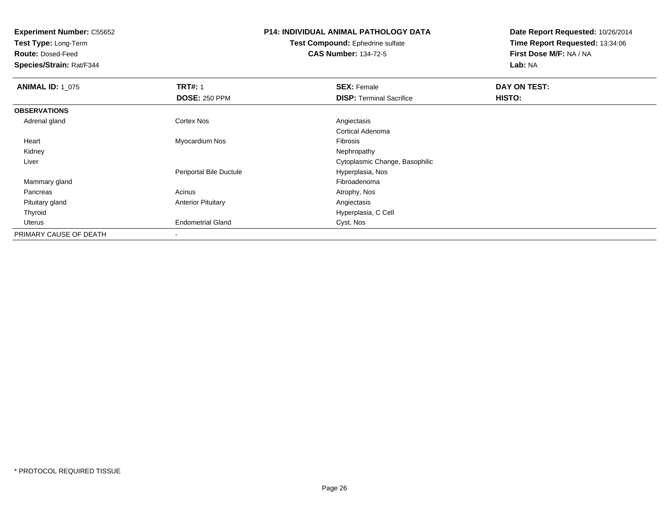**Test Type:** Long-Term

**Route:** Dosed-Feed

**Species/Strain:** Rat/F344

## **P14: INDIVIDUAL ANIMAL PATHOLOGY DATA**

**Test Compound:** Ephedrine sulfate**CAS Number:** 134-72-5

| <b>ANIMAL ID: 1_075</b> | <b>TRT#: 1</b>            | <b>SEX: Female</b>              | DAY ON TEST: |  |
|-------------------------|---------------------------|---------------------------------|--------------|--|
|                         | <b>DOSE: 250 PPM</b>      | <b>DISP: Terminal Sacrifice</b> | HISTO:       |  |
| <b>OBSERVATIONS</b>     |                           |                                 |              |  |
| Adrenal gland           | Cortex Nos                | Angiectasis                     |              |  |
|                         |                           | Cortical Adenoma                |              |  |
| Heart                   | Myocardium Nos            | Fibrosis                        |              |  |
| Kidney                  |                           | Nephropathy                     |              |  |
| Liver                   |                           | Cytoplasmic Change, Basophilic  |              |  |
|                         | Periportal Bile Ductule   | Hyperplasia, Nos                |              |  |
| Mammary gland           |                           | Fibroadenoma                    |              |  |
| Pancreas                | Acinus                    | Atrophy, Nos                    |              |  |
| Pituitary gland         | <b>Anterior Pituitary</b> | Angiectasis                     |              |  |
| Thyroid                 |                           | Hyperplasia, C Cell             |              |  |
| Uterus                  | <b>Endometrial Gland</b>  | Cyst, Nos                       |              |  |
| PRIMARY CAUSE OF DEATH  | $\,$ $\,$                 |                                 |              |  |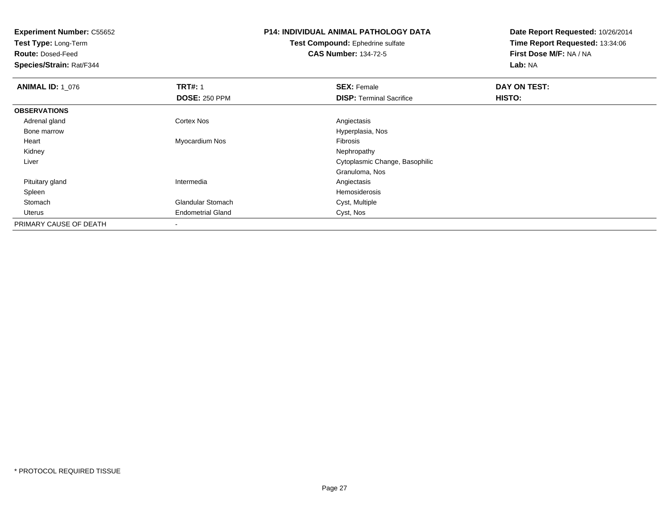**Test Type:** Long-Term

**Route:** Dosed-Feed

**Species/Strain:** Rat/F344

# **P14: INDIVIDUAL ANIMAL PATHOLOGY DATA**

**Test Compound:** Ephedrine sulfate**CAS Number:** 134-72-5

| <b>ANIMAL ID: 1 076</b> | <b>TRT#: 1</b>           | <b>SEX: Female</b>              | DAY ON TEST: |  |
|-------------------------|--------------------------|---------------------------------|--------------|--|
|                         | <b>DOSE: 250 PPM</b>     | <b>DISP: Terminal Sacrifice</b> | HISTO:       |  |
| <b>OBSERVATIONS</b>     |                          |                                 |              |  |
| Adrenal gland           | <b>Cortex Nos</b>        | Angiectasis                     |              |  |
| Bone marrow             |                          | Hyperplasia, Nos                |              |  |
| Heart                   | Myocardium Nos           | Fibrosis                        |              |  |
| Kidney                  |                          | Nephropathy                     |              |  |
| Liver                   |                          | Cytoplasmic Change, Basophilic  |              |  |
|                         |                          | Granuloma, Nos                  |              |  |
| Pituitary gland         | Intermedia               | Angiectasis                     |              |  |
| Spleen                  |                          | Hemosiderosis                   |              |  |
| Stomach                 | <b>Glandular Stomach</b> | Cyst, Multiple                  |              |  |
| Uterus                  | <b>Endometrial Gland</b> | Cyst, Nos                       |              |  |
| PRIMARY CAUSE OF DEATH  |                          |                                 |              |  |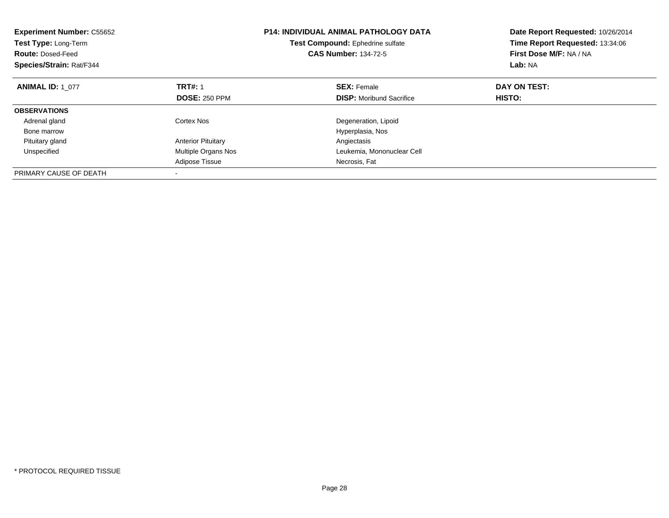| <b>Experiment Number: C55652</b><br><b>Test Type: Long-Term</b><br><b>Route: Dosed-Feed</b><br>Species/Strain: Rat/F344 | <b>P14: INDIVIDUAL ANIMAL PATHOLOGY DATA</b><br>Test Compound: Ephedrine sulfate<br><b>CAS Number: 134-72-5</b> |                                 |              |  |  |  | Date Report Requested: 10/26/2014<br>Time Report Requested: 13:34:06<br>First Dose M/F: NA / NA<br>Lab: NA |
|-------------------------------------------------------------------------------------------------------------------------|-----------------------------------------------------------------------------------------------------------------|---------------------------------|--------------|--|--|--|------------------------------------------------------------------------------------------------------------|
| <b>ANIMAL ID: 1 077</b>                                                                                                 | <b>TRT#: 1</b>                                                                                                  | <b>SEX: Female</b>              | DAY ON TEST: |  |  |  |                                                                                                            |
|                                                                                                                         | <b>DOSE: 250 PPM</b>                                                                                            | <b>DISP:</b> Moribund Sacrifice | HISTO:       |  |  |  |                                                                                                            |
| <b>OBSERVATIONS</b>                                                                                                     |                                                                                                                 |                                 |              |  |  |  |                                                                                                            |
| Adrenal gland                                                                                                           | Cortex Nos                                                                                                      | Degeneration, Lipoid            |              |  |  |  |                                                                                                            |
| Bone marrow                                                                                                             |                                                                                                                 | Hyperplasia, Nos                |              |  |  |  |                                                                                                            |
| Pituitary gland                                                                                                         | <b>Anterior Pituitary</b>                                                                                       | Angiectasis                     |              |  |  |  |                                                                                                            |
| Unspecified                                                                                                             | <b>Multiple Organs Nos</b>                                                                                      | Leukemia, Mononuclear Cell      |              |  |  |  |                                                                                                            |
|                                                                                                                         | Adipose Tissue                                                                                                  | Necrosis, Fat                   |              |  |  |  |                                                                                                            |
| PRIMARY CAUSE OF DEATH                                                                                                  |                                                                                                                 |                                 |              |  |  |  |                                                                                                            |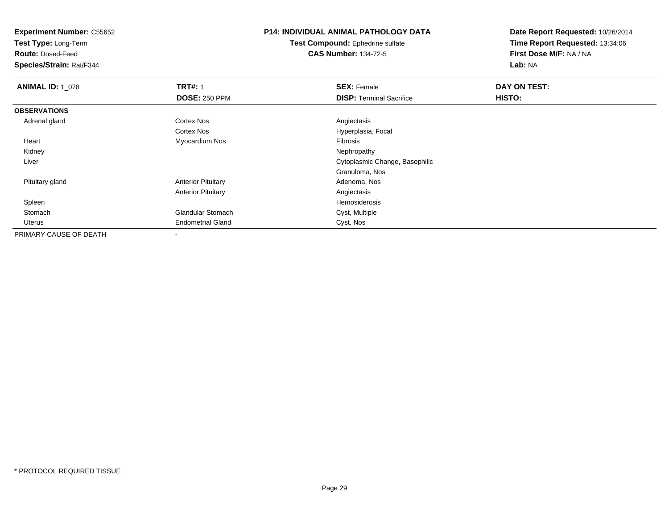**Test Type:** Long-Term

**Route:** Dosed-Feed

**Species/Strain:** Rat/F344

## **P14: INDIVIDUAL ANIMAL PATHOLOGY DATA**

**Test Compound:** Ephedrine sulfate**CAS Number:** 134-72-5

| <b>ANIMAL ID: 1_078</b> | <b>TRT#: 1</b>            | <b>SEX: Female</b>              | DAY ON TEST: |  |
|-------------------------|---------------------------|---------------------------------|--------------|--|
|                         | <b>DOSE: 250 PPM</b>      | <b>DISP:</b> Terminal Sacrifice | HISTO:       |  |
| <b>OBSERVATIONS</b>     |                           |                                 |              |  |
| Adrenal gland           | <b>Cortex Nos</b>         | Angiectasis                     |              |  |
|                         | <b>Cortex Nos</b>         | Hyperplasia, Focal              |              |  |
| Heart                   | Myocardium Nos            | Fibrosis                        |              |  |
| Kidney                  |                           | Nephropathy                     |              |  |
| Liver                   |                           | Cytoplasmic Change, Basophilic  |              |  |
|                         |                           | Granuloma, Nos                  |              |  |
| Pituitary gland         | <b>Anterior Pituitary</b> | Adenoma, Nos                    |              |  |
|                         | <b>Anterior Pituitary</b> | Angiectasis                     |              |  |
| Spleen                  |                           | Hemosiderosis                   |              |  |
| Stomach                 | <b>Glandular Stomach</b>  | Cyst, Multiple                  |              |  |
| Uterus                  | <b>Endometrial Gland</b>  | Cyst, Nos                       |              |  |
| PRIMARY CAUSE OF DEATH  |                           |                                 |              |  |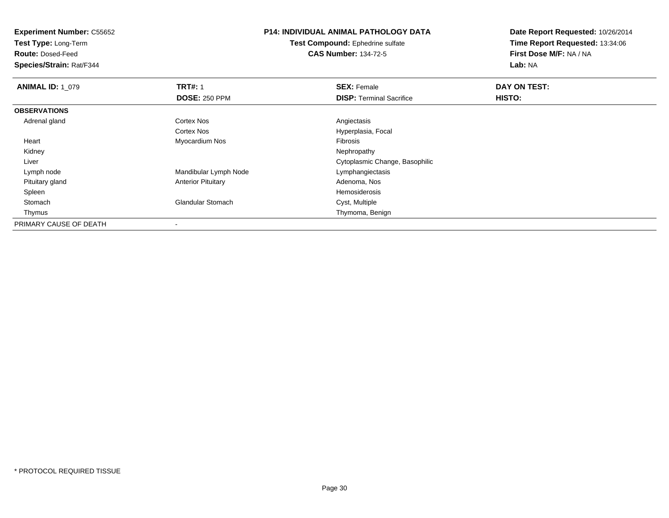**Test Type:** Long-Term

**Route:** Dosed-Feed

**Species/Strain:** Rat/F344

## **P14: INDIVIDUAL ANIMAL PATHOLOGY DATA**

**Test Compound:** Ephedrine sulfate**CAS Number:** 134-72-5

| <b>ANIMAL ID: 1 079</b> | <b>TRT#: 1</b>            | <b>SEX: Female</b>              | DAY ON TEST: |  |
|-------------------------|---------------------------|---------------------------------|--------------|--|
|                         | <b>DOSE: 250 PPM</b>      | <b>DISP: Terminal Sacrifice</b> | HISTO:       |  |
| <b>OBSERVATIONS</b>     |                           |                                 |              |  |
| Adrenal gland           | <b>Cortex Nos</b>         | Angiectasis                     |              |  |
|                         | <b>Cortex Nos</b>         | Hyperplasia, Focal              |              |  |
| Heart                   | Myocardium Nos            | Fibrosis                        |              |  |
| Kidney                  |                           | Nephropathy                     |              |  |
| Liver                   |                           | Cytoplasmic Change, Basophilic  |              |  |
| Lymph node              | Mandibular Lymph Node     | Lymphangiectasis                |              |  |
| Pituitary gland         | <b>Anterior Pituitary</b> | Adenoma, Nos                    |              |  |
| Spleen                  |                           | Hemosiderosis                   |              |  |
| Stomach                 | <b>Glandular Stomach</b>  | Cyst, Multiple                  |              |  |
| Thymus                  |                           | Thymoma, Benign                 |              |  |
| PRIMARY CAUSE OF DEATH  |                           |                                 |              |  |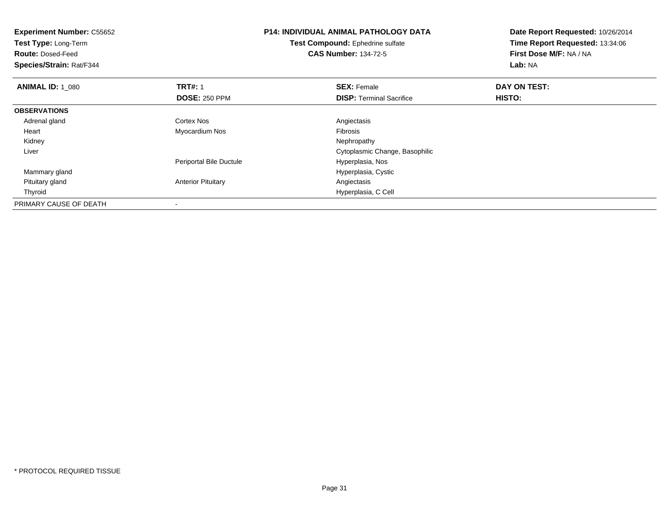| <b>Experiment Number: C55652</b><br>Test Type: Long-Term<br><b>Route: Dosed-Feed</b><br>Species/Strain: Rat/F344 |                           | <b>P14: INDIVIDUAL ANIMAL PATHOLOGY DATA</b><br>Test Compound: Ephedrine sulfate<br><b>CAS Number: 134-72-5</b> | Date Report Requested: 10/26/2014<br>Time Report Requested: 13:34:06<br>First Dose M/F: NA / NA<br>Lab: NA |
|------------------------------------------------------------------------------------------------------------------|---------------------------|-----------------------------------------------------------------------------------------------------------------|------------------------------------------------------------------------------------------------------------|
| <b>ANIMAL ID: 1 080</b>                                                                                          | <b>TRT#: 1</b>            | <b>SEX: Female</b>                                                                                              | DAY ON TEST:                                                                                               |
|                                                                                                                  | <b>DOSE: 250 PPM</b>      | <b>DISP:</b> Terminal Sacrifice                                                                                 | HISTO:                                                                                                     |
| <b>OBSERVATIONS</b>                                                                                              |                           |                                                                                                                 |                                                                                                            |
| Adrenal gland                                                                                                    | <b>Cortex Nos</b>         | Angiectasis                                                                                                     |                                                                                                            |
| Heart                                                                                                            | Myocardium Nos            | <b>Fibrosis</b>                                                                                                 |                                                                                                            |
| Kidney                                                                                                           |                           | Nephropathy                                                                                                     |                                                                                                            |
| Liver                                                                                                            |                           | Cytoplasmic Change, Basophilic                                                                                  |                                                                                                            |
|                                                                                                                  | Periportal Bile Ductule   | Hyperplasia, Nos                                                                                                |                                                                                                            |
| Mammary gland                                                                                                    |                           | Hyperplasia, Cystic                                                                                             |                                                                                                            |
| Pituitary gland                                                                                                  | <b>Anterior Pituitary</b> | Angiectasis                                                                                                     |                                                                                                            |
| Thyroid                                                                                                          |                           | Hyperplasia, C Cell                                                                                             |                                                                                                            |
| PRIMARY CAUSE OF DEATH                                                                                           |                           |                                                                                                                 |                                                                                                            |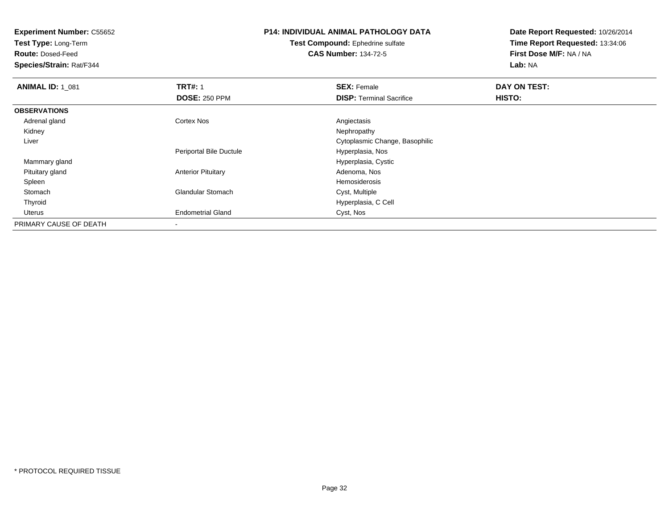**Test Type:** Long-Term

**Route:** Dosed-Feed

**Species/Strain:** Rat/F344

# **P14: INDIVIDUAL ANIMAL PATHOLOGY DATA**

**Test Compound:** Ephedrine sulfate**CAS Number:** 134-72-5

| <b>ANIMAL ID: 1 081</b> | <b>TRT#: 1</b>            | <b>SEX: Female</b>              | DAY ON TEST: |  |
|-------------------------|---------------------------|---------------------------------|--------------|--|
|                         | <b>DOSE: 250 PPM</b>      | <b>DISP: Terminal Sacrifice</b> | HISTO:       |  |
| <b>OBSERVATIONS</b>     |                           |                                 |              |  |
| Adrenal gland           | <b>Cortex Nos</b>         | Angiectasis                     |              |  |
| Kidney                  |                           | Nephropathy                     |              |  |
| Liver                   |                           | Cytoplasmic Change, Basophilic  |              |  |
|                         | Periportal Bile Ductule   | Hyperplasia, Nos                |              |  |
| Mammary gland           |                           | Hyperplasia, Cystic             |              |  |
| Pituitary gland         | <b>Anterior Pituitary</b> | Adenoma, Nos                    |              |  |
| Spleen                  |                           | Hemosiderosis                   |              |  |
| Stomach                 | <b>Glandular Stomach</b>  | Cyst, Multiple                  |              |  |
| Thyroid                 |                           | Hyperplasia, C Cell             |              |  |
| Uterus                  | <b>Endometrial Gland</b>  | Cyst, Nos                       |              |  |
| PRIMARY CAUSE OF DEATH  |                           |                                 |              |  |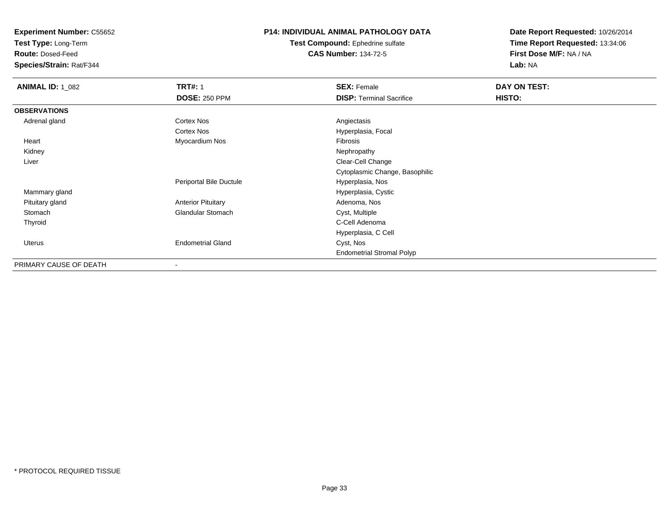**Test Type:** Long-Term

**Route:** Dosed-Feed

**Species/Strain:** Rat/F344

### **P14: INDIVIDUAL ANIMAL PATHOLOGY DATA**

**Test Compound:** Ephedrine sulfate**CAS Number:** 134-72-5

| <b>ANIMAL ID: 1_082</b> | <b>TRT#: 1</b>            | <b>SEX: Female</b>               | DAY ON TEST: |  |
|-------------------------|---------------------------|----------------------------------|--------------|--|
|                         | <b>DOSE: 250 PPM</b>      | <b>DISP: Terminal Sacrifice</b>  | HISTO:       |  |
| <b>OBSERVATIONS</b>     |                           |                                  |              |  |
| Adrenal gland           | <b>Cortex Nos</b>         | Angiectasis                      |              |  |
|                         | <b>Cortex Nos</b>         | Hyperplasia, Focal               |              |  |
| Heart                   | Myocardium Nos            | Fibrosis                         |              |  |
| Kidney                  |                           | Nephropathy                      |              |  |
| Liver                   |                           | Clear-Cell Change                |              |  |
|                         |                           | Cytoplasmic Change, Basophilic   |              |  |
|                         | Periportal Bile Ductule   | Hyperplasia, Nos                 |              |  |
| Mammary gland           |                           | Hyperplasia, Cystic              |              |  |
| Pituitary gland         | <b>Anterior Pituitary</b> | Adenoma, Nos                     |              |  |
| Stomach                 | <b>Glandular Stomach</b>  | Cyst, Multiple                   |              |  |
| Thyroid                 |                           | C-Cell Adenoma                   |              |  |
|                         |                           | Hyperplasia, C Cell              |              |  |
| Uterus                  | <b>Endometrial Gland</b>  | Cyst, Nos                        |              |  |
|                         |                           | <b>Endometrial Stromal Polyp</b> |              |  |
| PRIMARY CAUSE OF DEATH  | $\overline{\phantom{a}}$  |                                  |              |  |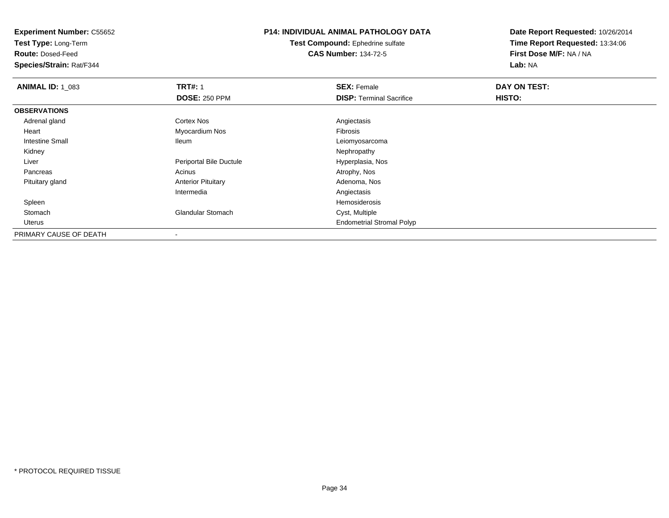**Test Type:** Long-Term

**Route:** Dosed-Feed

**Species/Strain:** Rat/F344

## **P14: INDIVIDUAL ANIMAL PATHOLOGY DATA**

**Test Compound:** Ephedrine sulfate**CAS Number:** 134-72-5

| <b>ANIMAL ID: 1_083</b> | <b>TRT#: 1</b>                 | <b>SEX: Female</b>               | DAY ON TEST: |  |
|-------------------------|--------------------------------|----------------------------------|--------------|--|
|                         | <b>DOSE: 250 PPM</b>           | <b>DISP: Terminal Sacrifice</b>  | HISTO:       |  |
| <b>OBSERVATIONS</b>     |                                |                                  |              |  |
| Adrenal gland           | Cortex Nos                     | Angiectasis                      |              |  |
| Heart                   | Myocardium Nos                 | Fibrosis                         |              |  |
| Intestine Small         | lleum                          | Leiomyosarcoma                   |              |  |
| Kidney                  |                                | Nephropathy                      |              |  |
| Liver                   | <b>Periportal Bile Ductule</b> | Hyperplasia, Nos                 |              |  |
| Pancreas                | Acinus                         | Atrophy, Nos                     |              |  |
| Pituitary gland         | <b>Anterior Pituitary</b>      | Adenoma, Nos                     |              |  |
|                         | Intermedia                     | Angiectasis                      |              |  |
| Spleen                  |                                | Hemosiderosis                    |              |  |
| Stomach                 | <b>Glandular Stomach</b>       | Cyst, Multiple                   |              |  |
| Uterus                  |                                | <b>Endometrial Stromal Polyp</b> |              |  |
| PRIMARY CAUSE OF DEATH  | $\,$                           |                                  |              |  |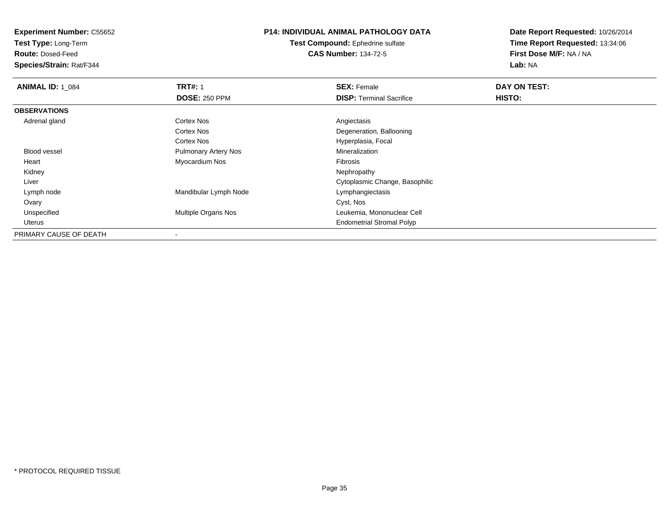**Test Type:** Long-Term

**Route:** Dosed-Feed

**Species/Strain:** Rat/F344

### **P14: INDIVIDUAL ANIMAL PATHOLOGY DATA**

**Test Compound:** Ephedrine sulfate**CAS Number:** 134-72-5

| <b>ANIMAL ID: 1 084</b> | <b>TRT#: 1</b>              | <b>SEX: Female</b>               | DAY ON TEST: |
|-------------------------|-----------------------------|----------------------------------|--------------|
|                         | <b>DOSE: 250 PPM</b>        | <b>DISP: Terminal Sacrifice</b>  | HISTO:       |
| <b>OBSERVATIONS</b>     |                             |                                  |              |
| Adrenal gland           | <b>Cortex Nos</b>           | Angiectasis                      |              |
|                         | Cortex Nos                  | Degeneration, Ballooning         |              |
|                         | Cortex Nos                  | Hyperplasia, Focal               |              |
| <b>Blood vessel</b>     | <b>Pulmonary Artery Nos</b> | Mineralization                   |              |
| Heart                   | Myocardium Nos              | Fibrosis                         |              |
| Kidney                  |                             | Nephropathy                      |              |
| Liver                   |                             | Cytoplasmic Change, Basophilic   |              |
| Lymph node              | Mandibular Lymph Node       | Lymphangiectasis                 |              |
| Ovary                   |                             | Cyst, Nos                        |              |
| Unspecified             | <b>Multiple Organs Nos</b>  | Leukemia, Mononuclear Cell       |              |
| Uterus                  |                             | <b>Endometrial Stromal Polyp</b> |              |
| PRIMARY CAUSE OF DEATH  |                             |                                  |              |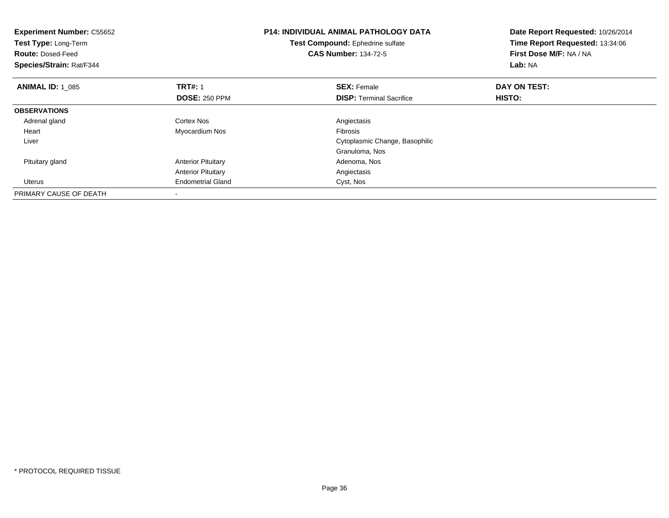| <b>Experiment Number: C55652</b><br>Test Type: Long-Term<br><b>Route: Dosed-Feed</b><br>Species/Strain: Rat/F344 |                           | <b>P14: INDIVIDUAL ANIMAL PATHOLOGY DATA</b><br>Test Compound: Ephedrine sulfate<br><b>CAS Number: 134-72-5</b> | Date Report Requested: 10/26/2014<br>Time Report Requested: 13:34:06<br>First Dose M/F: NA / NA<br>Lab: NA |
|------------------------------------------------------------------------------------------------------------------|---------------------------|-----------------------------------------------------------------------------------------------------------------|------------------------------------------------------------------------------------------------------------|
| <b>ANIMAL ID: 1 085</b>                                                                                          | <b>TRT#: 1</b>            | <b>SEX: Female</b>                                                                                              | DAY ON TEST:                                                                                               |
|                                                                                                                  | <b>DOSE: 250 PPM</b>      | <b>DISP:</b> Terminal Sacrifice                                                                                 | HISTO:                                                                                                     |
| <b>OBSERVATIONS</b>                                                                                              |                           |                                                                                                                 |                                                                                                            |
| Adrenal gland                                                                                                    | Cortex Nos                | Angiectasis                                                                                                     |                                                                                                            |
| Heart                                                                                                            | Myocardium Nos            | <b>Fibrosis</b>                                                                                                 |                                                                                                            |
| Liver                                                                                                            |                           | Cytoplasmic Change, Basophilic                                                                                  |                                                                                                            |
|                                                                                                                  |                           | Granuloma, Nos                                                                                                  |                                                                                                            |
| Pituitary gland                                                                                                  | <b>Anterior Pituitary</b> | Adenoma, Nos                                                                                                    |                                                                                                            |
|                                                                                                                  | <b>Anterior Pituitary</b> | Angiectasis                                                                                                     |                                                                                                            |
| Uterus                                                                                                           | <b>Endometrial Gland</b>  | Cyst, Nos                                                                                                       |                                                                                                            |
| PRIMARY CAUSE OF DEATH                                                                                           |                           |                                                                                                                 |                                                                                                            |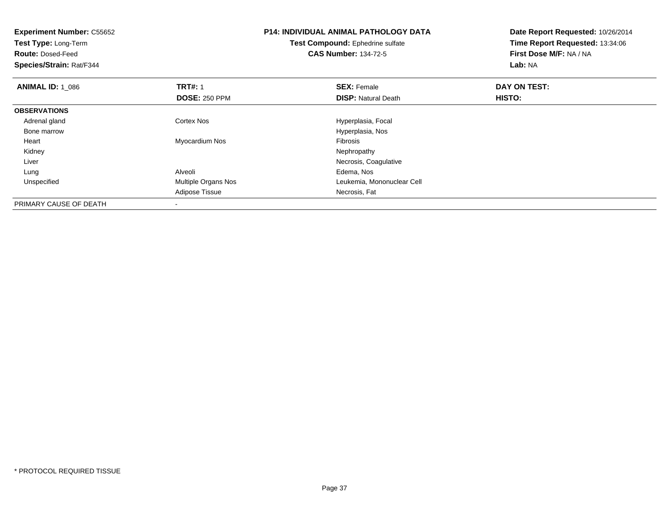| <b>Experiment Number: C55652</b><br>Test Type: Long-Term<br><b>Route: Dosed-Feed</b><br>Species/Strain: Rat/F344 |                      | <b>P14: INDIVIDUAL ANIMAL PATHOLOGY DATA</b><br>Test Compound: Ephedrine sulfate<br><b>CAS Number: 134-72-5</b> | Date Report Requested: 10/26/2014<br>Time Report Requested: 13:34:06<br>First Dose M/F: NA / NA<br>Lab: NA |
|------------------------------------------------------------------------------------------------------------------|----------------------|-----------------------------------------------------------------------------------------------------------------|------------------------------------------------------------------------------------------------------------|
| <b>ANIMAL ID: 1_086</b>                                                                                          | <b>TRT#: 1</b>       | <b>SEX: Female</b>                                                                                              | DAY ON TEST:                                                                                               |
|                                                                                                                  | <b>DOSE: 250 PPM</b> | <b>DISP:</b> Natural Death                                                                                      | HISTO:                                                                                                     |
| <b>OBSERVATIONS</b>                                                                                              |                      |                                                                                                                 |                                                                                                            |
| Adrenal gland                                                                                                    | Cortex Nos           | Hyperplasia, Focal                                                                                              |                                                                                                            |
| Bone marrow                                                                                                      |                      | Hyperplasia, Nos                                                                                                |                                                                                                            |
| Heart                                                                                                            | Myocardium Nos       | <b>Fibrosis</b>                                                                                                 |                                                                                                            |
| Kidney                                                                                                           |                      | Nephropathy                                                                                                     |                                                                                                            |
| Liver                                                                                                            |                      | Necrosis, Coagulative                                                                                           |                                                                                                            |
| Lung                                                                                                             | Alveoli              | Edema, Nos                                                                                                      |                                                                                                            |
| Unspecified                                                                                                      | Multiple Organs Nos  | Leukemia, Mononuclear Cell                                                                                      |                                                                                                            |
|                                                                                                                  | Adipose Tissue       | Necrosis, Fat                                                                                                   |                                                                                                            |
| PRIMARY CAUSE OF DEATH                                                                                           |                      |                                                                                                                 |                                                                                                            |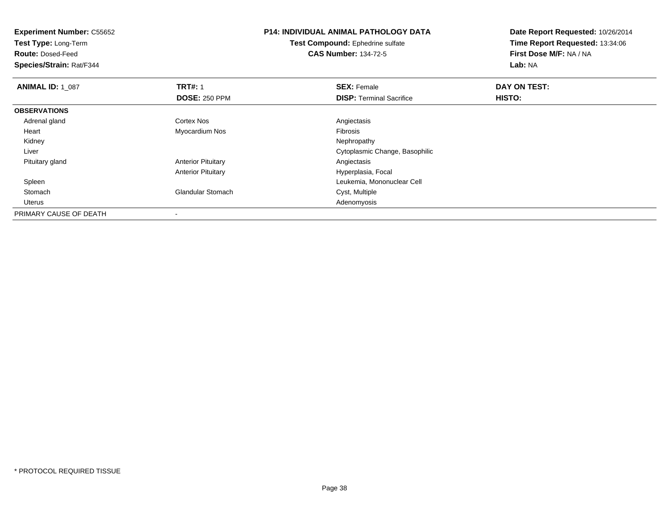**Experiment Number:** C55652**Test Type:** Long-Term**Route:** Dosed-Feed **Species/Strain:** Rat/F344**P14: INDIVIDUAL ANIMAL PATHOLOGY DATATest Compound:** Ephedrine sulfate**CAS Number:** 134-72-5**Date Report Requested:** 10/26/2014**Time Report Requested:** 13:34:06**First Dose M/F:** NA / NA**Lab:** NA**ANIMAL ID: 1\_087 TRT#:** 1 **SEX:** Female **DAY ON TEST: DOSE:** 250 PPM**DISP:** Terminal Sacrifice **HISTO: OBSERVATIONS** Adrenal glandd and the Cortex Nos and the Cortex Nos and the Angiectasis Heart Myocardium Nos Fibrosis Kidneyy the control of the control of the control of the control of the control of the control of the control of the control of the control of the control of the control of the control of the control of the control of the contro Liver Cytoplasmic Change, Basophilic Pituitary glandAnterior Pituitary **Anterior Pituitary Angiectasis** Anterior Pituitary Hyperplasia, Focal Spleen Leukemia, Mononuclear Cell StomachGlandular Stomach Uteruss and the contract of the contract of the contract of the contract of the contract of the contract of the contract of the contract of the contract of the contract of the contract of the contract of the contract of the cont PRIMARY CAUSE OF DEATH-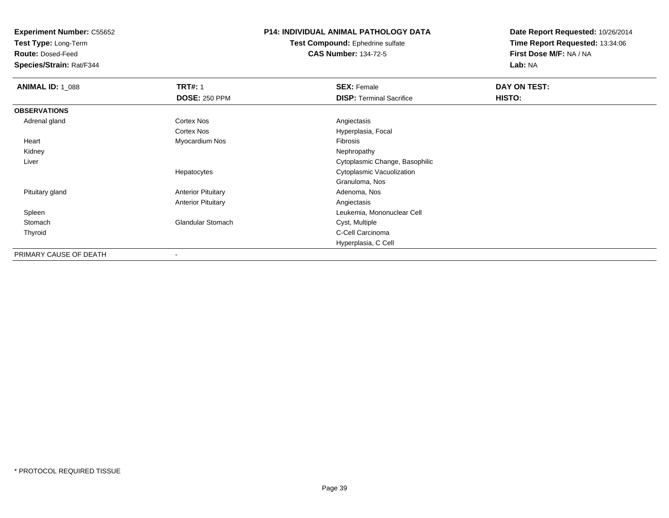**Test Type:** Long-Term

**Route:** Dosed-Feed

**Species/Strain:** Rat/F344

### **P14: INDIVIDUAL ANIMAL PATHOLOGY DATA**

**Test Compound:** Ephedrine sulfate**CAS Number:** 134-72-5

| <b>ANIMAL ID: 1_088</b> | <b>TRT#: 1</b><br><b>DOSE: 250 PPM</b> | <b>SEX: Female</b><br><b>DISP:</b> Terminal Sacrifice | DAY ON TEST:<br>HISTO: |
|-------------------------|----------------------------------------|-------------------------------------------------------|------------------------|
| <b>OBSERVATIONS</b>     |                                        |                                                       |                        |
| Adrenal gland           | <b>Cortex Nos</b>                      | Angiectasis                                           |                        |
|                         | <b>Cortex Nos</b>                      | Hyperplasia, Focal                                    |                        |
| Heart                   | Myocardium Nos                         | Fibrosis                                              |                        |
| Kidney                  |                                        | Nephropathy                                           |                        |
| Liver                   |                                        | Cytoplasmic Change, Basophilic                        |                        |
|                         | Hepatocytes                            | Cytoplasmic Vacuolization                             |                        |
|                         |                                        | Granuloma, Nos                                        |                        |
| Pituitary gland         | <b>Anterior Pituitary</b>              | Adenoma, Nos                                          |                        |
|                         | <b>Anterior Pituitary</b>              | Angiectasis                                           |                        |
| Spleen                  |                                        | Leukemia, Mononuclear Cell                            |                        |
| Stomach                 | <b>Glandular Stomach</b>               | Cyst, Multiple                                        |                        |
| Thyroid                 |                                        | C-Cell Carcinoma                                      |                        |
|                         |                                        | Hyperplasia, C Cell                                   |                        |
| PRIMARY CAUSE OF DEATH  |                                        |                                                       |                        |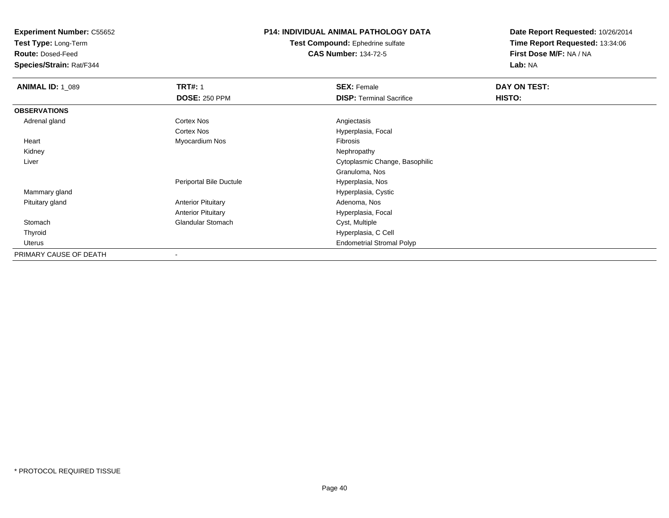**Test Type:** Long-Term

**Route:** Dosed-Feed

**Species/Strain:** Rat/F344

#### **P14: INDIVIDUAL ANIMAL PATHOLOGY DATA**

**Test Compound:** Ephedrine sulfate**CAS Number:** 134-72-5

| <b>ANIMAL ID: 1_089</b> | <b>TRT#: 1</b>            | <b>SEX: Female</b>               | DAY ON TEST: |
|-------------------------|---------------------------|----------------------------------|--------------|
|                         | <b>DOSE: 250 PPM</b>      | <b>DISP:</b> Terminal Sacrifice  | HISTO:       |
| <b>OBSERVATIONS</b>     |                           |                                  |              |
| Adrenal gland           | Cortex Nos                | Angiectasis                      |              |
|                         | <b>Cortex Nos</b>         | Hyperplasia, Focal               |              |
| Heart                   | Myocardium Nos            | Fibrosis                         |              |
| Kidney                  |                           | Nephropathy                      |              |
| Liver                   |                           | Cytoplasmic Change, Basophilic   |              |
|                         |                           | Granuloma, Nos                   |              |
|                         | Periportal Bile Ductule   | Hyperplasia, Nos                 |              |
| Mammary gland           |                           | Hyperplasia, Cystic              |              |
| Pituitary gland         | <b>Anterior Pituitary</b> | Adenoma, Nos                     |              |
|                         | <b>Anterior Pituitary</b> | Hyperplasia, Focal               |              |
| Stomach                 | <b>Glandular Stomach</b>  | Cyst, Multiple                   |              |
| Thyroid                 |                           | Hyperplasia, C Cell              |              |
| Uterus                  |                           | <b>Endometrial Stromal Polyp</b> |              |
| PRIMARY CAUSE OF DEATH  |                           |                                  |              |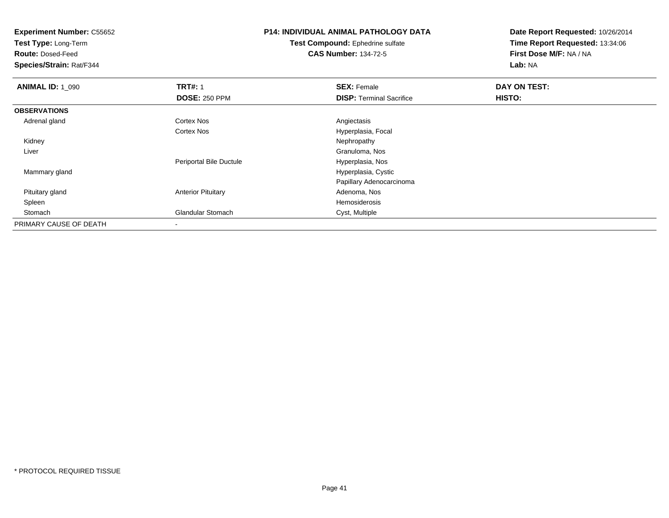**Test Type:** Long-Term

**Route:** Dosed-Feed

**Species/Strain:** Rat/F344

# **P14: INDIVIDUAL ANIMAL PATHOLOGY DATA**

**Test Compound:** Ephedrine sulfate**CAS Number:** 134-72-5

| <b>ANIMAL ID: 1 090</b> | <b>TRT#: 1</b>                 | <b>SEX: Female</b>              | DAY ON TEST: |  |
|-------------------------|--------------------------------|---------------------------------|--------------|--|
|                         | <b>DOSE: 250 PPM</b>           | <b>DISP: Terminal Sacrifice</b> | HISTO:       |  |
| <b>OBSERVATIONS</b>     |                                |                                 |              |  |
| Adrenal gland           | <b>Cortex Nos</b>              | Angiectasis                     |              |  |
|                         | Cortex Nos                     | Hyperplasia, Focal              |              |  |
| Kidney                  |                                | Nephropathy                     |              |  |
| Liver                   |                                | Granuloma, Nos                  |              |  |
|                         | <b>Periportal Bile Ductule</b> | Hyperplasia, Nos                |              |  |
| Mammary gland           |                                | Hyperplasia, Cystic             |              |  |
|                         |                                | Papillary Adenocarcinoma        |              |  |
| Pituitary gland         | <b>Anterior Pituitary</b>      | Adenoma, Nos                    |              |  |
| Spleen                  |                                | Hemosiderosis                   |              |  |
| Stomach                 | <b>Glandular Stomach</b>       | Cyst, Multiple                  |              |  |
| PRIMARY CAUSE OF DEATH  | $\,$                           |                                 |              |  |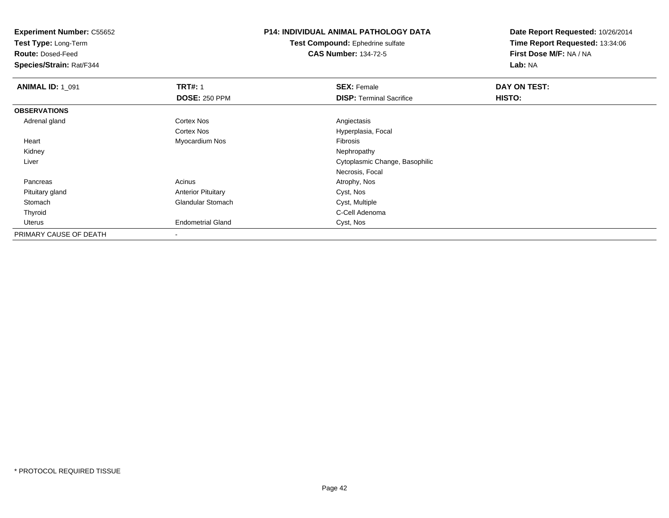**Test Type:** Long-Term

**Route:** Dosed-Feed

**Species/Strain:** Rat/F344

## **P14: INDIVIDUAL ANIMAL PATHOLOGY DATA**

**Test Compound:** Ephedrine sulfate**CAS Number:** 134-72-5

| <b>ANIMAL ID: 1_091</b> | <b>TRT#: 1</b>            | <b>SEX: Female</b>              | DAY ON TEST: |  |
|-------------------------|---------------------------|---------------------------------|--------------|--|
|                         | <b>DOSE: 250 PPM</b>      | <b>DISP:</b> Terminal Sacrifice | HISTO:       |  |
| <b>OBSERVATIONS</b>     |                           |                                 |              |  |
| Adrenal gland           | <b>Cortex Nos</b>         | Angiectasis                     |              |  |
|                         | Cortex Nos                | Hyperplasia, Focal              |              |  |
| Heart                   | Myocardium Nos            | Fibrosis                        |              |  |
| Kidney                  |                           | Nephropathy                     |              |  |
| Liver                   |                           | Cytoplasmic Change, Basophilic  |              |  |
|                         |                           | Necrosis, Focal                 |              |  |
| Pancreas                | Acinus                    | Atrophy, Nos                    |              |  |
| Pituitary gland         | <b>Anterior Pituitary</b> | Cyst, Nos                       |              |  |
| Stomach                 | <b>Glandular Stomach</b>  | Cyst, Multiple                  |              |  |
| Thyroid                 |                           | C-Cell Adenoma                  |              |  |
| Uterus                  | <b>Endometrial Gland</b>  | Cyst, Nos                       |              |  |
| PRIMARY CAUSE OF DEATH  |                           |                                 |              |  |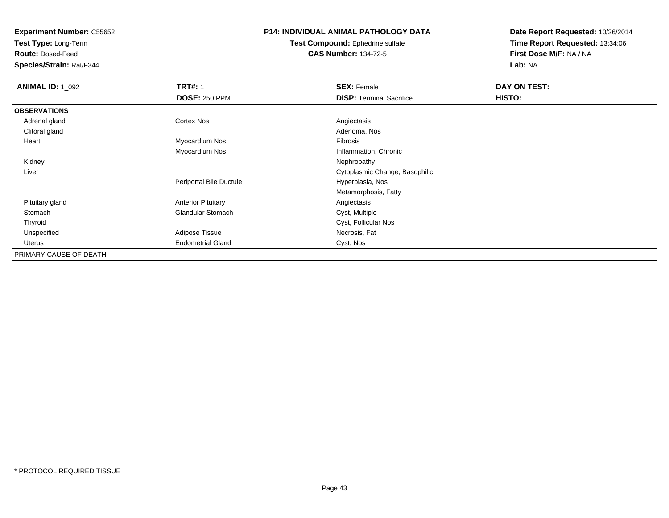**Test Type:** Long-Term

**Route:** Dosed-Feed

**Species/Strain:** Rat/F344

### **P14: INDIVIDUAL ANIMAL PATHOLOGY DATA**

**Test Compound:** Ephedrine sulfate**CAS Number:** 134-72-5

| <b>ANIMAL ID: 1_092</b> | <b>TRT#: 1</b>            | <b>SEX: Female</b>              | DAY ON TEST: |  |
|-------------------------|---------------------------|---------------------------------|--------------|--|
|                         | <b>DOSE: 250 PPM</b>      | <b>DISP: Terminal Sacrifice</b> | HISTO:       |  |
| <b>OBSERVATIONS</b>     |                           |                                 |              |  |
| Adrenal gland           | <b>Cortex Nos</b>         | Angiectasis                     |              |  |
| Clitoral gland          |                           | Adenoma, Nos                    |              |  |
| Heart                   | Myocardium Nos            | Fibrosis                        |              |  |
|                         | Myocardium Nos            | Inflammation, Chronic           |              |  |
| Kidney                  |                           | Nephropathy                     |              |  |
| Liver                   |                           | Cytoplasmic Change, Basophilic  |              |  |
|                         | Periportal Bile Ductule   | Hyperplasia, Nos                |              |  |
|                         |                           | Metamorphosis, Fatty            |              |  |
| Pituitary gland         | <b>Anterior Pituitary</b> | Angiectasis                     |              |  |
| Stomach                 | <b>Glandular Stomach</b>  | Cyst, Multiple                  |              |  |
| Thyroid                 |                           | Cyst, Follicular Nos            |              |  |
| Unspecified             | Adipose Tissue            | Necrosis, Fat                   |              |  |
| Uterus                  | <b>Endometrial Gland</b>  | Cyst, Nos                       |              |  |
| PRIMARY CAUSE OF DEATH  |                           |                                 |              |  |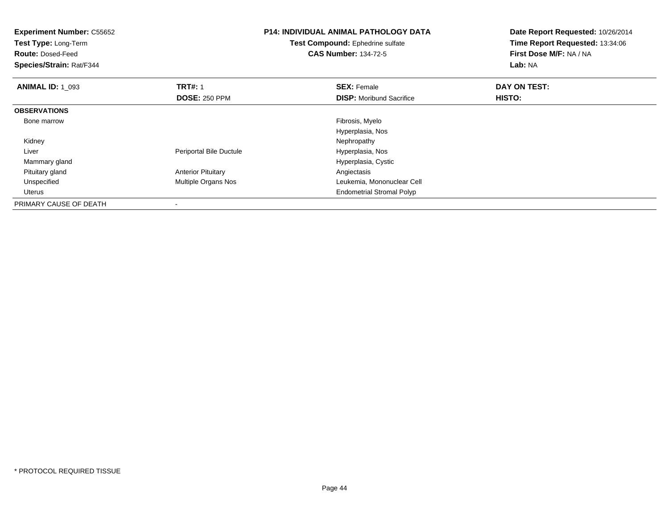| <b>Experiment Number: C55652</b><br>Test Type: Long-Term<br><b>Route: Dosed-Feed</b><br>Species/Strain: Rat/F344 |                           | <b>P14: INDIVIDUAL ANIMAL PATHOLOGY DATA</b><br>Test Compound: Ephedrine sulfate<br><b>CAS Number: 134-72-5</b> | Date Report Requested: 10/26/2014<br>Time Report Requested: 13:34:06<br>First Dose M/F: NA / NA<br>Lab: NA |
|------------------------------------------------------------------------------------------------------------------|---------------------------|-----------------------------------------------------------------------------------------------------------------|------------------------------------------------------------------------------------------------------------|
| <b>ANIMAL ID: 1 093</b>                                                                                          | <b>TRT#: 1</b>            | <b>SEX: Female</b>                                                                                              | DAY ON TEST:                                                                                               |
|                                                                                                                  | <b>DOSE: 250 PPM</b>      | <b>DISP:</b> Moribund Sacrifice                                                                                 | HISTO:                                                                                                     |
| <b>OBSERVATIONS</b>                                                                                              |                           |                                                                                                                 |                                                                                                            |
| Bone marrow                                                                                                      |                           | Fibrosis, Myelo                                                                                                 |                                                                                                            |
|                                                                                                                  |                           | Hyperplasia, Nos                                                                                                |                                                                                                            |
| Kidney                                                                                                           |                           | Nephropathy                                                                                                     |                                                                                                            |
| Liver                                                                                                            | Periportal Bile Ductule   | Hyperplasia, Nos                                                                                                |                                                                                                            |
| Mammary gland                                                                                                    |                           | Hyperplasia, Cystic                                                                                             |                                                                                                            |
| Pituitary gland                                                                                                  | <b>Anterior Pituitary</b> | Angiectasis                                                                                                     |                                                                                                            |
| Unspecified                                                                                                      | Multiple Organs Nos       | Leukemia, Mononuclear Cell                                                                                      |                                                                                                            |
| Uterus                                                                                                           |                           | <b>Endometrial Stromal Polyp</b>                                                                                |                                                                                                            |
| PRIMARY CAUSE OF DEATH                                                                                           |                           |                                                                                                                 |                                                                                                            |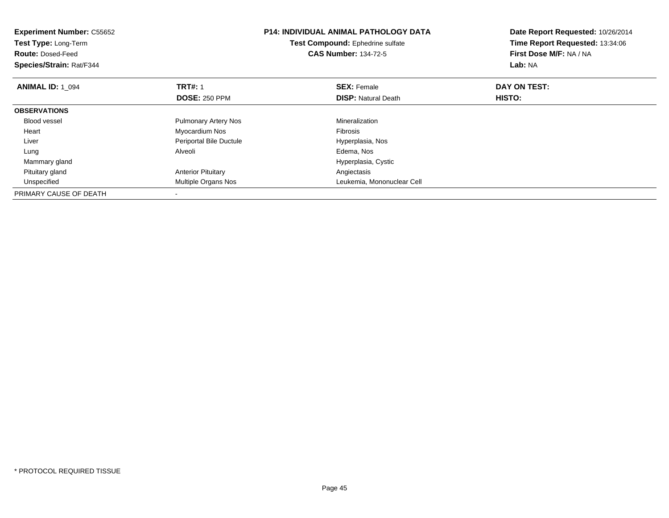| <b>Experiment Number: C55652</b><br>Test Type: Long-Term<br><b>Route: Dosed-Feed</b><br>Species/Strain: Rat/F344 |                             | <b>P14: INDIVIDUAL ANIMAL PATHOLOGY DATA</b><br>Test Compound: Ephedrine sulfate<br><b>CAS Number: 134-72-5</b> | Date Report Requested: 10/26/2014<br>Time Report Requested: 13:34:06<br>First Dose M/F: NA / NA<br>Lab: NA |
|------------------------------------------------------------------------------------------------------------------|-----------------------------|-----------------------------------------------------------------------------------------------------------------|------------------------------------------------------------------------------------------------------------|
| <b>ANIMAL ID: 1 094</b>                                                                                          | <b>TRT#: 1</b>              | <b>SEX: Female</b>                                                                                              | DAY ON TEST:                                                                                               |
|                                                                                                                  | <b>DOSE: 250 PPM</b>        | <b>DISP:</b> Natural Death                                                                                      | HISTO:                                                                                                     |
| <b>OBSERVATIONS</b>                                                                                              |                             |                                                                                                                 |                                                                                                            |
| Blood vessel                                                                                                     | <b>Pulmonary Artery Nos</b> | Mineralization                                                                                                  |                                                                                                            |
| Heart                                                                                                            | Myocardium Nos              | Fibrosis                                                                                                        |                                                                                                            |
| Liver                                                                                                            | Periportal Bile Ductule     | Hyperplasia, Nos                                                                                                |                                                                                                            |
| Lung                                                                                                             | Alveoli                     | Edema, Nos                                                                                                      |                                                                                                            |
| Mammary gland                                                                                                    |                             | Hyperplasia, Cystic                                                                                             |                                                                                                            |
| Pituitary gland                                                                                                  | <b>Anterior Pituitary</b>   | Angiectasis                                                                                                     |                                                                                                            |
| Unspecified                                                                                                      | Multiple Organs Nos         | Leukemia, Mononuclear Cell                                                                                      |                                                                                                            |
| PRIMARY CAUSE OF DEATH                                                                                           |                             |                                                                                                                 |                                                                                                            |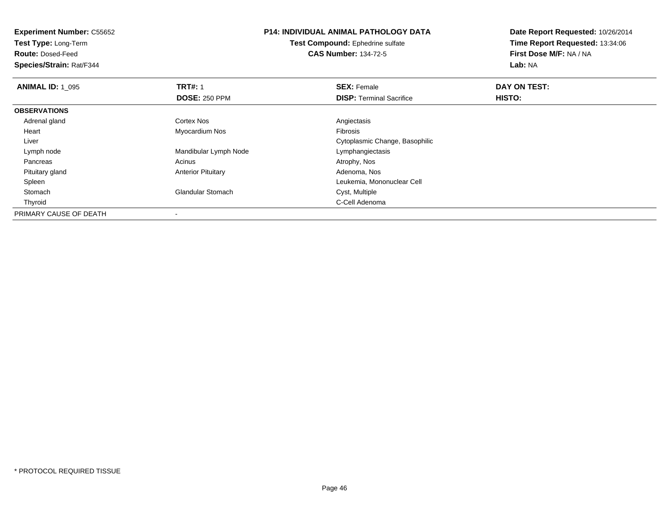**Experiment Number:** C55652**Test Type:** Long-Term**Route:** Dosed-Feed **Species/Strain:** Rat/F344**P14: INDIVIDUAL ANIMAL PATHOLOGY DATATest Compound:** Ephedrine sulfate**CAS Number:** 134-72-5**Date Report Requested:** 10/26/2014**Time Report Requested:** 13:34:06**First Dose M/F:** NA / NA**Lab:** NA**ANIMAL ID: 1\_095 TRT#:** 1 **SEX:** Female **DAY ON TEST: DOSE:** 250 PPM**DISP:** Terminal Sacrifice **HISTO: OBSERVATIONS** Adrenal glandd and the Cortex Nos and the Cortex Nos and the Angiectasis Heart Myocardium Nos Fibrosis Liver Cytoplasmic Change, Basophilic Lymph nodeMandibular Lymph Node Lymphangiectasis<br>Acinus Atrophy, Nos Pancreass and the contract of the contract of the contract of the contract of the contract  $\mathsf{A}$  at  $\mathsf{A}$  and  $\mathsf{A}$  and  $\mathsf{A}$  and  $\mathsf{A}$  and  $\mathsf{A}$  are contract of  $\mathsf{A}$  and  $\mathsf{A}$  and  $\mathsf{A}$  are contract of Pituitary glandAnterior Pituitary **Adenoma, Nos** Adenoma, Nos Spleen Leukemia, Mononuclear Cell StomachGlandular Stomach Thyroidd **C-Cell Adenoma** and the control of the control of the control of the control of the control of the control of the control of the control of the control of the control of the control of the control of the control of the PRIMARY CAUSE OF DEATH-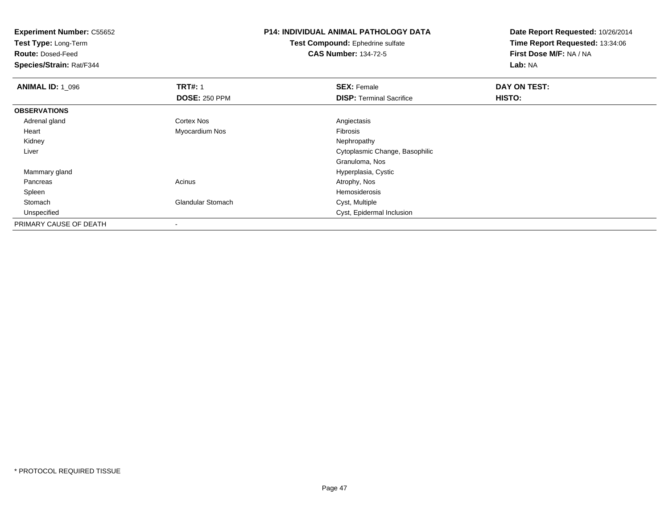**Test Type:** Long-Term

**Route:** Dosed-Feed

**Species/Strain:** Rat/F344

# **P14: INDIVIDUAL ANIMAL PATHOLOGY DATA**

**Test Compound:** Ephedrine sulfate**CAS Number:** 134-72-5

| <b>ANIMAL ID: 1_096</b> | <b>TRT#: 1</b>           | <b>SEX: Female</b>              | DAY ON TEST: |  |
|-------------------------|--------------------------|---------------------------------|--------------|--|
|                         | <b>DOSE: 250 PPM</b>     | <b>DISP: Terminal Sacrifice</b> | HISTO:       |  |
| <b>OBSERVATIONS</b>     |                          |                                 |              |  |
| Adrenal gland           | <b>Cortex Nos</b>        | Angiectasis                     |              |  |
| Heart                   | Myocardium Nos           | Fibrosis                        |              |  |
| Kidney                  |                          | Nephropathy                     |              |  |
| Liver                   |                          | Cytoplasmic Change, Basophilic  |              |  |
|                         |                          | Granuloma, Nos                  |              |  |
| Mammary gland           |                          | Hyperplasia, Cystic             |              |  |
| Pancreas                | Acinus                   | Atrophy, Nos                    |              |  |
| Spleen                  |                          | Hemosiderosis                   |              |  |
| Stomach                 | <b>Glandular Stomach</b> | Cyst, Multiple                  |              |  |
| Unspecified             |                          | Cyst, Epidermal Inclusion       |              |  |
| PRIMARY CAUSE OF DEATH  |                          |                                 |              |  |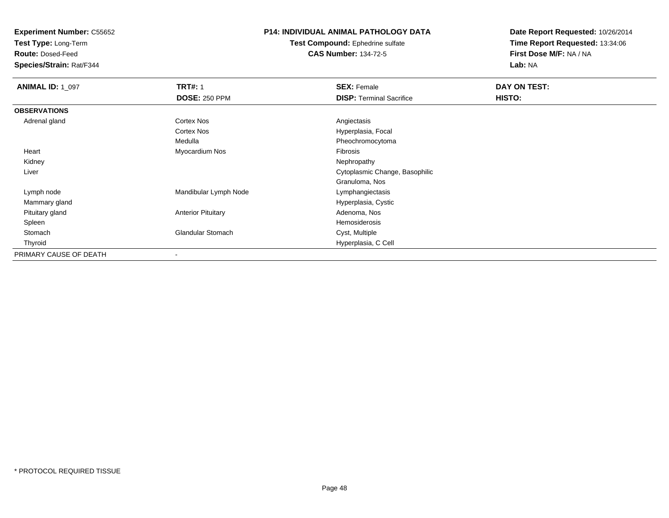**Test Type:** Long-Term

**Route:** Dosed-Feed

**Species/Strain:** Rat/F344

### **P14: INDIVIDUAL ANIMAL PATHOLOGY DATA**

**Test Compound:** Ephedrine sulfate**CAS Number:** 134-72-5

| <b>ANIMAL ID: 1_097</b> | <b>TRT#: 1</b>            | <b>SEX: Female</b>              | DAY ON TEST: |  |
|-------------------------|---------------------------|---------------------------------|--------------|--|
|                         | <b>DOSE: 250 PPM</b>      | <b>DISP: Terminal Sacrifice</b> | HISTO:       |  |
| <b>OBSERVATIONS</b>     |                           |                                 |              |  |
| Adrenal gland           | <b>Cortex Nos</b>         | Angiectasis                     |              |  |
|                         | <b>Cortex Nos</b>         | Hyperplasia, Focal              |              |  |
|                         | Medulla                   | Pheochromocytoma                |              |  |
| Heart                   | Myocardium Nos            | Fibrosis                        |              |  |
| Kidney                  |                           | Nephropathy                     |              |  |
| Liver                   |                           | Cytoplasmic Change, Basophilic  |              |  |
|                         |                           | Granuloma, Nos                  |              |  |
| Lymph node              | Mandibular Lymph Node     | Lymphangiectasis                |              |  |
| Mammary gland           |                           | Hyperplasia, Cystic             |              |  |
| Pituitary gland         | <b>Anterior Pituitary</b> | Adenoma, Nos                    |              |  |
| Spleen                  |                           | Hemosiderosis                   |              |  |
| Stomach                 | <b>Glandular Stomach</b>  | Cyst, Multiple                  |              |  |
| Thyroid                 |                           | Hyperplasia, C Cell             |              |  |
| PRIMARY CAUSE OF DEATH  |                           |                                 |              |  |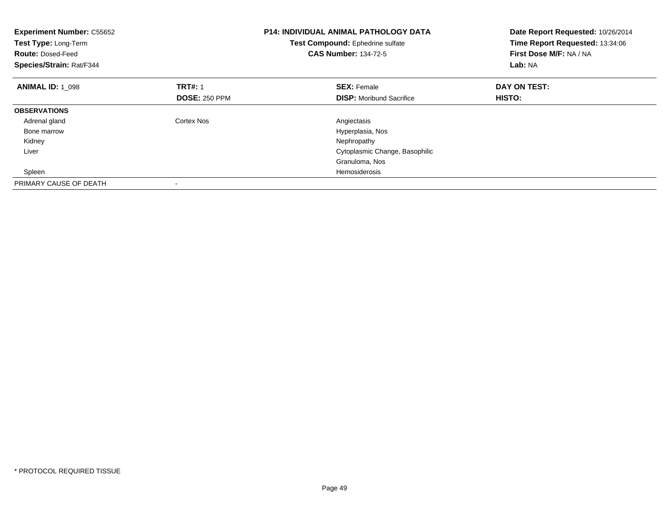| <b>Experiment Number: C55652</b><br>Test Type: Long-Term<br><b>Route: Dosed-Feed</b><br>Species/Strain: Rat/F344 |                      | <b>P14: INDIVIDUAL ANIMAL PATHOLOGY DATA</b><br>Test Compound: Ephedrine sulfate<br><b>CAS Number: 134-72-5</b> | Date Report Requested: 10/26/2014<br>Time Report Requested: 13:34:06<br>First Dose M/F: NA / NA<br>Lab: NA |
|------------------------------------------------------------------------------------------------------------------|----------------------|-----------------------------------------------------------------------------------------------------------------|------------------------------------------------------------------------------------------------------------|
| <b>ANIMAL ID: 1 098</b>                                                                                          | <b>TRT#: 1</b>       | <b>SEX: Female</b>                                                                                              | DAY ON TEST:                                                                                               |
|                                                                                                                  | <b>DOSE: 250 PPM</b> | <b>DISP:</b> Moribund Sacrifice                                                                                 | HISTO:                                                                                                     |
| <b>OBSERVATIONS</b>                                                                                              |                      |                                                                                                                 |                                                                                                            |
| Adrenal gland                                                                                                    | Cortex Nos           | Angiectasis                                                                                                     |                                                                                                            |
| Bone marrow                                                                                                      |                      | Hyperplasia, Nos                                                                                                |                                                                                                            |
| Kidney                                                                                                           |                      | Nephropathy                                                                                                     |                                                                                                            |
| Liver                                                                                                            |                      | Cytoplasmic Change, Basophilic                                                                                  |                                                                                                            |
|                                                                                                                  |                      | Granuloma, Nos                                                                                                  |                                                                                                            |
| Spleen                                                                                                           |                      | <b>Hemosiderosis</b>                                                                                            |                                                                                                            |
| PRIMARY CAUSE OF DEATH                                                                                           |                      |                                                                                                                 |                                                                                                            |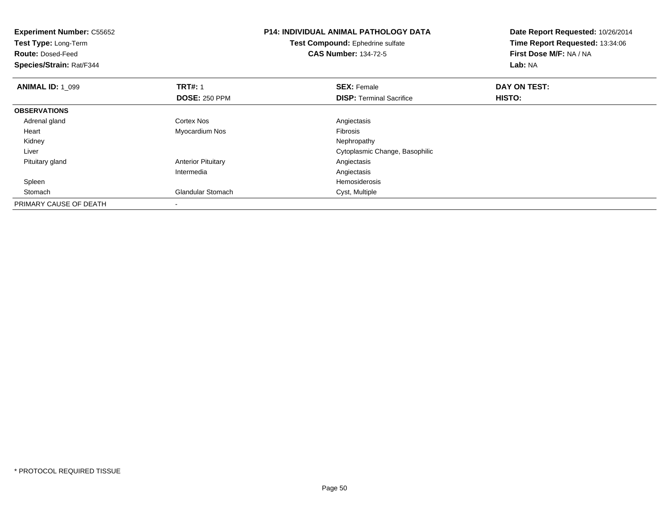| <b>Experiment Number: C55652</b><br>Test Type: Long-Term<br><b>Route: Dosed-Feed</b><br>Species/Strain: Rat/F344 |                           | <b>P14: INDIVIDUAL ANIMAL PATHOLOGY DATA</b><br>Test Compound: Ephedrine sulfate<br><b>CAS Number: 134-72-5</b> | Date Report Requested: 10/26/2014<br>Time Report Requested: 13:34:06<br>First Dose M/F: NA / NA<br>Lab: NA |
|------------------------------------------------------------------------------------------------------------------|---------------------------|-----------------------------------------------------------------------------------------------------------------|------------------------------------------------------------------------------------------------------------|
| <b>ANIMAL ID: 1 099</b>                                                                                          | <b>TRT#: 1</b>            | <b>SEX: Female</b>                                                                                              | DAY ON TEST:                                                                                               |
|                                                                                                                  | <b>DOSE: 250 PPM</b>      | <b>DISP:</b> Terminal Sacrifice                                                                                 | <b>HISTO:</b>                                                                                              |
| <b>OBSERVATIONS</b>                                                                                              |                           |                                                                                                                 |                                                                                                            |
| Adrenal gland                                                                                                    | Cortex Nos                | Angiectasis                                                                                                     |                                                                                                            |
| Heart                                                                                                            | Myocardium Nos            | Fibrosis                                                                                                        |                                                                                                            |
| Kidney                                                                                                           |                           | Nephropathy                                                                                                     |                                                                                                            |
| Liver                                                                                                            |                           | Cytoplasmic Change, Basophilic                                                                                  |                                                                                                            |
| Pituitary gland                                                                                                  | <b>Anterior Pituitary</b> | Angiectasis                                                                                                     |                                                                                                            |
|                                                                                                                  | Intermedia                | Angiectasis                                                                                                     |                                                                                                            |
| Spleen                                                                                                           |                           | Hemosiderosis                                                                                                   |                                                                                                            |
| Stomach                                                                                                          | Glandular Stomach         | Cyst, Multiple                                                                                                  |                                                                                                            |
| PRIMARY CAUSE OF DEATH                                                                                           | $\overline{\phantom{a}}$  |                                                                                                                 |                                                                                                            |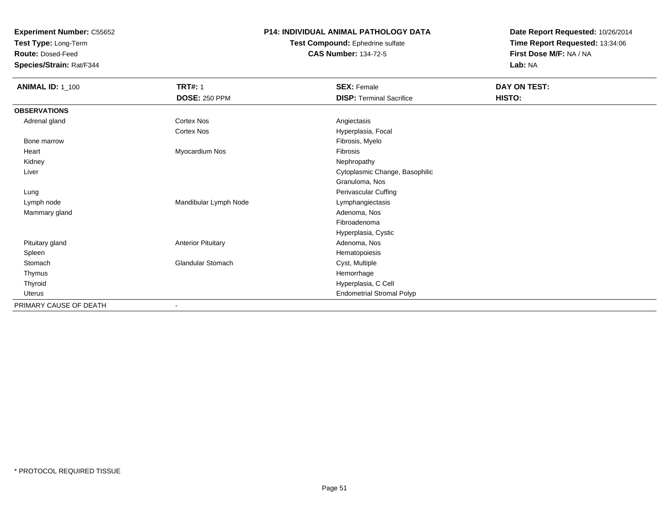**Test Type:** Long-Term

**Route:** Dosed-Feed

**Species/Strain:** Rat/F344

#### **P14: INDIVIDUAL ANIMAL PATHOLOGY DATA**

**Test Compound:** Ephedrine sulfate**CAS Number:** 134-72-5

| <b>ANIMAL ID: 1_100</b> | <b>TRT#: 1</b>            | <b>SEX: Female</b>               | DAY ON TEST: |
|-------------------------|---------------------------|----------------------------------|--------------|
|                         | <b>DOSE: 250 PPM</b>      | <b>DISP: Terminal Sacrifice</b>  | HISTO:       |
| <b>OBSERVATIONS</b>     |                           |                                  |              |
| Adrenal gland           | Cortex Nos                | Angiectasis                      |              |
|                         | Cortex Nos                | Hyperplasia, Focal               |              |
| Bone marrow             |                           | Fibrosis, Myelo                  |              |
| Heart                   | Myocardium Nos            | Fibrosis                         |              |
| Kidney                  |                           | Nephropathy                      |              |
| Liver                   |                           | Cytoplasmic Change, Basophilic   |              |
|                         |                           | Granuloma, Nos                   |              |
| Lung                    |                           | Perivascular Cuffing             |              |
| Lymph node              | Mandibular Lymph Node     | Lymphangiectasis                 |              |
| Mammary gland           |                           | Adenoma, Nos                     |              |
|                         |                           | Fibroadenoma                     |              |
|                         |                           | Hyperplasia, Cystic              |              |
| Pituitary gland         | <b>Anterior Pituitary</b> | Adenoma, Nos                     |              |
| Spleen                  |                           | Hematopoiesis                    |              |
| Stomach                 | <b>Glandular Stomach</b>  | Cyst, Multiple                   |              |
| Thymus                  |                           | Hemorrhage                       |              |
| Thyroid                 |                           | Hyperplasia, C Cell              |              |
| Uterus                  |                           | <b>Endometrial Stromal Polyp</b> |              |
| PRIMARY CAUSE OF DEATH  | $\overline{\phantom{a}}$  |                                  |              |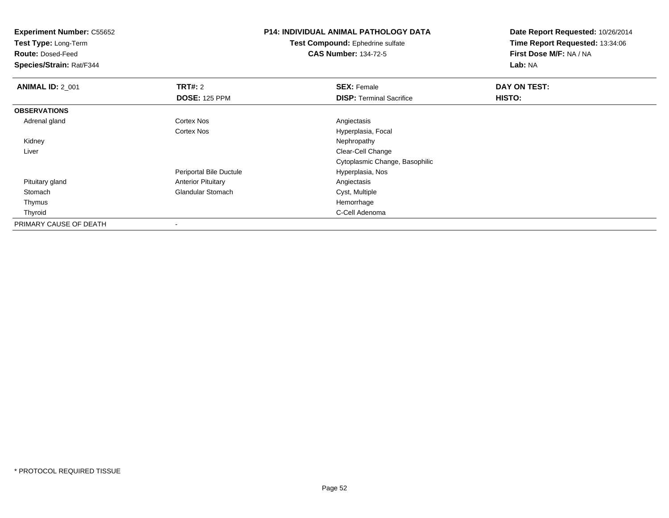**Experiment Number:** C55652**Test Type:** Long-Term**Route:** Dosed-Feed **Species/Strain:** Rat/F344**P14: INDIVIDUAL ANIMAL PATHOLOGY DATATest Compound:** Ephedrine sulfate**CAS Number:** 134-72-5**Date Report Requested:** 10/26/2014**Time Report Requested:** 13:34:06**First Dose M/F:** NA / NA**Lab:** NA**ANIMAL ID: 2 001 TRT#:** 2 **SEX:** Female **DAY ON TEST: DOSE:** 125 PPM**DISP:** Terminal Sacrifice **HISTO: OBSERVATIONS** Adrenal glandd and the Cortex Nos and the Cortex Nos and the Angiectasis Cortex NosHyperplasia, Focal<br>Nephropathy Kidneyy the control of the control of the control of the control of the control of the control of the control of the control of the control of the control of the control of the control of the control of the control of the contro Liver Clear-Cell Change Cytoplasmic Change, BasophilicPeriportal Bile Ductule Hyperplasia, Nos Pituitary glandAnterior Pituitary **Angiectasis**<br>
Glandular Stomach **Angiectasis**<br>
Cyst, Multiple StomachGlandular Stomach Cyst, Multiple<br>
Hemorrhage Thymuss and the control of the control of the control of the control of the control of the control of the control of the control of the control of the control of the control of the control of the control of the control of the co C-Cell Adenoma Thyroidd **C-Cell Adenoma** and the control of the control of the control of the control of the control of the control of the control of the control of the control of the control of the control of the control of the control of the PRIMARY CAUSE OF DEATH-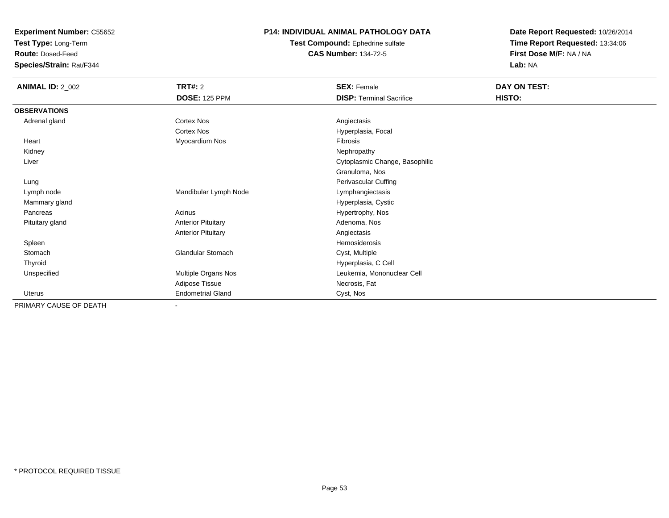**Test Type:** Long-Term

**Route:** Dosed-Feed

**Species/Strain:** Rat/F344

#### **P14: INDIVIDUAL ANIMAL PATHOLOGY DATA**

**Test Compound:** Ephedrine sulfate**CAS Number:** 134-72-5

| <b>ANIMAL ID: 2_002</b> | TRT#: 2                   | <b>SEX: Female</b>              | DAY ON TEST: |
|-------------------------|---------------------------|---------------------------------|--------------|
|                         | <b>DOSE: 125 PPM</b>      | <b>DISP: Terminal Sacrifice</b> | HISTO:       |
| <b>OBSERVATIONS</b>     |                           |                                 |              |
| Adrenal gland           | Cortex Nos                | Angiectasis                     |              |
|                         | Cortex Nos                | Hyperplasia, Focal              |              |
| Heart                   | Myocardium Nos            | Fibrosis                        |              |
| Kidney                  |                           | Nephropathy                     |              |
| Liver                   |                           | Cytoplasmic Change, Basophilic  |              |
|                         |                           | Granuloma, Nos                  |              |
| Lung                    |                           | Perivascular Cuffing            |              |
| Lymph node              | Mandibular Lymph Node     | Lymphangiectasis                |              |
| Mammary gland           |                           | Hyperplasia, Cystic             |              |
| Pancreas                | Acinus                    | Hypertrophy, Nos                |              |
| Pituitary gland         | <b>Anterior Pituitary</b> | Adenoma, Nos                    |              |
|                         | <b>Anterior Pituitary</b> | Angiectasis                     |              |
| Spleen                  |                           | Hemosiderosis                   |              |
| Stomach                 | Glandular Stomach         | Cyst, Multiple                  |              |
| Thyroid                 |                           | Hyperplasia, C Cell             |              |
| Unspecified             | Multiple Organs Nos       | Leukemia, Mononuclear Cell      |              |
|                         | Adipose Tissue            | Necrosis, Fat                   |              |
| Uterus                  | <b>Endometrial Gland</b>  | Cyst, Nos                       |              |
| PRIMARY CAUSE OF DEATH  | $\overline{\phantom{a}}$  |                                 |              |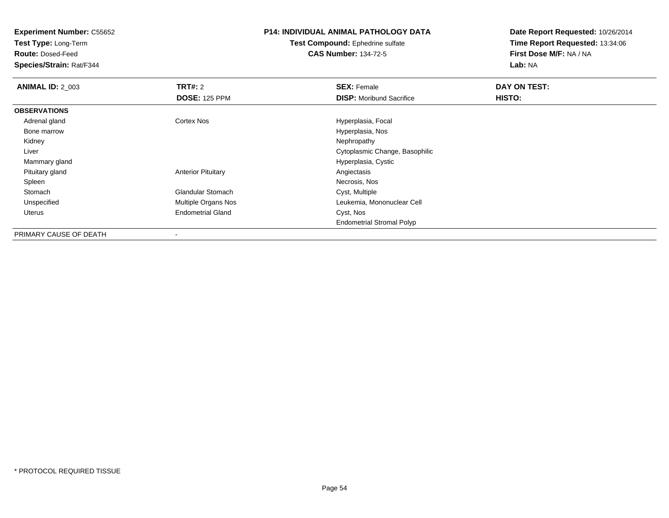**Test Type:** Long-Term

**Route:** Dosed-Feed

**Species/Strain:** Rat/F344

# **P14: INDIVIDUAL ANIMAL PATHOLOGY DATA**

**Test Compound:** Ephedrine sulfate**CAS Number:** 134-72-5

| <b>ANIMAL ID: 2 003</b> | <b>TRT#: 2</b>             | <b>SEX: Female</b>               | DAY ON TEST: |  |
|-------------------------|----------------------------|----------------------------------|--------------|--|
|                         | <b>DOSE: 125 PPM</b>       | <b>DISP:</b> Moribund Sacrifice  | HISTO:       |  |
| <b>OBSERVATIONS</b>     |                            |                                  |              |  |
| Adrenal gland           | Cortex Nos                 | Hyperplasia, Focal               |              |  |
| Bone marrow             |                            | Hyperplasia, Nos                 |              |  |
| Kidney                  |                            | Nephropathy                      |              |  |
| Liver                   |                            | Cytoplasmic Change, Basophilic   |              |  |
| Mammary gland           |                            | Hyperplasia, Cystic              |              |  |
| Pituitary gland         | <b>Anterior Pituitary</b>  | Angiectasis                      |              |  |
| Spleen                  |                            | Necrosis, Nos                    |              |  |
| Stomach                 | <b>Glandular Stomach</b>   | Cyst, Multiple                   |              |  |
| Unspecified             | <b>Multiple Organs Nos</b> | Leukemia, Mononuclear Cell       |              |  |
| Uterus                  | <b>Endometrial Gland</b>   | Cyst, Nos                        |              |  |
|                         |                            | <b>Endometrial Stromal Polyp</b> |              |  |
| PRIMARY CAUSE OF DEATH  |                            |                                  |              |  |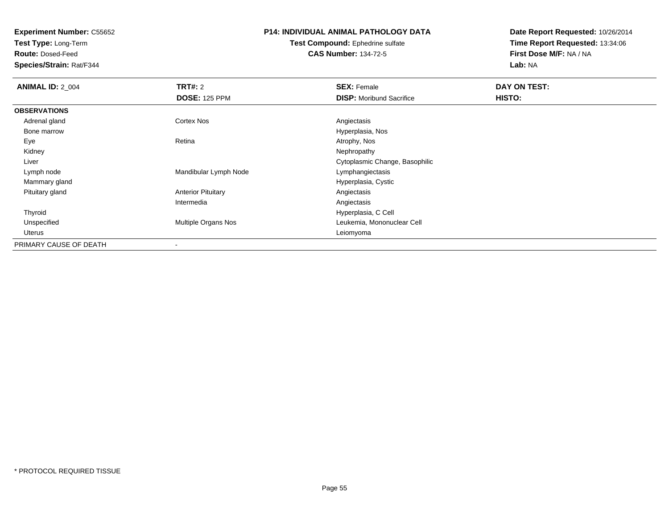**Test Type:** Long-Term

**Route:** Dosed-Feed

**Species/Strain:** Rat/F344

# **P14: INDIVIDUAL ANIMAL PATHOLOGY DATA**

**Test Compound:** Ephedrine sulfate**CAS Number:** 134-72-5

| <b>ANIMAL ID: 2_004</b> | TRT#: 2                    | <b>SEX: Female</b>              | DAY ON TEST: |  |
|-------------------------|----------------------------|---------------------------------|--------------|--|
|                         | <b>DOSE: 125 PPM</b>       | <b>DISP:</b> Moribund Sacrifice | HISTO:       |  |
| <b>OBSERVATIONS</b>     |                            |                                 |              |  |
| Adrenal gland           | <b>Cortex Nos</b>          | Angiectasis                     |              |  |
| Bone marrow             |                            | Hyperplasia, Nos                |              |  |
| Eye                     | Retina                     | Atrophy, Nos                    |              |  |
| Kidney                  |                            | Nephropathy                     |              |  |
| Liver                   |                            | Cytoplasmic Change, Basophilic  |              |  |
| Lymph node              | Mandibular Lymph Node      | Lymphangiectasis                |              |  |
| Mammary gland           |                            | Hyperplasia, Cystic             |              |  |
| Pituitary gland         | <b>Anterior Pituitary</b>  | Angiectasis                     |              |  |
|                         | Intermedia                 | Angiectasis                     |              |  |
| Thyroid                 |                            | Hyperplasia, C Cell             |              |  |
| Unspecified             | <b>Multiple Organs Nos</b> | Leukemia, Mononuclear Cell      |              |  |
| Uterus                  |                            | Leiomyoma                       |              |  |
| PRIMARY CAUSE OF DEATH  |                            |                                 |              |  |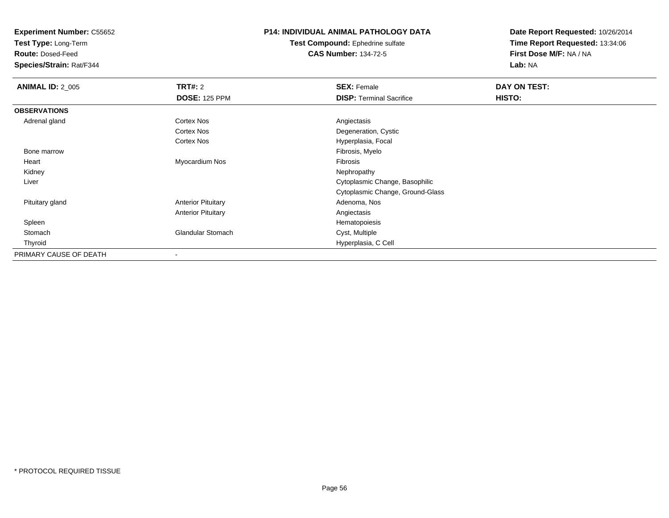**Test Type:** Long-Term

**Route:** Dosed-Feed

**Species/Strain:** Rat/F344

## **P14: INDIVIDUAL ANIMAL PATHOLOGY DATA**

**Test Compound:** Ephedrine sulfate**CAS Number:** 134-72-5

| <b>ANIMAL ID: 2_005</b> | TRT#: 2                   | <b>SEX: Female</b>               | DAY ON TEST: |  |
|-------------------------|---------------------------|----------------------------------|--------------|--|
|                         | <b>DOSE: 125 PPM</b>      | <b>DISP: Terminal Sacrifice</b>  | HISTO:       |  |
| <b>OBSERVATIONS</b>     |                           |                                  |              |  |
| Adrenal gland           | <b>Cortex Nos</b>         | Angiectasis                      |              |  |
|                         | <b>Cortex Nos</b>         | Degeneration, Cystic             |              |  |
|                         | <b>Cortex Nos</b>         | Hyperplasia, Focal               |              |  |
| Bone marrow             |                           | Fibrosis, Myelo                  |              |  |
| Heart                   | Myocardium Nos            | Fibrosis                         |              |  |
| Kidney                  |                           | Nephropathy                      |              |  |
| Liver                   |                           | Cytoplasmic Change, Basophilic   |              |  |
|                         |                           | Cytoplasmic Change, Ground-Glass |              |  |
| Pituitary gland         | <b>Anterior Pituitary</b> | Adenoma, Nos                     |              |  |
|                         | <b>Anterior Pituitary</b> | Angiectasis                      |              |  |
| Spleen                  |                           | Hematopoiesis                    |              |  |
| Stomach                 | <b>Glandular Stomach</b>  | Cyst, Multiple                   |              |  |
| Thyroid                 |                           | Hyperplasia, C Cell              |              |  |
| PRIMARY CAUSE OF DEATH  |                           |                                  |              |  |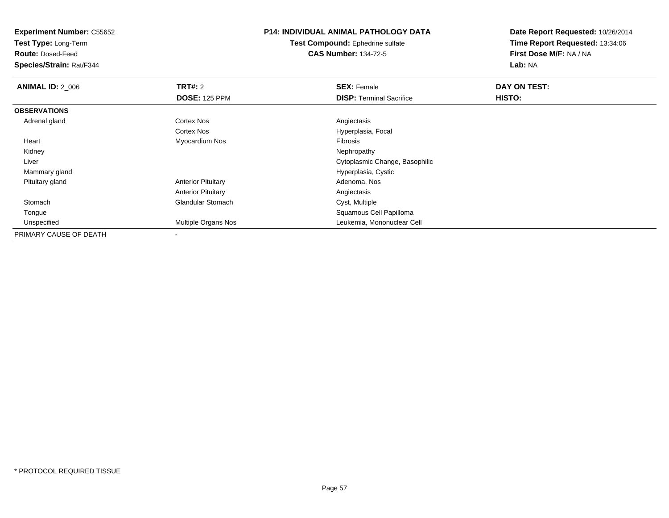**Test Type:** Long-Term

**Route:** Dosed-Feed

**Species/Strain:** Rat/F344

# **P14: INDIVIDUAL ANIMAL PATHOLOGY DATA**

**Test Compound:** Ephedrine sulfate**CAS Number:** 134-72-5

| <b>ANIMAL ID: 2_006</b> | TRT#: 2                    | <b>SEX: Female</b>              | DAY ON TEST: |  |
|-------------------------|----------------------------|---------------------------------|--------------|--|
|                         | <b>DOSE: 125 PPM</b>       | <b>DISP:</b> Terminal Sacrifice | HISTO:       |  |
| <b>OBSERVATIONS</b>     |                            |                                 |              |  |
| Adrenal gland           | Cortex Nos                 | Angiectasis                     |              |  |
|                         | Cortex Nos                 | Hyperplasia, Focal              |              |  |
| Heart                   | Myocardium Nos             | Fibrosis                        |              |  |
| Kidney                  |                            | Nephropathy                     |              |  |
| Liver                   |                            | Cytoplasmic Change, Basophilic  |              |  |
| Mammary gland           |                            | Hyperplasia, Cystic             |              |  |
| Pituitary gland         | <b>Anterior Pituitary</b>  | Adenoma, Nos                    |              |  |
|                         | <b>Anterior Pituitary</b>  | Angiectasis                     |              |  |
| Stomach                 | <b>Glandular Stomach</b>   | Cyst, Multiple                  |              |  |
| Tongue                  |                            | Squamous Cell Papilloma         |              |  |
| Unspecified             | <b>Multiple Organs Nos</b> | Leukemia, Mononuclear Cell      |              |  |
| PRIMARY CAUSE OF DEATH  |                            |                                 |              |  |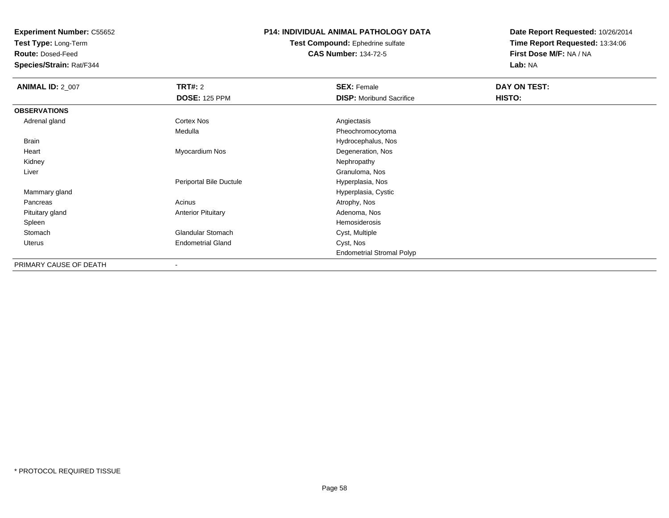**Test Type:** Long-Term

**Route:** Dosed-Feed

**Species/Strain:** Rat/F344

#### **P14: INDIVIDUAL ANIMAL PATHOLOGY DATA**

#### **Test Compound:** Ephedrine sulfate**CAS Number:** 134-72-5

| <b>ANIMAL ID: 2_007</b> | <b>TRT#: 2</b>            | <b>SEX: Female</b>               | DAY ON TEST: |  |
|-------------------------|---------------------------|----------------------------------|--------------|--|
|                         | <b>DOSE: 125 PPM</b>      | <b>DISP:</b> Moribund Sacrifice  | HISTO:       |  |
| <b>OBSERVATIONS</b>     |                           |                                  |              |  |
| Adrenal gland           | Cortex Nos                | Angiectasis                      |              |  |
|                         | Medulla                   | Pheochromocytoma                 |              |  |
| <b>Brain</b>            |                           | Hydrocephalus, Nos               |              |  |
| Heart                   | Myocardium Nos            | Degeneration, Nos                |              |  |
| Kidney                  |                           | Nephropathy                      |              |  |
| Liver                   |                           | Granuloma, Nos                   |              |  |
|                         | Periportal Bile Ductule   | Hyperplasia, Nos                 |              |  |
| Mammary gland           |                           | Hyperplasia, Cystic              |              |  |
| Pancreas                | Acinus                    | Atrophy, Nos                     |              |  |
| Pituitary gland         | <b>Anterior Pituitary</b> | Adenoma, Nos                     |              |  |
| Spleen                  |                           | Hemosiderosis                    |              |  |
| Stomach                 | Glandular Stomach         | Cyst, Multiple                   |              |  |
| Uterus                  | <b>Endometrial Gland</b>  | Cyst, Nos                        |              |  |
|                         |                           | <b>Endometrial Stromal Polyp</b> |              |  |
| PRIMARY CAUSE OF DEATH  | $\overline{\phantom{a}}$  |                                  |              |  |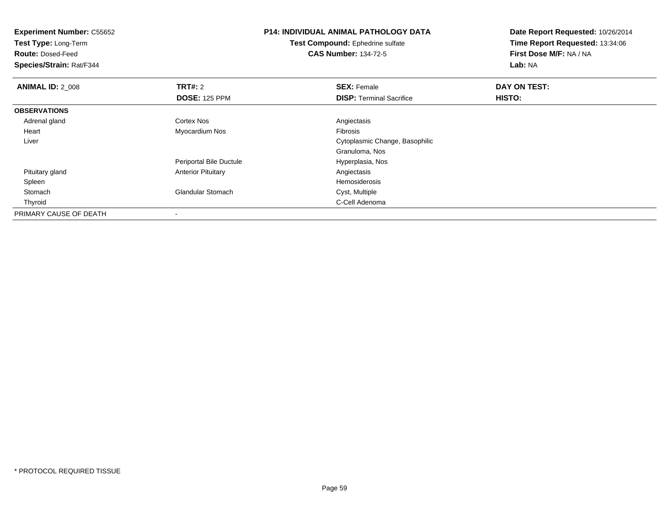| <b>Experiment Number: C55652</b><br>Test Type: Long-Term<br><b>Route: Dosed-Feed</b><br>Species/Strain: Rat/F344 | <b>P14: INDIVIDUAL ANIMAL PATHOLOGY DATA</b><br>Test Compound: Ephedrine sulfate<br><b>CAS Number: 134-72-5</b> |                                                       | Date Report Requested: 10/26/2014<br>Time Report Requested: 13:34:06<br>First Dose M/F: NA / NA<br>Lab: NA |
|------------------------------------------------------------------------------------------------------------------|-----------------------------------------------------------------------------------------------------------------|-------------------------------------------------------|------------------------------------------------------------------------------------------------------------|
| <b>ANIMAL ID: 2_008</b>                                                                                          | <b>TRT#:</b> 2<br><b>DOSE: 125 PPM</b>                                                                          | <b>SEX: Female</b><br><b>DISP: Terminal Sacrifice</b> | DAY ON TEST:<br>HISTO:                                                                                     |
| <b>OBSERVATIONS</b>                                                                                              |                                                                                                                 |                                                       |                                                                                                            |
| Adrenal gland                                                                                                    | Cortex Nos                                                                                                      | Angiectasis                                           |                                                                                                            |
| Heart                                                                                                            | Myocardium Nos                                                                                                  | <b>Fibrosis</b>                                       |                                                                                                            |
| Liver                                                                                                            |                                                                                                                 | Cytoplasmic Change, Basophilic                        |                                                                                                            |
|                                                                                                                  |                                                                                                                 | Granuloma, Nos                                        |                                                                                                            |
|                                                                                                                  | Periportal Bile Ductule                                                                                         | Hyperplasia, Nos                                      |                                                                                                            |
| Pituitary gland                                                                                                  | <b>Anterior Pituitary</b>                                                                                       | Angiectasis                                           |                                                                                                            |
| Spleen                                                                                                           |                                                                                                                 | Hemosiderosis                                         |                                                                                                            |
| Stomach                                                                                                          | Glandular Stomach                                                                                               | Cyst, Multiple                                        |                                                                                                            |
| Thyroid                                                                                                          |                                                                                                                 | C-Cell Adenoma                                        |                                                                                                            |
| PRIMARY CAUSE OF DEATH                                                                                           |                                                                                                                 |                                                       |                                                                                                            |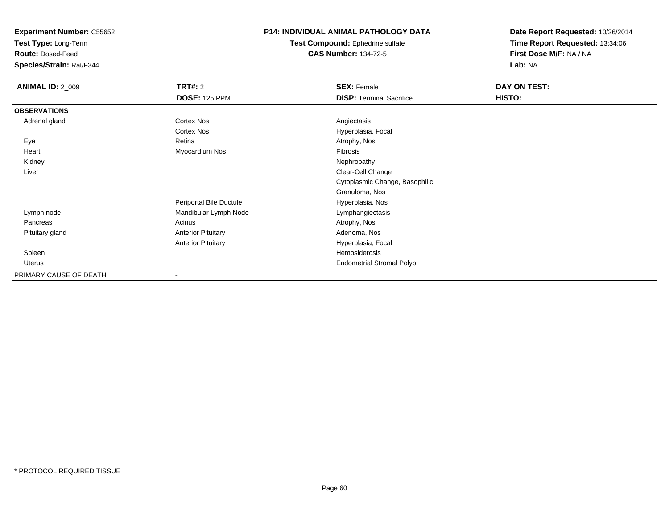**Test Type:** Long-Term

**Route:** Dosed-Feed

**Species/Strain:** Rat/F344

#### **P14: INDIVIDUAL ANIMAL PATHOLOGY DATA**

**Test Compound:** Ephedrine sulfate**CAS Number:** 134-72-5

| <b>ANIMAL ID: 2_009</b> | TRT#: 2                   | <b>SEX: Female</b>               | DAY ON TEST: |
|-------------------------|---------------------------|----------------------------------|--------------|
|                         | <b>DOSE: 125 PPM</b>      | <b>DISP: Terminal Sacrifice</b>  | HISTO:       |
| <b>OBSERVATIONS</b>     |                           |                                  |              |
| Adrenal gland           | <b>Cortex Nos</b>         | Angiectasis                      |              |
|                         | <b>Cortex Nos</b>         | Hyperplasia, Focal               |              |
| Eye                     | Retina                    | Atrophy, Nos                     |              |
| Heart                   | Myocardium Nos            | Fibrosis                         |              |
| Kidney                  |                           | Nephropathy                      |              |
| Liver                   |                           | Clear-Cell Change                |              |
|                         |                           | Cytoplasmic Change, Basophilic   |              |
|                         |                           | Granuloma, Nos                   |              |
|                         | Periportal Bile Ductule   | Hyperplasia, Nos                 |              |
| Lymph node              | Mandibular Lymph Node     | Lymphangiectasis                 |              |
| Pancreas                | Acinus                    | Atrophy, Nos                     |              |
| Pituitary gland         | <b>Anterior Pituitary</b> | Adenoma, Nos                     |              |
|                         | <b>Anterior Pituitary</b> | Hyperplasia, Focal               |              |
| Spleen                  |                           | Hemosiderosis                    |              |
| Uterus                  |                           | <b>Endometrial Stromal Polyp</b> |              |
| PRIMARY CAUSE OF DEATH  | $\overline{\phantom{a}}$  |                                  |              |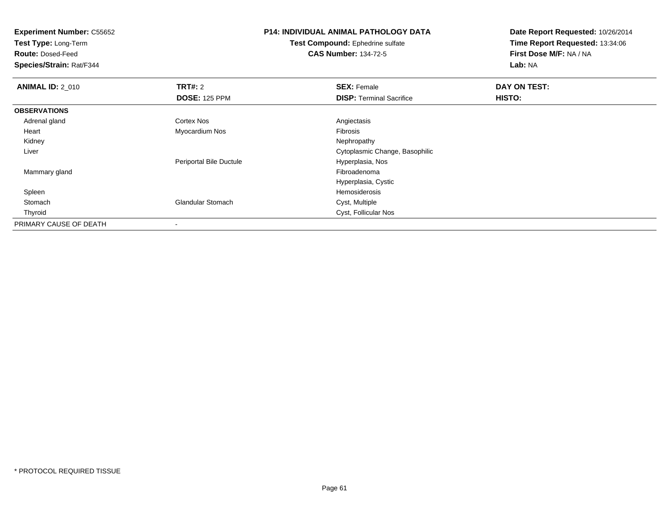**Test Type:** Long-Term

**Route:** Dosed-Feed

**Species/Strain:** Rat/F344

# **P14: INDIVIDUAL ANIMAL PATHOLOGY DATA**

**Test Compound:** Ephedrine sulfate**CAS Number:** 134-72-5

| <b>ANIMAL ID: 2_010</b> | <b>TRT#: 2</b>           | <b>SEX: Female</b>              | DAY ON TEST: |  |
|-------------------------|--------------------------|---------------------------------|--------------|--|
|                         | <b>DOSE: 125 PPM</b>     | <b>DISP: Terminal Sacrifice</b> | HISTO:       |  |
| <b>OBSERVATIONS</b>     |                          |                                 |              |  |
| Adrenal gland           | Cortex Nos               | Angiectasis                     |              |  |
| Heart                   | Myocardium Nos           | <b>Fibrosis</b>                 |              |  |
| Kidney                  |                          | Nephropathy                     |              |  |
| Liver                   |                          | Cytoplasmic Change, Basophilic  |              |  |
|                         | Periportal Bile Ductule  | Hyperplasia, Nos                |              |  |
| Mammary gland           |                          | Fibroadenoma                    |              |  |
|                         |                          | Hyperplasia, Cystic             |              |  |
| Spleen                  |                          | Hemosiderosis                   |              |  |
| Stomach                 | <b>Glandular Stomach</b> | Cyst, Multiple                  |              |  |
| Thyroid                 |                          | Cyst, Follicular Nos            |              |  |
| PRIMARY CAUSE OF DEATH  |                          |                                 |              |  |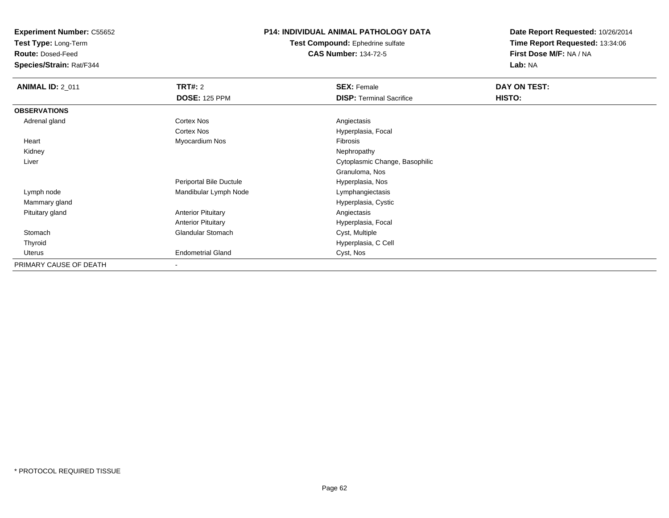**Test Type:** Long-Term

**Route:** Dosed-Feed

**Species/Strain:** Rat/F344

#### **P14: INDIVIDUAL ANIMAL PATHOLOGY DATA**

**Test Compound:** Ephedrine sulfate**CAS Number:** 134-72-5

| <b>ANIMAL ID: 2_011</b> | <b>TRT#: 2</b>            | <b>SEX: Female</b>              | DAY ON TEST: |  |
|-------------------------|---------------------------|---------------------------------|--------------|--|
|                         | <b>DOSE: 125 PPM</b>      | <b>DISP: Terminal Sacrifice</b> | HISTO:       |  |
| <b>OBSERVATIONS</b>     |                           |                                 |              |  |
| Adrenal gland           | Cortex Nos                | Angiectasis                     |              |  |
|                         | Cortex Nos                | Hyperplasia, Focal              |              |  |
| Heart                   | Myocardium Nos            | Fibrosis                        |              |  |
| Kidney                  |                           | Nephropathy                     |              |  |
| Liver                   |                           | Cytoplasmic Change, Basophilic  |              |  |
|                         |                           | Granuloma, Nos                  |              |  |
|                         | Periportal Bile Ductule   | Hyperplasia, Nos                |              |  |
| Lymph node              | Mandibular Lymph Node     | Lymphangiectasis                |              |  |
| Mammary gland           |                           | Hyperplasia, Cystic             |              |  |
| Pituitary gland         | <b>Anterior Pituitary</b> | Angiectasis                     |              |  |
|                         | <b>Anterior Pituitary</b> | Hyperplasia, Focal              |              |  |
| Stomach                 | Glandular Stomach         | Cyst, Multiple                  |              |  |
| Thyroid                 |                           | Hyperplasia, C Cell             |              |  |
| <b>Uterus</b>           | <b>Endometrial Gland</b>  | Cyst, Nos                       |              |  |
| PRIMARY CAUSE OF DEATH  | -                         |                                 |              |  |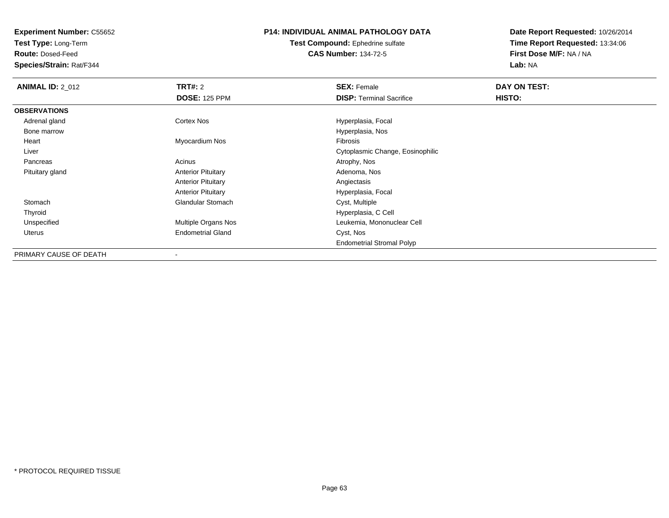**Test Type:** Long-Term

**Route:** Dosed-Feed

**Species/Strain:** Rat/F344

## **P14: INDIVIDUAL ANIMAL PATHOLOGY DATA**

**Test Compound:** Ephedrine sulfate**CAS Number:** 134-72-5

| <b>ANIMAL ID: 2_012</b> | <b>TRT#: 2</b>            | <b>SEX: Female</b>               | DAY ON TEST: |  |
|-------------------------|---------------------------|----------------------------------|--------------|--|
|                         | <b>DOSE: 125 PPM</b>      | <b>DISP: Terminal Sacrifice</b>  | HISTO:       |  |
| <b>OBSERVATIONS</b>     |                           |                                  |              |  |
| Adrenal gland           | <b>Cortex Nos</b>         | Hyperplasia, Focal               |              |  |
| Bone marrow             |                           | Hyperplasia, Nos                 |              |  |
| Heart                   | Myocardium Nos            | Fibrosis                         |              |  |
| Liver                   |                           | Cytoplasmic Change, Eosinophilic |              |  |
| Pancreas                | Acinus                    | Atrophy, Nos                     |              |  |
| Pituitary gland         | <b>Anterior Pituitary</b> | Adenoma, Nos                     |              |  |
|                         | <b>Anterior Pituitary</b> | Angiectasis                      |              |  |
|                         | <b>Anterior Pituitary</b> | Hyperplasia, Focal               |              |  |
| Stomach                 | <b>Glandular Stomach</b>  | Cyst, Multiple                   |              |  |
| Thyroid                 |                           | Hyperplasia, C Cell              |              |  |
| Unspecified             | Multiple Organs Nos       | Leukemia, Mononuclear Cell       |              |  |
| Uterus                  | <b>Endometrial Gland</b>  | Cyst, Nos                        |              |  |
|                         |                           | <b>Endometrial Stromal Polyp</b> |              |  |
| PRIMARY CAUSE OF DEATH  |                           |                                  |              |  |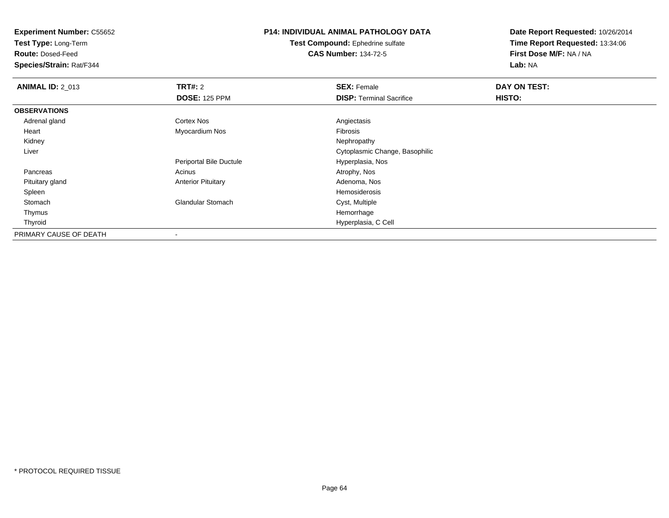**Test Type:** Long-Term

**Route:** Dosed-Feed

**Species/Strain:** Rat/F344

# **P14: INDIVIDUAL ANIMAL PATHOLOGY DATA**

**Test Compound:** Ephedrine sulfate**CAS Number:** 134-72-5

| <b>ANIMAL ID: 2 013</b> | <b>TRT#: 2</b>            | <b>SEX: Female</b>              | DAY ON TEST: |
|-------------------------|---------------------------|---------------------------------|--------------|
|                         | <b>DOSE: 125 PPM</b>      | <b>DISP: Terminal Sacrifice</b> | HISTO:       |
| <b>OBSERVATIONS</b>     |                           |                                 |              |
| Adrenal gland           | Cortex Nos                | Angiectasis                     |              |
| Heart                   | Myocardium Nos            | Fibrosis                        |              |
| Kidney                  |                           | Nephropathy                     |              |
| Liver                   |                           | Cytoplasmic Change, Basophilic  |              |
|                         | Periportal Bile Ductule   | Hyperplasia, Nos                |              |
| Pancreas                | Acinus                    | Atrophy, Nos                    |              |
| Pituitary gland         | <b>Anterior Pituitary</b> | Adenoma, Nos                    |              |
| Spleen                  |                           | Hemosiderosis                   |              |
| Stomach                 | <b>Glandular Stomach</b>  | Cyst, Multiple                  |              |
| Thymus                  |                           | Hemorrhage                      |              |
| Thyroid                 |                           | Hyperplasia, C Cell             |              |
| PRIMARY CAUSE OF DEATH  | $\,$ $\,$                 |                                 |              |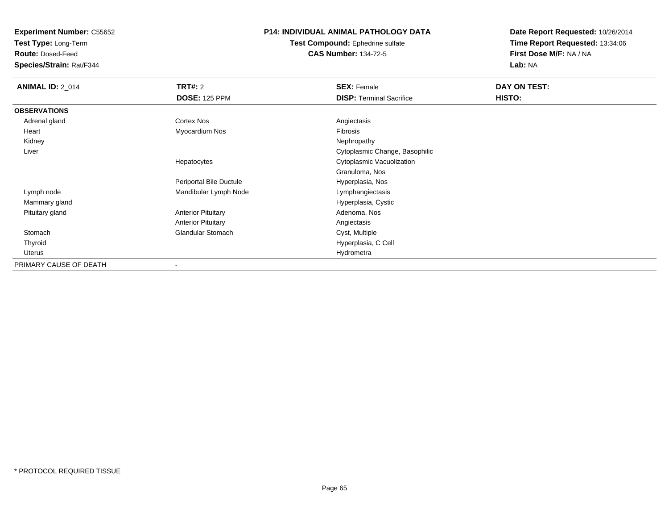**Test Type:** Long-Term

**Route:** Dosed-Feed

**Species/Strain:** Rat/F344

## **P14: INDIVIDUAL ANIMAL PATHOLOGY DATA**

**Test Compound:** Ephedrine sulfate**CAS Number:** 134-72-5

| <b>ANIMAL ID: 2 014</b> | <b>TRT#: 2</b>            | <b>SEX: Female</b>              | DAY ON TEST: |  |
|-------------------------|---------------------------|---------------------------------|--------------|--|
|                         | <b>DOSE: 125 PPM</b>      | <b>DISP: Terminal Sacrifice</b> | HISTO:       |  |
| <b>OBSERVATIONS</b>     |                           |                                 |              |  |
| Adrenal gland           | <b>Cortex Nos</b>         | Angiectasis                     |              |  |
| Heart                   | Myocardium Nos            | Fibrosis                        |              |  |
| Kidney                  |                           | Nephropathy                     |              |  |
| Liver                   |                           | Cytoplasmic Change, Basophilic  |              |  |
|                         | Hepatocytes               | Cytoplasmic Vacuolization       |              |  |
|                         |                           | Granuloma, Nos                  |              |  |
|                         | Periportal Bile Ductule   | Hyperplasia, Nos                |              |  |
| Lymph node              | Mandibular Lymph Node     | Lymphangiectasis                |              |  |
| Mammary gland           |                           | Hyperplasia, Cystic             |              |  |
| Pituitary gland         | <b>Anterior Pituitary</b> | Adenoma, Nos                    |              |  |
|                         | <b>Anterior Pituitary</b> | Angiectasis                     |              |  |
| Stomach                 | <b>Glandular Stomach</b>  | Cyst, Multiple                  |              |  |
| Thyroid                 |                           | Hyperplasia, C Cell             |              |  |
| Uterus                  |                           | Hydrometra                      |              |  |
| PRIMARY CAUSE OF DEATH  | $\blacksquare$            |                                 |              |  |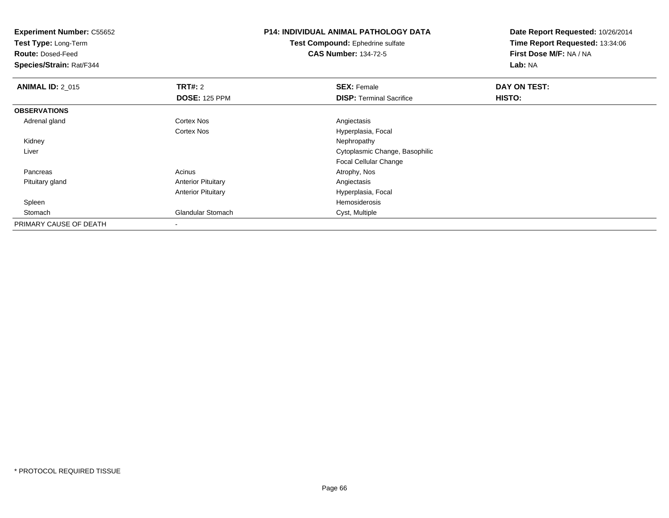**Experiment Number:** C55652**Test Type:** Long-Term**Route:** Dosed-Feed **Species/Strain:** Rat/F344**P14: INDIVIDUAL ANIMAL PATHOLOGY DATATest Compound:** Ephedrine sulfate**CAS Number:** 134-72-5**Date Report Requested:** 10/26/2014**Time Report Requested:** 13:34:06**First Dose M/F:** NA / NA**Lab:** NA**ANIMAL ID: 2 015 TRT#:** 2 **SEX:** Female **DAY ON TEST: DOSE:** 125 PPM**DISP:** Terminal Sacrifice **HISTO: OBSERVATIONS** Adrenal glandd and the Cortex Nos and the Cortex Nos and the Angiectasis Cortex NosHyperplasia, Focal<br>Nephropathy Kidneyy the control of the control of the control of the control of the control of the control of the control of the control of the control of the control of the control of the control of the control of the control of the contro Liver Cytoplasmic Change, BasophilicFocal Cellular Change Pancreass and the contract of the contract of the contract of the contract of the contract  $\mathsf{A}$  at  $\mathsf{A}$  and  $\mathsf{A}$  and  $\mathsf{A}$  and  $\mathsf{A}$  and  $\mathsf{A}$  are contract of  $\mathsf{A}$  and  $\mathsf{A}$  and  $\mathsf{A}$  are contract of Pituitary glandAnterior Pituitary **Anterior Pituitary Angiectasis** Anterior Pituitary Hyperplasia, Focal Spleenn and the state of the state of the state of the state of the state of the state of the state of the state of the state of the state of the state of the state of the state of the state of the state of the state of the stat StomachGlandular Stomach Cyst, Multiple PRIMARY CAUSE OF DEATH-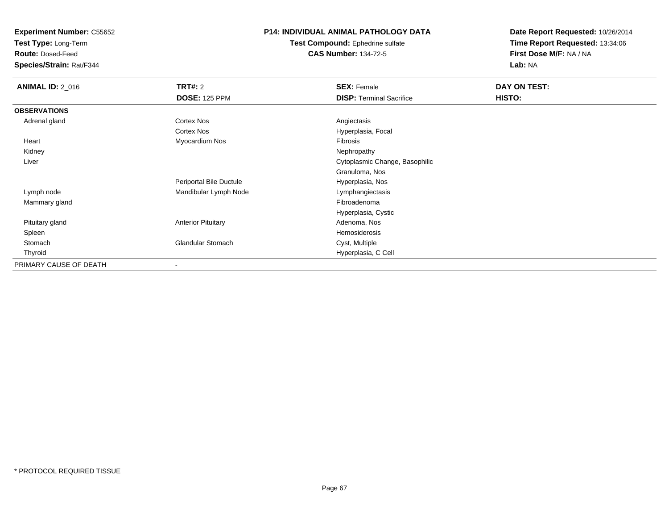**Test Type:** Long-Term

**Route:** Dosed-Feed

**Species/Strain:** Rat/F344

#### **P14: INDIVIDUAL ANIMAL PATHOLOGY DATA**

**Test Compound:** Ephedrine sulfate**CAS Number:** 134-72-5

| <b>ANIMAL ID: 2_016</b> | <b>TRT#:</b> 2            | <b>SEX: Female</b>              | DAY ON TEST: |  |
|-------------------------|---------------------------|---------------------------------|--------------|--|
|                         | <b>DOSE: 125 PPM</b>      | <b>DISP: Terminal Sacrifice</b> | HISTO:       |  |
| <b>OBSERVATIONS</b>     |                           |                                 |              |  |
| Adrenal gland           | Cortex Nos                | Angiectasis                     |              |  |
|                         | Cortex Nos                | Hyperplasia, Focal              |              |  |
| Heart                   | Myocardium Nos            | Fibrosis                        |              |  |
| Kidney                  |                           | Nephropathy                     |              |  |
| Liver                   |                           | Cytoplasmic Change, Basophilic  |              |  |
|                         |                           | Granuloma, Nos                  |              |  |
|                         | Periportal Bile Ductule   | Hyperplasia, Nos                |              |  |
| Lymph node              | Mandibular Lymph Node     | Lymphangiectasis                |              |  |
| Mammary gland           |                           | Fibroadenoma                    |              |  |
|                         |                           | Hyperplasia, Cystic             |              |  |
| Pituitary gland         | <b>Anterior Pituitary</b> | Adenoma, Nos                    |              |  |
| Spleen                  |                           | Hemosiderosis                   |              |  |
| Stomach                 | <b>Glandular Stomach</b>  | Cyst, Multiple                  |              |  |
| Thyroid                 |                           | Hyperplasia, C Cell             |              |  |
| PRIMARY CAUSE OF DEATH  | $\blacksquare$            |                                 |              |  |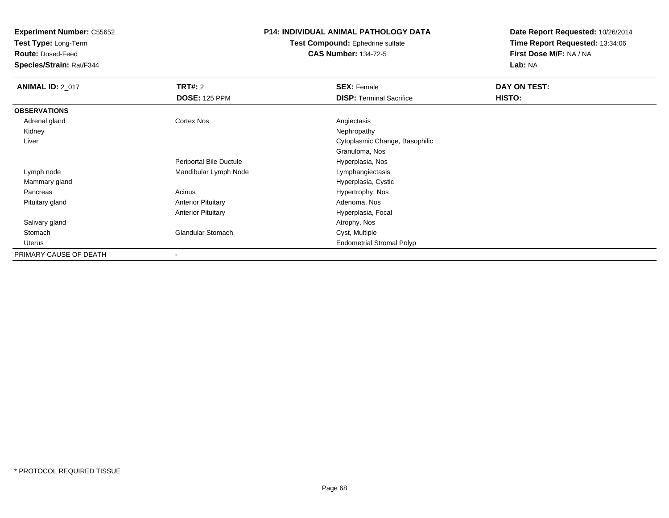**Test Type:** Long-Term

**Route:** Dosed-Feed

**Species/Strain:** Rat/F344

## **P14: INDIVIDUAL ANIMAL PATHOLOGY DATA**

**Test Compound:** Ephedrine sulfate**CAS Number:** 134-72-5

| <b>ANIMAL ID: 2_017</b> | <b>TRT#: 2</b>            | <b>SEX: Female</b>               | DAY ON TEST: |
|-------------------------|---------------------------|----------------------------------|--------------|
|                         | <b>DOSE: 125 PPM</b>      | <b>DISP: Terminal Sacrifice</b>  | HISTO:       |
| <b>OBSERVATIONS</b>     |                           |                                  |              |
| Adrenal gland           | Cortex Nos                | Angiectasis                      |              |
| Kidney                  |                           | Nephropathy                      |              |
| Liver                   |                           | Cytoplasmic Change, Basophilic   |              |
|                         |                           | Granuloma, Nos                   |              |
|                         | Periportal Bile Ductule   | Hyperplasia, Nos                 |              |
| Lymph node              | Mandibular Lymph Node     | Lymphangiectasis                 |              |
| Mammary gland           |                           | Hyperplasia, Cystic              |              |
| Pancreas                | Acinus                    | Hypertrophy, Nos                 |              |
| Pituitary gland         | <b>Anterior Pituitary</b> | Adenoma, Nos                     |              |
|                         | <b>Anterior Pituitary</b> | Hyperplasia, Focal               |              |
| Salivary gland          |                           | Atrophy, Nos                     |              |
| Stomach                 | <b>Glandular Stomach</b>  | Cyst, Multiple                   |              |
| Uterus                  |                           | <b>Endometrial Stromal Polyp</b> |              |
| PRIMARY CAUSE OF DEATH  | $\,$                      |                                  |              |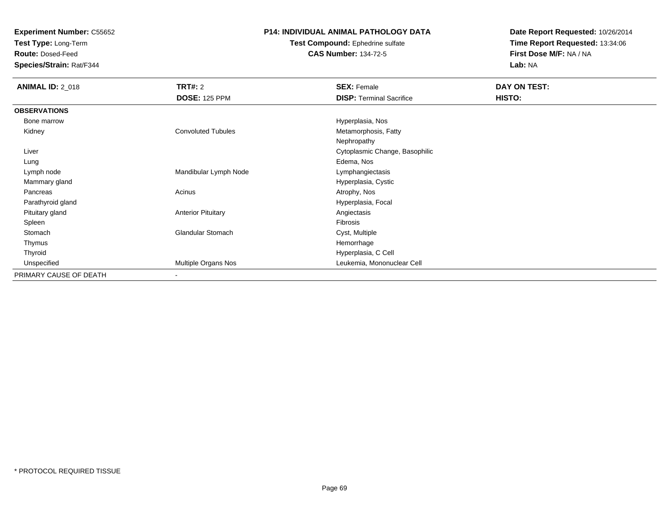**Test Type:** Long-Term

**Route:** Dosed-Feed

**Species/Strain:** Rat/F344

#### **P14: INDIVIDUAL ANIMAL PATHOLOGY DATA**

#### **Test Compound:** Ephedrine sulfate**CAS Number:** 134-72-5

| <b>ANIMAL ID: 2_018</b> | <b>TRT#:</b> 2            | <b>SEX: Female</b>              | DAY ON TEST: |  |
|-------------------------|---------------------------|---------------------------------|--------------|--|
|                         | <b>DOSE: 125 PPM</b>      | <b>DISP: Terminal Sacrifice</b> | HISTO:       |  |
| <b>OBSERVATIONS</b>     |                           |                                 |              |  |
| Bone marrow             |                           | Hyperplasia, Nos                |              |  |
| Kidney                  | <b>Convoluted Tubules</b> | Metamorphosis, Fatty            |              |  |
|                         |                           | Nephropathy                     |              |  |
| Liver                   |                           | Cytoplasmic Change, Basophilic  |              |  |
| Lung                    |                           | Edema, Nos                      |              |  |
| Lymph node              | Mandibular Lymph Node     | Lymphangiectasis                |              |  |
| Mammary gland           |                           | Hyperplasia, Cystic             |              |  |
| Pancreas                | Acinus                    | Atrophy, Nos                    |              |  |
| Parathyroid gland       |                           | Hyperplasia, Focal              |              |  |
| Pituitary gland         | <b>Anterior Pituitary</b> | Angiectasis                     |              |  |
| Spleen                  |                           | Fibrosis                        |              |  |
| Stomach                 | <b>Glandular Stomach</b>  | Cyst, Multiple                  |              |  |
| Thymus                  |                           | Hemorrhage                      |              |  |
| Thyroid                 |                           | Hyperplasia, C Cell             |              |  |
| Unspecified             | Multiple Organs Nos       | Leukemia, Mononuclear Cell      |              |  |
| PRIMARY CAUSE OF DEATH  |                           |                                 |              |  |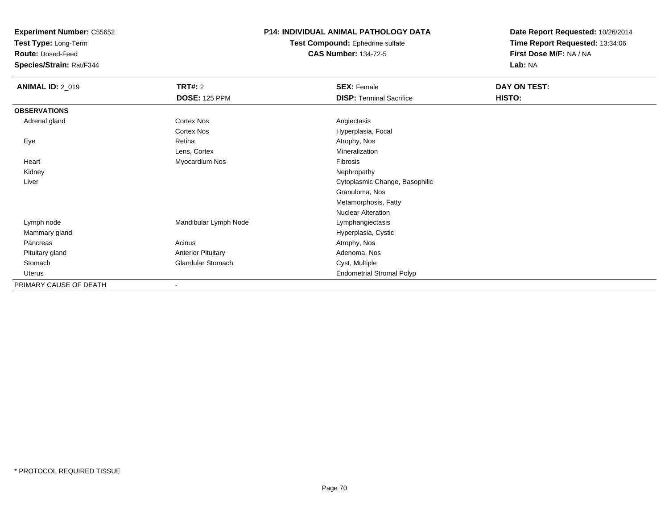**Test Type:** Long-Term

**Route:** Dosed-Feed

**Species/Strain:** Rat/F344

#### **P14: INDIVIDUAL ANIMAL PATHOLOGY DATA**

**Test Compound:** Ephedrine sulfate**CAS Number:** 134-72-5

| <b>ANIMAL ID: 2_019</b> | <b>TRT#: 2</b>            | <b>SEX: Female</b>               | DAY ON TEST: |
|-------------------------|---------------------------|----------------------------------|--------------|
|                         | <b>DOSE: 125 PPM</b>      | <b>DISP: Terminal Sacrifice</b>  | HISTO:       |
| <b>OBSERVATIONS</b>     |                           |                                  |              |
| Adrenal gland           | Cortex Nos                | Angiectasis                      |              |
|                         | Cortex Nos                | Hyperplasia, Focal               |              |
| Eye                     | Retina                    | Atrophy, Nos                     |              |
|                         | Lens, Cortex              | Mineralization                   |              |
| Heart                   | Myocardium Nos            | Fibrosis                         |              |
| Kidney                  |                           | Nephropathy                      |              |
| Liver                   |                           | Cytoplasmic Change, Basophilic   |              |
|                         |                           | Granuloma, Nos                   |              |
|                         |                           | Metamorphosis, Fatty             |              |
|                         |                           | <b>Nuclear Alteration</b>        |              |
| Lymph node              | Mandibular Lymph Node     | Lymphangiectasis                 |              |
| Mammary gland           |                           | Hyperplasia, Cystic              |              |
| Pancreas                | Acinus                    | Atrophy, Nos                     |              |
| Pituitary gland         | <b>Anterior Pituitary</b> | Adenoma, Nos                     |              |
| Stomach                 | <b>Glandular Stomach</b>  | Cyst, Multiple                   |              |
| Uterus                  |                           | <b>Endometrial Stromal Polyp</b> |              |
| PRIMARY CAUSE OF DEATH  | $\blacksquare$            |                                  |              |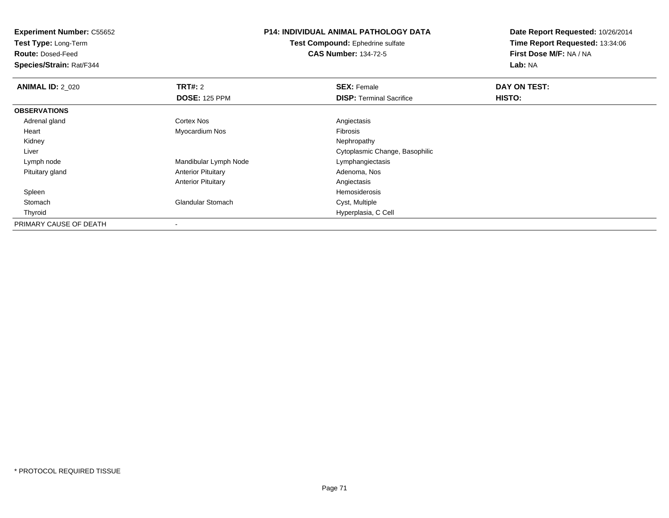**Test Type:** Long-Term

**Route:** Dosed-Feed

**Species/Strain:** Rat/F344

# **P14: INDIVIDUAL ANIMAL PATHOLOGY DATA**

**Test Compound:** Ephedrine sulfate**CAS Number:** 134-72-5

| <b>ANIMAL ID: 2 020</b> | <b>TRT#: 2</b>            | <b>SEX: Female</b>              | DAY ON TEST: |  |
|-------------------------|---------------------------|---------------------------------|--------------|--|
|                         | <b>DOSE: 125 PPM</b>      | <b>DISP: Terminal Sacrifice</b> | HISTO:       |  |
| <b>OBSERVATIONS</b>     |                           |                                 |              |  |
| Adrenal gland           | <b>Cortex Nos</b>         | Angiectasis                     |              |  |
| Heart                   | Myocardium Nos            | Fibrosis                        |              |  |
| Kidney                  |                           | Nephropathy                     |              |  |
| Liver                   |                           | Cytoplasmic Change, Basophilic  |              |  |
| Lymph node              | Mandibular Lymph Node     | Lymphangiectasis                |              |  |
| Pituitary gland         | <b>Anterior Pituitary</b> | Adenoma, Nos                    |              |  |
|                         | <b>Anterior Pituitary</b> | Angiectasis                     |              |  |
| Spleen                  |                           | Hemosiderosis                   |              |  |
| Stomach                 | <b>Glandular Stomach</b>  | Cyst, Multiple                  |              |  |
| Thyroid                 |                           | Hyperplasia, C Cell             |              |  |
| PRIMARY CAUSE OF DEATH  |                           |                                 |              |  |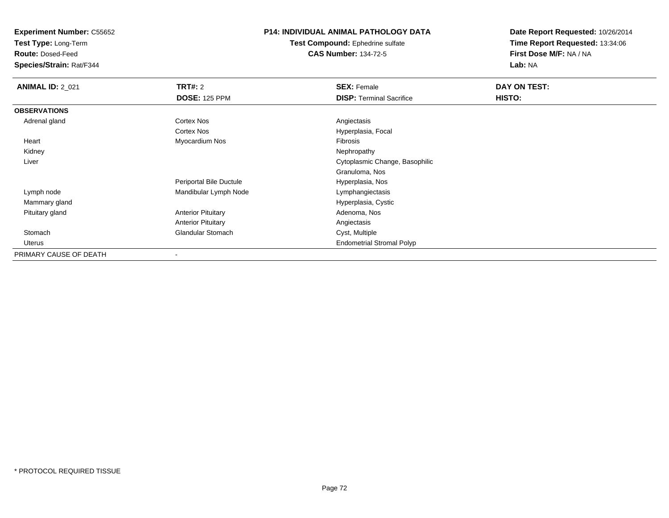**Test Type:** Long-Term

**Route:** Dosed-Feed

**Species/Strain:** Rat/F344

#### **P14: INDIVIDUAL ANIMAL PATHOLOGY DATA**

**Test Compound:** Ephedrine sulfate**CAS Number:** 134-72-5

| <b>ANIMAL ID: 2_021</b> | TRT#: 2                   | <b>SEX: Female</b>               | DAY ON TEST: |
|-------------------------|---------------------------|----------------------------------|--------------|
|                         | <b>DOSE: 125 PPM</b>      | <b>DISP:</b> Terminal Sacrifice  | HISTO:       |
| <b>OBSERVATIONS</b>     |                           |                                  |              |
| Adrenal gland           | Cortex Nos                | Angiectasis                      |              |
|                         | <b>Cortex Nos</b>         | Hyperplasia, Focal               |              |
| Heart                   | Myocardium Nos            | Fibrosis                         |              |
| Kidney                  |                           | Nephropathy                      |              |
| Liver                   |                           | Cytoplasmic Change, Basophilic   |              |
|                         |                           | Granuloma, Nos                   |              |
|                         | Periportal Bile Ductule   | Hyperplasia, Nos                 |              |
| Lymph node              | Mandibular Lymph Node     | Lymphangiectasis                 |              |
| Mammary gland           |                           | Hyperplasia, Cystic              |              |
| Pituitary gland         | <b>Anterior Pituitary</b> | Adenoma, Nos                     |              |
|                         | <b>Anterior Pituitary</b> | Angiectasis                      |              |
| Stomach                 | <b>Glandular Stomach</b>  | Cyst, Multiple                   |              |
| Uterus                  |                           | <b>Endometrial Stromal Polyp</b> |              |
| PRIMARY CAUSE OF DEATH  |                           |                                  |              |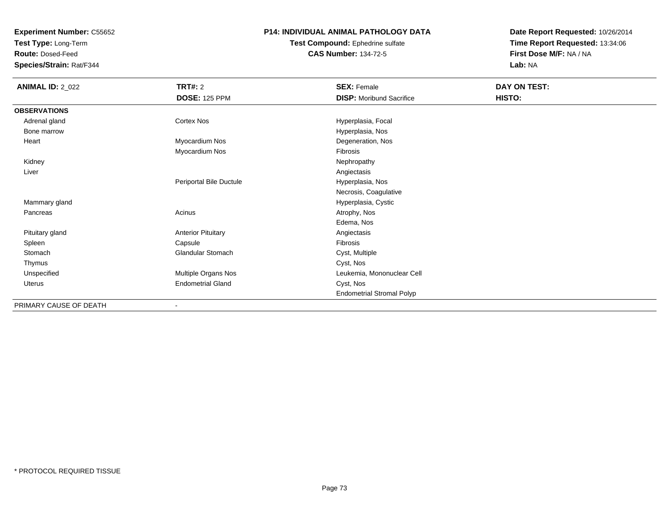**Test Type:** Long-Term

**Route:** Dosed-Feed

**Species/Strain:** Rat/F344

### **P14: INDIVIDUAL ANIMAL PATHOLOGY DATA**

**Test Compound:** Ephedrine sulfate**CAS Number:** 134-72-5

**Date Report Requested:** 10/26/2014**Time Report Requested:** 13:34:06**First Dose M/F:** NA / NA**Lab:** NA

| <b>ANIMAL ID: 2_022</b> | <b>TRT#: 2</b>            | <b>SEX: Female</b>               | DAY ON TEST: |  |
|-------------------------|---------------------------|----------------------------------|--------------|--|
|                         | <b>DOSE: 125 PPM</b>      | <b>DISP:</b> Moribund Sacrifice  | HISTO:       |  |
| <b>OBSERVATIONS</b>     |                           |                                  |              |  |
| Adrenal gland           | Cortex Nos                | Hyperplasia, Focal               |              |  |
| Bone marrow             |                           | Hyperplasia, Nos                 |              |  |
| Heart                   | Myocardium Nos            | Degeneration, Nos                |              |  |
|                         | Myocardium Nos            | Fibrosis                         |              |  |
| Kidney                  |                           | Nephropathy                      |              |  |
| Liver                   |                           | Angiectasis                      |              |  |
|                         | Periportal Bile Ductule   | Hyperplasia, Nos                 |              |  |
|                         |                           | Necrosis, Coagulative            |              |  |
| Mammary gland           |                           | Hyperplasia, Cystic              |              |  |
| Pancreas                | Acinus                    | Atrophy, Nos                     |              |  |
|                         |                           | Edema, Nos                       |              |  |
| Pituitary gland         | <b>Anterior Pituitary</b> | Angiectasis                      |              |  |
| Spleen                  | Capsule                   | Fibrosis                         |              |  |
| Stomach                 | Glandular Stomach         | Cyst, Multiple                   |              |  |
| Thymus                  |                           | Cyst, Nos                        |              |  |
| Unspecified             | Multiple Organs Nos       | Leukemia, Mononuclear Cell       |              |  |
| Uterus                  | <b>Endometrial Gland</b>  | Cyst, Nos                        |              |  |
|                         |                           | <b>Endometrial Stromal Polyp</b> |              |  |
| PRIMARY CAUSE OF DEATH  | ٠                         |                                  |              |  |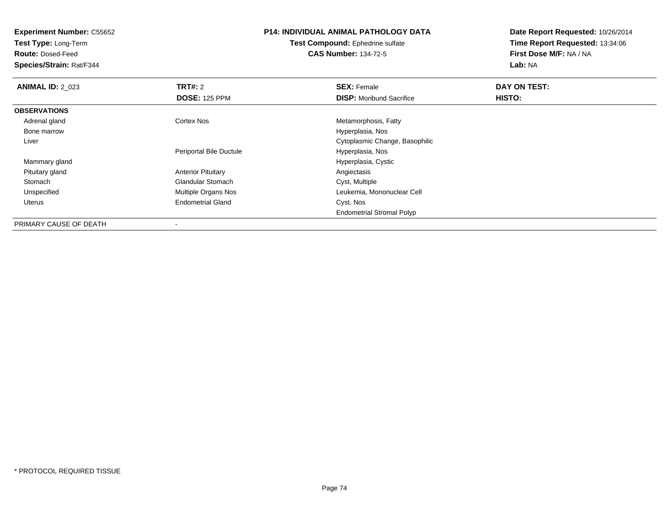**Test Type:** Long-Term

**Route:** Dosed-Feed

**Species/Strain:** Rat/F344

# **P14: INDIVIDUAL ANIMAL PATHOLOGY DATA**

**Test Compound:** Ephedrine sulfate**CAS Number:** 134-72-5

| <b>ANIMAL ID: 2_023</b> | TRT#: 2                   | <b>SEX: Female</b>               | DAY ON TEST: |  |
|-------------------------|---------------------------|----------------------------------|--------------|--|
|                         | <b>DOSE: 125 PPM</b>      | <b>DISP:</b> Moribund Sacrifice  | HISTO:       |  |
| <b>OBSERVATIONS</b>     |                           |                                  |              |  |
| Adrenal gland           | <b>Cortex Nos</b>         | Metamorphosis, Fatty             |              |  |
| Bone marrow             |                           | Hyperplasia, Nos                 |              |  |
| Liver                   |                           | Cytoplasmic Change, Basophilic   |              |  |
|                         | Periportal Bile Ductule   | Hyperplasia, Nos                 |              |  |
| Mammary gland           |                           | Hyperplasia, Cystic              |              |  |
| Pituitary gland         | <b>Anterior Pituitary</b> | Angiectasis                      |              |  |
| Stomach                 | <b>Glandular Stomach</b>  | Cyst, Multiple                   |              |  |
| Unspecified             | Multiple Organs Nos       | Leukemia, Mononuclear Cell       |              |  |
| Uterus                  | <b>Endometrial Gland</b>  | Cyst, Nos                        |              |  |
|                         |                           | <b>Endometrial Stromal Polyp</b> |              |  |
| PRIMARY CAUSE OF DEATH  | $\,$                      |                                  |              |  |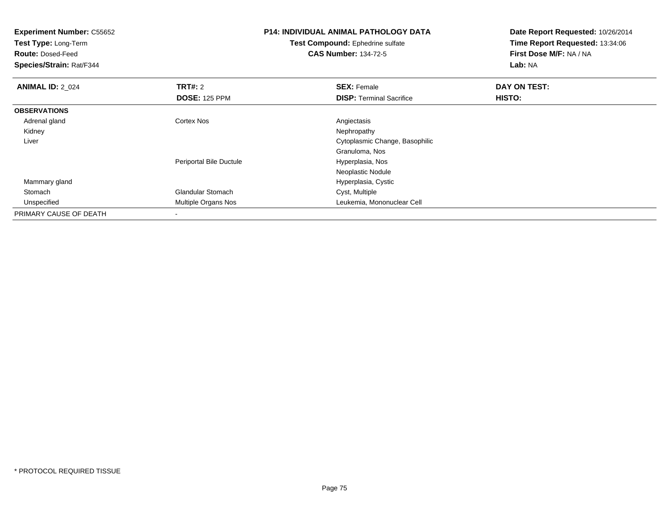| <b>Experiment Number: C55652</b><br>Test Type: Long-Term<br><b>Route: Dosed-Feed</b><br>Species/Strain: Rat/F344 |                          | <b>P14: INDIVIDUAL ANIMAL PATHOLOGY DATA</b><br><b>Test Compound:</b> Ephedrine sulfate<br><b>CAS Number: 134-72-5</b> | Date Report Requested: 10/26/2014<br>Time Report Requested: 13:34:06<br>First Dose M/F: NA / NA<br>Lab: NA |
|------------------------------------------------------------------------------------------------------------------|--------------------------|------------------------------------------------------------------------------------------------------------------------|------------------------------------------------------------------------------------------------------------|
| <b>ANIMAL ID: 2_024</b>                                                                                          | <b>TRT#: 2</b>           | <b>SEX: Female</b>                                                                                                     | DAY ON TEST:                                                                                               |
|                                                                                                                  | <b>DOSE: 125 PPM</b>     | <b>DISP:</b> Terminal Sacrifice                                                                                        | HISTO:                                                                                                     |
| <b>OBSERVATIONS</b>                                                                                              |                          |                                                                                                                        |                                                                                                            |
| Adrenal gland                                                                                                    | Cortex Nos               | Angiectasis                                                                                                            |                                                                                                            |
| Kidney                                                                                                           |                          | Nephropathy                                                                                                            |                                                                                                            |
| Liver                                                                                                            |                          | Cytoplasmic Change, Basophilic                                                                                         |                                                                                                            |
|                                                                                                                  |                          | Granuloma, Nos                                                                                                         |                                                                                                            |
|                                                                                                                  | Periportal Bile Ductule  | Hyperplasia, Nos                                                                                                       |                                                                                                            |
|                                                                                                                  |                          | Neoplastic Nodule                                                                                                      |                                                                                                            |
| Mammary gland                                                                                                    |                          | Hyperplasia, Cystic                                                                                                    |                                                                                                            |
| Stomach                                                                                                          | <b>Glandular Stomach</b> | Cyst, Multiple                                                                                                         |                                                                                                            |
| Unspecified                                                                                                      | Multiple Organs Nos      | Leukemia, Mononuclear Cell                                                                                             |                                                                                                            |
| PRIMARY CAUSE OF DEATH                                                                                           |                          |                                                                                                                        |                                                                                                            |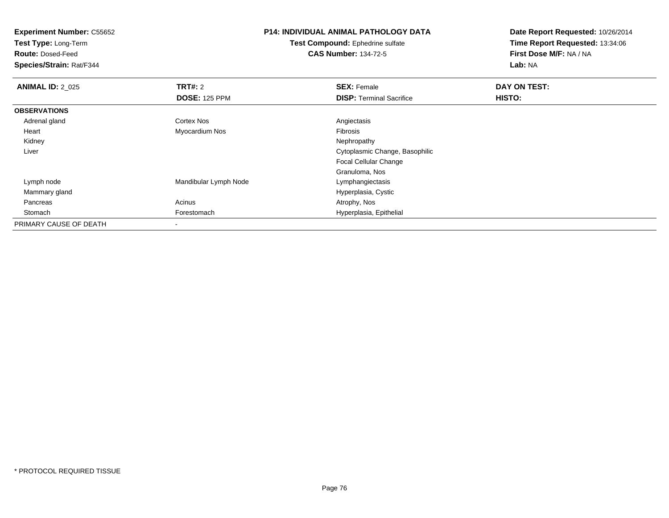**Test Type:** Long-Term

**Route:** Dosed-Feed

**Species/Strain:** Rat/F344

# **P14: INDIVIDUAL ANIMAL PATHOLOGY DATA**

**Test Compound:** Ephedrine sulfate**CAS Number:** 134-72-5

| <b>ANIMAL ID: 2 025</b> | <b>TRT#: 2</b>        | <b>SEX: Female</b>              | DAY ON TEST: |  |
|-------------------------|-----------------------|---------------------------------|--------------|--|
|                         | <b>DOSE: 125 PPM</b>  | <b>DISP: Terminal Sacrifice</b> | HISTO:       |  |
| <b>OBSERVATIONS</b>     |                       |                                 |              |  |
| Adrenal gland           | Cortex Nos            | Angiectasis                     |              |  |
| Heart                   | Myocardium Nos        | <b>Fibrosis</b>                 |              |  |
| Kidney                  |                       | Nephropathy                     |              |  |
| Liver                   |                       | Cytoplasmic Change, Basophilic  |              |  |
|                         |                       | <b>Focal Cellular Change</b>    |              |  |
|                         |                       | Granuloma, Nos                  |              |  |
| Lymph node              | Mandibular Lymph Node | Lymphangiectasis                |              |  |
| Mammary gland           |                       | Hyperplasia, Cystic             |              |  |
| Pancreas                | Acinus                | Atrophy, Nos                    |              |  |
| Stomach                 | Forestomach           | Hyperplasia, Epithelial         |              |  |
| PRIMARY CAUSE OF DEATH  |                       |                                 |              |  |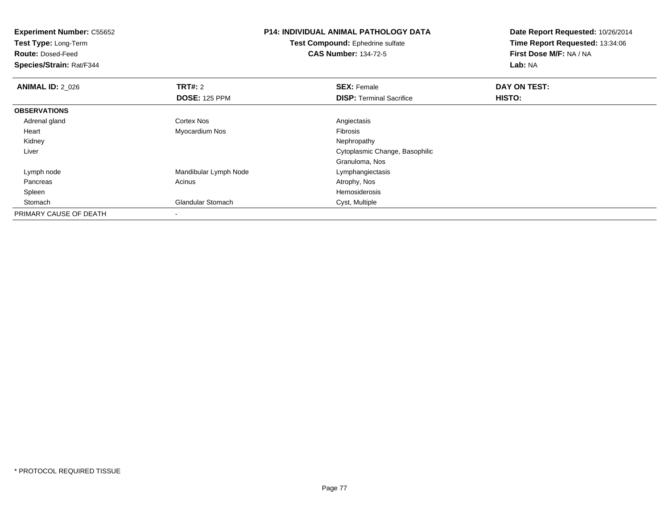| <b>Experiment Number: C55652</b> |                             | <b>P14: INDIVIDUAL ANIMAL PATHOLOGY DATA</b> | Date Report Requested: 10/26/2014 |
|----------------------------------|-----------------------------|----------------------------------------------|-----------------------------------|
| Test Type: Long-Term             |                             | Test Compound: Ephedrine sulfate             | Time Report Requested: 13:34:06   |
| <b>Route: Dosed-Feed</b>         | <b>CAS Number: 134-72-5</b> |                                              | First Dose M/F: NA / NA           |
| <b>Species/Strain: Rat/F344</b>  |                             |                                              | Lab: NA                           |
| <b>ANIMAL ID: 2_026</b>          | <b>TRT#: 2</b>              | <b>SEX: Female</b>                           | DAY ON TEST:                      |
|                                  | <b>DOSE: 125 PPM</b>        | <b>DISP:</b> Terminal Sacrifice              | HISTO:                            |
| <b>OBSERVATIONS</b>              |                             |                                              |                                   |
| Adrenal gland                    | Cortex Nos                  | Angiectasis                                  |                                   |
| Heart                            | Myocardium Nos              | <b>Fibrosis</b>                              |                                   |
| Kidney                           |                             | Nephropathy                                  |                                   |
| Liver                            |                             | Cytoplasmic Change, Basophilic               |                                   |
|                                  |                             | Granuloma, Nos                               |                                   |
| Lymph node                       | Mandibular Lymph Node       | Lymphangiectasis                             |                                   |
| Pancreas                         | Acinus                      | Atrophy, Nos                                 |                                   |
| Spleen                           |                             | Hemosiderosis                                |                                   |
| Stomach                          | Glandular Stomach           | Cyst, Multiple                               |                                   |
| PRIMARY CAUSE OF DEATH           |                             |                                              |                                   |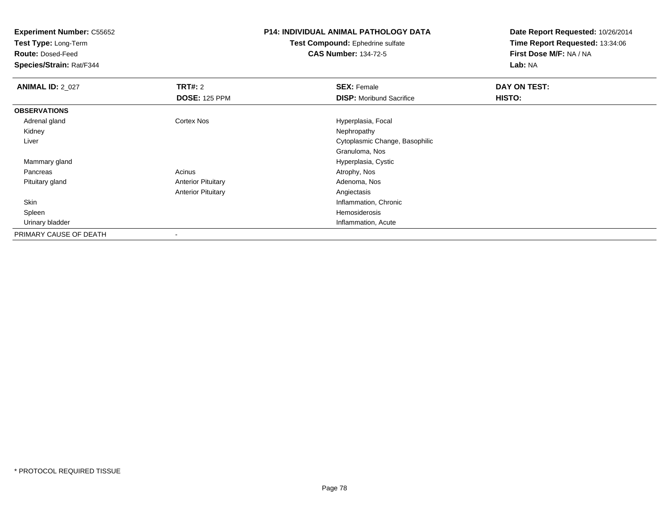**Test Type:** Long-Term

**Route:** Dosed-Feed

**Species/Strain:** Rat/F344

# **P14: INDIVIDUAL ANIMAL PATHOLOGY DATA**

**Test Compound:** Ephedrine sulfate**CAS Number:** 134-72-5

| <b>ANIMAL ID: 2_027</b> | TRT#: 2                   | <b>SEX: Female</b>              | DAY ON TEST: |  |
|-------------------------|---------------------------|---------------------------------|--------------|--|
|                         | <b>DOSE: 125 PPM</b>      | <b>DISP:</b> Moribund Sacrifice | HISTO:       |  |
| <b>OBSERVATIONS</b>     |                           |                                 |              |  |
| Adrenal gland           | <b>Cortex Nos</b>         | Hyperplasia, Focal              |              |  |
| Kidney                  |                           | Nephropathy                     |              |  |
| Liver                   |                           | Cytoplasmic Change, Basophilic  |              |  |
|                         |                           | Granuloma, Nos                  |              |  |
| Mammary gland           |                           | Hyperplasia, Cystic             |              |  |
| Pancreas                | Acinus                    | Atrophy, Nos                    |              |  |
| Pituitary gland         | <b>Anterior Pituitary</b> | Adenoma, Nos                    |              |  |
|                         | <b>Anterior Pituitary</b> | Angiectasis                     |              |  |
| Skin                    |                           | Inflammation, Chronic           |              |  |
| Spleen                  |                           | Hemosiderosis                   |              |  |
| Urinary bladder         |                           | Inflammation, Acute             |              |  |
| PRIMARY CAUSE OF DEATH  |                           |                                 |              |  |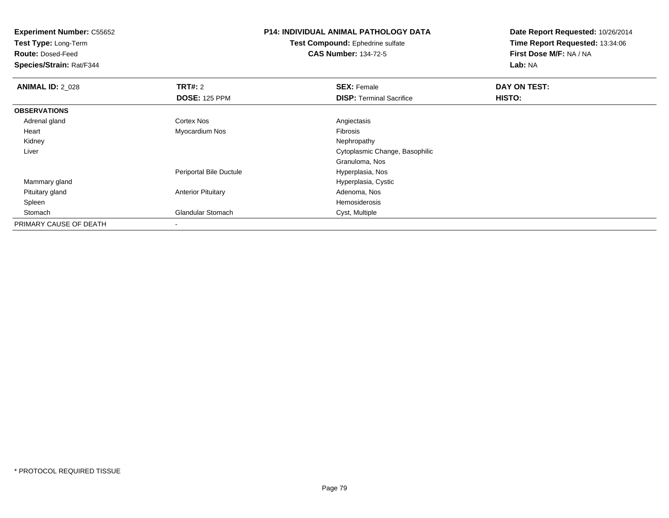**Test Type:** Long-Term

**Route:** Dosed-Feed

**Species/Strain:** Rat/F344

# **P14: INDIVIDUAL ANIMAL PATHOLOGY DATA**

**Test Compound:** Ephedrine sulfate**CAS Number:** 134-72-5

| <b>ANIMAL ID: 2 028</b> | TRT#: 2                   | <b>SEX: Female</b>              | DAY ON TEST: |  |
|-------------------------|---------------------------|---------------------------------|--------------|--|
|                         | <b>DOSE: 125 PPM</b>      | <b>DISP: Terminal Sacrifice</b> | HISTO:       |  |
| <b>OBSERVATIONS</b>     |                           |                                 |              |  |
| Adrenal gland           | <b>Cortex Nos</b>         | Angiectasis                     |              |  |
| Heart                   | Myocardium Nos            | Fibrosis                        |              |  |
| Kidney                  |                           | Nephropathy                     |              |  |
| Liver                   |                           | Cytoplasmic Change, Basophilic  |              |  |
|                         |                           | Granuloma, Nos                  |              |  |
|                         | Periportal Bile Ductule   | Hyperplasia, Nos                |              |  |
| Mammary gland           |                           | Hyperplasia, Cystic             |              |  |
| Pituitary gland         | <b>Anterior Pituitary</b> | Adenoma, Nos                    |              |  |
| Spleen                  |                           | Hemosiderosis                   |              |  |
| Stomach                 | <b>Glandular Stomach</b>  | Cyst, Multiple                  |              |  |
| PRIMARY CAUSE OF DEATH  | $\blacksquare$            |                                 |              |  |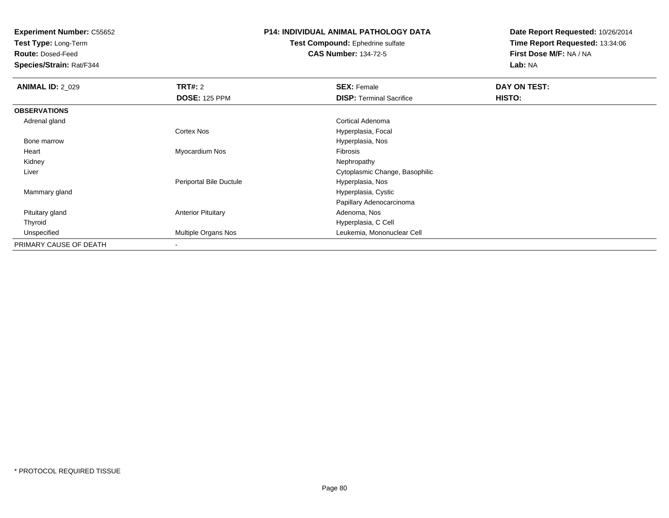**Test Type:** Long-Term

**Route:** Dosed-Feed

**Species/Strain:** Rat/F344

### **P14: INDIVIDUAL ANIMAL PATHOLOGY DATA**

**Test Compound:** Ephedrine sulfate**CAS Number:** 134-72-5

| <b>ANIMAL ID: 2 029</b> | <b>TRT#: 2</b>             | <b>SEX: Female</b>              | DAY ON TEST: |  |
|-------------------------|----------------------------|---------------------------------|--------------|--|
|                         | <b>DOSE: 125 PPM</b>       | <b>DISP: Terminal Sacrifice</b> | HISTO:       |  |
| <b>OBSERVATIONS</b>     |                            |                                 |              |  |
| Adrenal gland           |                            | Cortical Adenoma                |              |  |
|                         | <b>Cortex Nos</b>          | Hyperplasia, Focal              |              |  |
| Bone marrow             |                            | Hyperplasia, Nos                |              |  |
| Heart                   | Myocardium Nos             | <b>Fibrosis</b>                 |              |  |
| Kidney                  |                            | Nephropathy                     |              |  |
| Liver                   |                            | Cytoplasmic Change, Basophilic  |              |  |
|                         | Periportal Bile Ductule    | Hyperplasia, Nos                |              |  |
| Mammary gland           |                            | Hyperplasia, Cystic             |              |  |
|                         |                            | Papillary Adenocarcinoma        |              |  |
| Pituitary gland         | <b>Anterior Pituitary</b>  | Adenoma, Nos                    |              |  |
| Thyroid                 |                            | Hyperplasia, C Cell             |              |  |
| Unspecified             | <b>Multiple Organs Nos</b> | Leukemia, Mononuclear Cell      |              |  |
| PRIMARY CAUSE OF DEATH  |                            |                                 |              |  |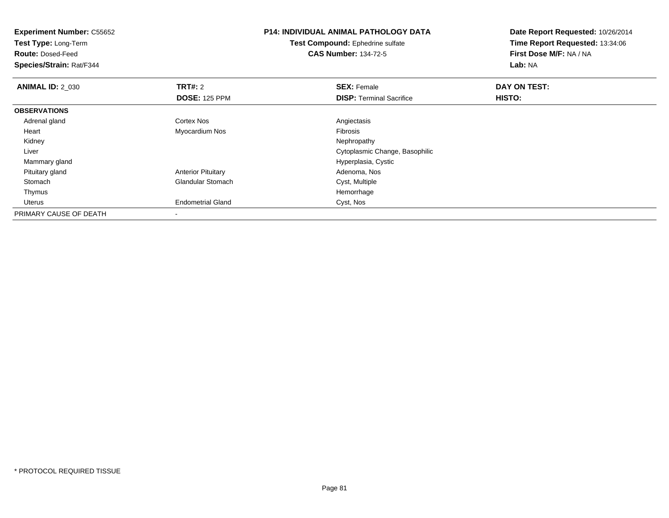| <b>Experiment Number: C55652</b><br>Test Type: Long-Term<br><b>Route: Dosed-Feed</b><br>Species/Strain: Rat/F344 |                                        | <b>P14: INDIVIDUAL ANIMAL PATHOLOGY DATA</b><br>Test Compound: Ephedrine sulfate<br><b>CAS Number: 134-72-5</b> | Date Report Requested: 10/26/2014<br>Time Report Requested: 13:34:06<br>First Dose M/F: NA / NA<br>Lab: NA |
|------------------------------------------------------------------------------------------------------------------|----------------------------------------|-----------------------------------------------------------------------------------------------------------------|------------------------------------------------------------------------------------------------------------|
| <b>ANIMAL ID: 2 030</b>                                                                                          | <b>TRT#: 2</b><br><b>DOSE: 125 PPM</b> | <b>SEX: Female</b><br><b>DISP:</b> Terminal Sacrifice                                                           | DAY ON TEST:<br>HISTO:                                                                                     |
| <b>OBSERVATIONS</b>                                                                                              |                                        |                                                                                                                 |                                                                                                            |
| Adrenal gland                                                                                                    | Cortex Nos                             | Angiectasis                                                                                                     |                                                                                                            |
| Heart                                                                                                            | Myocardium Nos                         | Fibrosis                                                                                                        |                                                                                                            |
| Kidney                                                                                                           |                                        | Nephropathy                                                                                                     |                                                                                                            |
| Liver                                                                                                            |                                        | Cytoplasmic Change, Basophilic                                                                                  |                                                                                                            |
| Mammary gland                                                                                                    |                                        | Hyperplasia, Cystic                                                                                             |                                                                                                            |
| Pituitary gland                                                                                                  | <b>Anterior Pituitary</b>              | Adenoma, Nos                                                                                                    |                                                                                                            |
| Stomach                                                                                                          | <b>Glandular Stomach</b>               | Cyst, Multiple                                                                                                  |                                                                                                            |
| Thymus                                                                                                           |                                        | Hemorrhage                                                                                                      |                                                                                                            |
| <b>Uterus</b>                                                                                                    | <b>Endometrial Gland</b>               | Cyst, Nos                                                                                                       |                                                                                                            |
| PRIMARY CAUSE OF DEATH                                                                                           |                                        |                                                                                                                 |                                                                                                            |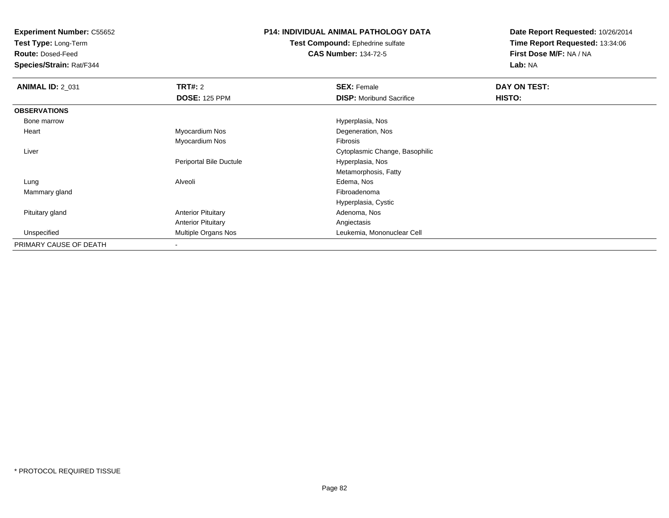**Test Type:** Long-Term

**Route:** Dosed-Feed

**Species/Strain:** Rat/F344

## **P14: INDIVIDUAL ANIMAL PATHOLOGY DATA**

**Test Compound:** Ephedrine sulfate**CAS Number:** 134-72-5

| <b>ANIMAL ID: 2_031</b> | <b>TRT#: 2</b>            | <b>SEX: Female</b>              | DAY ON TEST: |  |
|-------------------------|---------------------------|---------------------------------|--------------|--|
|                         | <b>DOSE: 125 PPM</b>      | <b>DISP:</b> Moribund Sacrifice | HISTO:       |  |
| <b>OBSERVATIONS</b>     |                           |                                 |              |  |
| Bone marrow             |                           | Hyperplasia, Nos                |              |  |
| Heart                   | Myocardium Nos            | Degeneration, Nos               |              |  |
|                         | Myocardium Nos            | Fibrosis                        |              |  |
| Liver                   |                           | Cytoplasmic Change, Basophilic  |              |  |
|                         | Periportal Bile Ductule   | Hyperplasia, Nos                |              |  |
|                         |                           | Metamorphosis, Fatty            |              |  |
| Lung                    | Alveoli                   | Edema, Nos                      |              |  |
| Mammary gland           |                           | Fibroadenoma                    |              |  |
|                         |                           | Hyperplasia, Cystic             |              |  |
| Pituitary gland         | <b>Anterior Pituitary</b> | Adenoma, Nos                    |              |  |
|                         | <b>Anterior Pituitary</b> | Angiectasis                     |              |  |
| Unspecified             | Multiple Organs Nos       | Leukemia, Mononuclear Cell      |              |  |
| PRIMARY CAUSE OF DEATH  |                           |                                 |              |  |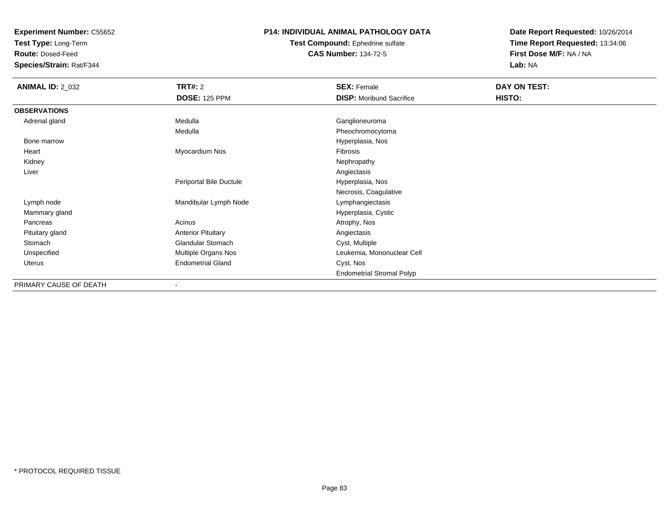**Test Type:** Long-Term

**Route:** Dosed-Feed

**Species/Strain:** Rat/F344

### **P14: INDIVIDUAL ANIMAL PATHOLOGY DATA**

**Test Compound:** Ephedrine sulfate**CAS Number:** 134-72-5

| <b>ANIMAL ID: 2_032</b> | <b>TRT#:</b> 2            | <b>SEX: Female</b>               | DAY ON TEST: |  |
|-------------------------|---------------------------|----------------------------------|--------------|--|
|                         | <b>DOSE: 125 PPM</b>      | <b>DISP:</b> Moribund Sacrifice  | HISTO:       |  |
| <b>OBSERVATIONS</b>     |                           |                                  |              |  |
| Adrenal gland           | Medulla                   | Ganglioneuroma                   |              |  |
|                         | Medulla                   | Pheochromocytoma                 |              |  |
| Bone marrow             |                           | Hyperplasia, Nos                 |              |  |
| Heart                   | Myocardium Nos            | Fibrosis                         |              |  |
| Kidney                  |                           | Nephropathy                      |              |  |
| Liver                   |                           | Angiectasis                      |              |  |
|                         | Periportal Bile Ductule   | Hyperplasia, Nos                 |              |  |
|                         |                           | Necrosis, Coagulative            |              |  |
| Lymph node              | Mandibular Lymph Node     | Lymphangiectasis                 |              |  |
| Mammary gland           |                           | Hyperplasia, Cystic              |              |  |
| Pancreas                | Acinus                    | Atrophy, Nos                     |              |  |
| Pituitary gland         | <b>Anterior Pituitary</b> | Angiectasis                      |              |  |
| Stomach                 | <b>Glandular Stomach</b>  | Cyst, Multiple                   |              |  |
| Unspecified             | Multiple Organs Nos       | Leukemia, Mononuclear Cell       |              |  |
| Uterus                  | <b>Endometrial Gland</b>  | Cyst, Nos                        |              |  |
|                         |                           | <b>Endometrial Stromal Polyp</b> |              |  |
| PRIMARY CAUSE OF DEATH  |                           |                                  |              |  |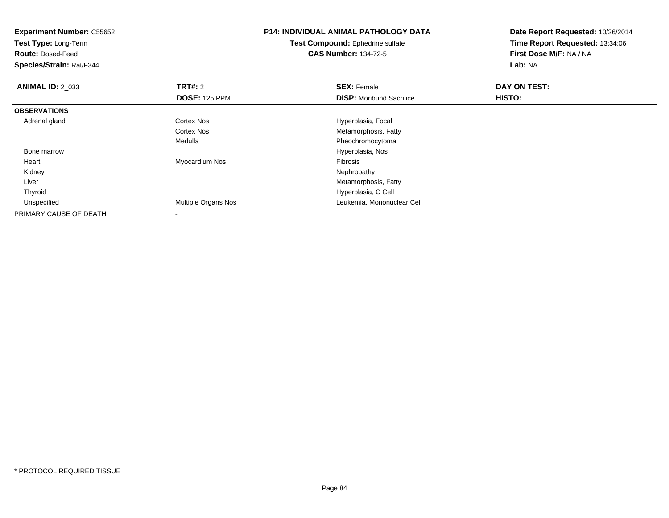| <b>Experiment Number: C55652</b><br>Test Type: Long-Term<br><b>Route: Dosed-Feed</b><br>Species/Strain: Rat/F344 |                      | <b>P14: INDIVIDUAL ANIMAL PATHOLOGY DATA</b><br>Test Compound: Ephedrine sulfate<br><b>CAS Number: 134-72-5</b> | Date Report Requested: 10/26/2014<br>Time Report Requested: 13:34:06<br>First Dose M/F: NA / NA<br>Lab: NA |
|------------------------------------------------------------------------------------------------------------------|----------------------|-----------------------------------------------------------------------------------------------------------------|------------------------------------------------------------------------------------------------------------|
| <b>ANIMAL ID: 2_033</b>                                                                                          | TRT#: 2              | <b>SEX: Female</b>                                                                                              | DAY ON TEST:                                                                                               |
|                                                                                                                  | <b>DOSE: 125 PPM</b> | <b>DISP:</b> Moribund Sacrifice                                                                                 | HISTO:                                                                                                     |
| <b>OBSERVATIONS</b>                                                                                              |                      |                                                                                                                 |                                                                                                            |
| Adrenal gland                                                                                                    | Cortex Nos           | Hyperplasia, Focal                                                                                              |                                                                                                            |
|                                                                                                                  | <b>Cortex Nos</b>    | Metamorphosis, Fatty                                                                                            |                                                                                                            |
|                                                                                                                  | Medulla              | Pheochromocytoma                                                                                                |                                                                                                            |
| Bone marrow                                                                                                      |                      | Hyperplasia, Nos                                                                                                |                                                                                                            |
| Heart                                                                                                            | Myocardium Nos       | <b>Fibrosis</b>                                                                                                 |                                                                                                            |
| Kidney                                                                                                           |                      | Nephropathy                                                                                                     |                                                                                                            |
| Liver                                                                                                            |                      | Metamorphosis, Fatty                                                                                            |                                                                                                            |
| Thyroid                                                                                                          |                      | Hyperplasia, C Cell                                                                                             |                                                                                                            |
| Unspecified                                                                                                      | Multiple Organs Nos  | Leukemia, Mononuclear Cell                                                                                      |                                                                                                            |
| PRIMARY CAUSE OF DEATH                                                                                           |                      |                                                                                                                 |                                                                                                            |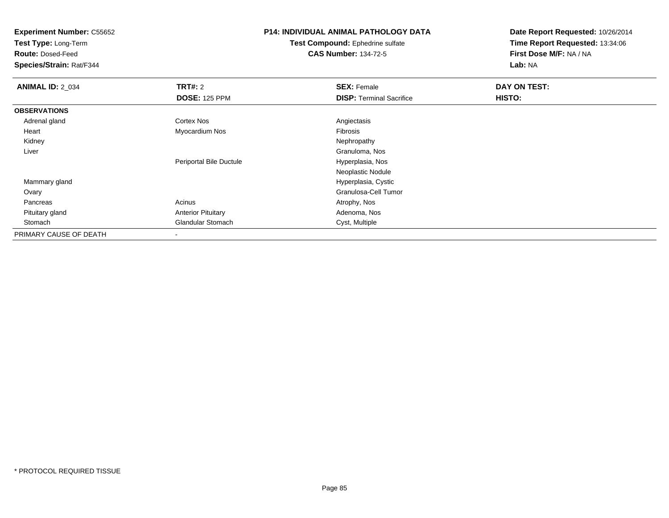**Test Type:** Long-Term

**Route:** Dosed-Feed

**Species/Strain:** Rat/F344

# **P14: INDIVIDUAL ANIMAL PATHOLOGY DATA**

**Test Compound:** Ephedrine sulfate**CAS Number:** 134-72-5

| <b>ANIMAL ID: 2_034</b> | TRT#: 2                   | <b>SEX: Female</b>              | DAY ON TEST: |  |
|-------------------------|---------------------------|---------------------------------|--------------|--|
|                         | <b>DOSE: 125 PPM</b>      | <b>DISP: Terminal Sacrifice</b> | HISTO:       |  |
| <b>OBSERVATIONS</b>     |                           |                                 |              |  |
| Adrenal gland           | <b>Cortex Nos</b>         | Angiectasis                     |              |  |
| Heart                   | Myocardium Nos            | Fibrosis                        |              |  |
| Kidney                  |                           | Nephropathy                     |              |  |
| Liver                   |                           | Granuloma, Nos                  |              |  |
|                         | Periportal Bile Ductule   | Hyperplasia, Nos                |              |  |
|                         |                           | Neoplastic Nodule               |              |  |
| Mammary gland           |                           | Hyperplasia, Cystic             |              |  |
| Ovary                   |                           | Granulosa-Cell Tumor            |              |  |
| Pancreas                | Acinus                    | Atrophy, Nos                    |              |  |
| Pituitary gland         | <b>Anterior Pituitary</b> | Adenoma, Nos                    |              |  |
| Stomach                 | <b>Glandular Stomach</b>  | Cyst, Multiple                  |              |  |
| PRIMARY CAUSE OF DEATH  |                           |                                 |              |  |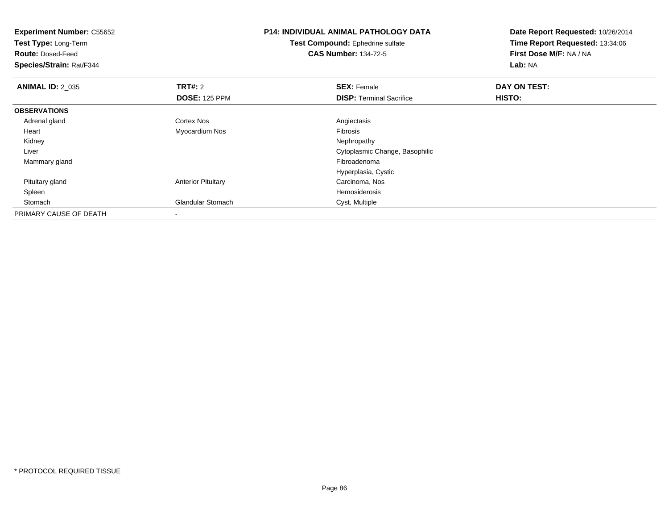| <b>Experiment Number: C55652</b><br>Test Type: Long-Term<br><b>Route: Dosed-Feed</b><br>Species/Strain: Rat/F344 |                                        | <b>P14: INDIVIDUAL ANIMAL PATHOLOGY DATA</b><br><b>Test Compound: Ephedrine sulfate</b><br><b>CAS Number: 134-72-5</b> | Date Report Requested: 10/26/2014<br>Time Report Requested: 13:34:06<br>First Dose M/F: NA / NA<br>Lab: NA |
|------------------------------------------------------------------------------------------------------------------|----------------------------------------|------------------------------------------------------------------------------------------------------------------------|------------------------------------------------------------------------------------------------------------|
| <b>ANIMAL ID: 2_035</b>                                                                                          | <b>TRT#: 2</b><br><b>DOSE: 125 PPM</b> | <b>SEX: Female</b><br><b>DISP:</b> Terminal Sacrifice                                                                  | DAY ON TEST:<br><b>HISTO:</b>                                                                              |
| <b>OBSERVATIONS</b>                                                                                              |                                        |                                                                                                                        |                                                                                                            |
| Adrenal gland                                                                                                    | Cortex Nos                             | Angiectasis                                                                                                            |                                                                                                            |
| Heart                                                                                                            | Myocardium Nos                         | Fibrosis                                                                                                               |                                                                                                            |
| Kidney                                                                                                           |                                        | Nephropathy                                                                                                            |                                                                                                            |
| Liver                                                                                                            |                                        | Cytoplasmic Change, Basophilic                                                                                         |                                                                                                            |
| Mammary gland                                                                                                    |                                        | Fibroadenoma                                                                                                           |                                                                                                            |
|                                                                                                                  |                                        | Hyperplasia, Cystic                                                                                                    |                                                                                                            |
| Pituitary gland                                                                                                  | <b>Anterior Pituitary</b>              | Carcinoma, Nos                                                                                                         |                                                                                                            |
| Spleen                                                                                                           |                                        | Hemosiderosis                                                                                                          |                                                                                                            |
| Stomach                                                                                                          | <b>Glandular Stomach</b>               | Cyst, Multiple                                                                                                         |                                                                                                            |
| PRIMARY CAUSE OF DEATH                                                                                           |                                        |                                                                                                                        |                                                                                                            |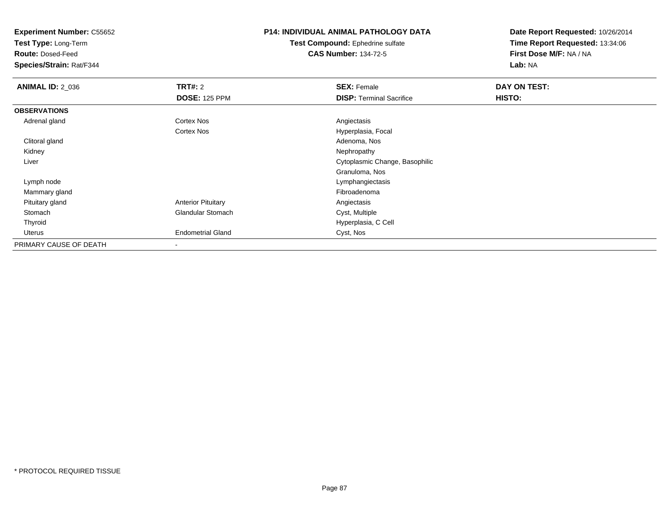**Test Type:** Long-Term

**Route:** Dosed-Feed

**Species/Strain:** Rat/F344

## **P14: INDIVIDUAL ANIMAL PATHOLOGY DATA**

**Test Compound:** Ephedrine sulfate**CAS Number:** 134-72-5

| <b>ANIMAL ID: 2_036</b> | TRT#: 2                   | <b>SEX: Female</b>              | DAY ON TEST: |  |
|-------------------------|---------------------------|---------------------------------|--------------|--|
|                         | <b>DOSE: 125 PPM</b>      | <b>DISP: Terminal Sacrifice</b> | HISTO:       |  |
| <b>OBSERVATIONS</b>     |                           |                                 |              |  |
| Adrenal gland           | Cortex Nos                | Angiectasis                     |              |  |
|                         | Cortex Nos                | Hyperplasia, Focal              |              |  |
| Clitoral gland          |                           | Adenoma, Nos                    |              |  |
| Kidney                  |                           | Nephropathy                     |              |  |
| Liver                   |                           | Cytoplasmic Change, Basophilic  |              |  |
|                         |                           | Granuloma, Nos                  |              |  |
| Lymph node              |                           | Lymphangiectasis                |              |  |
| Mammary gland           |                           | Fibroadenoma                    |              |  |
| Pituitary gland         | <b>Anterior Pituitary</b> | Angiectasis                     |              |  |
| Stomach                 | <b>Glandular Stomach</b>  | Cyst, Multiple                  |              |  |
| Thyroid                 |                           | Hyperplasia, C Cell             |              |  |
| Uterus                  | <b>Endometrial Gland</b>  | Cyst, Nos                       |              |  |
| PRIMARY CAUSE OF DEATH  |                           |                                 |              |  |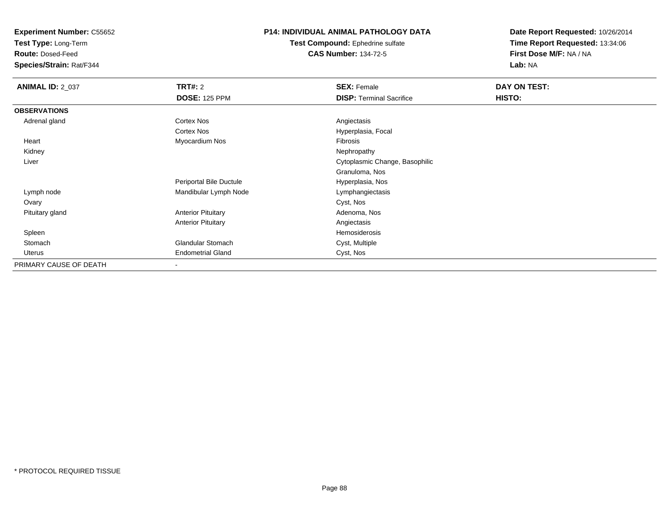**Test Type:** Long-Term

**Route:** Dosed-Feed

**Species/Strain:** Rat/F344

#### **P14: INDIVIDUAL ANIMAL PATHOLOGY DATA**

**Test Compound:** Ephedrine sulfate**CAS Number:** 134-72-5

| <b>ANIMAL ID: 2_037</b> | TRT#: 2                   | <b>SEX: Female</b>              | DAY ON TEST: |
|-------------------------|---------------------------|---------------------------------|--------------|
|                         | <b>DOSE: 125 PPM</b>      | <b>DISP: Terminal Sacrifice</b> | HISTO:       |
| <b>OBSERVATIONS</b>     |                           |                                 |              |
| Adrenal gland           | Cortex Nos                | Angiectasis                     |              |
|                         | Cortex Nos                | Hyperplasia, Focal              |              |
| Heart                   | Myocardium Nos            | Fibrosis                        |              |
| Kidney                  |                           | Nephropathy                     |              |
| Liver                   |                           | Cytoplasmic Change, Basophilic  |              |
|                         |                           | Granuloma, Nos                  |              |
|                         | Periportal Bile Ductule   | Hyperplasia, Nos                |              |
| Lymph node              | Mandibular Lymph Node     | Lymphangiectasis                |              |
| Ovary                   |                           | Cyst, Nos                       |              |
| Pituitary gland         | <b>Anterior Pituitary</b> | Adenoma, Nos                    |              |
|                         | <b>Anterior Pituitary</b> | Angiectasis                     |              |
| Spleen                  |                           | Hemosiderosis                   |              |
| Stomach                 | <b>Glandular Stomach</b>  | Cyst, Multiple                  |              |
| Uterus                  | <b>Endometrial Gland</b>  | Cyst, Nos                       |              |
| PRIMARY CAUSE OF DEATH  | ٠                         |                                 |              |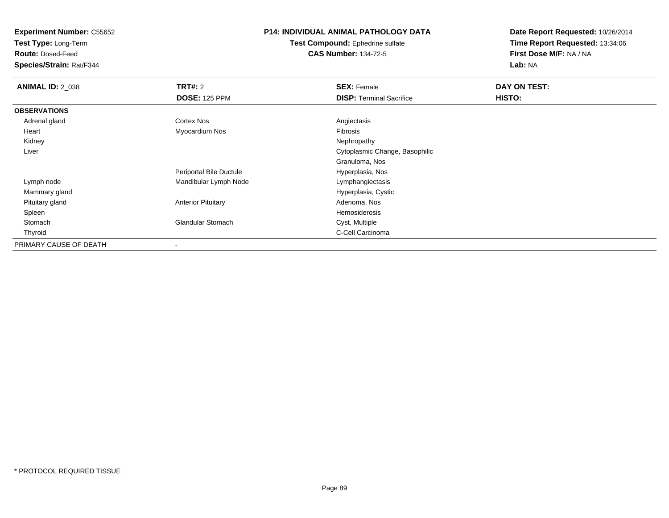**Test Type:** Long-Term

**Route:** Dosed-Feed

**Species/Strain:** Rat/F344

# **P14: INDIVIDUAL ANIMAL PATHOLOGY DATA**

**Test Compound:** Ephedrine sulfate**CAS Number:** 134-72-5

| <b>ANIMAL ID: 2 038</b> | TRT#: 2                   | <b>SEX: Female</b>              | DAY ON TEST: |
|-------------------------|---------------------------|---------------------------------|--------------|
|                         | <b>DOSE: 125 PPM</b>      | <b>DISP: Terminal Sacrifice</b> | HISTO:       |
| <b>OBSERVATIONS</b>     |                           |                                 |              |
| Adrenal gland           | <b>Cortex Nos</b>         | Angiectasis                     |              |
| Heart                   | Myocardium Nos            | Fibrosis                        |              |
| Kidney                  |                           | Nephropathy                     |              |
| Liver                   |                           | Cytoplasmic Change, Basophilic  |              |
|                         |                           | Granuloma, Nos                  |              |
|                         | Periportal Bile Ductule   | Hyperplasia, Nos                |              |
| Lymph node              | Mandibular Lymph Node     | Lymphangiectasis                |              |
| Mammary gland           |                           | Hyperplasia, Cystic             |              |
| Pituitary gland         | <b>Anterior Pituitary</b> | Adenoma, Nos                    |              |
| Spleen                  |                           | Hemosiderosis                   |              |
| Stomach                 | <b>Glandular Stomach</b>  | Cyst, Multiple                  |              |
| Thyroid                 |                           | C-Cell Carcinoma                |              |
| PRIMARY CAUSE OF DEATH  | $\,$                      |                                 |              |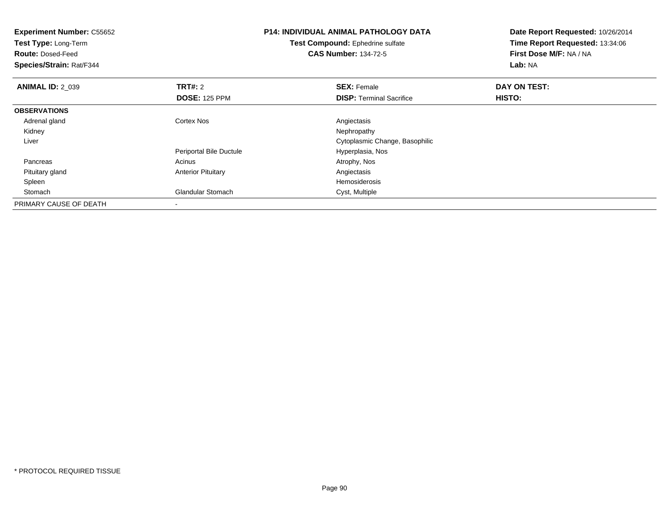| <b>Experiment Number: C55652</b><br>Test Type: Long-Term<br><b>Route: Dosed-Feed</b><br>Species/Strain: Rat/F344 |                           | <b>P14: INDIVIDUAL ANIMAL PATHOLOGY DATA</b><br>Test Compound: Ephedrine sulfate<br><b>CAS Number: 134-72-5</b> | Date Report Requested: 10/26/2014<br>Time Report Requested: 13:34:06<br>First Dose M/F: NA / NA<br>Lab: NA |
|------------------------------------------------------------------------------------------------------------------|---------------------------|-----------------------------------------------------------------------------------------------------------------|------------------------------------------------------------------------------------------------------------|
| <b>ANIMAL ID: 2 039</b>                                                                                          | <b>TRT#: 2</b>            | <b>SEX: Female</b>                                                                                              | DAY ON TEST:                                                                                               |
|                                                                                                                  | <b>DOSE: 125 PPM</b>      | <b>DISP:</b> Terminal Sacrifice                                                                                 | HISTO:                                                                                                     |
| <b>OBSERVATIONS</b>                                                                                              |                           |                                                                                                                 |                                                                                                            |
| Adrenal gland                                                                                                    | <b>Cortex Nos</b>         | Angiectasis                                                                                                     |                                                                                                            |
| Kidney                                                                                                           |                           | Nephropathy                                                                                                     |                                                                                                            |
| Liver                                                                                                            |                           | Cytoplasmic Change, Basophilic                                                                                  |                                                                                                            |
|                                                                                                                  | Periportal Bile Ductule   | Hyperplasia, Nos                                                                                                |                                                                                                            |
| Pancreas                                                                                                         | Acinus                    | Atrophy, Nos                                                                                                    |                                                                                                            |
| Pituitary gland                                                                                                  | <b>Anterior Pituitary</b> | Angiectasis                                                                                                     |                                                                                                            |
| Spleen                                                                                                           |                           | Hemosiderosis                                                                                                   |                                                                                                            |
| Stomach                                                                                                          | Glandular Stomach         | Cyst, Multiple                                                                                                  |                                                                                                            |
| PRIMARY CAUSE OF DEATH                                                                                           |                           |                                                                                                                 |                                                                                                            |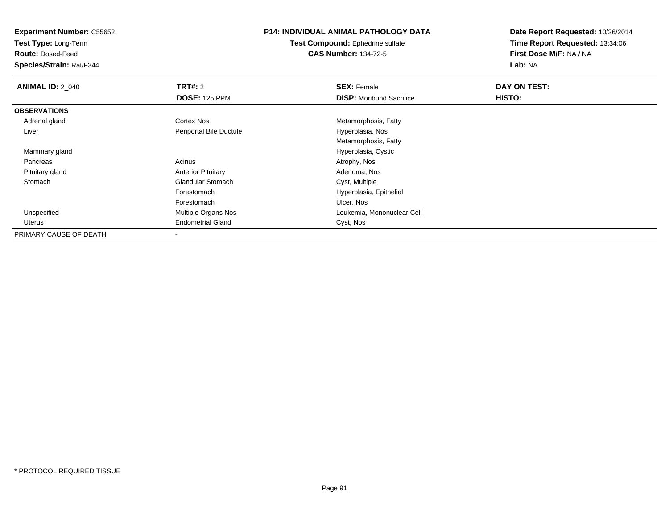**Test Type:** Long-Term

**Route:** Dosed-Feed

**Species/Strain:** Rat/F344

### **P14: INDIVIDUAL ANIMAL PATHOLOGY DATA**

**Test Compound:** Ephedrine sulfate**CAS Number:** 134-72-5

| <b>ANIMAL ID: 2_040</b> | TRT#: 2                   | <b>SEX: Female</b>              | DAY ON TEST: |  |
|-------------------------|---------------------------|---------------------------------|--------------|--|
|                         | <b>DOSE: 125 PPM</b>      | <b>DISP:</b> Moribund Sacrifice | HISTO:       |  |
| <b>OBSERVATIONS</b>     |                           |                                 |              |  |
| Adrenal gland           | <b>Cortex Nos</b>         | Metamorphosis, Fatty            |              |  |
| Liver                   | Periportal Bile Ductule   | Hyperplasia, Nos                |              |  |
|                         |                           | Metamorphosis, Fatty            |              |  |
| Mammary gland           |                           | Hyperplasia, Cystic             |              |  |
| Pancreas                | Acinus                    | Atrophy, Nos                    |              |  |
| Pituitary gland         | <b>Anterior Pituitary</b> | Adenoma, Nos                    |              |  |
| Stomach                 | <b>Glandular Stomach</b>  | Cyst, Multiple                  |              |  |
|                         | Forestomach               | Hyperplasia, Epithelial         |              |  |
|                         | Forestomach               | Ulcer, Nos                      |              |  |
| Unspecified             | Multiple Organs Nos       | Leukemia, Mononuclear Cell      |              |  |
| Uterus                  | <b>Endometrial Gland</b>  | Cyst, Nos                       |              |  |
| PRIMARY CAUSE OF DEATH  |                           |                                 |              |  |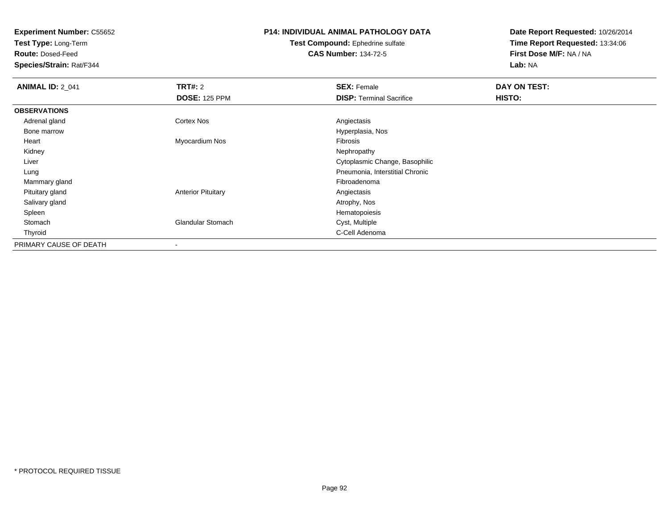**Test Type:** Long-Term

**Route:** Dosed-Feed

**Species/Strain:** Rat/F344

# **P14: INDIVIDUAL ANIMAL PATHOLOGY DATA**

**Test Compound:** Ephedrine sulfate**CAS Number:** 134-72-5

| <b>ANIMAL ID: 2 041</b> | TRT#: 2                   | <b>SEX: Female</b>              | DAY ON TEST: |  |
|-------------------------|---------------------------|---------------------------------|--------------|--|
|                         | <b>DOSE: 125 PPM</b>      | <b>DISP: Terminal Sacrifice</b> | HISTO:       |  |
| <b>OBSERVATIONS</b>     |                           |                                 |              |  |
| Adrenal gland           | <b>Cortex Nos</b>         | Angiectasis                     |              |  |
| Bone marrow             |                           | Hyperplasia, Nos                |              |  |
| Heart                   | Myocardium Nos            | Fibrosis                        |              |  |
| Kidney                  |                           | Nephropathy                     |              |  |
| Liver                   |                           | Cytoplasmic Change, Basophilic  |              |  |
| Lung                    |                           | Pneumonia, Interstitial Chronic |              |  |
| Mammary gland           |                           | Fibroadenoma                    |              |  |
| Pituitary gland         | <b>Anterior Pituitary</b> | Angiectasis                     |              |  |
| Salivary gland          |                           | Atrophy, Nos                    |              |  |
| Spleen                  |                           | Hematopoiesis                   |              |  |
| Stomach                 | <b>Glandular Stomach</b>  | Cyst, Multiple                  |              |  |
| Thyroid                 |                           | C-Cell Adenoma                  |              |  |
| PRIMARY CAUSE OF DEATH  | $\overline{\phantom{a}}$  |                                 |              |  |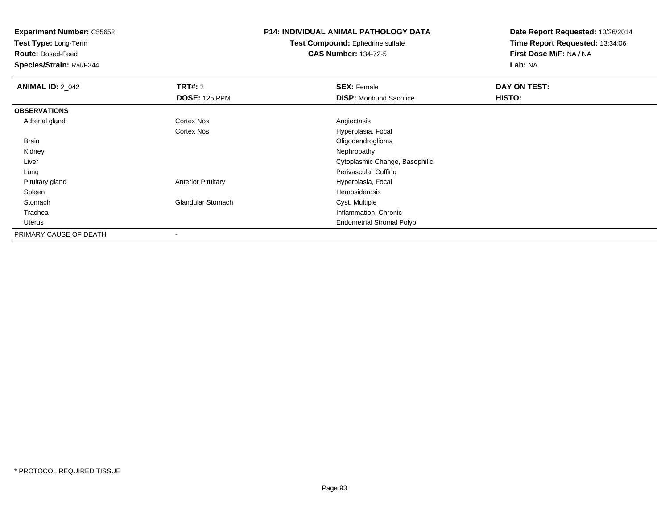**Test Type:** Long-Term

**Route:** Dosed-Feed

**Species/Strain:** Rat/F344

# **P14: INDIVIDUAL ANIMAL PATHOLOGY DATA**

#### **Test Compound:** Ephedrine sulfate**CAS Number:** 134-72-5

| <b>ANIMAL ID: 2_042</b> | TRT#: 2                   | <b>SEX: Female</b>               | DAY ON TEST: |  |
|-------------------------|---------------------------|----------------------------------|--------------|--|
|                         | <b>DOSE: 125 PPM</b>      | <b>DISP:</b> Moribund Sacrifice  | HISTO:       |  |
| <b>OBSERVATIONS</b>     |                           |                                  |              |  |
| Adrenal gland           | Cortex Nos                | Angiectasis                      |              |  |
|                         | <b>Cortex Nos</b>         | Hyperplasia, Focal               |              |  |
| Brain                   |                           | Oligodendroglioma                |              |  |
| Kidney                  |                           | Nephropathy                      |              |  |
| Liver                   |                           | Cytoplasmic Change, Basophilic   |              |  |
| Lung                    |                           | <b>Perivascular Cuffing</b>      |              |  |
| Pituitary gland         | <b>Anterior Pituitary</b> | Hyperplasia, Focal               |              |  |
| Spleen                  |                           | Hemosiderosis                    |              |  |
| Stomach                 | <b>Glandular Stomach</b>  | Cyst, Multiple                   |              |  |
| Trachea                 |                           | Inflammation, Chronic            |              |  |
| Uterus                  |                           | <b>Endometrial Stromal Polyp</b> |              |  |
| PRIMARY CAUSE OF DEATH  |                           |                                  |              |  |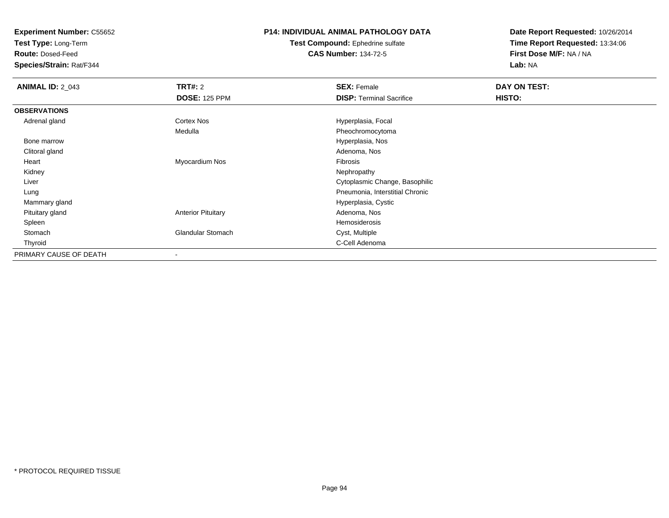**Test Type:** Long-Term

**Route:** Dosed-Feed

**Species/Strain:** Rat/F344

### **P14: INDIVIDUAL ANIMAL PATHOLOGY DATA**

**Test Compound:** Ephedrine sulfate**CAS Number:** 134-72-5

| <b>ANIMAL ID: 2_043</b> | TRT#: 2                   | <b>SEX: Female</b>              | DAY ON TEST: |  |
|-------------------------|---------------------------|---------------------------------|--------------|--|
|                         | <b>DOSE: 125 PPM</b>      | <b>DISP: Terminal Sacrifice</b> | HISTO:       |  |
| <b>OBSERVATIONS</b>     |                           |                                 |              |  |
| Adrenal gland           | Cortex Nos                | Hyperplasia, Focal              |              |  |
|                         | Medulla                   | Pheochromocytoma                |              |  |
| Bone marrow             |                           | Hyperplasia, Nos                |              |  |
| Clitoral gland          |                           | Adenoma, Nos                    |              |  |
| Heart                   | Myocardium Nos            | Fibrosis                        |              |  |
| Kidney                  |                           | Nephropathy                     |              |  |
| Liver                   |                           | Cytoplasmic Change, Basophilic  |              |  |
| Lung                    |                           | Pneumonia, Interstitial Chronic |              |  |
| Mammary gland           |                           | Hyperplasia, Cystic             |              |  |
| Pituitary gland         | <b>Anterior Pituitary</b> | Adenoma, Nos                    |              |  |
| Spleen                  |                           | Hemosiderosis                   |              |  |
| Stomach                 | <b>Glandular Stomach</b>  | Cyst, Multiple                  |              |  |
| Thyroid                 |                           | C-Cell Adenoma                  |              |  |
| PRIMARY CAUSE OF DEATH  |                           |                                 |              |  |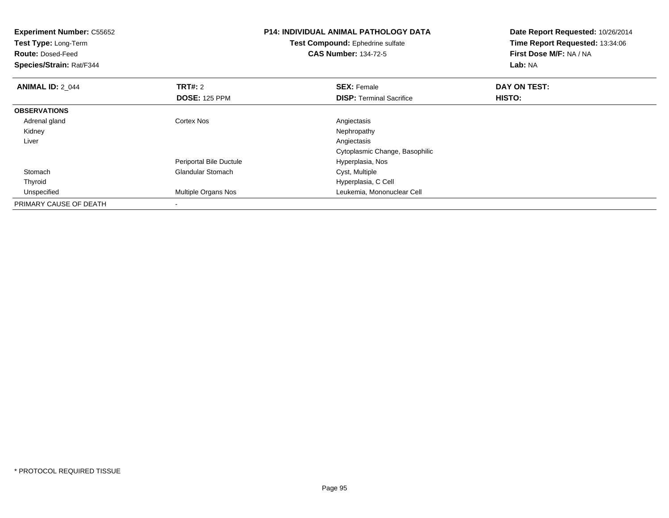| <b>Experiment Number: C55652</b><br>Test Type: Long-Term<br><b>Route: Dosed-Feed</b><br>Species/Strain: Rat/F344 |                          | <b>P14: INDIVIDUAL ANIMAL PATHOLOGY DATA</b><br>Test Compound: Ephedrine sulfate<br><b>CAS Number: 134-72-5</b> | Date Report Requested: 10/26/2014<br>Time Report Requested: 13:34:06<br>First Dose M/F: NA / NA<br>Lab: NA |
|------------------------------------------------------------------------------------------------------------------|--------------------------|-----------------------------------------------------------------------------------------------------------------|------------------------------------------------------------------------------------------------------------|
| <b>ANIMAL ID: 2 044</b>                                                                                          | <b>TRT#: 2</b>           | <b>SEX: Female</b>                                                                                              | DAY ON TEST:                                                                                               |
|                                                                                                                  | <b>DOSE: 125 PPM</b>     | <b>DISP:</b> Terminal Sacrifice                                                                                 | HISTO:                                                                                                     |
| <b>OBSERVATIONS</b>                                                                                              |                          |                                                                                                                 |                                                                                                            |
| Adrenal gland                                                                                                    | <b>Cortex Nos</b>        | Angiectasis                                                                                                     |                                                                                                            |
| Kidney                                                                                                           |                          | Nephropathy                                                                                                     |                                                                                                            |
| Liver                                                                                                            |                          | Angiectasis                                                                                                     |                                                                                                            |
|                                                                                                                  |                          | Cytoplasmic Change, Basophilic                                                                                  |                                                                                                            |
|                                                                                                                  | Periportal Bile Ductule  | Hyperplasia, Nos                                                                                                |                                                                                                            |
| Stomach                                                                                                          | <b>Glandular Stomach</b> | Cyst, Multiple                                                                                                  |                                                                                                            |
| Thyroid                                                                                                          |                          | Hyperplasia, C Cell                                                                                             |                                                                                                            |
| Unspecified                                                                                                      | Multiple Organs Nos      | Leukemia, Mononuclear Cell                                                                                      |                                                                                                            |
| PRIMARY CAUSE OF DEATH                                                                                           |                          |                                                                                                                 |                                                                                                            |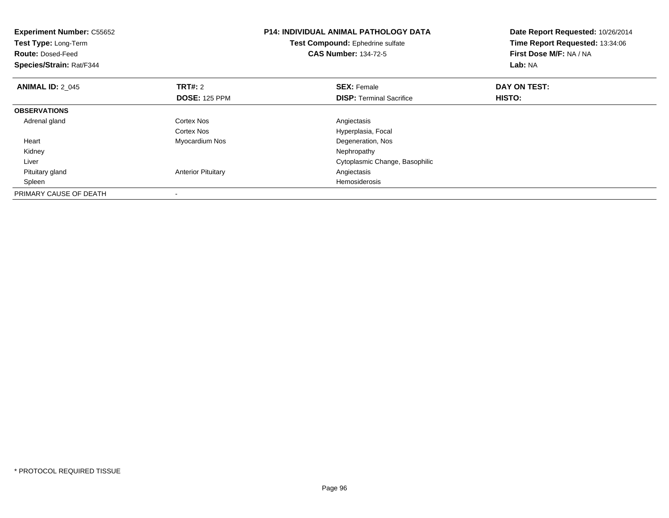| <b>Experiment Number: C55652</b><br>Test Type: Long-Term<br><b>Route: Dosed-Feed</b><br>Species/Strain: Rat/F344 |                           | <b>P14: INDIVIDUAL ANIMAL PATHOLOGY DATA</b><br>Test Compound: Ephedrine sulfate<br><b>CAS Number: 134-72-5</b> | Date Report Requested: 10/26/2014<br>Time Report Requested: 13:34:06<br>First Dose M/F: NA / NA<br>Lab: NA |
|------------------------------------------------------------------------------------------------------------------|---------------------------|-----------------------------------------------------------------------------------------------------------------|------------------------------------------------------------------------------------------------------------|
| <b>ANIMAL ID: 2 045</b>                                                                                          | <b>TRT#: 2</b>            | <b>SEX: Female</b>                                                                                              | DAY ON TEST:                                                                                               |
|                                                                                                                  | <b>DOSE: 125 PPM</b>      | <b>DISP:</b> Terminal Sacrifice                                                                                 | HISTO:                                                                                                     |
| <b>OBSERVATIONS</b>                                                                                              |                           |                                                                                                                 |                                                                                                            |
| Adrenal gland                                                                                                    | Cortex Nos                | Angiectasis                                                                                                     |                                                                                                            |
|                                                                                                                  | Cortex Nos                | Hyperplasia, Focal                                                                                              |                                                                                                            |
| Heart                                                                                                            | Myocardium Nos            | Degeneration, Nos                                                                                               |                                                                                                            |
| Kidney                                                                                                           |                           | Nephropathy                                                                                                     |                                                                                                            |
| Liver                                                                                                            |                           | Cytoplasmic Change, Basophilic                                                                                  |                                                                                                            |
| Pituitary gland                                                                                                  | <b>Anterior Pituitary</b> | Angiectasis                                                                                                     |                                                                                                            |
| Spleen                                                                                                           |                           | Hemosiderosis                                                                                                   |                                                                                                            |
| PRIMARY CAUSE OF DEATH                                                                                           |                           |                                                                                                                 |                                                                                                            |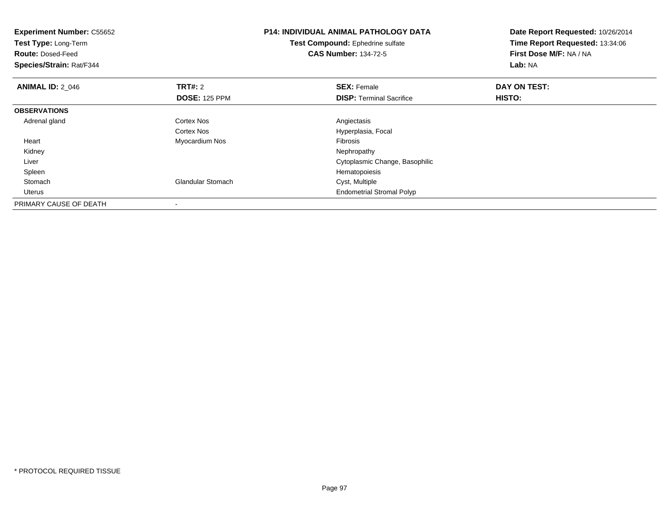| <b>Experiment Number: C55652</b><br>Test Type: Long-Term<br><b>Route: Dosed-Feed</b><br>Species/Strain: Rat/F344 |                                        | <b>P14: INDIVIDUAL ANIMAL PATHOLOGY DATA</b><br>Test Compound: Ephedrine sulfate<br><b>CAS Number: 134-72-5</b> | Date Report Requested: 10/26/2014<br>Time Report Requested: 13:34:06<br>First Dose M/F: NA / NA<br>Lab: NA |
|------------------------------------------------------------------------------------------------------------------|----------------------------------------|-----------------------------------------------------------------------------------------------------------------|------------------------------------------------------------------------------------------------------------|
| <b>ANIMAL ID: 2_046</b>                                                                                          | <b>TRT#: 2</b><br><b>DOSE: 125 PPM</b> | <b>SEX: Female</b><br><b>DISP: Terminal Sacrifice</b>                                                           | DAY ON TEST:<br>HISTO:                                                                                     |
| <b>OBSERVATIONS</b>                                                                                              |                                        |                                                                                                                 |                                                                                                            |
| Adrenal gland                                                                                                    | <b>Cortex Nos</b><br>Cortex Nos        | Angiectasis<br>Hyperplasia, Focal                                                                               |                                                                                                            |
| Heart                                                                                                            | Myocardium Nos                         | Fibrosis                                                                                                        |                                                                                                            |
| Kidney                                                                                                           |                                        | Nephropathy                                                                                                     |                                                                                                            |
| Liver                                                                                                            |                                        | Cytoplasmic Change, Basophilic                                                                                  |                                                                                                            |
| Spleen                                                                                                           |                                        | Hematopoiesis                                                                                                   |                                                                                                            |
| Stomach                                                                                                          | <b>Glandular Stomach</b>               | Cyst, Multiple                                                                                                  |                                                                                                            |
| Uterus                                                                                                           |                                        | <b>Endometrial Stromal Polyp</b>                                                                                |                                                                                                            |
| PRIMARY CAUSE OF DEATH                                                                                           |                                        |                                                                                                                 |                                                                                                            |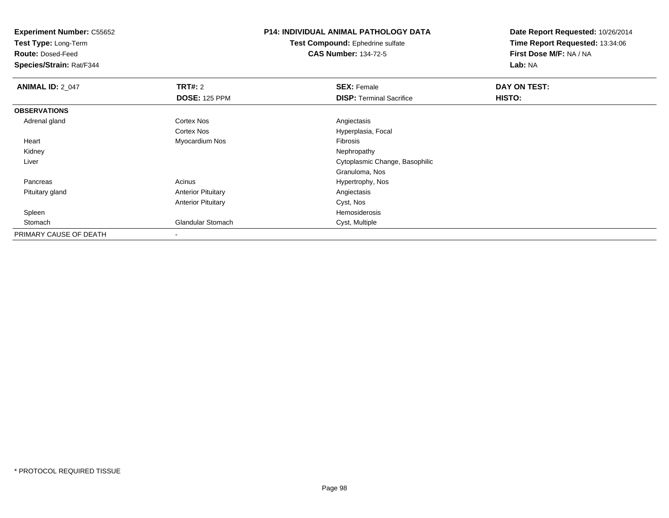**Test Type:** Long-Term

**Route:** Dosed-Feed

**Species/Strain:** Rat/F344

# **P14: INDIVIDUAL ANIMAL PATHOLOGY DATA**

**Test Compound:** Ephedrine sulfate**CAS Number:** 134-72-5

| <b>ANIMAL ID: 2_047</b> | TRT#: 2                   | <b>SEX: Female</b>              | DAY ON TEST: |  |
|-------------------------|---------------------------|---------------------------------|--------------|--|
|                         | <b>DOSE: 125 PPM</b>      | <b>DISP:</b> Terminal Sacrifice | HISTO:       |  |
| <b>OBSERVATIONS</b>     |                           |                                 |              |  |
| Adrenal gland           | <b>Cortex Nos</b>         | Angiectasis                     |              |  |
|                         | <b>Cortex Nos</b>         | Hyperplasia, Focal              |              |  |
| Heart                   | Myocardium Nos            | Fibrosis                        |              |  |
| Kidney                  |                           | Nephropathy                     |              |  |
| Liver                   |                           | Cytoplasmic Change, Basophilic  |              |  |
|                         |                           | Granuloma, Nos                  |              |  |
| Pancreas                | Acinus                    | Hypertrophy, Nos                |              |  |
| Pituitary gland         | <b>Anterior Pituitary</b> | Angiectasis                     |              |  |
|                         | <b>Anterior Pituitary</b> | Cyst, Nos                       |              |  |
| Spleen                  |                           | Hemosiderosis                   |              |  |
| Stomach                 | <b>Glandular Stomach</b>  | Cyst, Multiple                  |              |  |
| PRIMARY CAUSE OF DEATH  |                           |                                 |              |  |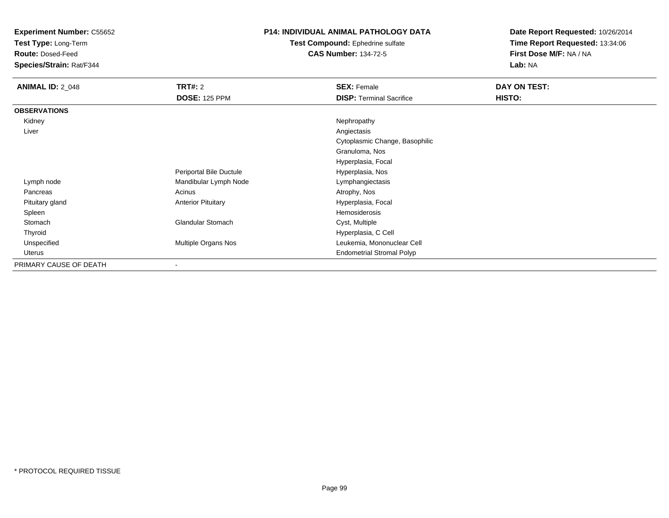**Test Type:** Long-Term

**Route:** Dosed-Feed

**Species/Strain:** Rat/F344

### **P14: INDIVIDUAL ANIMAL PATHOLOGY DATA**

**Test Compound:** Ephedrine sulfate**CAS Number:** 134-72-5

| <b>ANIMAL ID: 2_048</b> | <b>TRT#: 2</b>            | <b>SEX: Female</b>               | DAY ON TEST: |
|-------------------------|---------------------------|----------------------------------|--------------|
|                         | <b>DOSE: 125 PPM</b>      | <b>DISP: Terminal Sacrifice</b>  | HISTO:       |
| <b>OBSERVATIONS</b>     |                           |                                  |              |
| Kidney                  |                           | Nephropathy                      |              |
| Liver                   |                           | Angiectasis                      |              |
|                         |                           | Cytoplasmic Change, Basophilic   |              |
|                         |                           | Granuloma, Nos                   |              |
|                         |                           | Hyperplasia, Focal               |              |
|                         | Periportal Bile Ductule   | Hyperplasia, Nos                 |              |
| Lymph node              | Mandibular Lymph Node     | Lymphangiectasis                 |              |
| Pancreas                | Acinus                    | Atrophy, Nos                     |              |
| Pituitary gland         | <b>Anterior Pituitary</b> | Hyperplasia, Focal               |              |
| Spleen                  |                           | <b>Hemosiderosis</b>             |              |
| Stomach                 | Glandular Stomach         | Cyst, Multiple                   |              |
| Thyroid                 |                           | Hyperplasia, C Cell              |              |
| Unspecified             | Multiple Organs Nos       | Leukemia, Mononuclear Cell       |              |
| Uterus                  |                           | <b>Endometrial Stromal Polyp</b> |              |
| PRIMARY CAUSE OF DEATH  | ٠                         |                                  |              |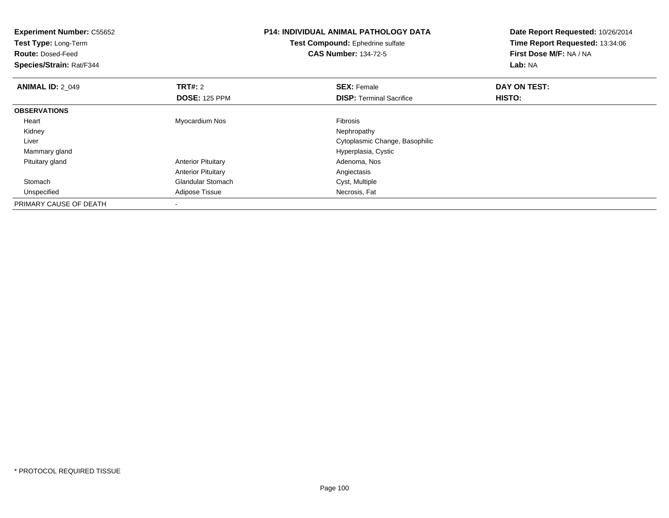| <b>Experiment Number: C55652</b><br>Test Type: Long-Term<br><b>Route: Dosed-Feed</b><br>Species/Strain: Rat/F344 | <b>P14: INDIVIDUAL ANIMAL PATHOLOGY DATA</b><br>Test Compound: Ephedrine sulfate<br><b>CAS Number: 134-72-5</b> |                                 | Date Report Requested: 10/26/2014<br>Time Report Requested: 13:34:06<br>First Dose M/F: NA / NA<br>Lab: NA |
|------------------------------------------------------------------------------------------------------------------|-----------------------------------------------------------------------------------------------------------------|---------------------------------|------------------------------------------------------------------------------------------------------------|
| <b>ANIMAL ID: 2 049</b>                                                                                          | TRT#: 2                                                                                                         | <b>SEX: Female</b>              | DAY ON TEST:                                                                                               |
|                                                                                                                  | <b>DOSE: 125 PPM</b>                                                                                            | <b>DISP:</b> Terminal Sacrifice | <b>HISTO:</b>                                                                                              |
| <b>OBSERVATIONS</b>                                                                                              |                                                                                                                 |                                 |                                                                                                            |
| Heart                                                                                                            | Myocardium Nos                                                                                                  | <b>Fibrosis</b>                 |                                                                                                            |
| Kidney                                                                                                           |                                                                                                                 | Nephropathy                     |                                                                                                            |
| Liver                                                                                                            |                                                                                                                 | Cytoplasmic Change, Basophilic  |                                                                                                            |
| Mammary gland                                                                                                    |                                                                                                                 | Hyperplasia, Cystic             |                                                                                                            |
| Pituitary gland                                                                                                  | <b>Anterior Pituitary</b>                                                                                       | Adenoma, Nos                    |                                                                                                            |
|                                                                                                                  | <b>Anterior Pituitary</b>                                                                                       | Angiectasis                     |                                                                                                            |
| Stomach                                                                                                          | <b>Glandular Stomach</b>                                                                                        | Cyst, Multiple                  |                                                                                                            |
| Unspecified                                                                                                      | Adipose Tissue                                                                                                  | Necrosis, Fat                   |                                                                                                            |
| PRIMARY CAUSE OF DEATH                                                                                           | $\blacksquare$                                                                                                  |                                 |                                                                                                            |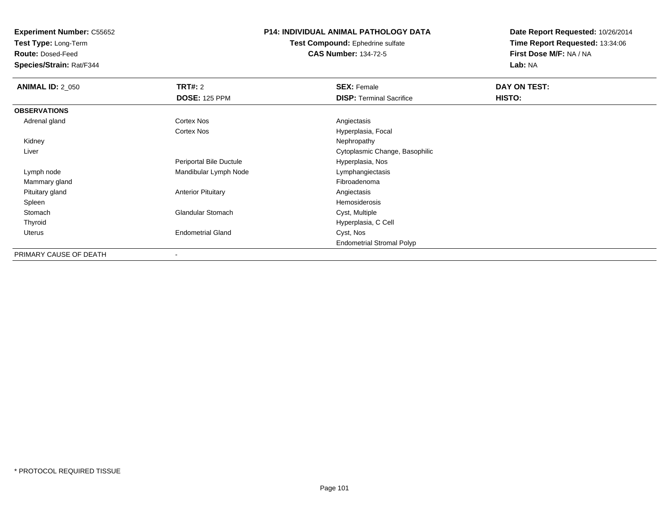**Test Type:** Long-Term

**Route:** Dosed-Feed

**Species/Strain:** Rat/F344

### **P14: INDIVIDUAL ANIMAL PATHOLOGY DATA**

**Test Compound:** Ephedrine sulfate**CAS Number:** 134-72-5

| <b>ANIMAL ID: 2_050</b> | <b>TRT#: 2</b>            | <b>SEX: Female</b>               | DAY ON TEST: |
|-------------------------|---------------------------|----------------------------------|--------------|
|                         | <b>DOSE: 125 PPM</b>      | <b>DISP: Terminal Sacrifice</b>  | HISTO:       |
| <b>OBSERVATIONS</b>     |                           |                                  |              |
| Adrenal gland           | Cortex Nos                | Angiectasis                      |              |
|                         | <b>Cortex Nos</b>         | Hyperplasia, Focal               |              |
| Kidney                  |                           | Nephropathy                      |              |
| Liver                   |                           | Cytoplasmic Change, Basophilic   |              |
|                         | Periportal Bile Ductule   | Hyperplasia, Nos                 |              |
| Lymph node              | Mandibular Lymph Node     | Lymphangiectasis                 |              |
| Mammary gland           |                           | Fibroadenoma                     |              |
| Pituitary gland         | <b>Anterior Pituitary</b> | Angiectasis                      |              |
| Spleen                  |                           | Hemosiderosis                    |              |
| Stomach                 | <b>Glandular Stomach</b>  | Cyst, Multiple                   |              |
| Thyroid                 |                           | Hyperplasia, C Cell              |              |
| Uterus                  | <b>Endometrial Gland</b>  | Cyst, Nos                        |              |
|                         |                           | <b>Endometrial Stromal Polyp</b> |              |
| PRIMARY CAUSE OF DEATH  |                           |                                  |              |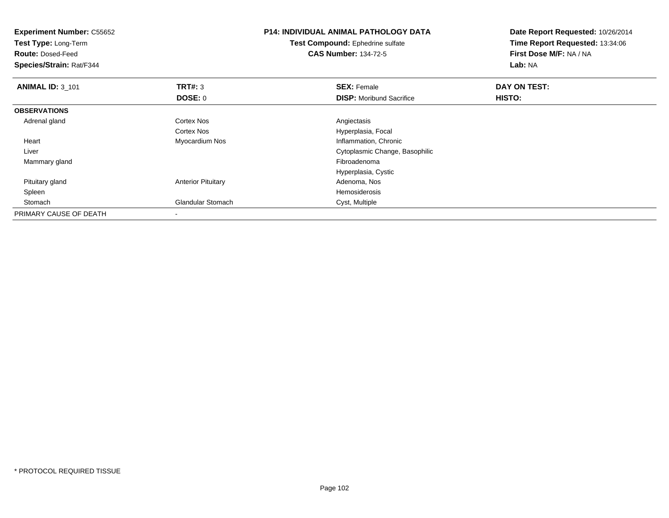| <b>Experiment Number: C55652</b><br>Test Type: Long-Term<br><b>Route: Dosed-Feed</b><br>Species/Strain: Rat/F344 |                           | <b>P14: INDIVIDUAL ANIMAL PATHOLOGY DATA</b><br><b>Test Compound:</b> Ephedrine sulfate<br><b>CAS Number: 134-72-5</b> | Date Report Requested: 10/26/2014<br>Time Report Requested: 13:34:06<br>First Dose M/F: NA / NA<br>Lab: NA |
|------------------------------------------------------------------------------------------------------------------|---------------------------|------------------------------------------------------------------------------------------------------------------------|------------------------------------------------------------------------------------------------------------|
| <b>ANIMAL ID: 3_101</b>                                                                                          | TRT#: 3                   | <b>SEX: Female</b>                                                                                                     | DAY ON TEST:                                                                                               |
|                                                                                                                  | DOSE: 0                   | <b>DISP:</b> Moribund Sacrifice                                                                                        | <b>HISTO:</b>                                                                                              |
| <b>OBSERVATIONS</b>                                                                                              |                           |                                                                                                                        |                                                                                                            |
| Adrenal gland                                                                                                    | <b>Cortex Nos</b>         | Angiectasis                                                                                                            |                                                                                                            |
|                                                                                                                  | Cortex Nos                | Hyperplasia, Focal                                                                                                     |                                                                                                            |
| Heart                                                                                                            | Myocardium Nos            | Inflammation, Chronic                                                                                                  |                                                                                                            |
| Liver                                                                                                            |                           | Cytoplasmic Change, Basophilic                                                                                         |                                                                                                            |
| Mammary gland                                                                                                    |                           | Fibroadenoma                                                                                                           |                                                                                                            |
|                                                                                                                  |                           | Hyperplasia, Cystic                                                                                                    |                                                                                                            |
| Pituitary gland                                                                                                  | <b>Anterior Pituitary</b> | Adenoma, Nos                                                                                                           |                                                                                                            |
| Spleen                                                                                                           |                           | Hemosiderosis                                                                                                          |                                                                                                            |
| Stomach                                                                                                          | <b>Glandular Stomach</b>  | Cyst, Multiple                                                                                                         |                                                                                                            |
| PRIMARY CAUSE OF DEATH                                                                                           |                           |                                                                                                                        |                                                                                                            |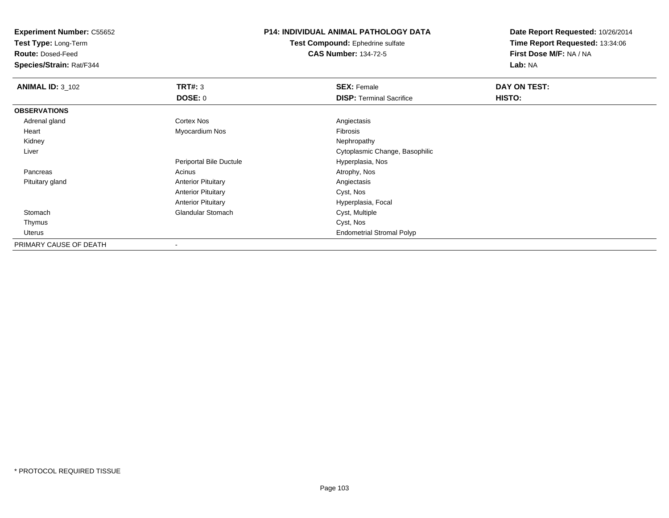**Test Type:** Long-Term

**Route:** Dosed-Feed

**Species/Strain:** Rat/F344

#### **P14: INDIVIDUAL ANIMAL PATHOLOGY DATA**

**Test Compound:** Ephedrine sulfate**CAS Number:** 134-72-5

| <b>ANIMAL ID: 3 102</b> | TRT#: 3                   | <b>SEX: Female</b>               | DAY ON TEST: |
|-------------------------|---------------------------|----------------------------------|--------------|
|                         | <b>DOSE: 0</b>            | <b>DISP: Terminal Sacrifice</b>  | HISTO:       |
| <b>OBSERVATIONS</b>     |                           |                                  |              |
| Adrenal gland           | <b>Cortex Nos</b>         | Angiectasis                      |              |
| Heart                   | Myocardium Nos            | Fibrosis                         |              |
| Kidney                  |                           | Nephropathy                      |              |
| Liver                   |                           | Cytoplasmic Change, Basophilic   |              |
|                         | Periportal Bile Ductule   | Hyperplasia, Nos                 |              |
| Pancreas                | Acinus                    | Atrophy, Nos                     |              |
| Pituitary gland         | <b>Anterior Pituitary</b> | Angiectasis                      |              |
|                         | <b>Anterior Pituitary</b> | Cyst, Nos                        |              |
|                         | <b>Anterior Pituitary</b> | Hyperplasia, Focal               |              |
| Stomach                 | <b>Glandular Stomach</b>  | Cyst, Multiple                   |              |
| Thymus                  |                           | Cyst, Nos                        |              |
| Uterus                  |                           | <b>Endometrial Stromal Polyp</b> |              |
| PRIMARY CAUSE OF DEATH  |                           |                                  |              |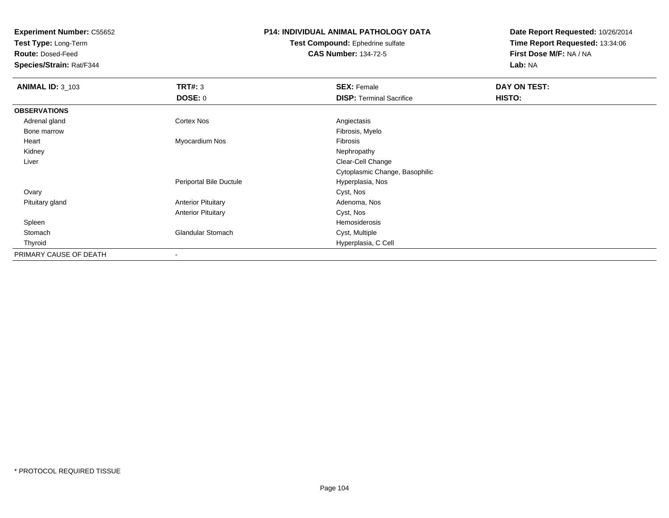**Test Type:** Long-Term

**Route:** Dosed-Feed

**Species/Strain:** Rat/F344

#### **P14: INDIVIDUAL ANIMAL PATHOLOGY DATA**

**Test Compound:** Ephedrine sulfate**CAS Number:** 134-72-5

| <b>ANIMAL ID: 3_103</b> | TRT#: 3<br><b>DOSE: 0</b> | <b>SEX: Female</b><br><b>DISP: Terminal Sacrifice</b> | DAY ON TEST:<br>HISTO: |
|-------------------------|---------------------------|-------------------------------------------------------|------------------------|
| <b>OBSERVATIONS</b>     |                           |                                                       |                        |
| Adrenal gland           | Cortex Nos                | Angiectasis                                           |                        |
| Bone marrow             |                           | Fibrosis, Myelo                                       |                        |
| Heart                   | Myocardium Nos            | Fibrosis                                              |                        |
| Kidney                  |                           | Nephropathy                                           |                        |
| Liver                   |                           | Clear-Cell Change                                     |                        |
|                         |                           | Cytoplasmic Change, Basophilic                        |                        |
|                         | Periportal Bile Ductule   | Hyperplasia, Nos                                      |                        |
| Ovary                   |                           | Cyst, Nos                                             |                        |
| Pituitary gland         | <b>Anterior Pituitary</b> | Adenoma, Nos                                          |                        |
|                         | <b>Anterior Pituitary</b> | Cyst, Nos                                             |                        |
| Spleen                  |                           | Hemosiderosis                                         |                        |
| Stomach                 | <b>Glandular Stomach</b>  | Cyst, Multiple                                        |                        |
| Thyroid                 |                           | Hyperplasia, C Cell                                   |                        |
| PRIMARY CAUSE OF DEATH  |                           |                                                       |                        |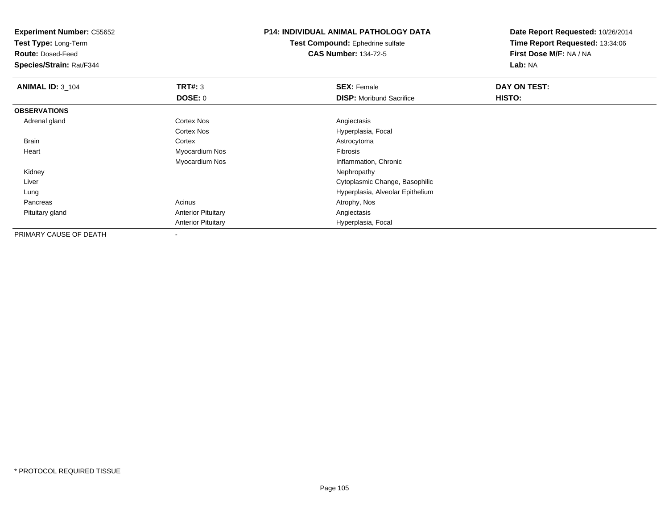**Test Type:** Long-Term

**Route:** Dosed-Feed

**Species/Strain:** Rat/F344

## **P14: INDIVIDUAL ANIMAL PATHOLOGY DATA**

**Test Compound:** Ephedrine sulfate**CAS Number:** 134-72-5

| <b>ANIMAL ID: 3_104</b> | TRT#: 3                   | <b>SEX: Female</b>               | DAY ON TEST: |  |
|-------------------------|---------------------------|----------------------------------|--------------|--|
|                         | DOSE: 0                   | <b>DISP:</b> Moribund Sacrifice  | HISTO:       |  |
| <b>OBSERVATIONS</b>     |                           |                                  |              |  |
| Adrenal gland           | <b>Cortex Nos</b>         | Angiectasis                      |              |  |
|                         | Cortex Nos                | Hyperplasia, Focal               |              |  |
| Brain                   | Cortex                    | Astrocytoma                      |              |  |
| Heart                   | Myocardium Nos            | Fibrosis                         |              |  |
|                         | Myocardium Nos            | Inflammation, Chronic            |              |  |
| Kidney                  |                           | Nephropathy                      |              |  |
| Liver                   |                           | Cytoplasmic Change, Basophilic   |              |  |
| Lung                    |                           | Hyperplasia, Alveolar Epithelium |              |  |
| Pancreas                | Acinus                    | Atrophy, Nos                     |              |  |
| Pituitary gland         | <b>Anterior Pituitary</b> | Angiectasis                      |              |  |
|                         | <b>Anterior Pituitary</b> | Hyperplasia, Focal               |              |  |
| PRIMARY CAUSE OF DEATH  |                           |                                  |              |  |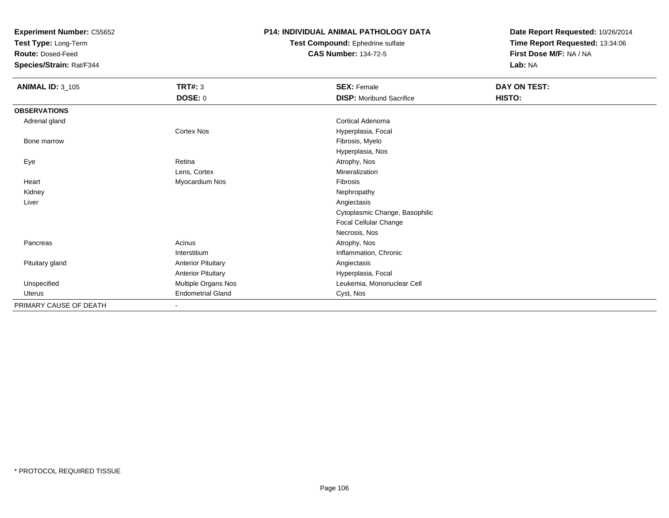**Test Type:** Long-Term

**Route:** Dosed-Feed

**Species/Strain:** Rat/F344

#### **P14: INDIVIDUAL ANIMAL PATHOLOGY DATA**

**Test Compound:** Ephedrine sulfate**CAS Number:** 134-72-5

| <b>ANIMAL ID: 3_105</b> | <b>TRT#: 3</b><br><b>DOSE: 0</b> | <b>SEX: Female</b><br><b>DISP:</b> Moribund Sacrifice | DAY ON TEST:<br>HISTO: |
|-------------------------|----------------------------------|-------------------------------------------------------|------------------------|
| <b>OBSERVATIONS</b>     |                                  |                                                       |                        |
| Adrenal gland           |                                  | Cortical Adenoma                                      |                        |
|                         | Cortex Nos                       | Hyperplasia, Focal                                    |                        |
| Bone marrow             |                                  | Fibrosis, Myelo                                       |                        |
|                         |                                  | Hyperplasia, Nos                                      |                        |
| Eye                     | Retina                           | Atrophy, Nos                                          |                        |
|                         | Lens, Cortex                     | Mineralization                                        |                        |
| Heart                   | Myocardium Nos                   | <b>Fibrosis</b>                                       |                        |
| Kidney                  |                                  | Nephropathy                                           |                        |
| Liver                   |                                  | Angiectasis                                           |                        |
|                         |                                  | Cytoplasmic Change, Basophilic                        |                        |
|                         |                                  | Focal Cellular Change                                 |                        |
|                         |                                  | Necrosis, Nos                                         |                        |
| Pancreas                | Acinus                           | Atrophy, Nos                                          |                        |
|                         | Interstitium                     | Inflammation, Chronic                                 |                        |
| Pituitary gland         | <b>Anterior Pituitary</b>        | Angiectasis                                           |                        |
|                         | <b>Anterior Pituitary</b>        | Hyperplasia, Focal                                    |                        |
| Unspecified             | Multiple Organs Nos              | Leukemia, Mononuclear Cell                            |                        |
| Uterus                  | <b>Endometrial Gland</b>         | Cyst, Nos                                             |                        |
| PRIMARY CAUSE OF DEATH  | $\sim$                           |                                                       |                        |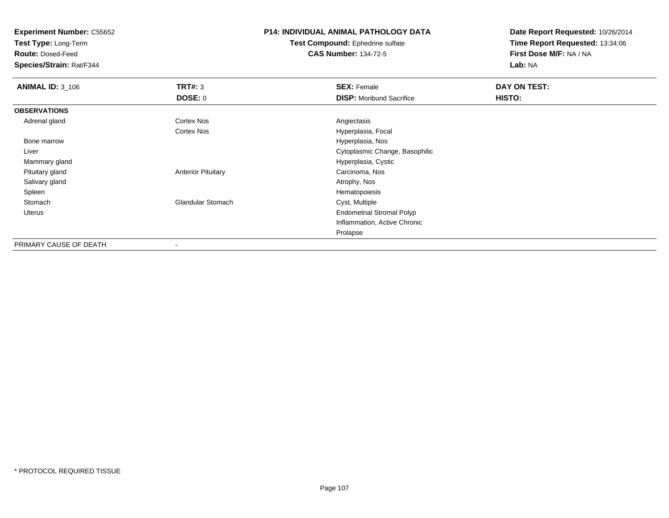**Test Type:** Long-Term

**Route:** Dosed-Feed

**Species/Strain:** Rat/F344

## **P14: INDIVIDUAL ANIMAL PATHOLOGY DATA**

**Test Compound:** Ephedrine sulfate**CAS Number:** 134-72-5

| <b>ANIMAL ID: 3_106</b> | TRT#: 3                   | <b>SEX: Female</b>               | DAY ON TEST: |
|-------------------------|---------------------------|----------------------------------|--------------|
|                         | DOSE: 0                   | <b>DISP:</b> Moribund Sacrifice  | HISTO:       |
| <b>OBSERVATIONS</b>     |                           |                                  |              |
| Adrenal gland           | Cortex Nos                | Angiectasis                      |              |
|                         | Cortex Nos                | Hyperplasia, Focal               |              |
| Bone marrow             |                           | Hyperplasia, Nos                 |              |
| Liver                   |                           | Cytoplasmic Change, Basophilic   |              |
| Mammary gland           |                           | Hyperplasia, Cystic              |              |
| Pituitary gland         | <b>Anterior Pituitary</b> | Carcinoma, Nos                   |              |
| Salivary gland          |                           | Atrophy, Nos                     |              |
| Spleen                  |                           | Hematopoiesis                    |              |
| Stomach                 | <b>Glandular Stomach</b>  | Cyst, Multiple                   |              |
| Uterus                  |                           | <b>Endometrial Stromal Polyp</b> |              |
|                         |                           | Inflammation, Active Chronic     |              |
|                         |                           | Prolapse                         |              |
| PRIMARY CAUSE OF DEATH  | $\,$                      |                                  |              |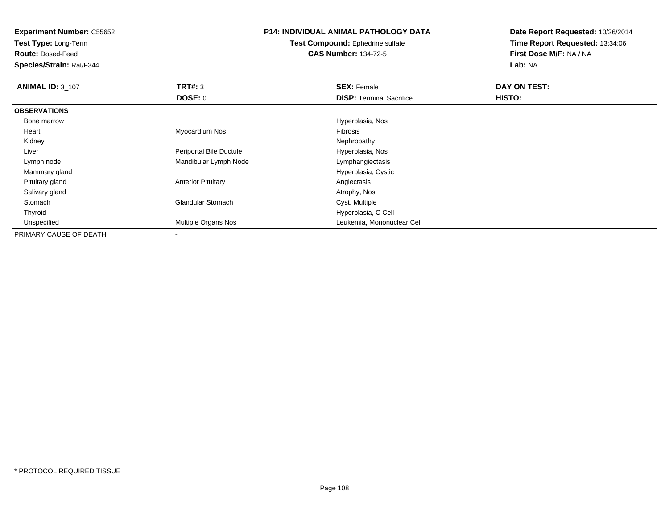**Test Type:** Long-Term

**Route:** Dosed-Feed

**Species/Strain:** Rat/F344

### **P14: INDIVIDUAL ANIMAL PATHOLOGY DATA**

**Test Compound:** Ephedrine sulfate**CAS Number:** 134-72-5

| <b>ANIMAL ID: 3_107</b> | TRT#: 3                   | <b>SEX: Female</b>              | DAY ON TEST: |  |
|-------------------------|---------------------------|---------------------------------|--------------|--|
|                         | <b>DOSE: 0</b>            | <b>DISP:</b> Terminal Sacrifice | HISTO:       |  |
| <b>OBSERVATIONS</b>     |                           |                                 |              |  |
| Bone marrow             |                           | Hyperplasia, Nos                |              |  |
| Heart                   | Myocardium Nos            | Fibrosis                        |              |  |
| Kidney                  |                           | Nephropathy                     |              |  |
| Liver                   | Periportal Bile Ductule   | Hyperplasia, Nos                |              |  |
| Lymph node              | Mandibular Lymph Node     | Lymphangiectasis                |              |  |
| Mammary gland           |                           | Hyperplasia, Cystic             |              |  |
| Pituitary gland         | <b>Anterior Pituitary</b> | Angiectasis                     |              |  |
| Salivary gland          |                           | Atrophy, Nos                    |              |  |
| Stomach                 | <b>Glandular Stomach</b>  | Cyst, Multiple                  |              |  |
| Thyroid                 |                           | Hyperplasia, C Cell             |              |  |
| Unspecified             | Multiple Organs Nos       | Leukemia, Mononuclear Cell      |              |  |
| PRIMARY CAUSE OF DEATH  |                           |                                 |              |  |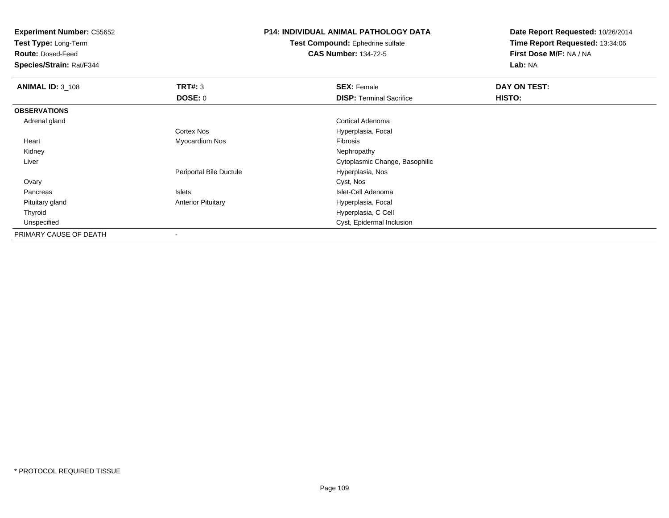**Test Type:** Long-Term

**Route:** Dosed-Feed

**Species/Strain:** Rat/F344

#### **P14: INDIVIDUAL ANIMAL PATHOLOGY DATA**

**Test Compound:** Ephedrine sulfate**CAS Number:** 134-72-5

| <b>ANIMAL ID: 3_108</b> | TRT#: 3                   | <b>SEX: Female</b>              | DAY ON TEST:  |  |
|-------------------------|---------------------------|---------------------------------|---------------|--|
|                         | DOSE: 0                   | <b>DISP: Terminal Sacrifice</b> | <b>HISTO:</b> |  |
| <b>OBSERVATIONS</b>     |                           |                                 |               |  |
| Adrenal gland           |                           | Cortical Adenoma                |               |  |
|                         | <b>Cortex Nos</b>         | Hyperplasia, Focal              |               |  |
| Heart                   | Myocardium Nos            | Fibrosis                        |               |  |
| Kidney                  |                           | Nephropathy                     |               |  |
| Liver                   |                           | Cytoplasmic Change, Basophilic  |               |  |
|                         | Periportal Bile Ductule   | Hyperplasia, Nos                |               |  |
| Ovary                   |                           | Cyst, Nos                       |               |  |
| Pancreas                | <b>Islets</b>             | Islet-Cell Adenoma              |               |  |
| Pituitary gland         | <b>Anterior Pituitary</b> | Hyperplasia, Focal              |               |  |
| Thyroid                 |                           | Hyperplasia, C Cell             |               |  |
| Unspecified             |                           | Cyst, Epidermal Inclusion       |               |  |
| PRIMARY CAUSE OF DEATH  | $\,$                      |                                 |               |  |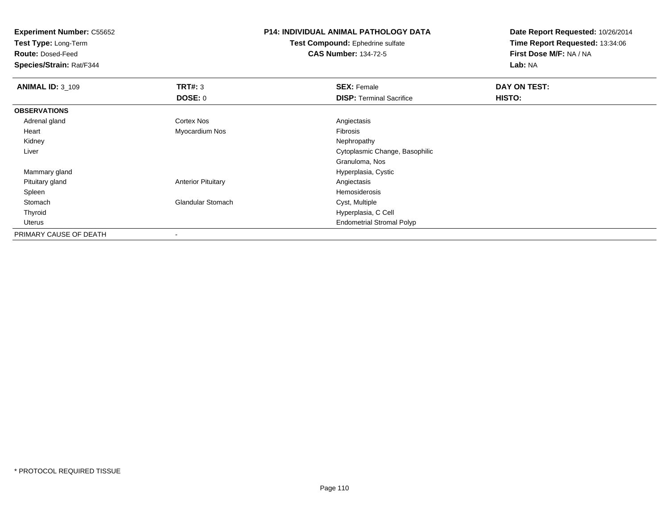**Test Type:** Long-Term

**Route:** Dosed-Feed

**Species/Strain:** Rat/F344

## **P14: INDIVIDUAL ANIMAL PATHOLOGY DATA**

**Test Compound:** Ephedrine sulfate**CAS Number:** 134-72-5

| <b>ANIMAL ID: 3_109</b> | TRT#: 3                   | <b>SEX: Female</b>               | DAY ON TEST: |  |
|-------------------------|---------------------------|----------------------------------|--------------|--|
|                         | <b>DOSE: 0</b>            | <b>DISP:</b> Terminal Sacrifice  | HISTO:       |  |
| <b>OBSERVATIONS</b>     |                           |                                  |              |  |
| Adrenal gland           | Cortex Nos                | Angiectasis                      |              |  |
| Heart                   | Myocardium Nos            | Fibrosis                         |              |  |
| Kidney                  |                           | Nephropathy                      |              |  |
| Liver                   |                           | Cytoplasmic Change, Basophilic   |              |  |
|                         |                           | Granuloma, Nos                   |              |  |
| Mammary gland           |                           | Hyperplasia, Cystic              |              |  |
| Pituitary gland         | <b>Anterior Pituitary</b> | Angiectasis                      |              |  |
| Spleen                  |                           | Hemosiderosis                    |              |  |
| Stomach                 | <b>Glandular Stomach</b>  | Cyst, Multiple                   |              |  |
| Thyroid                 |                           | Hyperplasia, C Cell              |              |  |
| Uterus                  |                           | <b>Endometrial Stromal Polyp</b> |              |  |
| PRIMARY CAUSE OF DEATH  |                           |                                  |              |  |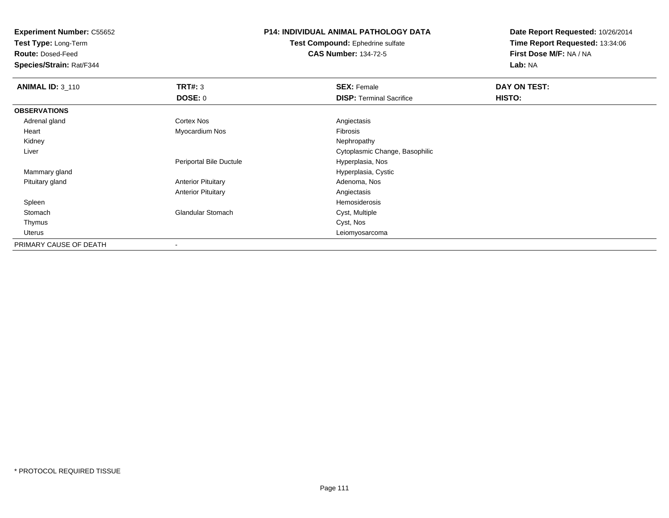**Test Type:** Long-Term

**Route:** Dosed-Feed

**Species/Strain:** Rat/F344

## **P14: INDIVIDUAL ANIMAL PATHOLOGY DATA**

**Test Compound:** Ephedrine sulfate**CAS Number:** 134-72-5

| <b>ANIMAL ID: 3_110</b> | TRT#: 3                   | <b>SEX: Female</b>              | DAY ON TEST: |
|-------------------------|---------------------------|---------------------------------|--------------|
|                         | DOSE: 0                   | <b>DISP: Terminal Sacrifice</b> | HISTO:       |
| <b>OBSERVATIONS</b>     |                           |                                 |              |
| Adrenal gland           | <b>Cortex Nos</b>         | Angiectasis                     |              |
| Heart                   | Myocardium Nos            | Fibrosis                        |              |
| Kidney                  |                           | Nephropathy                     |              |
| Liver                   |                           | Cytoplasmic Change, Basophilic  |              |
|                         | Periportal Bile Ductule   | Hyperplasia, Nos                |              |
| Mammary gland           |                           | Hyperplasia, Cystic             |              |
| Pituitary gland         | <b>Anterior Pituitary</b> | Adenoma, Nos                    |              |
|                         | <b>Anterior Pituitary</b> | Angiectasis                     |              |
| Spleen                  |                           | Hemosiderosis                   |              |
| Stomach                 | <b>Glandular Stomach</b>  | Cyst, Multiple                  |              |
| Thymus                  |                           | Cyst, Nos                       |              |
| Uterus                  |                           | Leiomyosarcoma                  |              |
| PRIMARY CAUSE OF DEATH  |                           |                                 |              |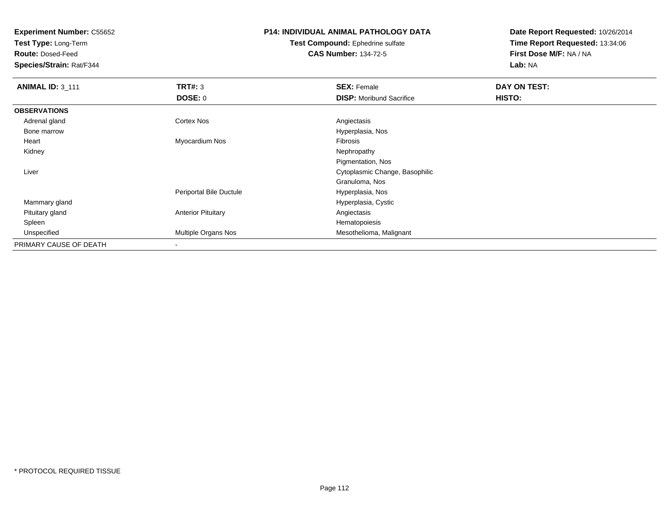**Test Type:** Long-Term

**Route:** Dosed-Feed

**Species/Strain:** Rat/F344

## **P14: INDIVIDUAL ANIMAL PATHOLOGY DATA**

**Test Compound:** Ephedrine sulfate**CAS Number:** 134-72-5

| <b>ANIMAL ID: 3 111</b> | TRT#: 3                   | <b>SEX: Female</b>              | DAY ON TEST: |  |
|-------------------------|---------------------------|---------------------------------|--------------|--|
|                         | DOSE: 0                   | <b>DISP:</b> Moribund Sacrifice | HISTO:       |  |
| <b>OBSERVATIONS</b>     |                           |                                 |              |  |
| Adrenal gland           | <b>Cortex Nos</b>         | Angiectasis                     |              |  |
| Bone marrow             |                           | Hyperplasia, Nos                |              |  |
| Heart                   | Myocardium Nos            | Fibrosis                        |              |  |
| Kidney                  |                           | Nephropathy                     |              |  |
|                         |                           | Pigmentation, Nos               |              |  |
| Liver                   |                           | Cytoplasmic Change, Basophilic  |              |  |
|                         |                           | Granuloma, Nos                  |              |  |
|                         | Periportal Bile Ductule   | Hyperplasia, Nos                |              |  |
| Mammary gland           |                           | Hyperplasia, Cystic             |              |  |
| Pituitary gland         | <b>Anterior Pituitary</b> | Angiectasis                     |              |  |
| Spleen                  |                           | Hematopoiesis                   |              |  |
| Unspecified             | Multiple Organs Nos       | Mesothelioma, Malignant         |              |  |
| PRIMARY CAUSE OF DEATH  | $\,$ $\,$                 |                                 |              |  |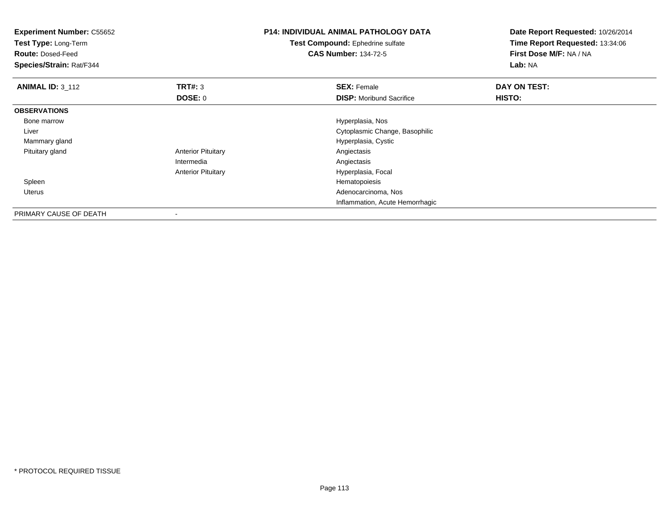| <b>Experiment Number: C55652</b><br>Test Type: Long-Term<br><b>Route: Dosed-Feed</b><br>Species/Strain: Rat/F344 |                           | <b>P14: INDIVIDUAL ANIMAL PATHOLOGY DATA</b><br>Test Compound: Ephedrine sulfate<br><b>CAS Number: 134-72-5</b> | Date Report Requested: 10/26/2014<br>Time Report Requested: 13:34:06<br>First Dose M/F: NA / NA<br>Lab: NA |  |
|------------------------------------------------------------------------------------------------------------------|---------------------------|-----------------------------------------------------------------------------------------------------------------|------------------------------------------------------------------------------------------------------------|--|
| <b>ANIMAL ID: 3 112</b>                                                                                          | <b>TRT#: 3</b>            | <b>SEX: Female</b>                                                                                              | DAY ON TEST:                                                                                               |  |
|                                                                                                                  | <b>DOSE: 0</b>            | <b>DISP:</b> Moribund Sacrifice                                                                                 | HISTO:                                                                                                     |  |
| <b>OBSERVATIONS</b>                                                                                              |                           |                                                                                                                 |                                                                                                            |  |
| Bone marrow                                                                                                      |                           | Hyperplasia, Nos                                                                                                |                                                                                                            |  |
| Liver                                                                                                            |                           | Cytoplasmic Change, Basophilic                                                                                  |                                                                                                            |  |
| Mammary gland                                                                                                    |                           | Hyperplasia, Cystic                                                                                             |                                                                                                            |  |
| Pituitary gland                                                                                                  | <b>Anterior Pituitary</b> | Angiectasis                                                                                                     |                                                                                                            |  |
|                                                                                                                  | Intermedia                | Angiectasis                                                                                                     |                                                                                                            |  |
|                                                                                                                  | <b>Anterior Pituitary</b> | Hyperplasia, Focal                                                                                              |                                                                                                            |  |
| Spleen                                                                                                           |                           | Hematopoiesis                                                                                                   |                                                                                                            |  |
| <b>Uterus</b>                                                                                                    |                           | Adenocarcinoma, Nos                                                                                             |                                                                                                            |  |
|                                                                                                                  |                           | Inflammation, Acute Hemorrhagic                                                                                 |                                                                                                            |  |
| PRIMARY CAUSE OF DEATH                                                                                           | $\overline{\phantom{a}}$  |                                                                                                                 |                                                                                                            |  |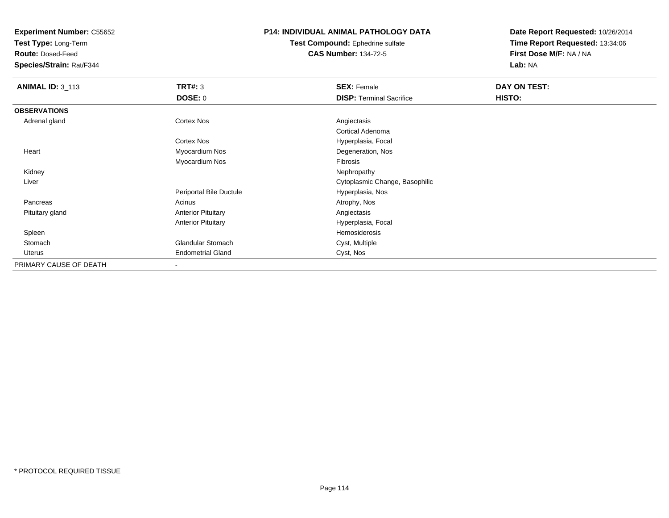**Test Type:** Long-Term

**Route:** Dosed-Feed

**Species/Strain:** Rat/F344

#### **P14: INDIVIDUAL ANIMAL PATHOLOGY DATA**

**Test Compound:** Ephedrine sulfate**CAS Number:** 134-72-5

| <b>ANIMAL ID: 3_113</b> | <b>TRT#: 3</b>            | <b>SEX: Female</b>              | DAY ON TEST: |  |
|-------------------------|---------------------------|---------------------------------|--------------|--|
|                         | <b>DOSE: 0</b>            | <b>DISP: Terminal Sacrifice</b> | HISTO:       |  |
| <b>OBSERVATIONS</b>     |                           |                                 |              |  |
| Adrenal gland           | Cortex Nos                | Angiectasis                     |              |  |
|                         |                           | <b>Cortical Adenoma</b>         |              |  |
|                         | Cortex Nos                | Hyperplasia, Focal              |              |  |
| Heart                   | Myocardium Nos            | Degeneration, Nos               |              |  |
|                         | Myocardium Nos            | Fibrosis                        |              |  |
| Kidney                  |                           | Nephropathy                     |              |  |
| Liver                   |                           | Cytoplasmic Change, Basophilic  |              |  |
|                         | Periportal Bile Ductule   | Hyperplasia, Nos                |              |  |
| Pancreas                | Acinus                    | Atrophy, Nos                    |              |  |
| Pituitary gland         | <b>Anterior Pituitary</b> | Angiectasis                     |              |  |
|                         | <b>Anterior Pituitary</b> | Hyperplasia, Focal              |              |  |
| Spleen                  |                           | Hemosiderosis                   |              |  |
| Stomach                 | Glandular Stomach         | Cyst, Multiple                  |              |  |
| Uterus                  | <b>Endometrial Gland</b>  | Cyst, Nos                       |              |  |
| PRIMARY CAUSE OF DEATH  | ۰                         |                                 |              |  |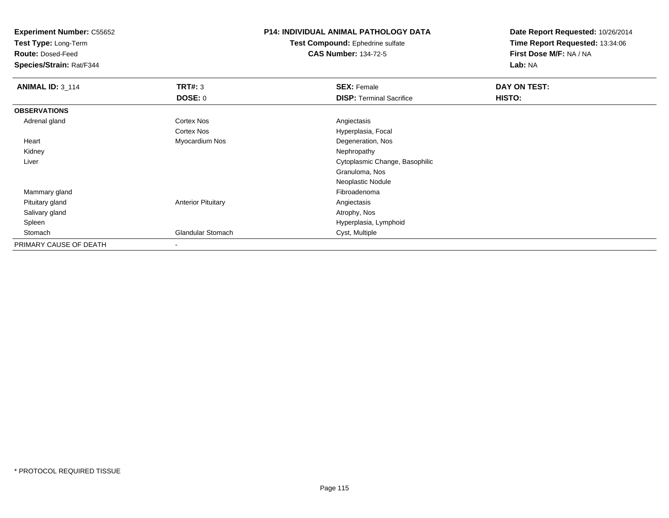**Test Type:** Long-Term

**Route:** Dosed-Feed

**Species/Strain:** Rat/F344

## **P14: INDIVIDUAL ANIMAL PATHOLOGY DATA**

**Test Compound:** Ephedrine sulfate**CAS Number:** 134-72-5

| <b>ANIMAL ID: 3_114</b> | TRT#: 3                   | <b>SEX: Female</b>              | DAY ON TEST: |  |
|-------------------------|---------------------------|---------------------------------|--------------|--|
|                         | DOSE: 0                   | <b>DISP: Terminal Sacrifice</b> | HISTO:       |  |
| <b>OBSERVATIONS</b>     |                           |                                 |              |  |
| Adrenal gland           | <b>Cortex Nos</b>         | Angiectasis                     |              |  |
|                         | <b>Cortex Nos</b>         | Hyperplasia, Focal              |              |  |
| Heart                   | Myocardium Nos            | Degeneration, Nos               |              |  |
| Kidney                  |                           | Nephropathy                     |              |  |
| Liver                   |                           | Cytoplasmic Change, Basophilic  |              |  |
|                         |                           | Granuloma, Nos                  |              |  |
|                         |                           | Neoplastic Nodule               |              |  |
| Mammary gland           |                           | Fibroadenoma                    |              |  |
| Pituitary gland         | <b>Anterior Pituitary</b> | Angiectasis                     |              |  |
| Salivary gland          |                           | Atrophy, Nos                    |              |  |
| Spleen                  |                           | Hyperplasia, Lymphoid           |              |  |
| Stomach                 | <b>Glandular Stomach</b>  | Cyst, Multiple                  |              |  |
| PRIMARY CAUSE OF DEATH  |                           |                                 |              |  |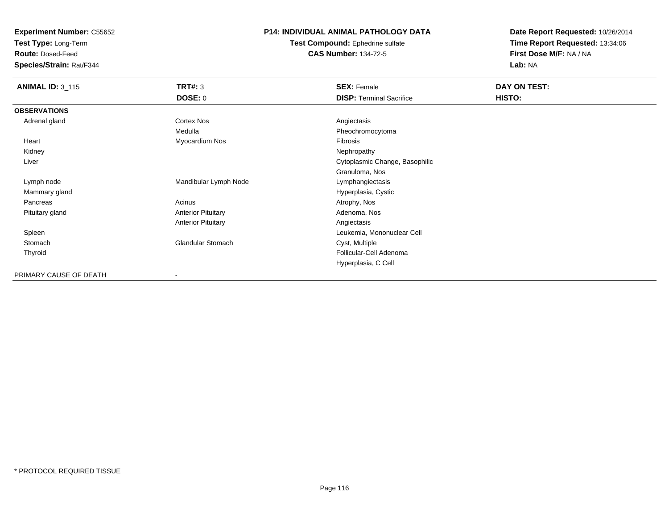**Test Type:** Long-Term

**Route:** Dosed-Feed

**Species/Strain:** Rat/F344

#### **P14: INDIVIDUAL ANIMAL PATHOLOGY DATA**

**Test Compound:** Ephedrine sulfate**CAS Number:** 134-72-5

| <b>ANIMAL ID: 3_115</b> | <b>TRT#: 3</b>            | <b>SEX: Female</b>              | DAY ON TEST: |
|-------------------------|---------------------------|---------------------------------|--------------|
|                         | <b>DOSE: 0</b>            | <b>DISP: Terminal Sacrifice</b> | HISTO:       |
| <b>OBSERVATIONS</b>     |                           |                                 |              |
| Adrenal gland           | Cortex Nos                | Angiectasis                     |              |
|                         | Medulla                   | Pheochromocytoma                |              |
| Heart                   | Myocardium Nos            | Fibrosis                        |              |
| Kidney                  |                           | Nephropathy                     |              |
| Liver                   |                           | Cytoplasmic Change, Basophilic  |              |
|                         |                           | Granuloma, Nos                  |              |
| Lymph node              | Mandibular Lymph Node     | Lymphangiectasis                |              |
| Mammary gland           |                           | Hyperplasia, Cystic             |              |
| Pancreas                | Acinus                    | Atrophy, Nos                    |              |
| Pituitary gland         | <b>Anterior Pituitary</b> | Adenoma, Nos                    |              |
|                         | <b>Anterior Pituitary</b> | Angiectasis                     |              |
| Spleen                  |                           | Leukemia, Mononuclear Cell      |              |
| Stomach                 | <b>Glandular Stomach</b>  | Cyst, Multiple                  |              |
| Thyroid                 |                           | Follicular-Cell Adenoma         |              |
|                         |                           | Hyperplasia, C Cell             |              |
| PRIMARY CAUSE OF DEATH  |                           |                                 |              |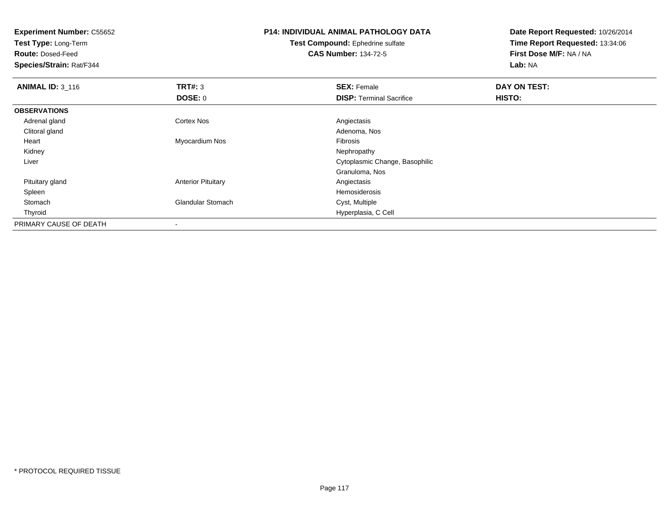**Experiment Number:** C55652**Test Type:** Long-Term**Route:** Dosed-Feed **Species/Strain:** Rat/F344**P14: INDIVIDUAL ANIMAL PATHOLOGY DATATest Compound:** Ephedrine sulfate**CAS Number:** 134-72-5**Date Report Requested:** 10/26/2014**Time Report Requested:** 13:34:06**First Dose M/F:** NA / NA**Lab:** NA**ANIMAL ID: 3 116 6 DAY ON TEST: TRT#:** 3 **SEX: Female SEX: Female DAY ON TEST: DOSE:** 0**DISP:** Terminal Sacrifice **HISTO: OBSERVATIONS** Adrenal glandd and the Cortex Nos and the Cortex Nos and the Angiectasis Clitoral glandd and the control of the control of the control of the control of the control of the control of the control of the control of the control of the control of the control of the control of the control of the control of the co Heart Myocardium Nos Fibrosis Kidneyy the control of the control of the control of the control of the control of the control of the control of the control of the control of the control of the control of the control of the control of the control of the contro Liver Cytoplasmic Change, BasophilicGranuloma, Nos Pituitary glandAnterior Pituitary **Anterior Pituitary** Anglectasis<br>Hemosiderosis Spleenn and the state of the state of the state of the state of the state of the state of the state of the state of the state of the state of the state of the state of the state of the state of the state of the state of the stat StomachGlandular Stomach Cyst, Multiple Thyroid Hyperplasia, C Cell PRIMARY CAUSE OF DEATH-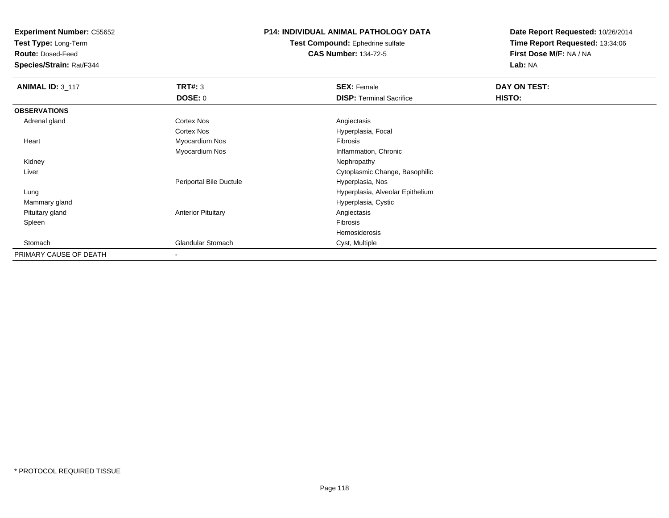**Test Type:** Long-Term

**Route:** Dosed-Feed

**Species/Strain:** Rat/F344

### **P14: INDIVIDUAL ANIMAL PATHOLOGY DATA**

**Test Compound:** Ephedrine sulfate**CAS Number:** 134-72-5

| <b>ANIMAL ID: 3_117</b> | <b>TRT#: 3</b>            | <b>SEX: Female</b>               | DAY ON TEST: |  |
|-------------------------|---------------------------|----------------------------------|--------------|--|
|                         | <b>DOSE: 0</b>            | <b>DISP: Terminal Sacrifice</b>  | HISTO:       |  |
| <b>OBSERVATIONS</b>     |                           |                                  |              |  |
| Adrenal gland           | Cortex Nos                | Angiectasis                      |              |  |
|                         | Cortex Nos                | Hyperplasia, Focal               |              |  |
| Heart                   | Myocardium Nos            | Fibrosis                         |              |  |
|                         | Myocardium Nos            | Inflammation, Chronic            |              |  |
| Kidney                  |                           | Nephropathy                      |              |  |
| Liver                   |                           | Cytoplasmic Change, Basophilic   |              |  |
|                         | Periportal Bile Ductule   | Hyperplasia, Nos                 |              |  |
| Lung                    |                           | Hyperplasia, Alveolar Epithelium |              |  |
| Mammary gland           |                           | Hyperplasia, Cystic              |              |  |
| Pituitary gland         | <b>Anterior Pituitary</b> | Angiectasis                      |              |  |
| Spleen                  |                           | Fibrosis                         |              |  |
|                         |                           | Hemosiderosis                    |              |  |
| Stomach                 | <b>Glandular Stomach</b>  | Cyst, Multiple                   |              |  |
| PRIMARY CAUSE OF DEATH  |                           |                                  |              |  |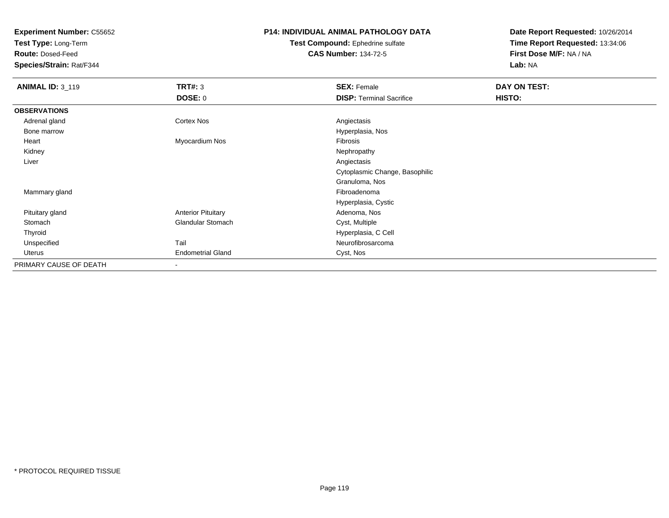**Test Type:** Long-Term

**Route:** Dosed-Feed

**Species/Strain:** Rat/F344

#### **P14: INDIVIDUAL ANIMAL PATHOLOGY DATA**

**Test Compound:** Ephedrine sulfate**CAS Number:** 134-72-5

| <b>ANIMAL ID: 3_119</b> | <b>TRT#: 3</b>            | <b>SEX: Female</b>              | DAY ON TEST: |  |
|-------------------------|---------------------------|---------------------------------|--------------|--|
|                         | <b>DOSE: 0</b>            | <b>DISP: Terminal Sacrifice</b> | HISTO:       |  |
| <b>OBSERVATIONS</b>     |                           |                                 |              |  |
| Adrenal gland           | Cortex Nos                | Angiectasis                     |              |  |
| Bone marrow             |                           | Hyperplasia, Nos                |              |  |
| Heart                   | Myocardium Nos            | Fibrosis                        |              |  |
| Kidney                  |                           | Nephropathy                     |              |  |
| Liver                   |                           | Angiectasis                     |              |  |
|                         |                           | Cytoplasmic Change, Basophilic  |              |  |
|                         |                           | Granuloma, Nos                  |              |  |
| Mammary gland           |                           | Fibroadenoma                    |              |  |
|                         |                           | Hyperplasia, Cystic             |              |  |
| Pituitary gland         | <b>Anterior Pituitary</b> | Adenoma, Nos                    |              |  |
| Stomach                 | Glandular Stomach         | Cyst, Multiple                  |              |  |
| Thyroid                 |                           | Hyperplasia, C Cell             |              |  |
| Unspecified             | Tail                      | Neurofibrosarcoma               |              |  |
| Uterus                  | <b>Endometrial Gland</b>  | Cyst, Nos                       |              |  |
| PRIMARY CAUSE OF DEATH  | $\blacksquare$            |                                 |              |  |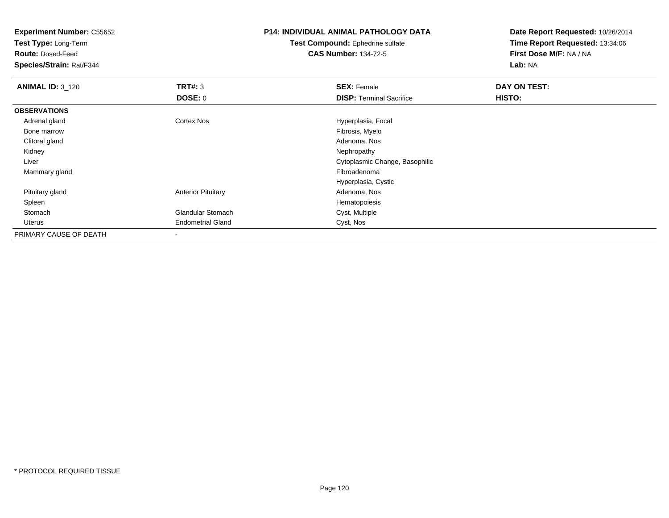**Test Type:** Long-Term

**Route:** Dosed-Feed

**Species/Strain:** Rat/F344

# **P14: INDIVIDUAL ANIMAL PATHOLOGY DATA**

**Test Compound:** Ephedrine sulfate**CAS Number:** 134-72-5

| <b>ANIMAL ID: 3_120</b> | TRT#: 3                   | <b>SEX: Female</b>              | DAY ON TEST: |  |
|-------------------------|---------------------------|---------------------------------|--------------|--|
|                         | <b>DOSE: 0</b>            | <b>DISP:</b> Terminal Sacrifice | HISTO:       |  |
| <b>OBSERVATIONS</b>     |                           |                                 |              |  |
| Adrenal gland           | <b>Cortex Nos</b>         | Hyperplasia, Focal              |              |  |
| Bone marrow             |                           | Fibrosis, Myelo                 |              |  |
| Clitoral gland          |                           | Adenoma, Nos                    |              |  |
| Kidney                  |                           | Nephropathy                     |              |  |
| Liver                   |                           | Cytoplasmic Change, Basophilic  |              |  |
| Mammary gland           |                           | Fibroadenoma                    |              |  |
|                         |                           | Hyperplasia, Cystic             |              |  |
| Pituitary gland         | <b>Anterior Pituitary</b> | Adenoma, Nos                    |              |  |
| Spleen                  |                           | Hematopoiesis                   |              |  |
| Stomach                 | <b>Glandular Stomach</b>  | Cyst, Multiple                  |              |  |
| Uterus                  | <b>Endometrial Gland</b>  | Cyst, Nos                       |              |  |
| PRIMARY CAUSE OF DEATH  |                           |                                 |              |  |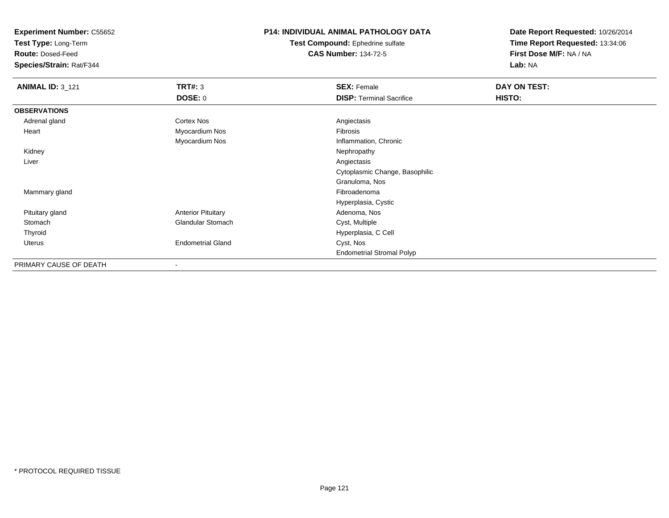**Test Type:** Long-Term

**Route:** Dosed-Feed

**Species/Strain:** Rat/F344

## **P14: INDIVIDUAL ANIMAL PATHOLOGY DATA**

**Test Compound:** Ephedrine sulfate**CAS Number:** 134-72-5

| <b>ANIMAL ID: 3_121</b> | <b>TRT#: 3</b>            | <b>SEX: Female</b>               | DAY ON TEST: |  |
|-------------------------|---------------------------|----------------------------------|--------------|--|
|                         | DOSE: 0                   | <b>DISP: Terminal Sacrifice</b>  | HISTO:       |  |
| <b>OBSERVATIONS</b>     |                           |                                  |              |  |
| Adrenal gland           | Cortex Nos                | Angiectasis                      |              |  |
| Heart                   | Myocardium Nos            | Fibrosis                         |              |  |
|                         | Myocardium Nos            | Inflammation, Chronic            |              |  |
| Kidney                  |                           | Nephropathy                      |              |  |
| Liver                   |                           | Angiectasis                      |              |  |
|                         |                           | Cytoplasmic Change, Basophilic   |              |  |
|                         |                           | Granuloma, Nos                   |              |  |
| Mammary gland           |                           | Fibroadenoma                     |              |  |
|                         |                           | Hyperplasia, Cystic              |              |  |
| Pituitary gland         | <b>Anterior Pituitary</b> | Adenoma, Nos                     |              |  |
| Stomach                 | <b>Glandular Stomach</b>  | Cyst, Multiple                   |              |  |
| Thyroid                 |                           | Hyperplasia, C Cell              |              |  |
| <b>Uterus</b>           | <b>Endometrial Gland</b>  | Cyst, Nos                        |              |  |
|                         |                           | <b>Endometrial Stromal Polyp</b> |              |  |
| PRIMARY CAUSE OF DEATH  | $\overline{\phantom{a}}$  |                                  |              |  |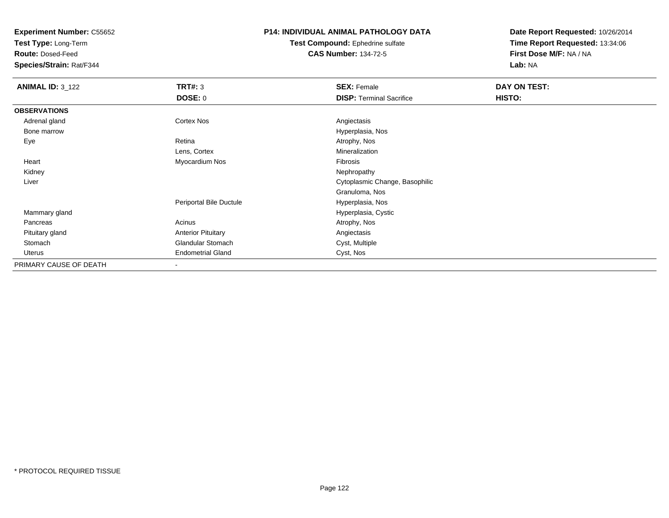**Test Type:** Long-Term

**Route:** Dosed-Feed

**Species/Strain:** Rat/F344

#### **P14: INDIVIDUAL ANIMAL PATHOLOGY DATA**

**Test Compound:** Ephedrine sulfate**CAS Number:** 134-72-5

| <b>ANIMAL ID: 3_122</b> | TRT#: 3                   | <b>SEX: Female</b>              | DAY ON TEST: |
|-------------------------|---------------------------|---------------------------------|--------------|
|                         | <b>DOSE: 0</b>            | <b>DISP: Terminal Sacrifice</b> | HISTO:       |
| <b>OBSERVATIONS</b>     |                           |                                 |              |
| Adrenal gland           | Cortex Nos                | Angiectasis                     |              |
| Bone marrow             |                           | Hyperplasia, Nos                |              |
| Eye                     | Retina                    | Atrophy, Nos                    |              |
|                         | Lens, Cortex              | Mineralization                  |              |
| Heart                   | Myocardium Nos            | Fibrosis                        |              |
| Kidney                  |                           | Nephropathy                     |              |
| Liver                   |                           | Cytoplasmic Change, Basophilic  |              |
|                         |                           | Granuloma, Nos                  |              |
|                         | Periportal Bile Ductule   | Hyperplasia, Nos                |              |
| Mammary gland           |                           | Hyperplasia, Cystic             |              |
| Pancreas                | Acinus                    | Atrophy, Nos                    |              |
| Pituitary gland         | <b>Anterior Pituitary</b> | Angiectasis                     |              |
| Stomach                 | <b>Glandular Stomach</b>  | Cyst, Multiple                  |              |
| Uterus                  | <b>Endometrial Gland</b>  | Cyst, Nos                       |              |
| PRIMARY CAUSE OF DEATH  | $\overline{\phantom{a}}$  |                                 |              |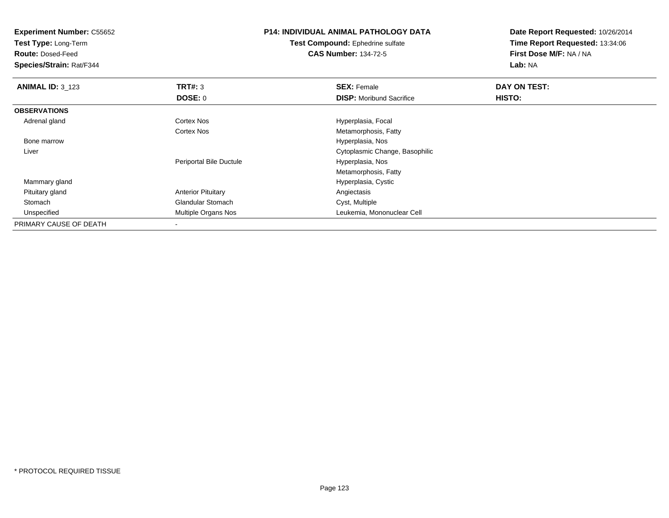**Test Type:** Long-Term

**Route:** Dosed-Feed

**Species/Strain:** Rat/F344

## **P14: INDIVIDUAL ANIMAL PATHOLOGY DATA**

**Test Compound:** Ephedrine sulfate**CAS Number:** 134-72-5

| <b>ANIMAL ID: 3_123</b> | TRT#: 3                   | <b>SEX: Female</b>              | DAY ON TEST: |  |
|-------------------------|---------------------------|---------------------------------|--------------|--|
|                         | DOSE: 0                   | <b>DISP:</b> Moribund Sacrifice | HISTO:       |  |
| <b>OBSERVATIONS</b>     |                           |                                 |              |  |
| Adrenal gland           | <b>Cortex Nos</b>         | Hyperplasia, Focal              |              |  |
|                         | <b>Cortex Nos</b>         | Metamorphosis, Fatty            |              |  |
| Bone marrow             |                           | Hyperplasia, Nos                |              |  |
| Liver                   |                           | Cytoplasmic Change, Basophilic  |              |  |
|                         | Periportal Bile Ductule   | Hyperplasia, Nos                |              |  |
|                         |                           | Metamorphosis, Fatty            |              |  |
| Mammary gland           |                           | Hyperplasia, Cystic             |              |  |
| Pituitary gland         | <b>Anterior Pituitary</b> | Angiectasis                     |              |  |
| Stomach                 | <b>Glandular Stomach</b>  | Cyst, Multiple                  |              |  |
| Unspecified             | Multiple Organs Nos       | Leukemia, Mononuclear Cell      |              |  |
| PRIMARY CAUSE OF DEATH  | $\overline{\phantom{a}}$  |                                 |              |  |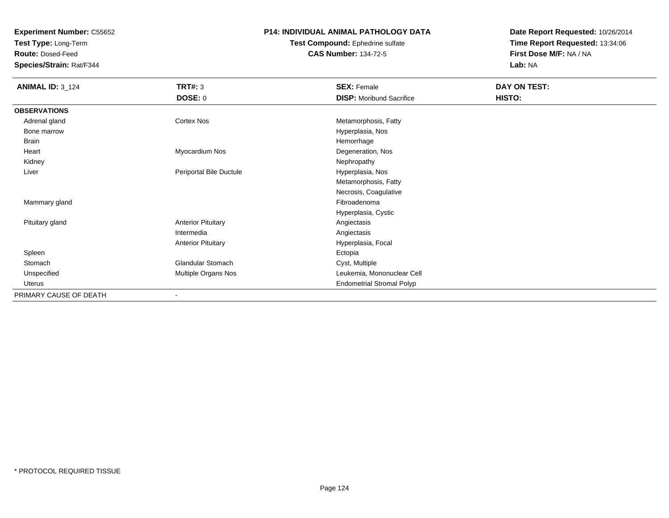**Test Type:** Long-Term

**Route:** Dosed-Feed

**Species/Strain:** Rat/F344

#### **P14: INDIVIDUAL ANIMAL PATHOLOGY DATA**

**Test Compound:** Ephedrine sulfate**CAS Number:** 134-72-5

| <b>ANIMAL ID: 3_124</b> | <b>TRT#: 3</b>            | <b>SEX: Female</b>               | DAY ON TEST: |  |
|-------------------------|---------------------------|----------------------------------|--------------|--|
|                         | <b>DOSE: 0</b>            | <b>DISP: Moribund Sacrifice</b>  | HISTO:       |  |
| <b>OBSERVATIONS</b>     |                           |                                  |              |  |
| Adrenal gland           | <b>Cortex Nos</b>         | Metamorphosis, Fatty             |              |  |
| Bone marrow             |                           | Hyperplasia, Nos                 |              |  |
| Brain                   |                           | Hemorrhage                       |              |  |
| Heart                   | Myocardium Nos            | Degeneration, Nos                |              |  |
| Kidney                  |                           | Nephropathy                      |              |  |
| Liver                   | Periportal Bile Ductule   | Hyperplasia, Nos                 |              |  |
|                         |                           | Metamorphosis, Fatty             |              |  |
|                         |                           | Necrosis, Coagulative            |              |  |
| Mammary gland           |                           | Fibroadenoma                     |              |  |
|                         |                           | Hyperplasia, Cystic              |              |  |
| Pituitary gland         | <b>Anterior Pituitary</b> | Angiectasis                      |              |  |
|                         | Intermedia                | Angiectasis                      |              |  |
|                         | <b>Anterior Pituitary</b> | Hyperplasia, Focal               |              |  |
| Spleen                  |                           | Ectopia                          |              |  |
| Stomach                 | Glandular Stomach         | Cyst, Multiple                   |              |  |
| Unspecified             | Multiple Organs Nos       | Leukemia, Mononuclear Cell       |              |  |
| Uterus                  |                           | <b>Endometrial Stromal Polyp</b> |              |  |
| PRIMARY CAUSE OF DEATH  |                           |                                  |              |  |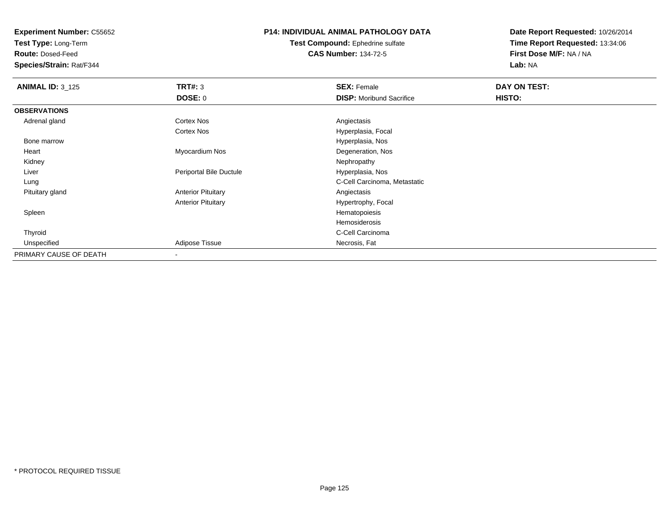**Test Type:** Long-Term

**Route:** Dosed-Feed

**Species/Strain:** Rat/F344

#### **P14: INDIVIDUAL ANIMAL PATHOLOGY DATA**

#### **Test Compound:** Ephedrine sulfate**CAS Number:** 134-72-5

| <b>ANIMAL ID: 3_125</b> | TRT#: 3                   | <b>SEX: Female</b>              | DAY ON TEST: |  |
|-------------------------|---------------------------|---------------------------------|--------------|--|
|                         | <b>DOSE: 0</b>            | <b>DISP:</b> Moribund Sacrifice | HISTO:       |  |
| <b>OBSERVATIONS</b>     |                           |                                 |              |  |
| Adrenal gland           | <b>Cortex Nos</b>         | Angiectasis                     |              |  |
|                         | <b>Cortex Nos</b>         | Hyperplasia, Focal              |              |  |
| Bone marrow             |                           | Hyperplasia, Nos                |              |  |
| Heart                   | Myocardium Nos            | Degeneration, Nos               |              |  |
| Kidney                  |                           | Nephropathy                     |              |  |
| Liver                   | Periportal Bile Ductule   | Hyperplasia, Nos                |              |  |
| Lung                    |                           | C-Cell Carcinoma, Metastatic    |              |  |
| Pituitary gland         | <b>Anterior Pituitary</b> | Angiectasis                     |              |  |
|                         | <b>Anterior Pituitary</b> | Hypertrophy, Focal              |              |  |
| Spleen                  |                           | Hematopoiesis                   |              |  |
|                         |                           | Hemosiderosis                   |              |  |
| Thyroid                 |                           | C-Cell Carcinoma                |              |  |
| Unspecified             | Adipose Tissue            | Necrosis, Fat                   |              |  |
| PRIMARY CAUSE OF DEATH  | $\overline{\phantom{a}}$  |                                 |              |  |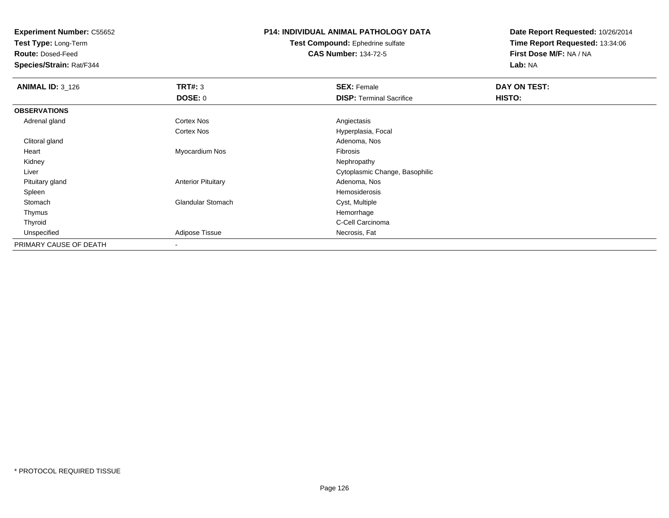**Test Type:** Long-Term

**Route:** Dosed-Feed

**Species/Strain:** Rat/F344

## **P14: INDIVIDUAL ANIMAL PATHOLOGY DATA**

**Test Compound:** Ephedrine sulfate**CAS Number:** 134-72-5

| <b>ANIMAL ID: 3_126</b> | TRT#: 3                   | <b>SEX: Female</b>              | DAY ON TEST: |  |
|-------------------------|---------------------------|---------------------------------|--------------|--|
|                         | DOSE: 0                   | <b>DISP: Terminal Sacrifice</b> | HISTO:       |  |
| <b>OBSERVATIONS</b>     |                           |                                 |              |  |
| Adrenal gland           | <b>Cortex Nos</b>         | Angiectasis                     |              |  |
|                         | Cortex Nos                | Hyperplasia, Focal              |              |  |
| Clitoral gland          |                           | Adenoma, Nos                    |              |  |
| Heart                   | Myocardium Nos            | Fibrosis                        |              |  |
| Kidney                  |                           | Nephropathy                     |              |  |
| Liver                   |                           | Cytoplasmic Change, Basophilic  |              |  |
| Pituitary gland         | <b>Anterior Pituitary</b> | Adenoma, Nos                    |              |  |
| Spleen                  |                           | Hemosiderosis                   |              |  |
| Stomach                 | <b>Glandular Stomach</b>  | Cyst, Multiple                  |              |  |
| Thymus                  |                           | Hemorrhage                      |              |  |
| Thyroid                 |                           | C-Cell Carcinoma                |              |  |
| Unspecified             | <b>Adipose Tissue</b>     | Necrosis, Fat                   |              |  |
| PRIMARY CAUSE OF DEATH  |                           |                                 |              |  |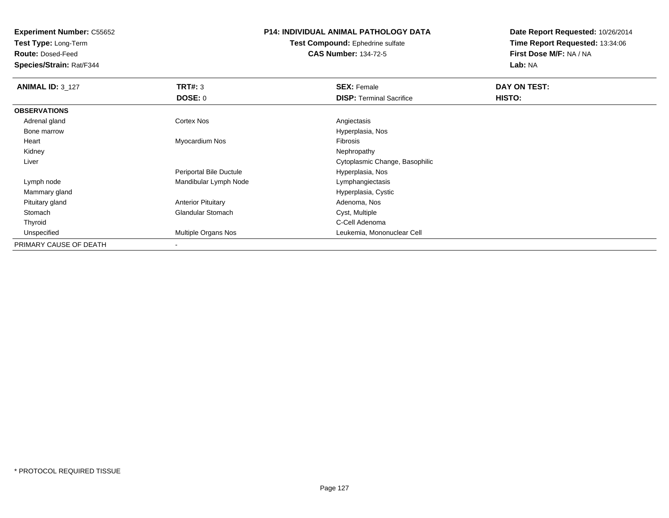**Test Type:** Long-Term

**Route:** Dosed-Feed

**Species/Strain:** Rat/F344

### **P14: INDIVIDUAL ANIMAL PATHOLOGY DATA**

**Test Compound:** Ephedrine sulfate**CAS Number:** 134-72-5

| <b>ANIMAL ID: 3 127</b> | TRT#: 3                   | <b>SEX: Female</b>              | DAY ON TEST: |  |
|-------------------------|---------------------------|---------------------------------|--------------|--|
|                         | DOSE: 0                   | <b>DISP: Terminal Sacrifice</b> | HISTO:       |  |
| <b>OBSERVATIONS</b>     |                           |                                 |              |  |
| Adrenal gland           | <b>Cortex Nos</b>         | Angiectasis                     |              |  |
| Bone marrow             |                           | Hyperplasia, Nos                |              |  |
| Heart                   | Myocardium Nos            | <b>Fibrosis</b>                 |              |  |
| Kidney                  |                           | Nephropathy                     |              |  |
| Liver                   |                           | Cytoplasmic Change, Basophilic  |              |  |
|                         | Periportal Bile Ductule   | Hyperplasia, Nos                |              |  |
| Lymph node              | Mandibular Lymph Node     | Lymphangiectasis                |              |  |
| Mammary gland           |                           | Hyperplasia, Cystic             |              |  |
| Pituitary gland         | <b>Anterior Pituitary</b> | Adenoma, Nos                    |              |  |
| Stomach                 | <b>Glandular Stomach</b>  | Cyst, Multiple                  |              |  |
| Thyroid                 |                           | C-Cell Adenoma                  |              |  |
| Unspecified             | Multiple Organs Nos       | Leukemia, Mononuclear Cell      |              |  |
| PRIMARY CAUSE OF DEATH  |                           |                                 |              |  |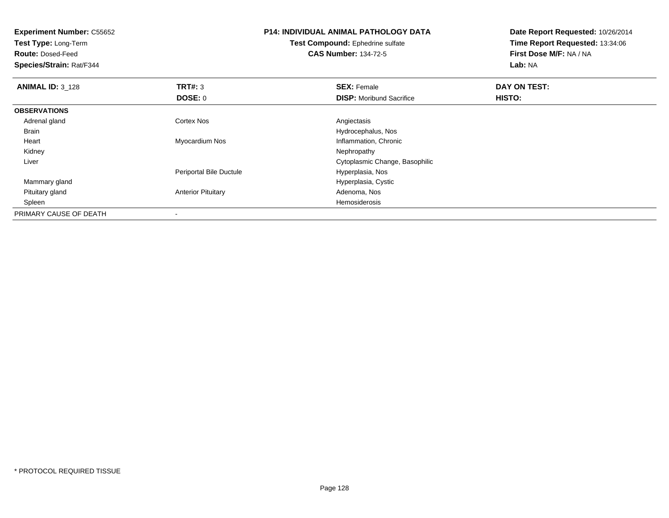| <b>Experiment Number: C55652</b><br>Test Type: Long-Term<br><b>Route: Dosed-Feed</b><br>Species/Strain: Rat/F344 |                           | <b>P14: INDIVIDUAL ANIMAL PATHOLOGY DATA</b><br><b>Test Compound: Ephedrine sulfate</b><br><b>CAS Number: 134-72-5</b> | Date Report Requested: 10/26/2014<br>Time Report Requested: 13:34:06<br>First Dose M/F: NA / NA<br>Lab: NA |
|------------------------------------------------------------------------------------------------------------------|---------------------------|------------------------------------------------------------------------------------------------------------------------|------------------------------------------------------------------------------------------------------------|
| <b>ANIMAL ID: 3_128</b>                                                                                          | TRT#: 3                   | <b>SEX: Female</b>                                                                                                     | DAY ON TEST:                                                                                               |
|                                                                                                                  | DOSE: 0                   | <b>DISP:</b> Moribund Sacrifice                                                                                        | HISTO:                                                                                                     |
| <b>OBSERVATIONS</b>                                                                                              |                           |                                                                                                                        |                                                                                                            |
| Adrenal gland                                                                                                    | Cortex Nos                | Angiectasis                                                                                                            |                                                                                                            |
| Brain                                                                                                            |                           | Hydrocephalus, Nos                                                                                                     |                                                                                                            |
| Heart                                                                                                            | Myocardium Nos            | Inflammation, Chronic                                                                                                  |                                                                                                            |
| Kidney                                                                                                           |                           | Nephropathy                                                                                                            |                                                                                                            |
| Liver                                                                                                            |                           | Cytoplasmic Change, Basophilic                                                                                         |                                                                                                            |
|                                                                                                                  | Periportal Bile Ductule   | Hyperplasia, Nos                                                                                                       |                                                                                                            |
| Mammary gland                                                                                                    |                           | Hyperplasia, Cystic                                                                                                    |                                                                                                            |
| Pituitary gland                                                                                                  | <b>Anterior Pituitary</b> | Adenoma, Nos                                                                                                           |                                                                                                            |
| Spleen                                                                                                           |                           | Hemosiderosis                                                                                                          |                                                                                                            |
| PRIMARY CAUSE OF DEATH                                                                                           |                           |                                                                                                                        |                                                                                                            |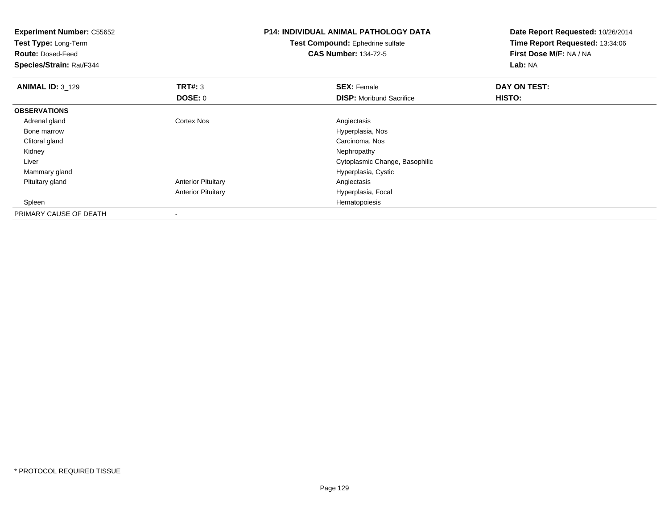| <b>Experiment Number: C55652</b><br>Test Type: Long-Term<br><b>Route: Dosed-Feed</b><br>Species/Strain: Rat/F344 |                           | <b>P14: INDIVIDUAL ANIMAL PATHOLOGY DATA</b><br>Test Compound: Ephedrine sulfate<br><b>CAS Number: 134-72-5</b> | Date Report Requested: 10/26/2014<br>Time Report Requested: 13:34:06<br>First Dose M/F: NA / NA<br>Lab: NA |
|------------------------------------------------------------------------------------------------------------------|---------------------------|-----------------------------------------------------------------------------------------------------------------|------------------------------------------------------------------------------------------------------------|
| <b>ANIMAL ID: 3_129</b>                                                                                          | TRT#: 3                   | <b>SEX: Female</b>                                                                                              | DAY ON TEST:                                                                                               |
|                                                                                                                  | DOSE: 0                   | <b>DISP:</b> Moribund Sacrifice                                                                                 | HISTO:                                                                                                     |
| <b>OBSERVATIONS</b>                                                                                              |                           |                                                                                                                 |                                                                                                            |
| Adrenal gland                                                                                                    | <b>Cortex Nos</b>         | Angiectasis                                                                                                     |                                                                                                            |
| Bone marrow                                                                                                      |                           | Hyperplasia, Nos                                                                                                |                                                                                                            |
| Clitoral gland                                                                                                   |                           | Carcinoma, Nos                                                                                                  |                                                                                                            |
| Kidney                                                                                                           |                           | Nephropathy                                                                                                     |                                                                                                            |
| Liver                                                                                                            |                           | Cytoplasmic Change, Basophilic                                                                                  |                                                                                                            |
| Mammary gland                                                                                                    |                           | Hyperplasia, Cystic                                                                                             |                                                                                                            |
| Pituitary gland                                                                                                  | <b>Anterior Pituitary</b> | Angiectasis                                                                                                     |                                                                                                            |
|                                                                                                                  | <b>Anterior Pituitary</b> | Hyperplasia, Focal                                                                                              |                                                                                                            |
| Spleen                                                                                                           |                           | Hematopoiesis                                                                                                   |                                                                                                            |
| PRIMARY CAUSE OF DEATH                                                                                           |                           |                                                                                                                 |                                                                                                            |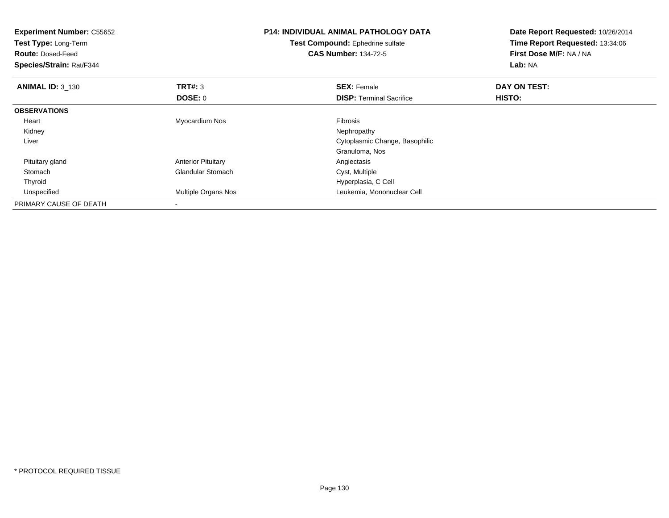| <b>Experiment Number: C55652</b><br>Test Type: Long-Term<br><b>Route: Dosed-Feed</b><br>Species/Strain: Rat/F344 |                            | <b>P14: INDIVIDUAL ANIMAL PATHOLOGY DATA</b><br>Test Compound: Ephedrine sulfate<br><b>CAS Number: 134-72-5</b> | Date Report Requested: 10/26/2014<br>Time Report Requested: 13:34:06<br>First Dose M/F: NA / NA<br>Lab: NA |
|------------------------------------------------------------------------------------------------------------------|----------------------------|-----------------------------------------------------------------------------------------------------------------|------------------------------------------------------------------------------------------------------------|
| <b>ANIMAL ID: 3_130</b>                                                                                          | TRT#: 3                    | <b>SEX: Female</b>                                                                                              | DAY ON TEST:                                                                                               |
|                                                                                                                  | DOSE: 0                    | <b>DISP:</b> Terminal Sacrifice                                                                                 | HISTO:                                                                                                     |
| <b>OBSERVATIONS</b>                                                                                              |                            |                                                                                                                 |                                                                                                            |
| Heart                                                                                                            | Myocardium Nos             | Fibrosis                                                                                                        |                                                                                                            |
| Kidney                                                                                                           |                            | Nephropathy                                                                                                     |                                                                                                            |
| Liver                                                                                                            |                            | Cytoplasmic Change, Basophilic                                                                                  |                                                                                                            |
|                                                                                                                  |                            | Granuloma, Nos                                                                                                  |                                                                                                            |
| Pituitary gland                                                                                                  | <b>Anterior Pituitary</b>  | Angiectasis                                                                                                     |                                                                                                            |
| Stomach                                                                                                          | <b>Glandular Stomach</b>   | Cyst, Multiple                                                                                                  |                                                                                                            |
| Thyroid                                                                                                          |                            | Hyperplasia, C Cell                                                                                             |                                                                                                            |
| Unspecified                                                                                                      | <b>Multiple Organs Nos</b> | Leukemia, Mononuclear Cell                                                                                      |                                                                                                            |
| PRIMARY CAUSE OF DEATH                                                                                           |                            |                                                                                                                 |                                                                                                            |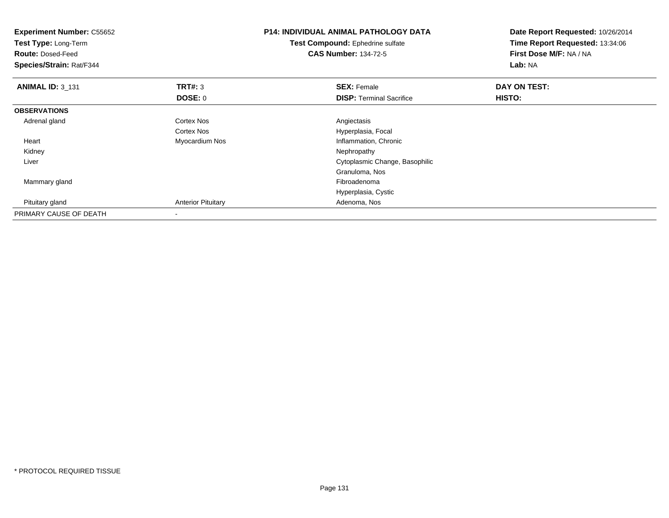| <b>Experiment Number: C55652</b><br>Test Type: Long-Term<br><b>Route: Dosed-Feed</b><br>Species/Strain: Rat/F344 |                           | <b>P14: INDIVIDUAL ANIMAL PATHOLOGY DATA</b><br>Test Compound: Ephedrine sulfate<br><b>CAS Number: 134-72-5</b> | Date Report Requested: 10/26/2014<br>Time Report Requested: 13:34:06<br>First Dose M/F: NA / NA<br>Lab: NA |
|------------------------------------------------------------------------------------------------------------------|---------------------------|-----------------------------------------------------------------------------------------------------------------|------------------------------------------------------------------------------------------------------------|
| <b>ANIMAL ID: 3_131</b>                                                                                          | TRT#: 3                   | <b>SEX: Female</b>                                                                                              | DAY ON TEST:                                                                                               |
|                                                                                                                  | <b>DOSE: 0</b>            | <b>DISP: Terminal Sacrifice</b>                                                                                 | HISTO:                                                                                                     |
| <b>OBSERVATIONS</b>                                                                                              |                           |                                                                                                                 |                                                                                                            |
| Adrenal gland                                                                                                    | Cortex Nos                | Angiectasis                                                                                                     |                                                                                                            |
|                                                                                                                  | <b>Cortex Nos</b>         | Hyperplasia, Focal                                                                                              |                                                                                                            |
| Heart                                                                                                            | Myocardium Nos            | Inflammation, Chronic                                                                                           |                                                                                                            |
| Kidney                                                                                                           |                           | Nephropathy                                                                                                     |                                                                                                            |
| Liver                                                                                                            |                           | Cytoplasmic Change, Basophilic                                                                                  |                                                                                                            |
|                                                                                                                  |                           | Granuloma, Nos                                                                                                  |                                                                                                            |
| Mammary gland                                                                                                    |                           | Fibroadenoma                                                                                                    |                                                                                                            |
|                                                                                                                  |                           | Hyperplasia, Cystic                                                                                             |                                                                                                            |
| Pituitary gland                                                                                                  | <b>Anterior Pituitary</b> | Adenoma, Nos                                                                                                    |                                                                                                            |
| PRIMARY CAUSE OF DEATH                                                                                           |                           |                                                                                                                 |                                                                                                            |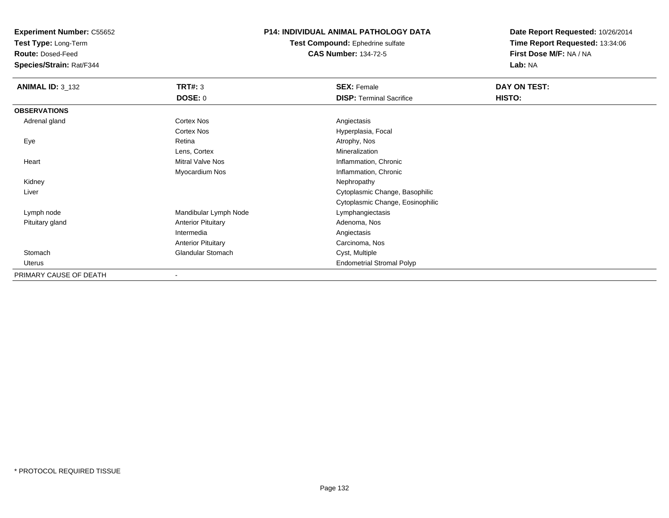**Test Type:** Long-Term

**Route:** Dosed-Feed

**Species/Strain:** Rat/F344

#### **P14: INDIVIDUAL ANIMAL PATHOLOGY DATA**

**Test Compound:** Ephedrine sulfate**CAS Number:** 134-72-5

| <b>ANIMAL ID: 3_132</b> | <b>TRT#: 3</b>            | <b>SEX: Female</b>               | DAY ON TEST: |
|-------------------------|---------------------------|----------------------------------|--------------|
|                         | <b>DOSE: 0</b>            | <b>DISP: Terminal Sacrifice</b>  | HISTO:       |
| <b>OBSERVATIONS</b>     |                           |                                  |              |
| Adrenal gland           | <b>Cortex Nos</b>         | Angiectasis                      |              |
|                         | <b>Cortex Nos</b>         | Hyperplasia, Focal               |              |
| Eye                     | Retina                    | Atrophy, Nos                     |              |
|                         | Lens, Cortex              | Mineralization                   |              |
| Heart                   | Mitral Valve Nos          | Inflammation, Chronic            |              |
|                         | Myocardium Nos            | Inflammation, Chronic            |              |
| Kidney                  |                           | Nephropathy                      |              |
| Liver                   |                           | Cytoplasmic Change, Basophilic   |              |
|                         |                           | Cytoplasmic Change, Eosinophilic |              |
| Lymph node              | Mandibular Lymph Node     | Lymphangiectasis                 |              |
| Pituitary gland         | <b>Anterior Pituitary</b> | Adenoma, Nos                     |              |
|                         | Intermedia                | Angiectasis                      |              |
|                         | <b>Anterior Pituitary</b> | Carcinoma, Nos                   |              |
| Stomach                 | <b>Glandular Stomach</b>  | Cyst, Multiple                   |              |
| Uterus                  |                           | <b>Endometrial Stromal Polyp</b> |              |
| PRIMARY CAUSE OF DEATH  | $\overline{\phantom{a}}$  |                                  |              |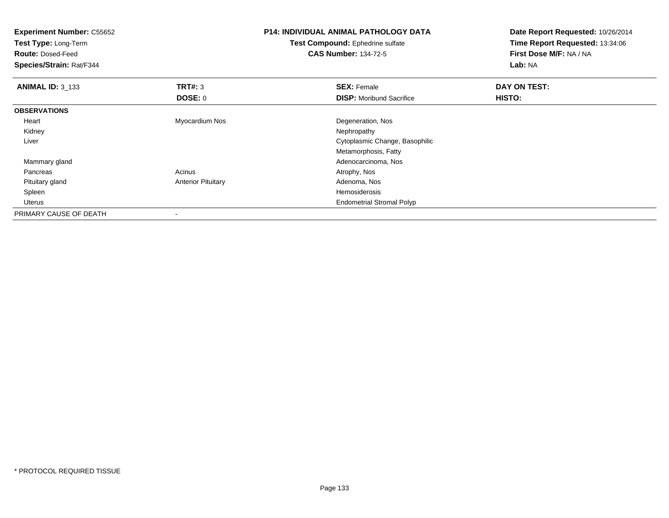| <b>Experiment Number: C55652</b><br>Test Type: Long-Term<br><b>Route: Dosed-Feed</b><br>Species/Strain: Rat/F344 |                           | <b>P14: INDIVIDUAL ANIMAL PATHOLOGY DATA</b><br>Test Compound: Ephedrine sulfate<br><b>CAS Number: 134-72-5</b> | Date Report Requested: 10/26/2014<br>Time Report Requested: 13:34:06<br>First Dose M/F: NA / NA<br>Lab: NA |
|------------------------------------------------------------------------------------------------------------------|---------------------------|-----------------------------------------------------------------------------------------------------------------|------------------------------------------------------------------------------------------------------------|
| <b>ANIMAL ID: 3_133</b>                                                                                          | TRT#: 3                   | <b>SEX: Female</b>                                                                                              | DAY ON TEST:                                                                                               |
|                                                                                                                  | <b>DOSE: 0</b>            | <b>DISP:</b> Moribund Sacrifice                                                                                 | HISTO:                                                                                                     |
| <b>OBSERVATIONS</b>                                                                                              |                           |                                                                                                                 |                                                                                                            |
| Heart                                                                                                            | Myocardium Nos            | Degeneration, Nos                                                                                               |                                                                                                            |
| Kidney                                                                                                           |                           | Nephropathy                                                                                                     |                                                                                                            |
| Liver                                                                                                            |                           | Cytoplasmic Change, Basophilic                                                                                  |                                                                                                            |
|                                                                                                                  |                           | Metamorphosis, Fatty                                                                                            |                                                                                                            |
| Mammary gland                                                                                                    |                           | Adenocarcinoma, Nos                                                                                             |                                                                                                            |
| Pancreas                                                                                                         | Acinus                    | Atrophy, Nos                                                                                                    |                                                                                                            |
| Pituitary gland                                                                                                  | <b>Anterior Pituitary</b> | Adenoma, Nos                                                                                                    |                                                                                                            |
| Spleen                                                                                                           |                           | <b>Hemosiderosis</b>                                                                                            |                                                                                                            |
| <b>Uterus</b>                                                                                                    |                           | <b>Endometrial Stromal Polyp</b>                                                                                |                                                                                                            |
| PRIMARY CAUSE OF DEATH                                                                                           |                           |                                                                                                                 |                                                                                                            |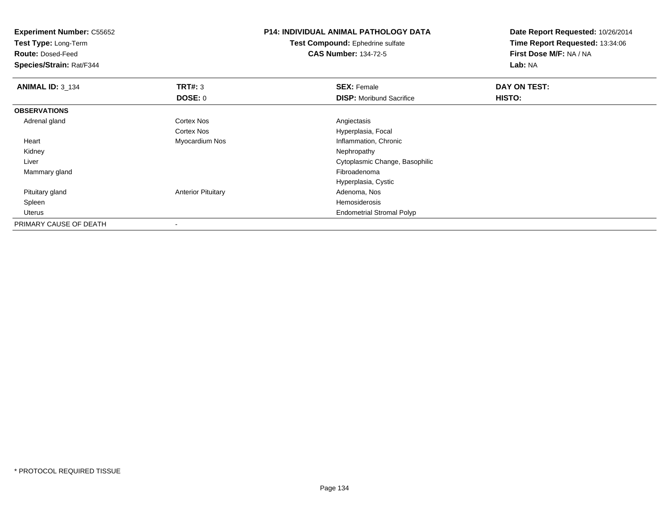| <b>Experiment Number: C55652</b><br>Test Type: Long-Term |                           | <b>P14: INDIVIDUAL ANIMAL PATHOLOGY DATA</b> | Date Report Requested: 10/26/2014 |
|----------------------------------------------------------|---------------------------|----------------------------------------------|-----------------------------------|
|                                                          |                           | Test Compound: Ephedrine sulfate             | Time Report Requested: 13:34:06   |
| <b>Route: Dosed-Feed</b>                                 |                           | <b>CAS Number: 134-72-5</b>                  | First Dose M/F: NA / NA           |
| Species/Strain: Rat/F344                                 |                           |                                              | Lab: NA                           |
| <b>ANIMAL ID: 3_134</b>                                  | TRT#: 3                   | <b>SEX: Female</b>                           | DAY ON TEST:                      |
|                                                          | <b>DOSE: 0</b>            | <b>DISP:</b> Moribund Sacrifice              | HISTO:                            |
| <b>OBSERVATIONS</b>                                      |                           |                                              |                                   |
| Adrenal gland                                            | <b>Cortex Nos</b>         | Angiectasis                                  |                                   |
|                                                          | Cortex Nos                | Hyperplasia, Focal                           |                                   |
| Heart                                                    | Myocardium Nos            | Inflammation, Chronic                        |                                   |
| Kidney                                                   |                           | Nephropathy                                  |                                   |
| Liver                                                    |                           | Cytoplasmic Change, Basophilic               |                                   |
| Mammary gland                                            |                           | Fibroadenoma                                 |                                   |
|                                                          |                           | Hyperplasia, Cystic                          |                                   |
| Pituitary gland                                          | <b>Anterior Pituitary</b> | Adenoma, Nos                                 |                                   |
| Spleen                                                   |                           | Hemosiderosis                                |                                   |
| Uterus                                                   |                           | <b>Endometrial Stromal Polyp</b>             |                                   |
| PRIMARY CAUSE OF DEATH                                   |                           |                                              |                                   |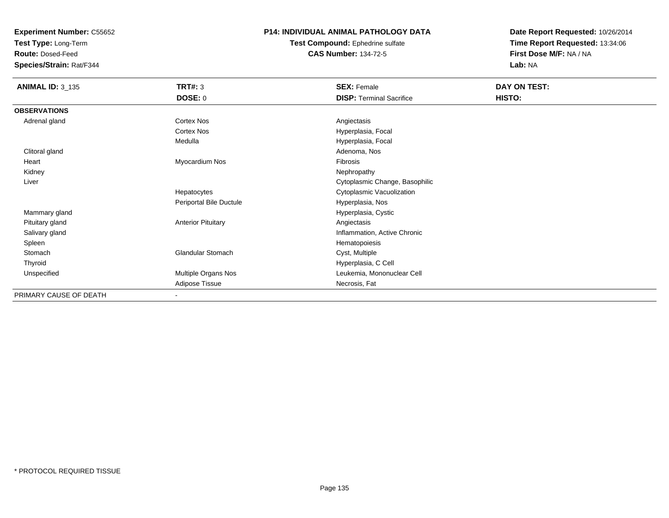**Test Type:** Long-Term

**Route:** Dosed-Feed

**Species/Strain:** Rat/F344

#### **P14: INDIVIDUAL ANIMAL PATHOLOGY DATA**

**Test Compound:** Ephedrine sulfate**CAS Number:** 134-72-5

| <b>ANIMAL ID: 3_135</b> | TRT#: 3                   | <b>SEX: Female</b>              | DAY ON TEST: |
|-------------------------|---------------------------|---------------------------------|--------------|
|                         | <b>DOSE: 0</b>            | <b>DISP: Terminal Sacrifice</b> | HISTO:       |
| <b>OBSERVATIONS</b>     |                           |                                 |              |
| Adrenal gland           | Cortex Nos                | Angiectasis                     |              |
|                         | Cortex Nos                | Hyperplasia, Focal              |              |
|                         | Medulla                   | Hyperplasia, Focal              |              |
| Clitoral gland          |                           | Adenoma, Nos                    |              |
| Heart                   | Myocardium Nos            | Fibrosis                        |              |
| Kidney                  |                           | Nephropathy                     |              |
| Liver                   |                           | Cytoplasmic Change, Basophilic  |              |
|                         | Hepatocytes               | Cytoplasmic Vacuolization       |              |
|                         | Periportal Bile Ductule   | Hyperplasia, Nos                |              |
| Mammary gland           |                           | Hyperplasia, Cystic             |              |
| Pituitary gland         | <b>Anterior Pituitary</b> | Angiectasis                     |              |
| Salivary gland          |                           | Inflammation, Active Chronic    |              |
| Spleen                  |                           | Hematopoiesis                   |              |
| Stomach                 | Glandular Stomach         | Cyst, Multiple                  |              |
| Thyroid                 |                           | Hyperplasia, C Cell             |              |
| Unspecified             | Multiple Organs Nos       | Leukemia, Mononuclear Cell      |              |
|                         | Adipose Tissue            | Necrosis, Fat                   |              |
| PRIMARY CAUSE OF DEATH  | $\overline{\phantom{a}}$  |                                 |              |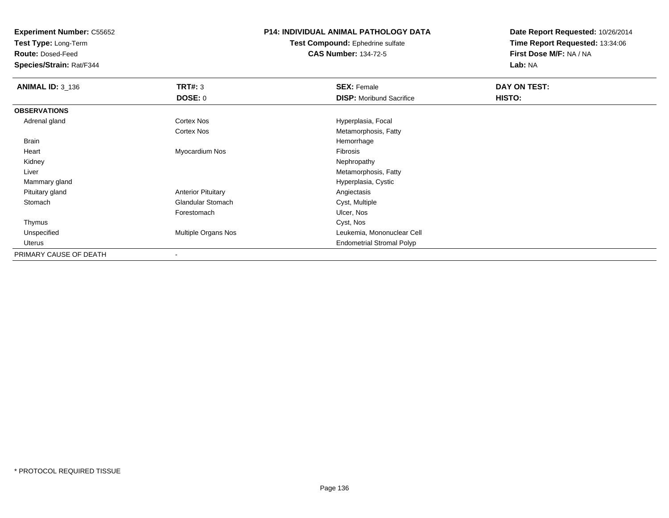**Test Type:** Long-Term

**Route:** Dosed-Feed

**Species/Strain:** Rat/F344

## **P14: INDIVIDUAL ANIMAL PATHOLOGY DATA**

**Test Compound:** Ephedrine sulfate**CAS Number:** 134-72-5

| <b>ANIMAL ID: 3_136</b> | <b>TRT#: 3</b>            | <b>SEX: Female</b>               | DAY ON TEST: |  |
|-------------------------|---------------------------|----------------------------------|--------------|--|
|                         | <b>DOSE: 0</b>            | <b>DISP:</b> Moribund Sacrifice  | HISTO:       |  |
| <b>OBSERVATIONS</b>     |                           |                                  |              |  |
| Adrenal gland           | <b>Cortex Nos</b>         | Hyperplasia, Focal               |              |  |
|                         | Cortex Nos                | Metamorphosis, Fatty             |              |  |
| Brain                   |                           | Hemorrhage                       |              |  |
| Heart                   | Myocardium Nos            | Fibrosis                         |              |  |
| Kidney                  |                           | Nephropathy                      |              |  |
| Liver                   |                           | Metamorphosis, Fatty             |              |  |
| Mammary gland           |                           | Hyperplasia, Cystic              |              |  |
| Pituitary gland         | <b>Anterior Pituitary</b> | Angiectasis                      |              |  |
| Stomach                 | <b>Glandular Stomach</b>  | Cyst, Multiple                   |              |  |
|                         | Forestomach               | Ulcer, Nos                       |              |  |
| Thymus                  |                           | Cyst, Nos                        |              |  |
| Unspecified             | Multiple Organs Nos       | Leukemia, Mononuclear Cell       |              |  |
| Uterus                  |                           | <b>Endometrial Stromal Polyp</b> |              |  |
| PRIMARY CAUSE OF DEATH  |                           |                                  |              |  |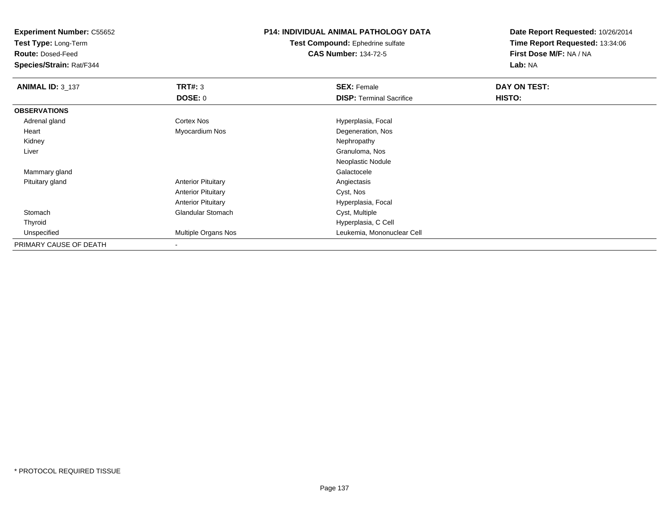**Test Type:** Long-Term

**Route:** Dosed-Feed

**Species/Strain:** Rat/F344

## **P14: INDIVIDUAL ANIMAL PATHOLOGY DATA**

**Test Compound:** Ephedrine sulfate**CAS Number:** 134-72-5

| <b>ANIMAL ID: 3_137</b> | TRT#: 3                    | <b>SEX: Female</b>              | DAY ON TEST: |  |
|-------------------------|----------------------------|---------------------------------|--------------|--|
|                         | <b>DOSE: 0</b>             | <b>DISP:</b> Terminal Sacrifice | HISTO:       |  |
| <b>OBSERVATIONS</b>     |                            |                                 |              |  |
| Adrenal gland           | Cortex Nos                 | Hyperplasia, Focal              |              |  |
| Heart                   | Myocardium Nos             | Degeneration, Nos               |              |  |
| Kidney                  |                            | Nephropathy                     |              |  |
| Liver                   |                            | Granuloma, Nos                  |              |  |
|                         |                            | Neoplastic Nodule               |              |  |
| Mammary gland           |                            | Galactocele                     |              |  |
| Pituitary gland         | <b>Anterior Pituitary</b>  | Angiectasis                     |              |  |
|                         | <b>Anterior Pituitary</b>  | Cyst, Nos                       |              |  |
|                         | <b>Anterior Pituitary</b>  | Hyperplasia, Focal              |              |  |
| Stomach                 | <b>Glandular Stomach</b>   | Cyst, Multiple                  |              |  |
| Thyroid                 |                            | Hyperplasia, C Cell             |              |  |
| Unspecified             | <b>Multiple Organs Nos</b> | Leukemia, Mononuclear Cell      |              |  |
| PRIMARY CAUSE OF DEATH  |                            |                                 |              |  |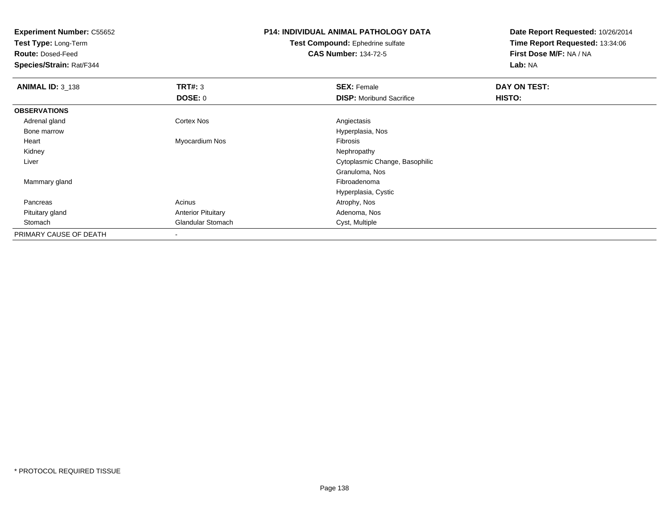**Test Type:** Long-Term

**Route:** Dosed-Feed

**Species/Strain:** Rat/F344

## **P14: INDIVIDUAL ANIMAL PATHOLOGY DATA**

**Test Compound:** Ephedrine sulfate**CAS Number:** 134-72-5

| <b>ANIMAL ID: 3_138</b> | TRT#: 3                   | <b>SEX: Female</b>              | DAY ON TEST: |  |
|-------------------------|---------------------------|---------------------------------|--------------|--|
|                         | DOSE: 0                   | <b>DISP:</b> Moribund Sacrifice | HISTO:       |  |
| <b>OBSERVATIONS</b>     |                           |                                 |              |  |
| Adrenal gland           | Cortex Nos                | Angiectasis                     |              |  |
| Bone marrow             |                           | Hyperplasia, Nos                |              |  |
| Heart                   | Myocardium Nos            | Fibrosis                        |              |  |
| Kidney                  |                           | Nephropathy                     |              |  |
| Liver                   |                           | Cytoplasmic Change, Basophilic  |              |  |
|                         |                           | Granuloma, Nos                  |              |  |
| Mammary gland           |                           | Fibroadenoma                    |              |  |
|                         |                           | Hyperplasia, Cystic             |              |  |
| Pancreas                | Acinus                    | Atrophy, Nos                    |              |  |
| Pituitary gland         | <b>Anterior Pituitary</b> | Adenoma, Nos                    |              |  |
| Stomach                 | <b>Glandular Stomach</b>  | Cyst, Multiple                  |              |  |
| PRIMARY CAUSE OF DEATH  | $\overline{\phantom{a}}$  |                                 |              |  |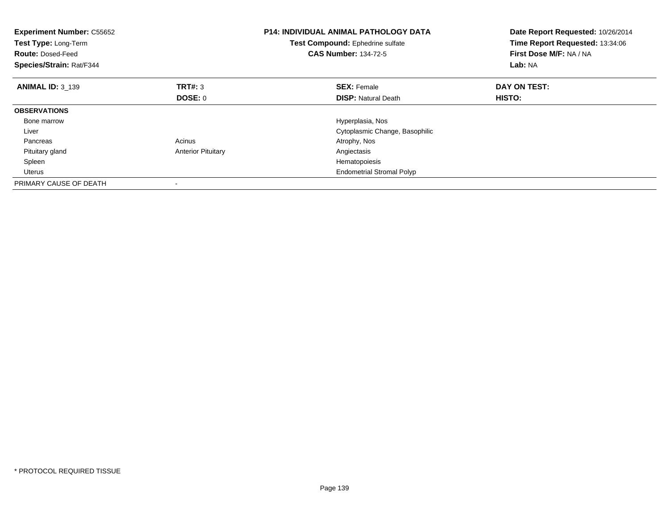| <b>Experiment Number: C55652</b><br>Test Type: Long-Term<br><b>Route: Dosed-Feed</b><br>Species/Strain: Rat/F344 |                           | <b>P14: INDIVIDUAL ANIMAL PATHOLOGY DATA</b><br>Date Report Requested: 10/26/2014<br>Time Report Requested: 13:34:06<br>Test Compound: Ephedrine sulfate<br>First Dose M/F: NA / NA<br><b>CAS Number: 134-72-5</b><br>Lab: NA |              |
|------------------------------------------------------------------------------------------------------------------|---------------------------|-------------------------------------------------------------------------------------------------------------------------------------------------------------------------------------------------------------------------------|--------------|
| <b>ANIMAL ID: 3 139</b>                                                                                          | TRT#: 3                   | <b>SEX: Female</b>                                                                                                                                                                                                            | DAY ON TEST: |
|                                                                                                                  | <b>DOSE: 0</b>            | <b>DISP: Natural Death</b>                                                                                                                                                                                                    | HISTO:       |
| <b>OBSERVATIONS</b>                                                                                              |                           |                                                                                                                                                                                                                               |              |
| Bone marrow                                                                                                      |                           | Hyperplasia, Nos                                                                                                                                                                                                              |              |
| Liver                                                                                                            |                           | Cytoplasmic Change, Basophilic                                                                                                                                                                                                |              |
| Pancreas                                                                                                         | Acinus                    | Atrophy, Nos                                                                                                                                                                                                                  |              |
| Pituitary gland                                                                                                  | <b>Anterior Pituitary</b> | Angiectasis                                                                                                                                                                                                                   |              |
| Spleen                                                                                                           |                           | Hematopoiesis                                                                                                                                                                                                                 |              |
| <b>Uterus</b>                                                                                                    |                           | <b>Endometrial Stromal Polyp</b>                                                                                                                                                                                              |              |
| PRIMARY CAUSE OF DEATH                                                                                           |                           |                                                                                                                                                                                                                               |              |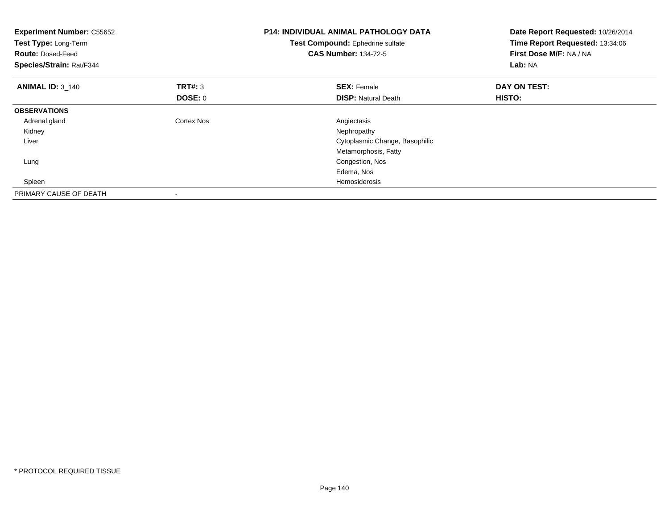| <b>Experiment Number: C55652</b><br>Test Type: Long-Term<br><b>Route: Dosed-Feed</b><br>Species/Strain: Rat/F344 |                | <b>P14: INDIVIDUAL ANIMAL PATHOLOGY DATA</b><br>Test Compound: Ephedrine sulfate<br><b>CAS Number: 134-72-5</b> | Date Report Requested: 10/26/2014<br>Time Report Requested: 13:34:06<br>First Dose M/F: NA / NA<br>Lab: NA |
|------------------------------------------------------------------------------------------------------------------|----------------|-----------------------------------------------------------------------------------------------------------------|------------------------------------------------------------------------------------------------------------|
| <b>ANIMAL ID: 3 140</b>                                                                                          | <b>TRT#: 3</b> | <b>SEX: Female</b>                                                                                              | DAY ON TEST:                                                                                               |
|                                                                                                                  | <b>DOSE: 0</b> | <b>DISP:</b> Natural Death                                                                                      | HISTO:                                                                                                     |
| <b>OBSERVATIONS</b>                                                                                              |                |                                                                                                                 |                                                                                                            |
| Adrenal gland                                                                                                    | Cortex Nos     | Angiectasis                                                                                                     |                                                                                                            |
| Kidney                                                                                                           |                | Nephropathy                                                                                                     |                                                                                                            |
| Liver                                                                                                            |                | Cytoplasmic Change, Basophilic                                                                                  |                                                                                                            |
|                                                                                                                  |                | Metamorphosis, Fatty                                                                                            |                                                                                                            |
| Lung                                                                                                             |                | Congestion, Nos                                                                                                 |                                                                                                            |
|                                                                                                                  |                | Edema, Nos                                                                                                      |                                                                                                            |
| Spleen                                                                                                           |                | Hemosiderosis                                                                                                   |                                                                                                            |
| PRIMARY CAUSE OF DEATH                                                                                           |                |                                                                                                                 |                                                                                                            |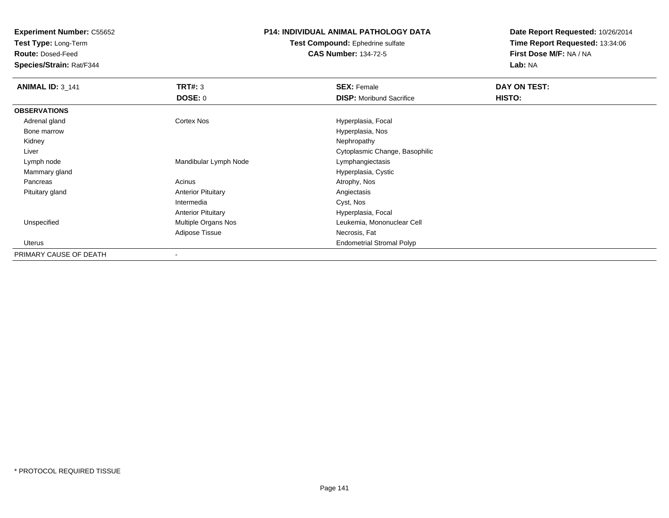**Test Type:** Long-Term

**Route:** Dosed-Feed

**Species/Strain:** Rat/F344

#### **P14: INDIVIDUAL ANIMAL PATHOLOGY DATA**

**Test Compound:** Ephedrine sulfate**CAS Number:** 134-72-5

| <b>ANIMAL ID: 3_141</b> | <b>TRT#: 3</b>            | <b>SEX: Female</b>               | DAY ON TEST: |  |
|-------------------------|---------------------------|----------------------------------|--------------|--|
|                         | <b>DOSE: 0</b>            | <b>DISP: Moribund Sacrifice</b>  | HISTO:       |  |
| <b>OBSERVATIONS</b>     |                           |                                  |              |  |
| Adrenal gland           | <b>Cortex Nos</b>         | Hyperplasia, Focal               |              |  |
| Bone marrow             |                           | Hyperplasia, Nos                 |              |  |
| Kidney                  |                           | Nephropathy                      |              |  |
| Liver                   |                           | Cytoplasmic Change, Basophilic   |              |  |
| Lymph node              | Mandibular Lymph Node     | Lymphangiectasis                 |              |  |
| Mammary gland           |                           | Hyperplasia, Cystic              |              |  |
| Pancreas                | Acinus                    | Atrophy, Nos                     |              |  |
| Pituitary gland         | <b>Anterior Pituitary</b> | Angiectasis                      |              |  |
|                         | Intermedia                | Cyst, Nos                        |              |  |
|                         | <b>Anterior Pituitary</b> | Hyperplasia, Focal               |              |  |
| Unspecified             | Multiple Organs Nos       | Leukemia, Mononuclear Cell       |              |  |
|                         | Adipose Tissue            | Necrosis, Fat                    |              |  |
| Uterus                  |                           | <b>Endometrial Stromal Polyp</b> |              |  |
| PRIMARY CAUSE OF DEATH  |                           |                                  |              |  |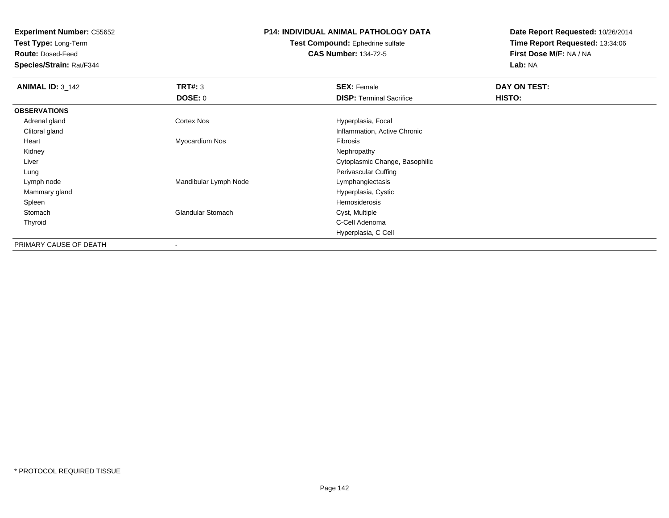**Test Type:** Long-Term

**Route:** Dosed-Feed

**Species/Strain:** Rat/F344

## **P14: INDIVIDUAL ANIMAL PATHOLOGY DATA**

**Test Compound:** Ephedrine sulfate**CAS Number:** 134-72-5

| <b>ANIMAL ID: 3_142</b> | TRT#: 3                  | <b>SEX: Female</b>              | DAY ON TEST: |  |
|-------------------------|--------------------------|---------------------------------|--------------|--|
|                         | <b>DOSE: 0</b>           | <b>DISP: Terminal Sacrifice</b> | HISTO:       |  |
| <b>OBSERVATIONS</b>     |                          |                                 |              |  |
| Adrenal gland           | <b>Cortex Nos</b>        | Hyperplasia, Focal              |              |  |
| Clitoral gland          |                          | Inflammation, Active Chronic    |              |  |
| Heart                   | Myocardium Nos           | Fibrosis                        |              |  |
| Kidney                  |                          | Nephropathy                     |              |  |
| Liver                   |                          | Cytoplasmic Change, Basophilic  |              |  |
| Lung                    |                          | Perivascular Cuffing            |              |  |
| Lymph node              | Mandibular Lymph Node    | Lymphangiectasis                |              |  |
| Mammary gland           |                          | Hyperplasia, Cystic             |              |  |
| Spleen                  |                          | Hemosiderosis                   |              |  |
| Stomach                 | <b>Glandular Stomach</b> | Cyst, Multiple                  |              |  |
| Thyroid                 |                          | C-Cell Adenoma                  |              |  |
|                         |                          | Hyperplasia, C Cell             |              |  |
| PRIMARY CAUSE OF DEATH  |                          |                                 |              |  |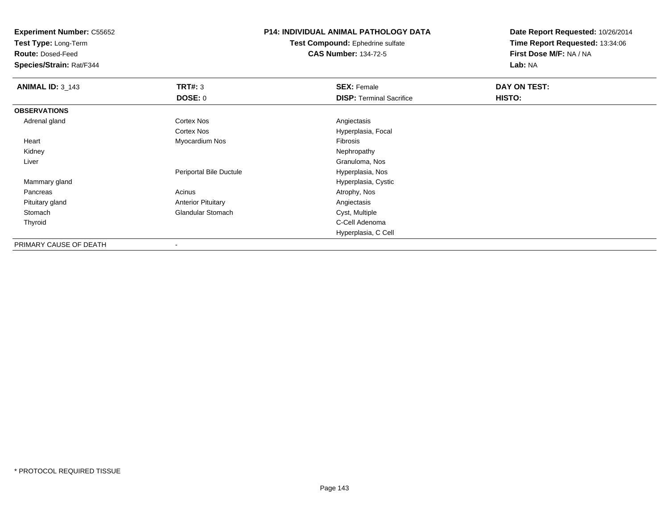**Test Type:** Long-Term

**Route:** Dosed-Feed

**Species/Strain:** Rat/F344

### **P14: INDIVIDUAL ANIMAL PATHOLOGY DATA**

**Test Compound:** Ephedrine sulfate**CAS Number:** 134-72-5

| <b>ANIMAL ID: 3_143</b> | TRT#: 3                   | <b>SEX: Female</b>              | DAY ON TEST: |  |
|-------------------------|---------------------------|---------------------------------|--------------|--|
|                         | <b>DOSE: 0</b>            | <b>DISP: Terminal Sacrifice</b> | HISTO:       |  |
| <b>OBSERVATIONS</b>     |                           |                                 |              |  |
| Adrenal gland           | Cortex Nos                | Angiectasis                     |              |  |
|                         | Cortex Nos                | Hyperplasia, Focal              |              |  |
| Heart                   | Myocardium Nos            | Fibrosis                        |              |  |
| Kidney                  |                           | Nephropathy                     |              |  |
| Liver                   |                           | Granuloma, Nos                  |              |  |
|                         | Periportal Bile Ductule   | Hyperplasia, Nos                |              |  |
| Mammary gland           |                           | Hyperplasia, Cystic             |              |  |
| Pancreas                | Acinus                    | Atrophy, Nos                    |              |  |
| Pituitary gland         | <b>Anterior Pituitary</b> | Angiectasis                     |              |  |
| Stomach                 | <b>Glandular Stomach</b>  | Cyst, Multiple                  |              |  |
| Thyroid                 |                           | C-Cell Adenoma                  |              |  |
|                         |                           | Hyperplasia, C Cell             |              |  |
| PRIMARY CAUSE OF DEATH  |                           |                                 |              |  |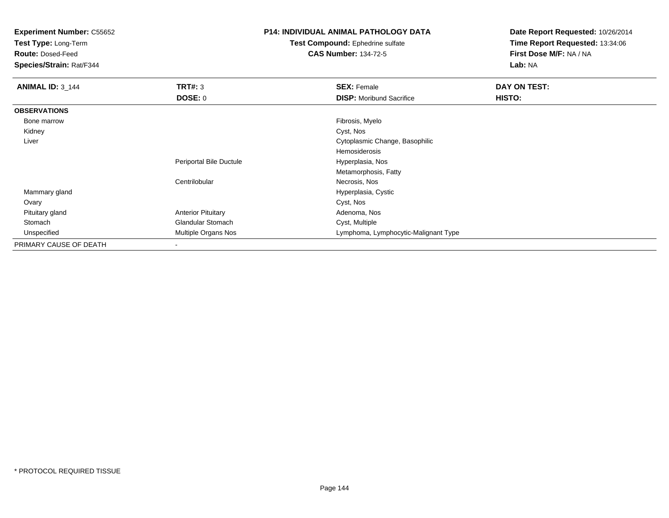**Test Type:** Long-Term

**Route:** Dosed-Feed

**Species/Strain:** Rat/F344

## **P14: INDIVIDUAL ANIMAL PATHOLOGY DATA**

**Test Compound:** Ephedrine sulfate**CAS Number:** 134-72-5

| <b>ANIMAL ID: 3 144</b> | TRT#: 3                   | <b>SEX: Female</b>                   | DAY ON TEST: |
|-------------------------|---------------------------|--------------------------------------|--------------|
|                         | <b>DOSE: 0</b>            | <b>DISP:</b> Moribund Sacrifice      | HISTO:       |
| <b>OBSERVATIONS</b>     |                           |                                      |              |
| Bone marrow             |                           | Fibrosis, Myelo                      |              |
| Kidney                  |                           | Cyst, Nos                            |              |
| Liver                   |                           | Cytoplasmic Change, Basophilic       |              |
|                         |                           | <b>Hemosiderosis</b>                 |              |
|                         | Periportal Bile Ductule   | Hyperplasia, Nos                     |              |
|                         |                           | Metamorphosis, Fatty                 |              |
|                         | Centrilobular             | Necrosis, Nos                        |              |
| Mammary gland           |                           | Hyperplasia, Cystic                  |              |
| Ovary                   |                           | Cyst, Nos                            |              |
| Pituitary gland         | <b>Anterior Pituitary</b> | Adenoma, Nos                         |              |
| Stomach                 | <b>Glandular Stomach</b>  | Cyst, Multiple                       |              |
| Unspecified             | Multiple Organs Nos       | Lymphoma, Lymphocytic-Malignant Type |              |
| PRIMARY CAUSE OF DEATH  | $\overline{\phantom{a}}$  |                                      |              |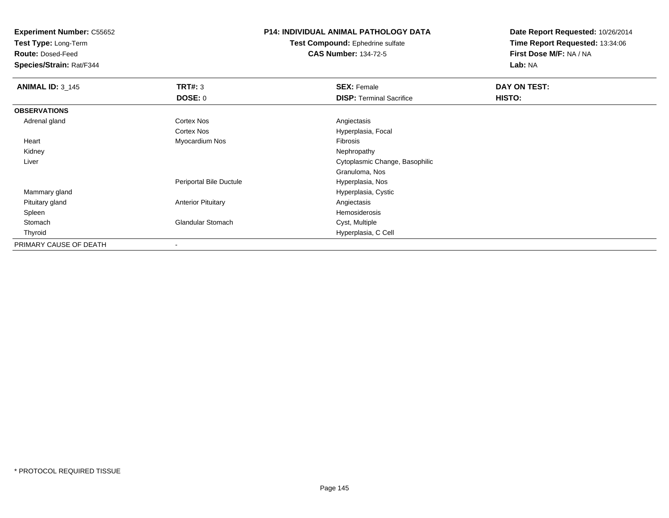**Test Type:** Long-Term

**Route:** Dosed-Feed

**Species/Strain:** Rat/F344

## **P14: INDIVIDUAL ANIMAL PATHOLOGY DATA**

**Test Compound:** Ephedrine sulfate**CAS Number:** 134-72-5

| <b>ANIMAL ID: 3 145</b> | TRT#: 3                   | <b>SEX: Female</b>              | DAY ON TEST: |  |
|-------------------------|---------------------------|---------------------------------|--------------|--|
|                         | DOSE: 0                   | <b>DISP: Terminal Sacrifice</b> | HISTO:       |  |
| <b>OBSERVATIONS</b>     |                           |                                 |              |  |
| Adrenal gland           | <b>Cortex Nos</b>         | Angiectasis                     |              |  |
|                         | Cortex Nos                | Hyperplasia, Focal              |              |  |
| Heart                   | Myocardium Nos            | Fibrosis                        |              |  |
| Kidney                  |                           | Nephropathy                     |              |  |
| Liver                   |                           | Cytoplasmic Change, Basophilic  |              |  |
|                         |                           | Granuloma, Nos                  |              |  |
|                         | Periportal Bile Ductule   | Hyperplasia, Nos                |              |  |
| Mammary gland           |                           | Hyperplasia, Cystic             |              |  |
| Pituitary gland         | <b>Anterior Pituitary</b> | Angiectasis                     |              |  |
| Spleen                  |                           | <b>Hemosiderosis</b>            |              |  |
| Stomach                 | <b>Glandular Stomach</b>  | Cyst, Multiple                  |              |  |
| Thyroid                 |                           | Hyperplasia, C Cell             |              |  |
| PRIMARY CAUSE OF DEATH  |                           |                                 |              |  |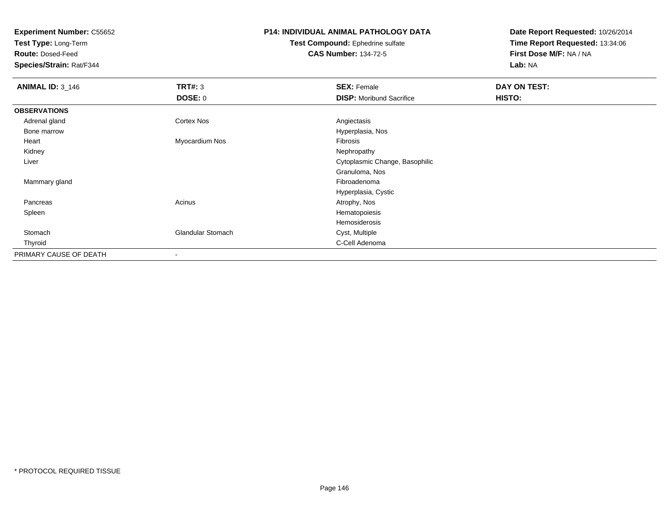**Test Type:** Long-Term

**Route:** Dosed-Feed

**Species/Strain:** Rat/F344

# **P14: INDIVIDUAL ANIMAL PATHOLOGY DATA**

#### **Test Compound:** Ephedrine sulfate**CAS Number:** 134-72-5

| <b>ANIMAL ID: 3_146</b> | <b>TRT#: 3</b>           | <b>SEX: Female</b>              | DAY ON TEST: |  |
|-------------------------|--------------------------|---------------------------------|--------------|--|
|                         | <b>DOSE: 0</b>           | <b>DISP:</b> Moribund Sacrifice | HISTO:       |  |
| <b>OBSERVATIONS</b>     |                          |                                 |              |  |
| Adrenal gland           | <b>Cortex Nos</b>        | Angiectasis                     |              |  |
| Bone marrow             |                          | Hyperplasia, Nos                |              |  |
| Heart                   | Myocardium Nos           | Fibrosis                        |              |  |
| Kidney                  |                          | Nephropathy                     |              |  |
| Liver                   |                          | Cytoplasmic Change, Basophilic  |              |  |
|                         |                          | Granuloma, Nos                  |              |  |
| Mammary gland           |                          | Fibroadenoma                    |              |  |
|                         |                          | Hyperplasia, Cystic             |              |  |
| Pancreas                | Acinus                   | Atrophy, Nos                    |              |  |
| Spleen                  |                          | Hematopoiesis                   |              |  |
|                         |                          | Hemosiderosis                   |              |  |
| Stomach                 | <b>Glandular Stomach</b> | Cyst, Multiple                  |              |  |
| Thyroid                 |                          | C-Cell Adenoma                  |              |  |
| PRIMARY CAUSE OF DEATH  |                          |                                 |              |  |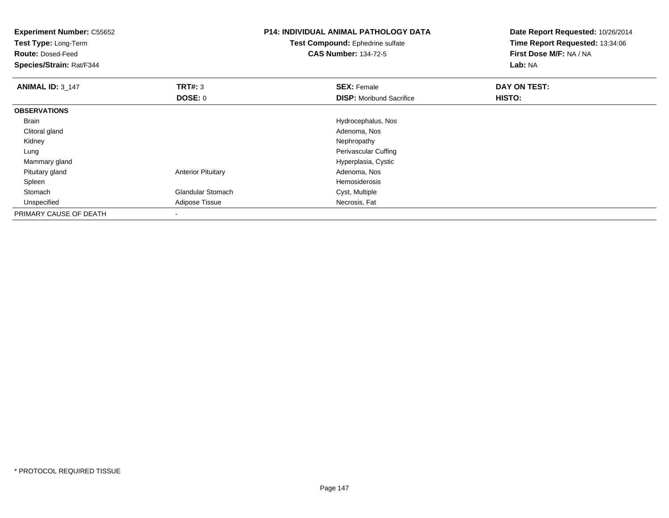| <b>Experiment Number: C55652</b><br>Test Type: Long-Term<br><b>Route: Dosed-Feed</b><br>Species/Strain: Rat/F344 |                           | <b>P14: INDIVIDUAL ANIMAL PATHOLOGY DATA</b><br>Test Compound: Ephedrine sulfate<br><b>CAS Number: 134-72-5</b> | Date Report Requested: 10/26/2014<br>Time Report Requested: 13:34:06<br>First Dose M/F: NA / NA<br>Lab: NA |  |
|------------------------------------------------------------------------------------------------------------------|---------------------------|-----------------------------------------------------------------------------------------------------------------|------------------------------------------------------------------------------------------------------------|--|
| <b>ANIMAL ID: 3_147</b>                                                                                          | TRT#: 3                   | <b>SEX: Female</b>                                                                                              | DAY ON TEST:                                                                                               |  |
|                                                                                                                  | <b>DOSE: 0</b>            | <b>DISP:</b> Moribund Sacrifice                                                                                 | HISTO:                                                                                                     |  |
| <b>OBSERVATIONS</b>                                                                                              |                           |                                                                                                                 |                                                                                                            |  |
| Brain                                                                                                            |                           | Hydrocephalus, Nos                                                                                              |                                                                                                            |  |
| Clitoral gland                                                                                                   |                           | Adenoma, Nos                                                                                                    |                                                                                                            |  |
| Kidney                                                                                                           |                           | Nephropathy                                                                                                     |                                                                                                            |  |
| Lung                                                                                                             |                           | Perivascular Cuffing                                                                                            |                                                                                                            |  |
| Mammary gland                                                                                                    |                           | Hyperplasia, Cystic                                                                                             |                                                                                                            |  |
| Pituitary gland                                                                                                  | <b>Anterior Pituitary</b> | Adenoma, Nos                                                                                                    |                                                                                                            |  |
| Spleen                                                                                                           |                           | <b>Hemosiderosis</b>                                                                                            |                                                                                                            |  |
| Stomach                                                                                                          | <b>Glandular Stomach</b>  | Cyst, Multiple                                                                                                  |                                                                                                            |  |
| Unspecified                                                                                                      | Adipose Tissue            | Necrosis, Fat                                                                                                   |                                                                                                            |  |
| PRIMARY CAUSE OF DEATH                                                                                           |                           |                                                                                                                 |                                                                                                            |  |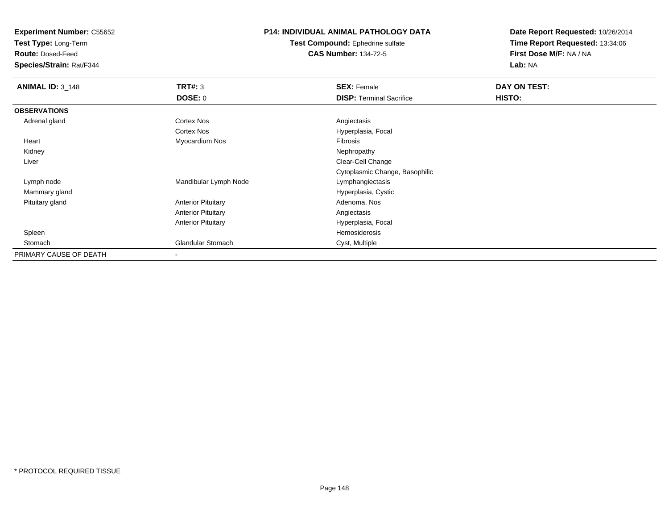**Test Type:** Long-Term

**Route:** Dosed-Feed

**Species/Strain:** Rat/F344

## **P14: INDIVIDUAL ANIMAL PATHOLOGY DATA**

**Test Compound:** Ephedrine sulfate**CAS Number:** 134-72-5

| <b>ANIMAL ID: 3_148</b> | TRT#: 3                   | <b>SEX: Female</b>              | DAY ON TEST: |  |
|-------------------------|---------------------------|---------------------------------|--------------|--|
|                         | <b>DOSE: 0</b>            | <b>DISP: Terminal Sacrifice</b> | HISTO:       |  |
| <b>OBSERVATIONS</b>     |                           |                                 |              |  |
| Adrenal gland           | Cortex Nos                | Angiectasis                     |              |  |
|                         | Cortex Nos                | Hyperplasia, Focal              |              |  |
| Heart                   | Myocardium Nos            | Fibrosis                        |              |  |
| Kidney                  |                           | Nephropathy                     |              |  |
| Liver                   |                           | Clear-Cell Change               |              |  |
|                         |                           | Cytoplasmic Change, Basophilic  |              |  |
| Lymph node              | Mandibular Lymph Node     | Lymphangiectasis                |              |  |
| Mammary gland           |                           | Hyperplasia, Cystic             |              |  |
| Pituitary gland         | <b>Anterior Pituitary</b> | Adenoma, Nos                    |              |  |
|                         | <b>Anterior Pituitary</b> | Angiectasis                     |              |  |
|                         | <b>Anterior Pituitary</b> | Hyperplasia, Focal              |              |  |
| Spleen                  |                           | Hemosiderosis                   |              |  |
| Stomach                 | Glandular Stomach         | Cyst, Multiple                  |              |  |
| PRIMARY CAUSE OF DEATH  | ۰                         |                                 |              |  |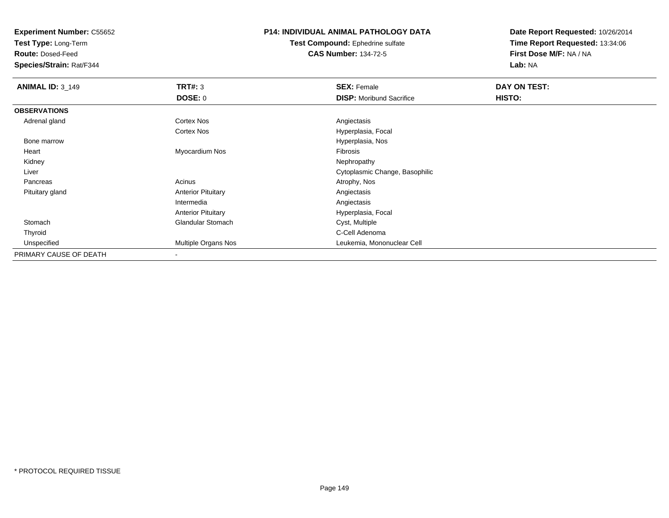**Test Type:** Long-Term

**Route:** Dosed-Feed

**Species/Strain:** Rat/F344

## **P14: INDIVIDUAL ANIMAL PATHOLOGY DATA**

**Test Compound:** Ephedrine sulfate**CAS Number:** 134-72-5

| <b>ANIMAL ID: 3_149</b> | TRT#: 3                   | <b>SEX: Female</b>              | DAY ON TEST: |  |
|-------------------------|---------------------------|---------------------------------|--------------|--|
|                         | <b>DOSE: 0</b>            | <b>DISP:</b> Moribund Sacrifice | HISTO:       |  |
| <b>OBSERVATIONS</b>     |                           |                                 |              |  |
| Adrenal gland           | <b>Cortex Nos</b>         | Angiectasis                     |              |  |
|                         | <b>Cortex Nos</b>         | Hyperplasia, Focal              |              |  |
| Bone marrow             |                           | Hyperplasia, Nos                |              |  |
| Heart                   | Myocardium Nos            | Fibrosis                        |              |  |
| Kidney                  |                           | Nephropathy                     |              |  |
| Liver                   |                           | Cytoplasmic Change, Basophilic  |              |  |
| Pancreas                | Acinus                    | Atrophy, Nos                    |              |  |
| Pituitary gland         | <b>Anterior Pituitary</b> | Angiectasis                     |              |  |
|                         | Intermedia                | Angiectasis                     |              |  |
|                         | <b>Anterior Pituitary</b> | Hyperplasia, Focal              |              |  |
| Stomach                 | <b>Glandular Stomach</b>  | Cyst, Multiple                  |              |  |
| Thyroid                 |                           | C-Cell Adenoma                  |              |  |
| Unspecified             | Multiple Organs Nos       | Leukemia, Mononuclear Cell      |              |  |
| PRIMARY CAUSE OF DEATH  | $\overline{\phantom{a}}$  |                                 |              |  |